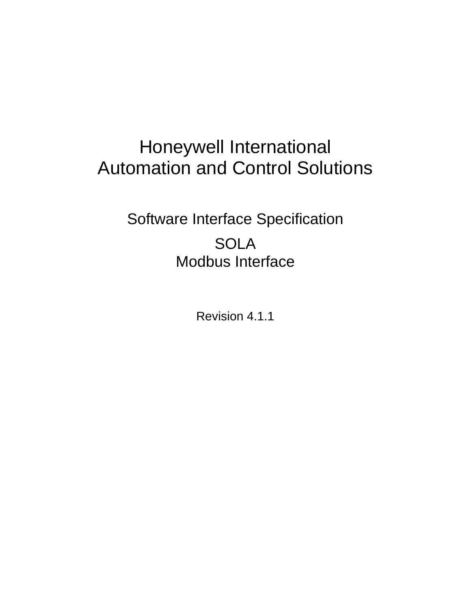# Honeywell International Automation and Control Solutions

Software Interface Specification **SOLA** Modbus Interface

Revision 4.1.1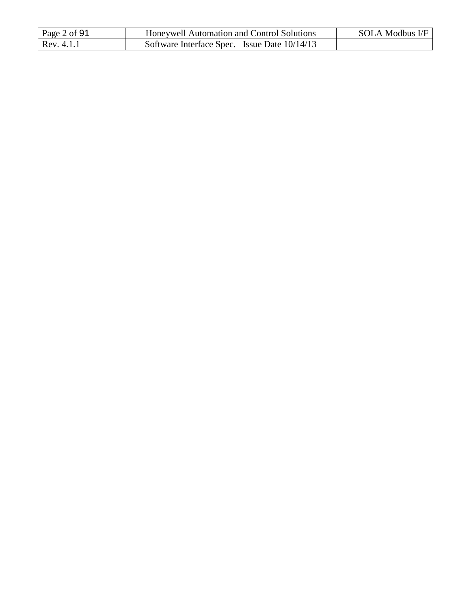| Page 2 of 91 | Honeywell Automation and Control Solutions   | <b>SOLA Modbus I/F</b> |
|--------------|----------------------------------------------|------------------------|
| Rev. 4.1.1   | Software Interface Spec. Issue Date 10/14/13 |                        |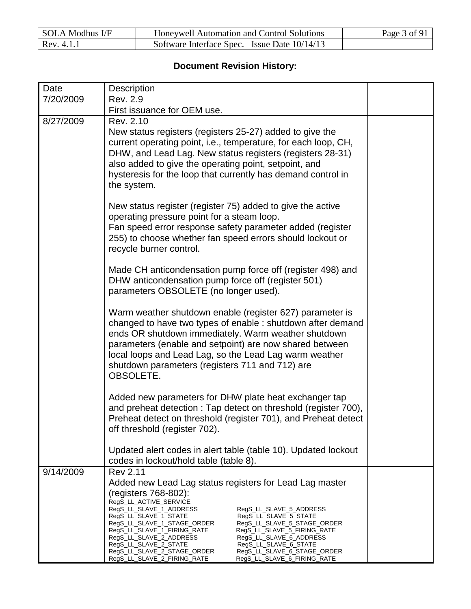| SOLA Modbus I/F | <b>Honeywell Automation and Control Solutions</b> | Page 3 of 91 |
|-----------------|---------------------------------------------------|--------------|
| Rev. 4.1.1      | Software Interface Spec. Issue Date 10/14/13      |              |

# **Document Revision History:**

| Date      | <b>Description</b>                                                                                                                                                                                                                                                                                                                                                                                                                                                                                                                                                                                   |  |
|-----------|------------------------------------------------------------------------------------------------------------------------------------------------------------------------------------------------------------------------------------------------------------------------------------------------------------------------------------------------------------------------------------------------------------------------------------------------------------------------------------------------------------------------------------------------------------------------------------------------------|--|
| 7/20/2009 | Rev. 2.9                                                                                                                                                                                                                                                                                                                                                                                                                                                                                                                                                                                             |  |
|           | First issuance for OEM use.                                                                                                                                                                                                                                                                                                                                                                                                                                                                                                                                                                          |  |
| 8/27/2009 | Rev. 2.10<br>New status registers (registers 25-27) added to give the<br>current operating point, i.e., temperature, for each loop, CH,<br>DHW, and Lead Lag. New status registers (registers 28-31)<br>also added to give the operating point, setpoint, and<br>hysteresis for the loop that currently has demand control in<br>the system.                                                                                                                                                                                                                                                         |  |
|           | New status register (register 75) added to give the active<br>operating pressure point for a steam loop.<br>Fan speed error response safety parameter added (register<br>255) to choose whether fan speed errors should lockout or<br>recycle burner control.                                                                                                                                                                                                                                                                                                                                        |  |
|           | Made CH anticondensation pump force off (register 498) and<br>DHW anticondensation pump force off (register 501)<br>parameters OBSOLETE (no longer used).                                                                                                                                                                                                                                                                                                                                                                                                                                            |  |
|           | Warm weather shutdown enable (register 627) parameter is<br>changed to have two types of enable : shutdown after demand<br>ends OR shutdown immediately. Warm weather shutdown<br>parameters (enable and setpoint) are now shared between<br>local loops and Lead Lag, so the Lead Lag warm weather<br>shutdown parameters (registers 711 and 712) are<br>OBSOLETE.                                                                                                                                                                                                                                  |  |
|           | Added new parameters for DHW plate heat exchanger tap<br>and preheat detection : Tap detect on threshold (register 700),<br>Preheat detect on threshold (register 701), and Preheat detect<br>off threshold (register 702).                                                                                                                                                                                                                                                                                                                                                                          |  |
|           | Updated alert codes in alert table (table 10). Updated lockout<br>codes in lockout/hold table (table 8).                                                                                                                                                                                                                                                                                                                                                                                                                                                                                             |  |
| 9/14/2009 | <b>Rev 2.11</b><br>Added new Lead Lag status registers for Lead Lag master<br>(registers 768-802):<br>RegS_LL_ACTIVE_SERVICE<br>RegS_LL_SLAVE_1_ADDRESS<br>RegS_LL_SLAVE_5_ADDRESS<br>RegS_LL_SLAVE_1_STATE<br>RegS_LL_SLAVE_5_STATE<br>RegS_LL_SLAVE_1_STAGE_ORDER<br>RegS_LL_SLAVE_5_STAGE_ORDER<br>RegS_LL_SLAVE_1_FIRING_RATE<br>RegS_LL_SLAVE_5_FIRING_RATE<br>RegS_LL_SLAVE_2_ADDRESS<br>RegS_LL_SLAVE_6_ADDRESS<br>RegS_LL_SLAVE_2_STATE<br>RegS_LL_SLAVE_6_STATE<br>RegS_LL_SLAVE_2_STAGE_ORDER<br>RegS_LL_SLAVE_6_STAGE_ORDER<br>RegS_LL_SLAVE_2_FIRING_RATE<br>RegS_LL_SLAVE_6_FIRING_RATE |  |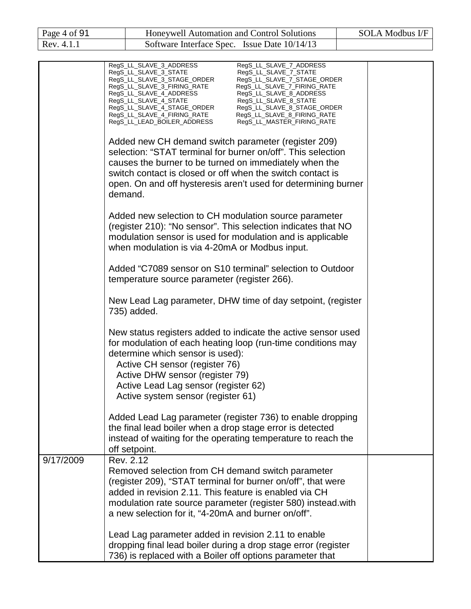| Page 4 of 91 | <b>Honeywell Automation and Control Solutions</b> | SOLA Modbus I/F |
|--------------|---------------------------------------------------|-----------------|
| Rev. 4.1.1   | Software Interface Spec. Issue Date 10/14/13      |                 |

|           | RegS_LL_SLAVE_3_ADDRESS<br>RegS_LL_SLAVE_7_ADDRESS<br>RegS_LL_SLAVE_3_STATE<br>RegS_LL_SLAVE_7_STATE<br>RegS_LL_SLAVE_3_STAGE_ORDER<br>RegS LL SLAVE 7 STAGE ORDER<br>RegS_LL_SLAVE_3_FIRING_RATE<br>RegS_LL_SLAVE_7_FIRING_RATE<br>RegS_LL_SLAVE_4_ADDRESS<br>RegS_LL_SLAVE_8_ADDRESS<br>RegS_LL_SLAVE_4_STATE<br>RegS_LL_SLAVE_8_STATE<br>RegS_LL_SLAVE_4_STAGE_ORDER<br>RegS_LL_SLAVE_8_STAGE_ORDER<br>RegS_LL_SLAVE_4_FIRING_RATE<br>RegS_LL_SLAVE_8_FIRING_RATE<br>RegS_LL_LEAD_BOILER_ADDRESS<br>RegS_LL_MASTER_FIRING_RATE |  |
|-----------|-----------------------------------------------------------------------------------------------------------------------------------------------------------------------------------------------------------------------------------------------------------------------------------------------------------------------------------------------------------------------------------------------------------------------------------------------------------------------------------------------------------------------------------|--|
|           | Added new CH demand switch parameter (register 209)<br>selection: "STAT terminal for burner on/off". This selection<br>causes the burner to be turned on immediately when the<br>switch contact is closed or off when the switch contact is<br>open. On and off hysteresis aren't used for determining burner<br>demand.                                                                                                                                                                                                          |  |
|           | Added new selection to CH modulation source parameter<br>(register 210): "No sensor". This selection indicates that NO<br>modulation sensor is used for modulation and is applicable<br>when modulation is via 4-20mA or Modbus input.                                                                                                                                                                                                                                                                                            |  |
|           | Added "C7089 sensor on S10 terminal" selection to Outdoor<br>temperature source parameter (register 266).                                                                                                                                                                                                                                                                                                                                                                                                                         |  |
|           | New Lead Lag parameter, DHW time of day setpoint, (register<br>735) added.                                                                                                                                                                                                                                                                                                                                                                                                                                                        |  |
|           | New status registers added to indicate the active sensor used<br>for modulation of each heating loop (run-time conditions may<br>determine which sensor is used):<br>Active CH sensor (register 76)<br>Active DHW sensor (register 79)<br>Active Lead Lag sensor (register 62)<br>Active system sensor (register 61)                                                                                                                                                                                                              |  |
|           | Added Lead Lag parameter (register 736) to enable dropping<br>the final lead boiler when a drop stage error is detected<br>instead of waiting for the operating temperature to reach the<br>off setpoint.                                                                                                                                                                                                                                                                                                                         |  |
| 9/17/2009 | Rev. 2.12<br>Removed selection from CH demand switch parameter<br>(register 209), "STAT terminal for burner on/off", that were<br>added in revision 2.11. This feature is enabled via CH<br>modulation rate source parameter (register 580) instead with<br>a new selection for it, "4-20mA and burner on/off".                                                                                                                                                                                                                   |  |
|           | Lead Lag parameter added in revision 2.11 to enable<br>dropping final lead boiler during a drop stage error (register<br>736) is replaced with a Boiler off options parameter that                                                                                                                                                                                                                                                                                                                                                |  |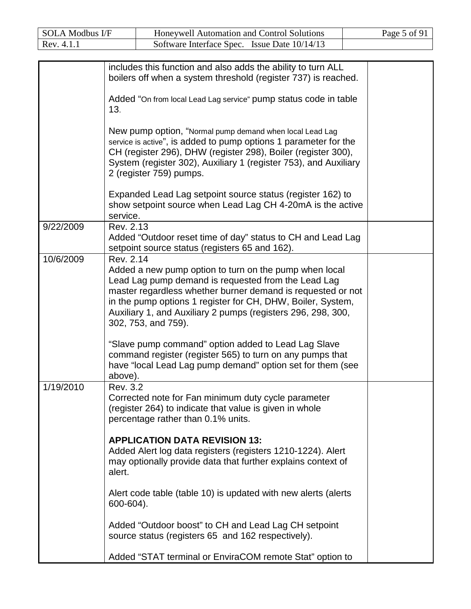| <b>SOLA Modbus I/F</b> | Honeywell Automation and Control Solutions   | Page 5 of 91 |
|------------------------|----------------------------------------------|--------------|
| Rev. 4.1.1             | Software Interface Spec. Issue Date 10/14/13 |              |

|           | includes this function and also adds the ability to turn ALL<br>boilers off when a system threshold (register 737) is reached.                                                                                                                                                                                                                  |  |
|-----------|-------------------------------------------------------------------------------------------------------------------------------------------------------------------------------------------------------------------------------------------------------------------------------------------------------------------------------------------------|--|
|           | Added "On from local Lead Lag service" pump status code in table<br>13.                                                                                                                                                                                                                                                                         |  |
|           | New pump option, "Normal pump demand when local Lead Lag<br>service is active", is added to pump options 1 parameter for the<br>CH (register 296), DHW (register 298), Boiler (register 300),<br>System (register 302), Auxiliary 1 (register 753), and Auxiliary<br>2 (register 759) pumps.                                                    |  |
|           | Expanded Lead Lag setpoint source status (register 162) to<br>show setpoint source when Lead Lag CH 4-20mA is the active<br>service.                                                                                                                                                                                                            |  |
| 9/22/2009 | Rev. 2.13<br>Added "Outdoor reset time of day" status to CH and Lead Lag<br>setpoint source status (registers 65 and 162).                                                                                                                                                                                                                      |  |
| 10/6/2009 | Rev. 2.14<br>Added a new pump option to turn on the pump when local<br>Lead Lag pump demand is requested from the Lead Lag<br>master regardless whether burner demand is requested or not<br>in the pump options 1 register for CH, DHW, Boiler, System,<br>Auxiliary 1, and Auxiliary 2 pumps (registers 296, 298, 300,<br>302, 753, and 759). |  |
|           | "Slave pump command" option added to Lead Lag Slave<br>command register (register 565) to turn on any pumps that<br>have "local Lead Lag pump demand" option set for them (see<br>above).                                                                                                                                                       |  |
| 1/19/2010 | Rev. 3.2<br>Corrected note for Fan minimum duty cycle parameter<br>(register 264) to indicate that value is given in whole<br>percentage rather than 0.1% units.                                                                                                                                                                                |  |
|           | <b>APPLICATION DATA REVISION 13:</b><br>Added Alert log data registers (registers 1210-1224). Alert<br>may optionally provide data that further explains context of<br>alert.                                                                                                                                                                   |  |
|           | Alert code table (table 10) is updated with new alerts (alerts<br>600-604).                                                                                                                                                                                                                                                                     |  |
|           | Added "Outdoor boost" to CH and Lead Lag CH setpoint<br>source status (registers 65 and 162 respectively).                                                                                                                                                                                                                                      |  |
|           | Added "STAT terminal or EnviraCOM remote Stat" option to                                                                                                                                                                                                                                                                                        |  |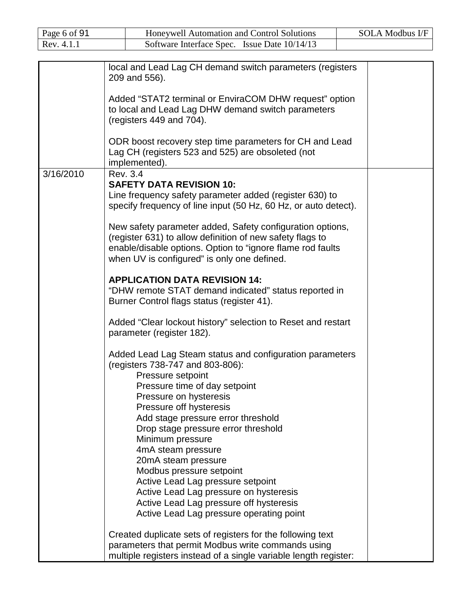| Page 6 of 91 | Honeywell Automation and Control Solutions   | <b>SOLA Modbus I/F</b> |
|--------------|----------------------------------------------|------------------------|
| Rev. 4.1.1   | Software Interface Spec. Issue Date 10/14/13 |                        |

|           | local and Lead Lag CH demand switch parameters (registers<br>209 and 556).                                                                                                                                                                                                                                                                                                                                                                                                                                                                              |  |
|-----------|---------------------------------------------------------------------------------------------------------------------------------------------------------------------------------------------------------------------------------------------------------------------------------------------------------------------------------------------------------------------------------------------------------------------------------------------------------------------------------------------------------------------------------------------------------|--|
|           | Added "STAT2 terminal or EnviraCOM DHW request" option<br>to local and Lead Lag DHW demand switch parameters<br>(registers 449 and 704).                                                                                                                                                                                                                                                                                                                                                                                                                |  |
|           | ODR boost recovery step time parameters for CH and Lead<br>Lag CH (registers 523 and 525) are obsoleted (not<br>implemented).                                                                                                                                                                                                                                                                                                                                                                                                                           |  |
| 3/16/2010 | Rev. 3.4<br><b>SAFETY DATA REVISION 10:</b><br>Line frequency safety parameter added (register 630) to<br>specify frequency of line input (50 Hz, 60 Hz, or auto detect).<br>New safety parameter added, Safety configuration options,<br>(register 631) to allow definition of new safety flags to                                                                                                                                                                                                                                                     |  |
|           | enable/disable options. Option to "ignore flame rod faults<br>when UV is configured" is only one defined.                                                                                                                                                                                                                                                                                                                                                                                                                                               |  |
|           | <b>APPLICATION DATA REVISION 14:</b><br>"DHW remote STAT demand indicated" status reported in<br>Burner Control flags status (register 41).                                                                                                                                                                                                                                                                                                                                                                                                             |  |
|           | Added "Clear lockout history" selection to Reset and restart<br>parameter (register 182).                                                                                                                                                                                                                                                                                                                                                                                                                                                               |  |
|           | Added Lead Lag Steam status and configuration parameters<br>(registers 738-747 and 803-806):<br>Pressure setpoint<br>Pressure time of day setpoint<br>Pressure on hysteresis<br>Pressure off hysteresis<br>Add stage pressure error threshold<br>Drop stage pressure error threshold<br>Minimum pressure<br>4mA steam pressure<br>20mA steam pressure<br>Modbus pressure setpoint<br>Active Lead Lag pressure setpoint<br>Active Lead Lag pressure on hysteresis<br>Active Lead Lag pressure off hysteresis<br>Active Lead Lag pressure operating point |  |
|           | Created duplicate sets of registers for the following text<br>parameters that permit Modbus write commands using<br>multiple registers instead of a single variable length register:                                                                                                                                                                                                                                                                                                                                                                    |  |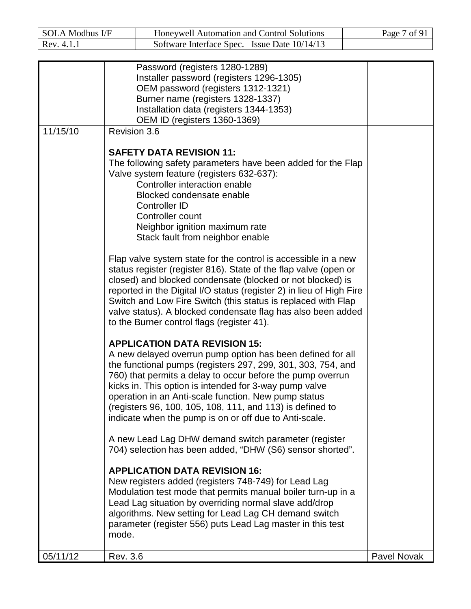| <b>SOLA Modbus I/F</b> |                                   | Honeywell Automation and Control Solutions                           |  | Page 7 of 91       |
|------------------------|-----------------------------------|----------------------------------------------------------------------|--|--------------------|
| Rev. 4.1.1             |                                   | Software Interface Spec. Issue Date 10/14/13                         |  |                    |
|                        |                                   |                                                                      |  |                    |
|                        |                                   | Password (registers 1280-1289)                                       |  |                    |
|                        |                                   | Installer password (registers 1296-1305)                             |  |                    |
|                        |                                   | OEM password (registers 1312-1321)                                   |  |                    |
|                        |                                   |                                                                      |  |                    |
|                        | Burner name (registers 1328-1337) |                                                                      |  |                    |
|                        |                                   | Installation data (registers 1344-1353)                              |  |                    |
|                        |                                   | OEM ID (registers 1360-1369)                                         |  |                    |
| 11/15/10               | Revision 3.6                      |                                                                      |  |                    |
|                        |                                   |                                                                      |  |                    |
|                        |                                   | <b>SAFETY DATA REVISION 11:</b>                                      |  |                    |
|                        |                                   | The following safety parameters have been added for the Flap         |  |                    |
|                        |                                   | Valve system feature (registers 632-637):                            |  |                    |
|                        |                                   | Controller interaction enable                                        |  |                    |
|                        |                                   | <b>Blocked condensate enable</b>                                     |  |                    |
|                        |                                   | <b>Controller ID</b>                                                 |  |                    |
|                        |                                   | Controller count                                                     |  |                    |
|                        |                                   | Neighbor ignition maximum rate                                       |  |                    |
|                        |                                   | Stack fault from neighbor enable                                     |  |                    |
|                        |                                   |                                                                      |  |                    |
|                        |                                   | Flap valve system state for the control is accessible in a new       |  |                    |
|                        |                                   | status register (register 816). State of the flap valve (open or     |  |                    |
|                        |                                   | closed) and blocked condensate (blocked or not blocked) is           |  |                    |
|                        |                                   | reported in the Digital I/O status (register 2) in lieu of High Fire |  |                    |
|                        |                                   | Switch and Low Fire Switch (this status is replaced with Flap        |  |                    |
|                        |                                   | valve status). A blocked condensate flag has also been added         |  |                    |
|                        |                                   | to the Burner control flags (register 41).                           |  |                    |
|                        |                                   |                                                                      |  |                    |
|                        |                                   | <b>APPLICATION DATA REVISION 15:</b>                                 |  |                    |
|                        |                                   | A new delayed overrun pump option has been defined for all           |  |                    |
|                        |                                   | the functional pumps (registers 297, 299, 301, 303, 754, and         |  |                    |
|                        |                                   | 760) that permits a delay to occur before the pump overrun           |  |                    |
|                        |                                   | kicks in. This option is intended for 3-way pump valve               |  |                    |
|                        |                                   |                                                                      |  |                    |
|                        |                                   | operation in an Anti-scale function. New pump status                 |  |                    |
|                        |                                   | (registers 96, 100, 105, 108, 111, and 113) is defined to            |  |                    |
|                        |                                   | indicate when the pump is on or off due to Anti-scale.               |  |                    |
|                        |                                   |                                                                      |  |                    |
|                        |                                   | A new Lead Lag DHW demand switch parameter (register                 |  |                    |
|                        |                                   | 704) selection has been added, "DHW (S6) sensor shorted".            |  |                    |
|                        |                                   |                                                                      |  |                    |
|                        |                                   | <b>APPLICATION DATA REVISION 16:</b>                                 |  |                    |
|                        |                                   | New registers added (registers 748-749) for Lead Lag                 |  |                    |
|                        |                                   | Modulation test mode that permits manual boiler turn-up in a         |  |                    |
|                        |                                   | Lead Lag situation by overriding normal slave add/drop               |  |                    |
|                        |                                   | algorithms. New setting for Lead Lag CH demand switch                |  |                    |
|                        |                                   | parameter (register 556) puts Lead Lag master in this test           |  |                    |
|                        | mode.                             |                                                                      |  |                    |
|                        |                                   |                                                                      |  |                    |
| 05/11/12               | Rev. 3.6                          |                                                                      |  | <b>Pavel Novak</b> |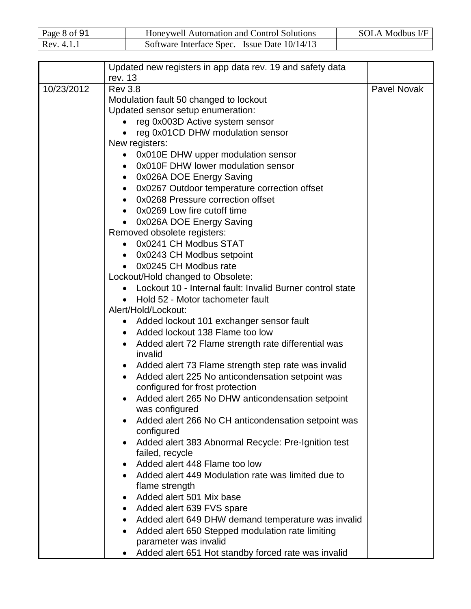| Page 8 of 91 | Honeywell Automation and Control Solutions   | SOLA Modbus I/F |
|--------------|----------------------------------------------|-----------------|
| Rev. 4.1.1   | Software Interface Spec. Issue Date 10/14/13 |                 |

|            | Updated new registers in app data rev. 19 and safety data       |             |
|------------|-----------------------------------------------------------------|-------------|
|            | rev. 13                                                         |             |
| 10/23/2012 | <b>Rev 3.8</b>                                                  | Pavel Novak |
|            | Modulation fault 50 changed to lockout                          |             |
|            | Updated sensor setup enumeration:                               |             |
|            | reg 0x003D Active system sensor                                 |             |
|            | reg 0x01CD DHW modulation sensor                                |             |
|            | New registers:                                                  |             |
|            | 0x010E DHW upper modulation sensor                              |             |
|            | 0x010F DHW lower modulation sensor                              |             |
|            | 0x026A DOE Energy Saving<br>$\bullet$                           |             |
|            | 0x0267 Outdoor temperature correction offset                    |             |
|            | 0x0268 Pressure correction offset<br>$\bullet$                  |             |
|            | 0x0269 Low fire cutoff time                                     |             |
|            |                                                                 |             |
|            | 0x026A DOE Energy Saving                                        |             |
|            | Removed obsolete registers:                                     |             |
|            | 0x0241 CH Modbus STAT                                           |             |
|            | 0x0243 CH Modbus setpoint<br>$\bullet$                          |             |
|            | 0x0245 CH Modbus rate                                           |             |
|            | Lockout/Hold changed to Obsolete:                               |             |
|            | Lockout 10 - Internal fault: Invalid Burner control state       |             |
|            | Hold 52 - Motor tachometer fault                                |             |
|            | Alert/Hold/Lockout:                                             |             |
|            | • Added lockout 101 exchanger sensor fault                      |             |
|            | Added lockout 138 Flame too low                                 |             |
|            | Added alert 72 Flame strength rate differential was<br>invalid  |             |
|            | Added alert 73 Flame strength step rate was invalid             |             |
|            | Added alert 225 No anticondensation setpoint was                |             |
|            | configured for frost protection                                 |             |
|            | Added alert 265 No DHW anticondensation setpoint<br>٠           |             |
|            | was configured                                                  |             |
|            | Added alert 266 No CH anticondensation setpoint was             |             |
|            | configured                                                      |             |
|            | Added alert 383 Abnormal Recycle: Pre-Ignition test             |             |
|            | failed, recycle                                                 |             |
|            | Added alert 448 Flame too low                                   |             |
|            | Added alert 449 Modulation rate was limited due to              |             |
|            | flame strength                                                  |             |
|            | Added alert 501 Mix base                                        |             |
|            | Added alert 639 FVS spare<br>$\bullet$                          |             |
|            | Added alert 649 DHW demand temperature was invalid<br>$\bullet$ |             |
|            | Added alert 650 Stepped modulation rate limiting                |             |
|            | parameter was invalid                                           |             |
|            | Added alert 651 Hot standby forced rate was invalid             |             |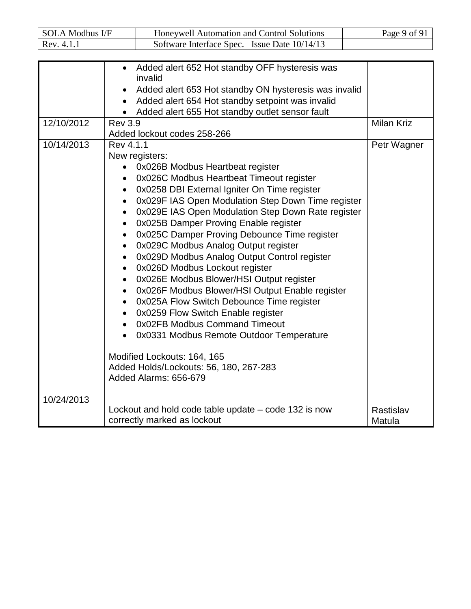| <b>SOLA Modbus I/F</b> | <b>Honeywell Automation and Control Solutions</b> | Page 9 of 91 |
|------------------------|---------------------------------------------------|--------------|
| Rev. 4.1.1             | Software Interface Spec. Issue Date 10/14/13      |              |

| 12/10/2012<br>10/14/2013 | Added alert 652 Hot standby OFF hysteresis was<br>invalid<br>Added alert 653 Hot standby ON hysteresis was invalid<br>• Added alert 654 Hot standby setpoint was invalid<br>• Added alert 655 Hot standby outlet sensor fault<br><b>Rev 3.9</b><br>Added lockout codes 258-266<br>Rev 4.1.1<br>New registers:<br>0x026B Modbus Heartbeat register<br>$\bullet$<br>0x026C Modbus Heartbeat Timeout register<br>0x0258 DBI External Igniter On Time register<br>$\bullet$<br>0x029F IAS Open Modulation Step Down Time register<br>$\bullet$<br>0x029E IAS Open Modulation Step Down Rate register<br>0x025B Damper Proving Enable register<br>0x025C Damper Proving Debounce Time register<br>$\bullet$<br>0x029C Modbus Analog Output register<br>$\bullet$<br>0x029D Modbus Analog Output Control register<br>0x026D Modbus Lockout register<br>$\bullet$<br>0x026E Modbus Blower/HSI Output register<br>$\bullet$<br>0x026F Modbus Blower/HSI Output Enable register<br>$\bullet$ | <b>Milan Kriz</b><br>Petr Wagner |
|--------------------------|-------------------------------------------------------------------------------------------------------------------------------------------------------------------------------------------------------------------------------------------------------------------------------------------------------------------------------------------------------------------------------------------------------------------------------------------------------------------------------------------------------------------------------------------------------------------------------------------------------------------------------------------------------------------------------------------------------------------------------------------------------------------------------------------------------------------------------------------------------------------------------------------------------------------------------------------------------------------------------------|----------------------------------|
|                          | 0x025A Flow Switch Debounce Time register<br>0x0259 Flow Switch Enable register<br>$\bullet$<br>0x02FB Modbus Command Timeout<br>0x0331 Modbus Remote Outdoor Temperature<br>$\bullet$                                                                                                                                                                                                                                                                                                                                                                                                                                                                                                                                                                                                                                                                                                                                                                                              |                                  |
|                          | Modified Lockouts: 164, 165<br>Added Holds/Lockouts: 56, 180, 267-283<br>Added Alarms: 656-679                                                                                                                                                                                                                                                                                                                                                                                                                                                                                                                                                                                                                                                                                                                                                                                                                                                                                      |                                  |
| 10/24/2013               | Lockout and hold code table update – code 132 is now<br>correctly marked as lockout                                                                                                                                                                                                                                                                                                                                                                                                                                                                                                                                                                                                                                                                                                                                                                                                                                                                                                 | Rastislav<br>Matula              |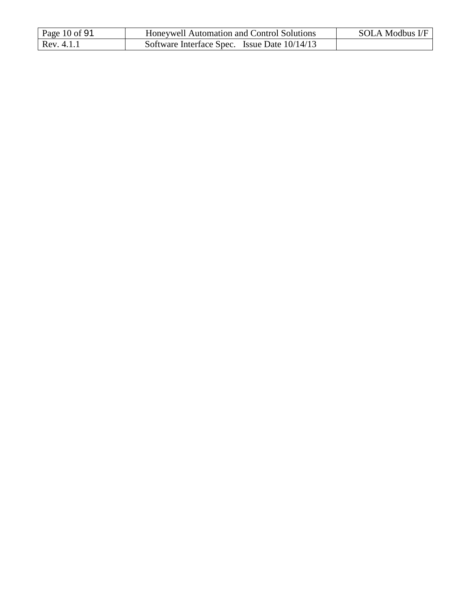| Page 10 of 91 | Honeywell Automation and Control Solutions   | <b>SOLA Modbus I/F</b> |
|---------------|----------------------------------------------|------------------------|
| Rev. 4.1.1    | Software Interface Spec. Issue Date 10/14/13 |                        |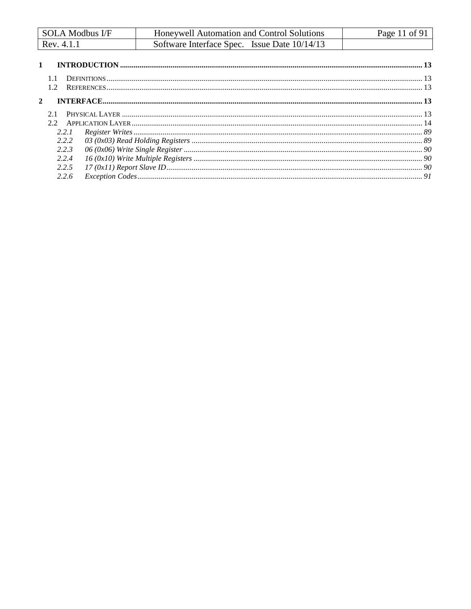| <b>SOLA Modbus I/F</b> | <b>Honeywell Automation and Control Solutions</b> | Page 11 of 91 |
|------------------------|---------------------------------------------------|---------------|
| Rev. 4.1.1             | Software Interface Spec. Issue Date 10/14/13      |               |

| $\mathbf{2}$ |     |       |  |
|--------------|-----|-------|--|
|              | 2.1 |       |  |
|              |     |       |  |
|              |     | 2.2.1 |  |
|              |     | 222   |  |
|              |     | 223   |  |
|              |     | 2.2.4 |  |
|              |     | 2.2.5 |  |
|              |     | 2.2.6 |  |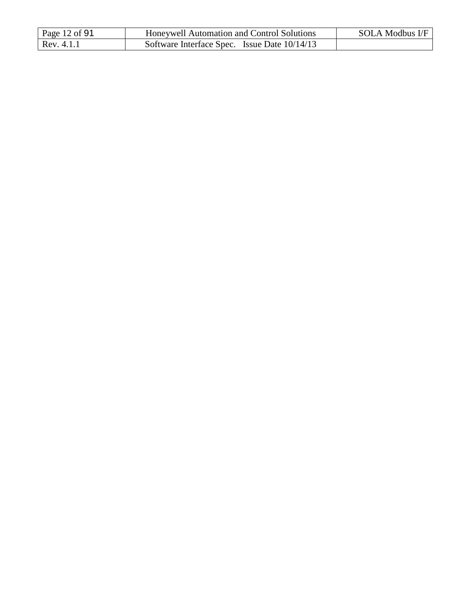| Page 12 of 91 | Honeywell Automation and Control Solutions   | <b>SOLA Modbus I/F</b> |
|---------------|----------------------------------------------|------------------------|
| Rev. 4.1.1    | Software Interface Spec. Issue Date 10/14/13 |                        |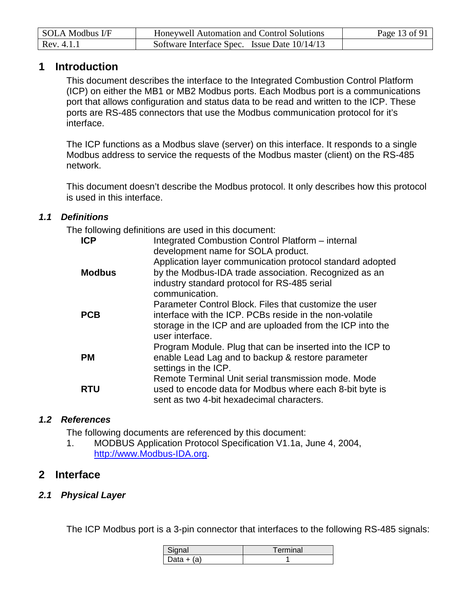| <b>SOLA Modbus I/F</b> | Honeywell Automation and Control Solutions   | Page 13 of 91 |
|------------------------|----------------------------------------------|---------------|
| Rev. 4.1.1             | Software Interface Spec. Issue Date 10/14/13 |               |

## **1 Introduction**

This document describes the interface to the Integrated Combustion Control Platform (ICP) on either the MB1 or MB2 Modbus ports. Each Modbus port is a communications port that allows configuration and status data to be read and written to the ICP. These ports are RS-485 connectors that use the Modbus communication protocol for it's interface.

The ICP functions as a Modbus slave (server) on this interface. It responds to a single Modbus address to service the requests of the Modbus master (client) on the RS-485 network.

This document doesn't describe the Modbus protocol. It only describes how this protocol is used in this interface.

### *1.1 Definitions*

The following definitions are used in this document:

| <b>ICP</b>    | Integrated Combustion Control Platform – internal<br>development name for SOLA product.<br>Application layer communication protocol standard adopted                                              |
|---------------|---------------------------------------------------------------------------------------------------------------------------------------------------------------------------------------------------|
| <b>Modbus</b> | by the Modbus-IDA trade association. Recognized as an<br>industry standard protocol for RS-485 serial<br>communication.                                                                           |
| <b>PCB</b>    | Parameter Control Block. Files that customize the user<br>interface with the ICP. PCBs reside in the non-volatile<br>storage in the ICP and are uploaded from the ICP into the<br>user interface. |
| <b>PM</b>     | Program Module. Plug that can be inserted into the ICP to<br>enable Lead Lag and to backup & restore parameter<br>settings in the ICP.                                                            |
| <b>RTU</b>    | Remote Terminal Unit serial transmission mode. Mode<br>used to encode data for Modbus where each 8-bit byte is<br>sent as two 4-bit hexadecimal characters.                                       |

## *1.2 References*

The following documents are referenced by this document:

1. MODBUS Application Protocol Specification V1.1a, June 4, 2004, [http://www.Modbus-IDA.org.](http://www.modbus-ida.org/)

# **2 Interface**

## *2.1 Physical Layer*

The ICP Modbus port is a 3-pin connector that interfaces to the following RS-485 signals:

| וממי       | <sup>-</sup> erminal |
|------------|----------------------|
| Jata + (a) |                      |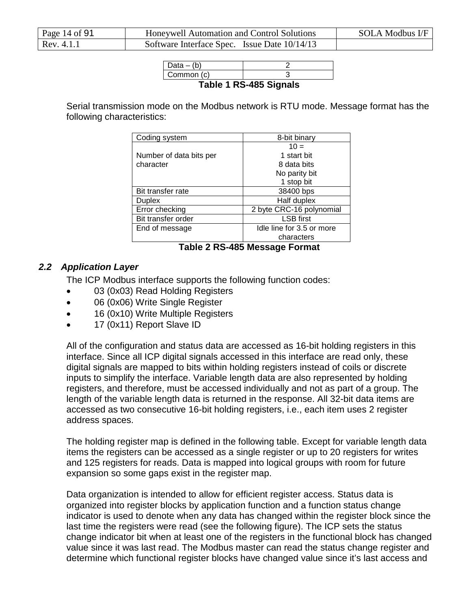| Page 14 of 91 | Honeywell Automation and Control Solutions   | <b>SOLA Modbus I/F</b> |
|---------------|----------------------------------------------|------------------------|
| Rev. 4.1.1    | Software Interface Spec. Issue Date 10/14/13 |                        |

| Data – (b)                                |  |  |
|-------------------------------------------|--|--|
| Common (c)                                |  |  |
| $T = k \cdot k$ and and $\theta$ $\ldots$ |  |  |

**Table 1 RS-485 Signals**

Serial transmission mode on the Modbus network is RTU mode. Message format has the following characteristics:

| Coding system           | 8-bit binary              |
|-------------------------|---------------------------|
|                         | $10 =$                    |
| Number of data bits per | 1 start bit               |
| character               | 8 data bits               |
|                         | No parity bit             |
|                         | 1 stop bit                |
| Bit transfer rate       | 38400 bps                 |
| <b>Duplex</b>           | Half duplex               |
| Error checking          | 2 byte CRC-16 polynomial  |
| Bit transfer order      | <b>LSB</b> first          |
| End of message          | Idle line for 3.5 or more |
|                         | characters                |

**Table 2 RS-485 Message Format**

### *2.2 Application Layer*

The ICP Modbus interface supports the following function codes:

- 03 (0x03) Read Holding Registers
- 06 (0x06) Write Single Register
- 16 (0x10) Write Multiple Registers
- 17 (0x11) Report Slave ID

All of the configuration and status data are accessed as 16-bit holding registers in this interface. Since all ICP digital signals accessed in this interface are read only, these digital signals are mapped to bits within holding registers instead of coils or discrete inputs to simplify the interface. Variable length data are also represented by holding registers, and therefore, must be accessed individually and not as part of a group. The length of the variable length data is returned in the response. All 32-bit data items are accessed as two consecutive 16-bit holding registers, i.e., each item uses 2 register address spaces.

The holding register map is defined in the following table. Except for variable length data items the registers can be accessed as a single register or up to 20 registers for writes and 125 registers for reads. Data is mapped into logical groups with room for future expansion so some gaps exist in the register map.

Data organization is intended to allow for efficient register access. Status data is organized into register blocks by application function and a function status change indicator is used to denote when any data has changed within the register block since the last time the registers were read (see the following figure). The ICP sets the status change indicator bit when at least one of the registers in the functional block has changed value since it was last read. The Modbus master can read the status change register and determine which functional register blocks have changed value since it's last access and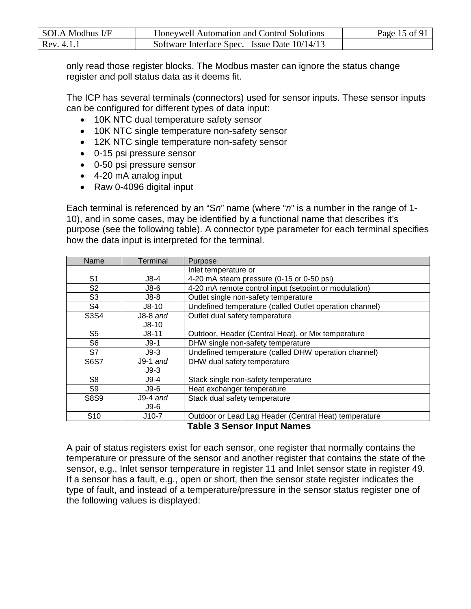| <b>SOLA Modbus I/F</b> | Honeywell Automation and Control Solutions   | Page 15 of 91 |
|------------------------|----------------------------------------------|---------------|
| Rev. 4.1.1             | Software Interface Spec. Issue Date 10/14/13 |               |

only read those register blocks. The Modbus master can ignore the status change register and poll status data as it deems fit.

The ICP has several terminals (connectors) used for sensor inputs. These sensor inputs can be configured for different types of data input:

- 10K NTC dual temperature safety sensor
- 10K NTC single temperature non-safety sensor
- 12K NTC single temperature non-safety sensor
- 0-15 psi pressure sensor
- 0-50 psi pressure sensor
- 4-20 mA analog input
- Raw 0-4096 digital input

Each terminal is referenced by an "S*n*" name (where "*n*" is a number in the range of 1- 10), and in some cases, may be identified by a functional name that describes it's purpose (see the following table). A connector type parameter for each terminal specifies how the data input is interpreted for the terminal.

| Name                       | Terminal   | Purpose                                                 |  |  |  |
|----------------------------|------------|---------------------------------------------------------|--|--|--|
|                            |            | Inlet temperature or                                    |  |  |  |
| S1                         | J8-4       | 4-20 mA steam pressure (0-15 or 0-50 psi)               |  |  |  |
| S2                         | $J8-6$     | 4-20 mA remote control input (setpoint or modulation)   |  |  |  |
| S3                         | $J8-8$     | Outlet single non-safety temperature                    |  |  |  |
| S4                         | $J8-10$    | Undefined temperature (called Outlet operation channel) |  |  |  |
| S3S4                       | J8-8 and   | Outlet dual safety temperature                          |  |  |  |
|                            | $J8-10$    |                                                         |  |  |  |
| S5                         | $J8-11$    | Outdoor, Header (Central Heat), or Mix temperature      |  |  |  |
| S6                         | $J9-1$     | DHW single non-safety temperature                       |  |  |  |
| S7                         | $J9-3$     | Undefined temperature (called DHW operation channel)    |  |  |  |
| S6S7                       | $J9-1$ and | DHW dual safety temperature                             |  |  |  |
|                            | $J9-3$     |                                                         |  |  |  |
| S8                         | J9-4       | Stack single non-safety temperature                     |  |  |  |
| S9                         | J9-6       | Heat exchanger temperature                              |  |  |  |
| <b>S8S9</b>                | $J9-4$ and | Stack dual safety temperature                           |  |  |  |
|                            | J9-6       |                                                         |  |  |  |
| S <sub>10</sub>            | J10-7      | Outdoor or Lead Lag Header (Central Heat) temperature   |  |  |  |
| Teble 2 Canagu Innut Nemas |            |                                                         |  |  |  |

#### **Table 3 Sensor Input Names**

A pair of status registers exist for each sensor, one register that normally contains the temperature or pressure of the sensor and another register that contains the state of the sensor, e.g., Inlet sensor temperature in register 11 and Inlet sensor state in register 49. If a sensor has a fault, e.g., open or short, then the sensor state register indicates the type of fault, and instead of a temperature/pressure in the sensor status register one of the following values is displayed: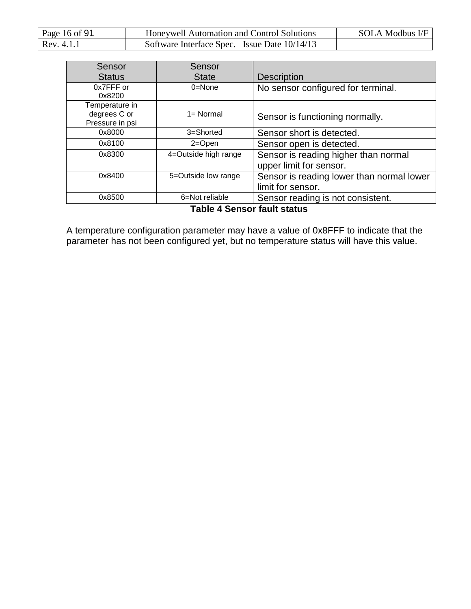| Page 16 of 91 | <b>Honeywell Automation and Control Solutions</b> | <b>SOLA Modbus I/F</b> |
|---------------|---------------------------------------------------|------------------------|
| Rev. 4.1.1    | Software Interface Spec. Issue Date 10/14/13      |                        |

| Sensor                      | Sensor               |                                           |  |  |  |  |
|-----------------------------|----------------------|-------------------------------------------|--|--|--|--|
| <b>Status</b>               | <b>State</b>         | <b>Description</b>                        |  |  |  |  |
| 0x7FFF or                   | 0=None               | No sensor configured for terminal.        |  |  |  |  |
| 0x8200                      |                      |                                           |  |  |  |  |
| Temperature in              |                      |                                           |  |  |  |  |
| degrees C or                | $1 = Normal$         | Sensor is functioning normally.           |  |  |  |  |
| Pressure in psi             |                      |                                           |  |  |  |  |
| 0x8000                      | 3=Shorted            | Sensor short is detected.                 |  |  |  |  |
| 0x8100                      | 2=Open               | Sensor open is detected.                  |  |  |  |  |
| 0x8300                      | 4=Outside high range | Sensor is reading higher than normal      |  |  |  |  |
|                             |                      | upper limit for sensor.                   |  |  |  |  |
| 0x8400                      | 5=Outside low range  | Sensor is reading lower than normal lower |  |  |  |  |
|                             |                      | limit for sensor.                         |  |  |  |  |
| 0x8500                      | 6=Not reliable       | Sensor reading is not consistent.         |  |  |  |  |
| Tahla 1 Cancar fault atatua |                      |                                           |  |  |  |  |

**Table 4 Sensor fault status**

A temperature configuration parameter may have a value of 0x8FFF to indicate that the parameter has not been configured yet, but no temperature status will have this value.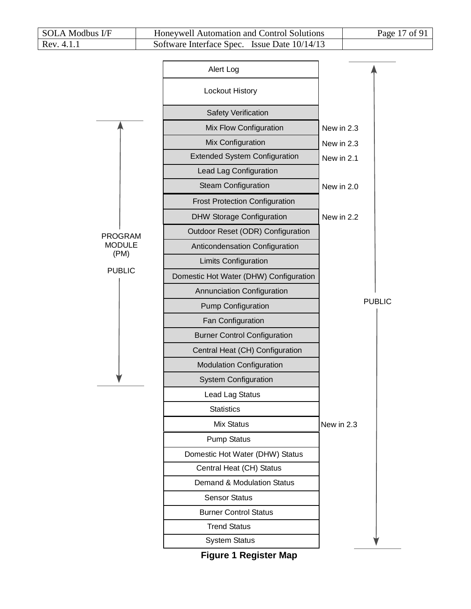| <b>SOLA Modbus I/F</b> | Honeywell Automation and Control Solutions   | Page 17 of 91 |
|------------------------|----------------------------------------------|---------------|
| Rev. 4.1.1             | Software Interface Spec. Issue Date 10/14/13 |               |

|                                                   | Alert Log                              |            |               |
|---------------------------------------------------|----------------------------------------|------------|---------------|
|                                                   | Lockout History                        |            |               |
|                                                   | Safety Verification                    |            |               |
|                                                   | Mix Flow Configuration                 | New in 2.3 |               |
|                                                   | Mix Configuration                      | New in 2.3 |               |
|                                                   | <b>Extended System Configuration</b>   | New in 2.1 |               |
|                                                   | <b>Lead Lag Configuration</b>          |            |               |
|                                                   | <b>Steam Configuration</b>             | New in 2.0 |               |
|                                                   | <b>Frost Protection Configuration</b>  |            |               |
|                                                   | <b>DHW Storage Configuration</b>       | New in 2.2 |               |
|                                                   | Outdoor Reset (ODR) Configuration      |            |               |
| PROGRAM<br><b>MODULE</b><br>(PM)<br><b>PUBLIC</b> | Anticondensation Configuration         |            |               |
|                                                   | Limits Configuration                   |            |               |
|                                                   | Domestic Hot Water (DHW) Configuration |            |               |
|                                                   | Annunciation Configuration             |            |               |
|                                                   | <b>Pump Configuration</b>              |            | <b>PUBLIC</b> |
|                                                   | Fan Configuration                      |            |               |
|                                                   | <b>Burner Control Configuration</b>    |            |               |
|                                                   | Central Heat (CH) Configuration        |            |               |
|                                                   | <b>Modulation Configuration</b>        |            |               |
|                                                   | <b>System Configuration</b>            |            |               |
|                                                   | Lead Lag Status                        |            |               |
|                                                   | <b>Statistics</b>                      |            |               |
|                                                   | <b>Mix Status</b>                      | New in 2.3 |               |
|                                                   | <b>Pump Status</b>                     |            |               |
|                                                   | Domestic Hot Water (DHW) Status        |            |               |
|                                                   | Central Heat (CH) Status               |            |               |
|                                                   | Demand & Modulation Status             |            |               |
|                                                   | <b>Sensor Status</b>                   |            |               |
|                                                   | <b>Burner Control Status</b>           |            |               |
|                                                   | <b>Trend Status</b>                    |            |               |
|                                                   | <b>System Status</b>                   |            |               |
|                                                   |                                        |            |               |

**Figure 1 Register Map**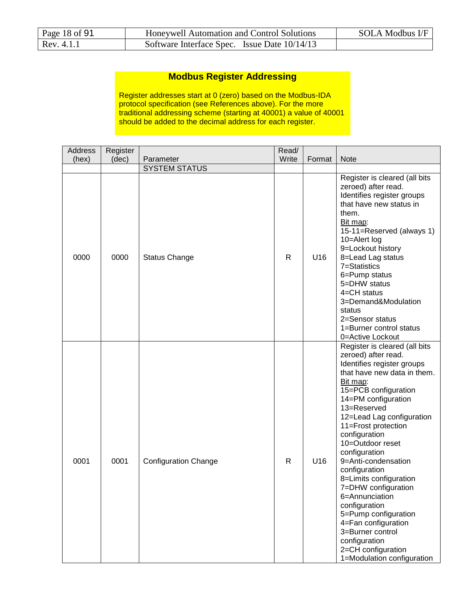| Page 18 of 91 | Honeywell Automation and Control Solutions   | <b>SOLA Modbus I/F</b> |
|---------------|----------------------------------------------|------------------------|
| Rev. 4.1.1    | Software Interface Spec. Issue Date 10/14/13 |                        |

## **Modbus Register Addressing**

Register addresses start at 0 (zero) based on the Modbus-IDA protocol specification (see References above). For the more traditional addressing scheme (starting at 40001) a value of 40001 should be added to the decimal address for each register.

| <b>Address</b> | Register |                                   | Read/ |        |                                                                                                                                                                                                                                                                                                                                                                                                                                                                                                                                                                           |
|----------------|----------|-----------------------------------|-------|--------|---------------------------------------------------------------------------------------------------------------------------------------------------------------------------------------------------------------------------------------------------------------------------------------------------------------------------------------------------------------------------------------------------------------------------------------------------------------------------------------------------------------------------------------------------------------------------|
| (hex)          | (dec)    | Parameter<br><b>SYSTEM STATUS</b> | Write | Format | <b>Note</b>                                                                                                                                                                                                                                                                                                                                                                                                                                                                                                                                                               |
| 0000           | 0000     | <b>Status Change</b>              | R     | U16    | Register is cleared (all bits<br>zeroed) after read.<br>Identifies register groups<br>that have new status in<br>them.<br>Bit map:<br>15-11=Reserved (always 1)<br>10=Alert log<br>9=Lockout history<br>8=Lead Lag status<br>7=Statistics<br>6=Pump status<br>5=DHW status<br>4=CH status<br>3=Demand&Modulation<br>status<br>2=Sensor status<br>1=Burner control status<br>0=Active Lockout                                                                                                                                                                              |
| 0001           | 0001     | <b>Configuration Change</b>       | R     | U16    | Register is cleared (all bits<br>zeroed) after read.<br>Identifies register groups<br>that have new data in them.<br>Bit map:<br>15=PCB configuration<br>14=PM configuration<br>13=Reserved<br>12=Lead Lag configuration<br>11=Frost protection<br>configuration<br>10=Outdoor reset<br>configuration<br>9=Anti-condensation<br>configuration<br>8=Limits configuration<br>7=DHW configuration<br>6=Annunciation<br>configuration<br>5=Pump configuration<br>4=Fan configuration<br>3=Burner control<br>configuration<br>2=CH configuration<br>1=Modulation configuration |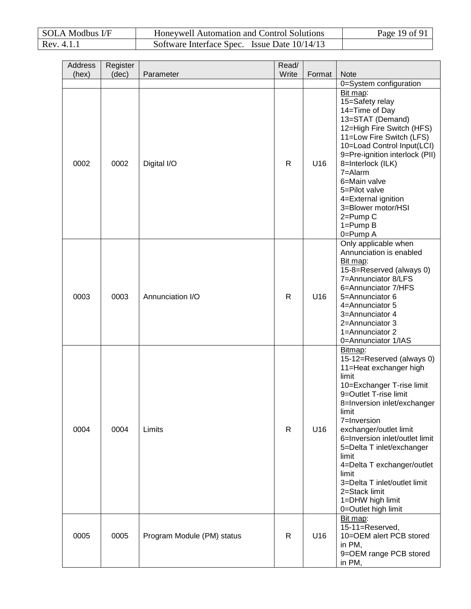| <b>SOLA Modbus I/F</b> | Honeywell Automation and Control Solutions   | Page 19 of 91 |
|------------------------|----------------------------------------------|---------------|
| Rev. 4.1.1             | Software Interface Spec. Issue Date 10/14/13 |               |

| <b>Address</b> | Register |                            | Read/        |        |                                                                                                                                                                                                                                                                                                                                                                                                                           |
|----------------|----------|----------------------------|--------------|--------|---------------------------------------------------------------------------------------------------------------------------------------------------------------------------------------------------------------------------------------------------------------------------------------------------------------------------------------------------------------------------------------------------------------------------|
| (hex)          | (dec)    | Parameter                  | Write        | Format | <b>Note</b>                                                                                                                                                                                                                                                                                                                                                                                                               |
| 0002           | 0002     | Digital I/O                | $\mathsf{R}$ | U16    | 0=System configuration<br>Bit map:<br>15=Safety relay<br>14=Time of Day<br>13=STAT (Demand)<br>12=High Fire Switch (HFS)<br>11=Low Fire Switch (LFS)<br>10=Load Control Input(LCI)<br>9=Pre-ignition interlock (PII)<br>8=Interlock (ILK)<br>7=Alarm<br>6=Main valve<br>5=Pilot valve<br>4=External ignition<br>3=Blower motor/HSI<br>2=Pump C<br>1=Pump B<br>0=Pump A                                                    |
| 0003           | 0003     | Annunciation I/O           | R            | U16    | Only applicable when<br>Annunciation is enabled<br>Bit map:<br>15-8=Reserved (always 0)<br>7=Annunciator 8/LFS<br>6=Annunciator 7/HFS<br>5=Annunciator 6<br>4=Annunciator 5<br>3=Annunciator 4<br>2=Annunciator 3<br>1=Annunciator 2<br>0=Annunciator 1/IAS                                                                                                                                                               |
| 0004           | 0004     | Limits                     | $\mathsf{R}$ | U16    | Bitmap:<br>15-12=Reserved (always 0)<br>11=Heat exchanger high<br>limit<br>10=Exchanger T-rise limit<br>9=Outlet T-rise limit<br>8=Inversion inlet/exchanger<br>limit<br>7=Inversion<br>exchanger/outlet limit<br>6=Inversion inlet/outlet limit<br>5=Delta T inlet/exchanger<br>limit<br>4=Delta T exchanger/outlet<br>limit<br>3=Delta T inlet/outlet limit<br>2=Stack limit<br>1=DHW high limit<br>0=Outlet high limit |
| 0005           | 0005     | Program Module (PM) status | $\mathsf{R}$ | U16    | Bit map:<br>15-11=Reserved,<br>10=OEM alert PCB stored<br>in PM,<br>9=OEM range PCB stored<br>in PM,                                                                                                                                                                                                                                                                                                                      |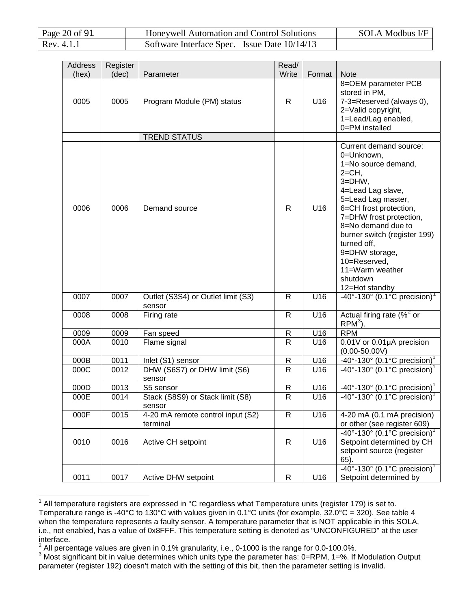| Page 20 of 91 | Honeywell Automation and Control Solutions   | $SOLA$ Modbus $I/F$ |
|---------------|----------------------------------------------|---------------------|
| Rev. 4.1.1    | Software Interface Spec. Issue Date 10/14/13 |                     |

| Address | Register |                                               | Read/        |        |                                                                                                                                                                                                                                                                                                                                                |
|---------|----------|-----------------------------------------------|--------------|--------|------------------------------------------------------------------------------------------------------------------------------------------------------------------------------------------------------------------------------------------------------------------------------------------------------------------------------------------------|
| (hex)   | (dec)    | Parameter                                     | Write        | Format | <b>Note</b>                                                                                                                                                                                                                                                                                                                                    |
| 0005    | 0005     | Program Module (PM) status                    | $\mathsf{R}$ | U16    | 8=OEM parameter PCB<br>stored in PM,<br>7-3=Reserved (always 0),<br>2=Valid copyright,<br>1=Lead/Lag enabled,<br>0=PM installed                                                                                                                                                                                                                |
|         |          | <b>TREND STATUS</b>                           |              |        |                                                                                                                                                                                                                                                                                                                                                |
| 0006    | 0006     | Demand source                                 | R            | U16    | Current demand source:<br>0=Unknown,<br>1=No source demand,<br>$2=CH$ ,<br>$3 = DHW$ ,<br>4=Lead Lag slave,<br>5=Lead Lag master,<br>6=CH frost protection,<br>7=DHW frost protection,<br>8=No demand due to<br>burner switch (register 199)<br>turned off,<br>9=DHW storage,<br>10=Reserved,<br>11=Warm weather<br>shutdown<br>12=Hot standby |
| 0007    | 0007     | Outlet (S3S4) or Outlet limit (S3)<br>sensor  | $\mathsf{R}$ | U16    | $-40^{\circ}$ -130 $^{\circ}$ (0.1 $^{\circ}$ C precision) <sup>1</sup>                                                                                                                                                                                                                                                                        |
| 0008    | 0008     | Firing rate                                   | $\mathsf{R}$ | U16    | Actual firing rate ( $%^2$ or<br>$RPM^3$ ).                                                                                                                                                                                                                                                                                                    |
| 0009    | 0009     | Fan speed                                     | R            | U16    | <b>RPM</b>                                                                                                                                                                                                                                                                                                                                     |
| 000A    | 0010     | Flame signal                                  | $\mathsf{R}$ | U16    | 0.01V or 0.01µA precision<br>$(0.00 - 50.00V)$                                                                                                                                                                                                                                                                                                 |
| 000B    | 0011     | Inlet (S1) sensor                             | R            | U16    | $-40^{\circ}$ -130 $^{\circ}$ (0.1 $^{\circ}$ C precision) <sup>1</sup>                                                                                                                                                                                                                                                                        |
| 000C    | 0012     | DHW (S6S7) or DHW limit (S6)<br>sensor        | $\mathsf{R}$ | U16    | -40 $^{\circ}$ -130 $^{\circ}$ (0.1 $^{\circ}$ C precision) <sup>1</sup>                                                                                                                                                                                                                                                                       |
| 000D    | 0013     | S5 sensor                                     | R            | U16    | $-40^{\circ}$ -130 $^{\circ}$ (0.1 $^{\circ}$ C precision) <sup>1</sup>                                                                                                                                                                                                                                                                        |
| 000E    | 0014     | Stack (S8S9) or Stack limit (S8)<br>sensor    | $\mathsf{R}$ | U16    | $-40^\circ - 130^\circ (0.1^\circ C)$ precision) <sup>1</sup>                                                                                                                                                                                                                                                                                  |
| 000F    | 0015     | 4-20 mA remote control input (S2)<br>terminal | $\mathsf{R}$ | U16    | 4-20 mA (0.1 mA precision)<br>or other (see register 609)                                                                                                                                                                                                                                                                                      |
| 0010    | 0016     | Active CH setpoint                            | R            | U16    | $-40^\circ$ -130 $\circ$ (0.1 $\circ$ C precision) <sup>1</sup><br>Setpoint determined by CH<br>setpoint source (register<br>$65$ ).                                                                                                                                                                                                           |
| 0011    | 0017     | Active DHW setpoint                           | R            | U16    | $-40^\circ$ -130 $\circ$ (0.1 $\circ$ C precision) <sup>1</sup><br>Setpoint determined by                                                                                                                                                                                                                                                      |

<span id="page-19-0"></span> $1$  All temperature registers are expressed in °C regardless what Temperature units (register 179) is set to. Temperature range is -40°C to 130°C with values given in 0.1°C units (for example, 32.0°C = 320). See table 4 when the temperature represents a faulty sensor. A temperature parameter that is NOT applicable in this SOLA, i.e., not enabled, has a value of 0x8FFF. This temperature setting is denoted as "UNCONFIGURED" at the user interface.

 $2^{2}$  All percentage values are given in 0.1% granularity, i.e., 0-1000 is the range for 0.0-100.0%.

<span id="page-19-2"></span><span id="page-19-1"></span> $3$  Most significant bit in value determines which units type the parameter has: 0=RPM, 1=%. If Modulation Output parameter (register 192) doesn't match with the setting of this bit, then the parameter setting is invalid.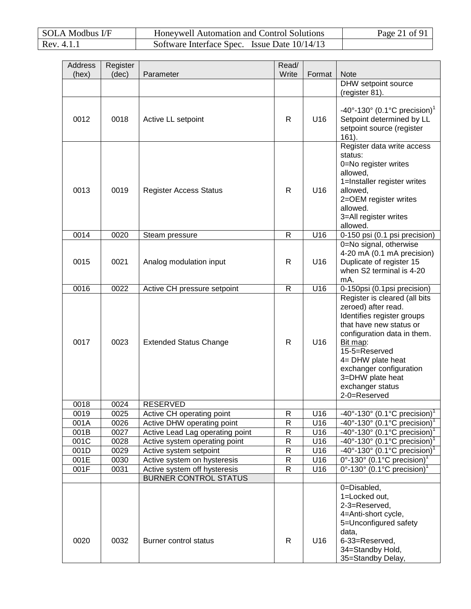| <b>SOLA Modbus I/F</b> | Honeywell Automation and Control Solutions   | Page 21 of 91 |
|------------------------|----------------------------------------------|---------------|
| Rev. 4.1.1             | Software Interface Spec. Issue Date 10/14/13 |               |

| Address | Register |                                                       | Read/          |                   |                                                                                                                                                                                                                                                                                   |
|---------|----------|-------------------------------------------------------|----------------|-------------------|-----------------------------------------------------------------------------------------------------------------------------------------------------------------------------------------------------------------------------------------------------------------------------------|
| (hex)   | (dec)    | Parameter                                             | Write          | Format            | <b>Note</b>                                                                                                                                                                                                                                                                       |
|         |          |                                                       |                |                   | DHW setpoint source<br>(register 81).                                                                                                                                                                                                                                             |
| 0012    | 0018     | Active LL setpoint                                    | $\mathsf{R}$   | U16               | $-40^{\circ}$ -130 $^{\circ}$ (0.1 $^{\circ}$ C precision) <sup>1</sup><br>Setpoint determined by LL<br>setpoint source (register<br>$161$ ).                                                                                                                                     |
| 0013    | 0019     | <b>Register Access Status</b>                         | $\mathsf{R}$   | U16               | Register data write access<br>status:<br>0=No register writes<br>allowed,<br>1=Installer register writes<br>allowed,<br>2=OEM register writes<br>allowed.<br>3=All register writes<br>allowed.                                                                                    |
| 0014    | 0020     | Steam pressure                                        | $\mathsf{R}$   | U16               | 0-150 psi (0.1 psi precision)                                                                                                                                                                                                                                                     |
| 0015    | 0021     | Analog modulation input                               | $\mathsf{R}$   | U16               | 0=No signal, otherwise<br>4-20 mA (0.1 mA precision)<br>Duplicate of register 15<br>when S2 terminal is 4-20<br>mA.                                                                                                                                                               |
| 0016    | 0022     | Active CH pressure setpoint                           | $\mathsf R$    | U16               | 0-150psi (0.1psi precision)                                                                                                                                                                                                                                                       |
| 0017    | 0023     | <b>Extended Status Change</b>                         | $\mathsf{R}$   | U16               | Register is cleared (all bits<br>zeroed) after read.<br>Identifies register groups<br>that have new status or<br>configuration data in them.<br>Bit map:<br>15-5=Reserved<br>4= DHW plate heat<br>exchanger configuration<br>3=DHW plate heat<br>exchanger status<br>2-0=Reserved |
| 0018    | 0024     | RESERVED                                              |                |                   |                                                                                                                                                                                                                                                                                   |
| 0019    | 0025     | Active CH operating point                             | $\mathsf R$    | $\overline{U}$ 16 | $-40^{\circ}$ -130 $^{\circ}$ (0.1 $^{\circ}$ C precision) <sup>2</sup>                                                                                                                                                                                                           |
| 001A    | 0026     | Active DHW operating point                            | $\overline{R}$ | U16               | $-40^\circ - 130^\circ$ (0.1 $\degree$ C precision)                                                                                                                                                                                                                               |
| 001B    | 0027     | Active Lead Lag operating point                       | $\overline{R}$ | $\overline{U}$ 16 | $-40^\circ - 130^\circ$ (0.1 $\degree$ C precision)                                                                                                                                                                                                                               |
| 001C    | 0028     | Active system operating point                         | $\overline{R}$ | U16               | $-40^\circ - 130^\circ$ (0.1 $\degree$ C precision)                                                                                                                                                                                                                               |
| 001D    | 0029     | Active system setpoint                                | $\overline{R}$ | $\overline{U}$ 16 | -40 $^{\circ}$ -130 $^{\circ}$ (0.1 $^{\circ}$ C precision)                                                                                                                                                                                                                       |
| 001E    | 0030     | Active system on hysteresis                           | $\overline{R}$ | $\overline{U}$ 16 | $0^{\circ}$ -130 $^{\circ}$ (0.1 $^{\circ}$ C precision)                                                                                                                                                                                                                          |
| 001F    | 0031     | Active system off hysteresis                          | $\mathsf{R}$   | U16               | $0^{\circ}$ -130 $^{\circ}$ (0.1 $^{\circ}$ C precision)                                                                                                                                                                                                                          |
| 0020    | 0032     | <b>BURNER CONTROL STATUS</b><br>Burner control status | R              | U16               | 0=Disabled,<br>1=Locked out,<br>2-3=Reserved,<br>4=Anti-short cycle,<br>5=Unconfigured safety<br>data,<br>6-33=Reserved,<br>34=Standby Hold,<br>35=Standby Delay,                                                                                                                 |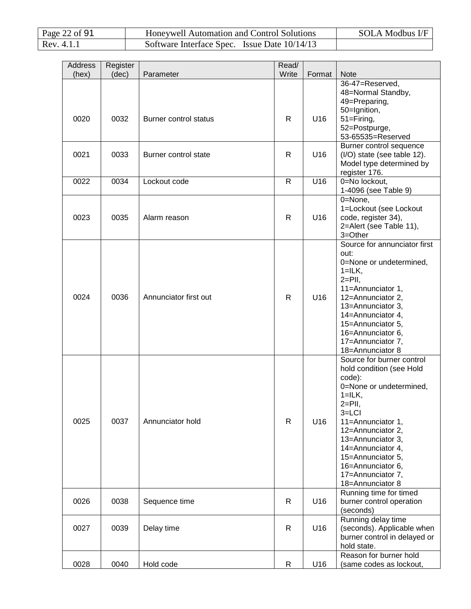| Page 22 of 91 | Honeywell Automation and Control Solutions   | <b>SOLA Modbus I/F</b> |
|---------------|----------------------------------------------|------------------------|
| Rev. 4.1.1    | Software Interface Spec. Issue Date 10/14/13 |                        |

| Address | Register |                       | Read/        |        |                                                                                                                                                                                                                                                                                                           |
|---------|----------|-----------------------|--------------|--------|-----------------------------------------------------------------------------------------------------------------------------------------------------------------------------------------------------------------------------------------------------------------------------------------------------------|
| (hex)   | (dec)    | Parameter             | Write        | Format | <b>Note</b>                                                                                                                                                                                                                                                                                               |
| 0020    | 0032     | Burner control status | R.           | U16    | 36-47=Reserved,<br>48=Normal Standby,<br>49=Preparing,<br>50=Ignition,<br>51=Firing,<br>52=Postpurge,<br>53-65535=Reserved                                                                                                                                                                                |
| 0021    | 0033     | Burner control state  | $\mathsf{R}$ | U16    | Burner control sequence<br>(I/O) state (see table 12).<br>Model type determined by<br>register 176.                                                                                                                                                                                                       |
| 0022    | 0034     | Lockout code          | R            | U16    | 0=No lockout,<br>1-4096 (see Table 9)                                                                                                                                                                                                                                                                     |
| 0023    | 0035     | Alarm reason          | R            | U16    | 0=None,<br>1=Lockout (see Lockout<br>code, register 34),<br>2=Alert (see Table 11),<br>3=Other                                                                                                                                                                                                            |
| 0024    | 0036     | Annunciator first out | $\mathsf{R}$ | U16    | Source for annunciator first<br>out:<br>0=None or undetermined,<br>$1 = ILK,$<br>$2=PII$ ,<br>11=Annunciator 1,<br>12=Annunciator 2,<br>13=Annunciator 3,<br>14=Annunciator 4,<br>15=Annunciator 5,<br>16=Annunciator 6,<br>17=Annunciator 7,<br>18=Annunciator 8                                         |
| 0025    | 0037     | Annunciator hold      | R            | U16    | Source for burner control<br>hold condition (see Hold<br>code):<br>0=None or undetermined,<br>$1 = ILK,$<br>$2 =$ PII,<br>$3=$ LCI<br>11=Annunciator 1,<br>12=Annunciator 2,<br>13=Annunciator 3,<br>14=Annunciator 4,<br>15=Annunciator 5,<br>16=Annunciator 6,<br>17=Annunciator 7,<br>18=Annunciator 8 |
| 0026    | 0038     | Sequence time         | $\mathsf{R}$ | U16    | Running time for timed<br>burner control operation<br>(seconds)                                                                                                                                                                                                                                           |
| 0027    | 0039     | Delay time            | $\mathsf{R}$ | U16    | Running delay time<br>(seconds). Applicable when<br>burner control in delayed or<br>hold state.                                                                                                                                                                                                           |
| 0028    | 0040     | Hold code             | R            | U16    | Reason for burner hold<br>(same codes as lockout,                                                                                                                                                                                                                                                         |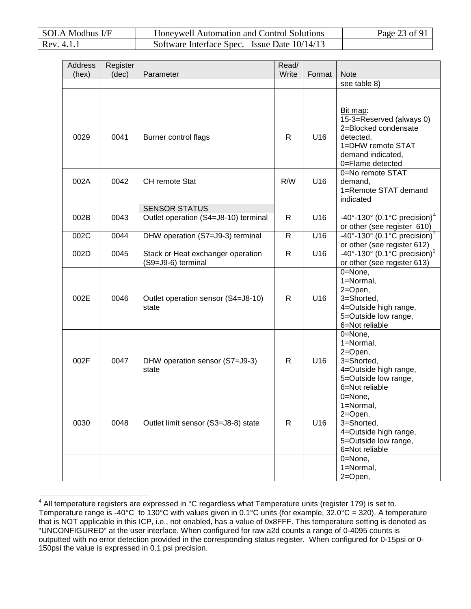| <b>SOLA Modbus I/F</b> | Honeywell Automation and Control Solutions   | Page 23 of 91 |
|------------------------|----------------------------------------------|---------------|
| Rev. 4.1.1             | Software Interface Spec. Issue Date 10/14/13 |               |

| <b>Address</b><br>(hex) | Register<br>(dec) | Parameter                                               | Read/<br>Write | Format | <b>Note</b>                                                                                                      |
|-------------------------|-------------------|---------------------------------------------------------|----------------|--------|------------------------------------------------------------------------------------------------------------------|
|                         |                   |                                                         |                |        | see table 8)                                                                                                     |
|                         |                   |                                                         |                |        | Bit map:<br>15-3=Reserved (always 0)                                                                             |
| 0029                    | 0041              | Burner control flags                                    | $\mathsf{R}$   | U16    | 2=Blocked condensate<br>detected,<br>1=DHW remote STAT<br>demand indicated,<br>0=Flame detected                  |
| 002A                    | 0042              | CH remote Stat                                          | R/W            | U16    | 0=No remote STAT<br>demand,<br>1=Remote STAT demand<br>indicated                                                 |
|                         |                   | <b>SENSOR STATUS</b>                                    |                |        |                                                                                                                  |
| 002B                    | 0043              | Outlet operation (S4=J8-10) terminal                    | R              | U16    | $-40^{\circ}$ -130 $^{\circ}$ (0.1 $^{\circ}$ C precision) <sup>4</sup><br>or other (see register 610)           |
| 002C                    | 0044              | DHW operation (S7=J9-3) terminal                        | R              | U16    | $-40^\circ$ -130 $\circ$ (0.1 $\circ$ C precision) <sup>1</sup><br>or other (see register 612)                   |
| 002D                    | 0045              | Stack or Heat exchanger operation<br>(S9=J9-6) terminal | $\mathsf{R}$   | U16    | -40°-130° (0.1°C precision) <sup>1</sup><br>or other (see register 613)                                          |
| 002E                    | 0046              | Outlet operation sensor (S4=J8-10)<br>state             | R              | U16    | 0=None,<br>1=Normal,<br>2=Open,<br>3=Shorted,<br>4=Outside high range,<br>5=Outside low range,<br>6=Not reliable |
| 002F                    | 0047              | DHW operation sensor (S7=J9-3)<br>state                 | $\mathsf{R}$   | U16    | 0=None,<br>1=Normal,<br>2=Open,<br>3=Shorted,<br>4=Outside high range,<br>5=Outside low range,<br>6=Not reliable |
| 0030                    | 0048              | Outlet limit sensor (S3=J8-8) state                     | R              | U16    | 0=None,<br>1=Normal,<br>2=Open,<br>3=Shorted,<br>4=Outside high range,<br>5=Outside low range,<br>6=Not reliable |
|                         |                   |                                                         |                |        | 0=None,<br>1=Normal,<br>2=Open,                                                                                  |

<span id="page-22-0"></span><sup>&</sup>lt;sup>4</sup> All temperature registers are expressed in °C regardless what Temperature units (register 179) is set to. Temperature range is -40°C to 130°C with values given in 0.1°C units (for example, 32.0°C = 320). A temperature that is NOT applicable in this ICP, i.e., not enabled, has a value of 0x8FFF. This temperature setting is denoted as "UNCONFIGURED" at the user interface. When configured for raw a2d counts a range of 0-4095 counts is outputted with no error detection provided in the corresponding status register. When configured for 0-15psi or 0- 150psi the value is expressed in 0.1 psi precision.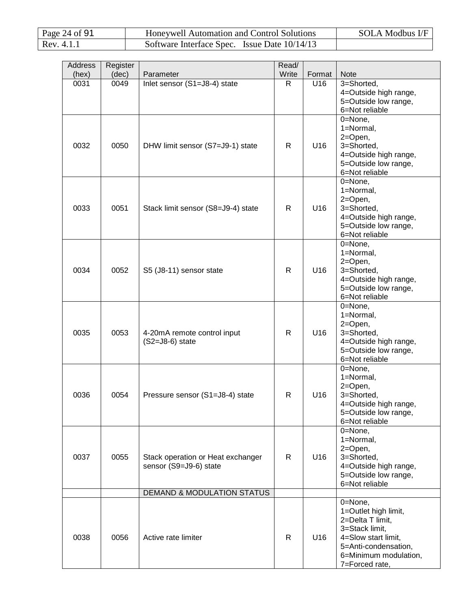| Page 24 of 91 | Honeywell Automation and Control Solutions   | <b>SOLA Modbus I/F</b> |
|---------------|----------------------------------------------|------------------------|
| Rev. 4.1.1    | Software Interface Spec. Issue Date 10/14/13 |                        |

| Address | Register |                                       | Read/        |        |                                               |
|---------|----------|---------------------------------------|--------------|--------|-----------------------------------------------|
| (hex)   | (dec)    | Parameter                             | Write        | Format | <b>Note</b>                                   |
| 0031    | 0049     | Inlet sensor (S1=J8-4) state          | $\mathsf{R}$ | U16    | 3=Shorted,                                    |
|         |          |                                       |              |        | 4=Outside high range,                         |
|         |          |                                       |              |        | 5=Outside low range,                          |
|         |          |                                       |              |        | 6=Not reliable                                |
|         |          |                                       |              |        | 0=None,                                       |
|         |          |                                       |              |        | 1=Normal,                                     |
| 0032    | 0050     | DHW limit sensor (S7=J9-1) state      | $\mathsf{R}$ | U16    | 2=Open,<br>3=Shorted,                         |
|         |          |                                       |              |        | 4=Outside high range,                         |
|         |          |                                       |              |        | 5=Outside low range,                          |
|         |          |                                       |              |        | 6=Not reliable                                |
|         |          |                                       |              |        | 0=None,                                       |
|         |          |                                       |              |        | 1=Normal,                                     |
|         |          |                                       |              |        | 2=Open,                                       |
| 0033    | 0051     | Stack limit sensor (S8=J9-4) state    | R            | U16    | 3=Shorted,                                    |
|         |          |                                       |              |        | 4=Outside high range,                         |
|         |          |                                       |              |        | 5=Outside low range,                          |
|         |          |                                       |              |        | 6=Not reliable                                |
|         |          |                                       |              |        | 0=None,                                       |
|         |          |                                       |              |        | 1=Normal,                                     |
|         |          |                                       |              |        | 2=Open,                                       |
| 0034    | 0052     | S5 (J8-11) sensor state               | $\mathsf{R}$ | U16    | 3=Shorted,                                    |
|         |          |                                       |              |        | 4=Outside high range,<br>5=Outside low range, |
|         |          |                                       |              |        | 6=Not reliable                                |
|         |          |                                       |              |        | 0=None,                                       |
|         |          |                                       |              |        | 1=Normal,                                     |
|         |          |                                       |              |        | 2=Open,                                       |
| 0035    | 0053     | 4-20mA remote control input           | $\mathsf{R}$ | U16    | 3=Shorted,                                    |
|         |          | $(S2=J8-6)$ state                     |              |        | 4=Outside high range,                         |
|         |          |                                       |              |        | 5=Outside low range,                          |
|         |          |                                       |              |        | 6=Not reliable                                |
|         |          |                                       |              |        | 0=None,                                       |
|         |          |                                       |              |        | 1=Normal,<br>2=Open,                          |
| 0036    | 0054     | Pressure sensor (S1=J8-4) state       | $\mathsf{R}$ | U16    | 3=Shorted,                                    |
|         |          |                                       |              |        | 4=Outside high range,                         |
|         |          |                                       |              |        | 5=Outside low range,                          |
|         |          |                                       |              |        | 6=Not reliable                                |
|         |          |                                       |              |        | 0=None,                                       |
|         |          |                                       |              |        | 1=Normal,                                     |
|         |          |                                       |              |        | 2=Open,                                       |
| 0037    | 0055     | Stack operation or Heat exchanger     | R            | U16    | 3=Shorted,                                    |
|         |          | sensor (S9=J9-6) state                |              |        | 4=Outside high range,                         |
|         |          |                                       |              |        | 5=Outside low range,                          |
|         |          |                                       |              |        | 6=Not reliable                                |
|         |          | <b>DEMAND &amp; MODULATION STATUS</b> |              |        | 0=None,                                       |
|         |          |                                       |              |        | 1=Outlet high limit,                          |
|         |          |                                       |              |        | 2=Delta T limit,                              |
|         |          |                                       |              |        | 3=Stack limit,                                |
| 0038    | 0056     | Active rate limiter                   | R            | U16    | 4=Slow start limit,                           |
|         |          |                                       |              |        | 5=Anti-condensation,                          |
|         |          |                                       |              |        | 6=Minimum modulation,                         |
|         |          |                                       |              |        | 7=Forced rate,                                |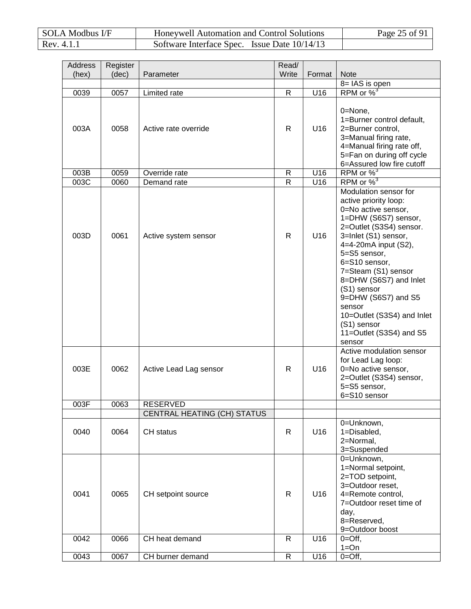| <b>SOLA Modbus I/F</b> | Honeywell Automation and Control Solutions   | Page 25 of 91 |
|------------------------|----------------------------------------------|---------------|
| Rev. 4.1.1             | Software Interface Spec. Issue Date 10/14/13 |               |

| Address | Register |                             | Read/        |                  |                                                                                                                                                                                                                                                                                                                                                                                              |
|---------|----------|-----------------------------|--------------|------------------|----------------------------------------------------------------------------------------------------------------------------------------------------------------------------------------------------------------------------------------------------------------------------------------------------------------------------------------------------------------------------------------------|
| (hex)   | (dec)    | Parameter                   | Write        | Format           | <b>Note</b>                                                                                                                                                                                                                                                                                                                                                                                  |
|         |          |                             |              |                  | 8= IAS is open                                                                                                                                                                                                                                                                                                                                                                               |
| 0039    | 0057     | Limited rate                | $\mathsf{R}$ | $\overline{U16}$ | RPM or $\%$ <sup>3</sup>                                                                                                                                                                                                                                                                                                                                                                     |
| 003A    | 0058     | Active rate override        | $\mathsf{R}$ | U16              | 0=None,<br>1=Burner control default,<br>2=Burner control,<br>3=Manual firing rate,<br>4=Manual firing rate off,<br>5=Fan on during off cycle<br>6=Assured low fire cutoff                                                                                                                                                                                                                    |
| 003B    | 0059     | Override rate               | R            | U16              | RPM or $\%$ <sup>3</sup>                                                                                                                                                                                                                                                                                                                                                                     |
| 003C    | 0060     | Demand rate                 | $\mathsf{R}$ | U16              | RPM or $\%$ <sup>3</sup>                                                                                                                                                                                                                                                                                                                                                                     |
| 003D    | 0061     | Active system sensor        | $\mathsf{R}$ | U16              | Modulation sensor for<br>active priority loop:<br>0=No active sensor,<br>1=DHW (S6S7) sensor,<br>2=Outlet (S3S4) sensor.<br>3=Inlet (S1) sensor,<br>4=4-20mA input (S2),<br>5=S5 sensor,<br>6=S10 sensor,<br>7=Steam (S1) sensor<br>8=DHW (S6S7) and Inlet<br>(S1) sensor<br>9=DHW (S6S7) and S5<br>sensor<br>10=Outlet (S3S4) and Inlet<br>(S1) sensor<br>11=Outlet (S3S4) and S5<br>sensor |
| 003E    | 0062     | Active Lead Lag sensor      | R.           | U16              | Active modulation sensor<br>for Lead Lag loop:<br>0=No active sensor,<br>2=Outlet (S3S4) sensor,<br>5=S5 sensor,<br>6=S10 sensor                                                                                                                                                                                                                                                             |
| 003F    | 0063     | RESERVED                    |              |                  |                                                                                                                                                                                                                                                                                                                                                                                              |
|         |          | CENTRAL HEATING (CH) STATUS |              |                  |                                                                                                                                                                                                                                                                                                                                                                                              |
| 0040    | 0064     | CH status                   | $\mathsf{R}$ | U16              | 0=Unknown,<br>1=Disabled,<br>2=Normal,<br>3=Suspended                                                                                                                                                                                                                                                                                                                                        |
| 0041    | 0065     | CH setpoint source          | $\mathsf{R}$ | U16              | 0=Unknown,<br>1=Normal setpoint,<br>2=TOD setpoint,<br>3=Outdoor reset,<br>4=Remote control,<br>7=Outdoor reset time of<br>day,<br>8=Reserved,<br>9=Outdoor boost                                                                                                                                                                                                                            |
| 0042    | 0066     | CH heat demand              | $\mathsf{R}$ | U16              | $0 = \text{Off}$ ,<br>$1=On$                                                                                                                                                                                                                                                                                                                                                                 |
| 0043    | 0067     | CH burner demand            | R            | U16              | $0=Off$ ,                                                                                                                                                                                                                                                                                                                                                                                    |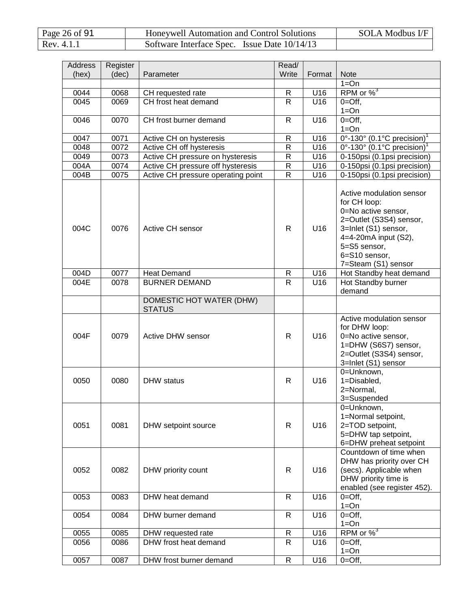| Page 26 of 91 | Honeywell Automation and Control Solutions   | <b>SOLA Modbus I/F</b> |
|---------------|----------------------------------------------|------------------------|
| Rev. 4.1.1    | Software Interface Spec. Issue Date 10/14/13 |                        |

| Address | Register |                                           | Read/          |        |                                                                                                                                                                                                    |
|---------|----------|-------------------------------------------|----------------|--------|----------------------------------------------------------------------------------------------------------------------------------------------------------------------------------------------------|
| (hex)   | (dec)    | Parameter                                 | Write          | Format | <b>Note</b>                                                                                                                                                                                        |
|         |          |                                           |                |        | $1 = On$                                                                                                                                                                                           |
| 0044    | 0068     | CH requested rate                         | $\mathsf{R}$   | U16    | RPM or $\%$ <sup>3</sup>                                                                                                                                                                           |
| 0045    | 0069     | CH frost heat demand                      | $\mathsf{R}$   | U16    | $0 = \text{Off}$ ,                                                                                                                                                                                 |
|         |          |                                           |                |        | $1 = On$                                                                                                                                                                                           |
| 0046    | 0070     | CH frost burner demand                    | $\mathsf{R}$   | U16    | $0 = \text{Off}$ ,                                                                                                                                                                                 |
|         |          |                                           |                |        | $1 = On$                                                                                                                                                                                           |
| 0047    | 0071     | Active CH on hysteresis                   | ${\sf R}$      | U16    | $0^{\circ}$ -130 $^{\circ}$ (0.1 $^{\circ}$ C precision) <sup>2</sup>                                                                                                                              |
| 0048    | 0072     | Active CH off hysteresis                  | ${\sf R}$      | U16    | $0^{\circ}$ -130 $^{\circ}$ (0.1 $^{\circ}$ C precision) <sup>1</sup>                                                                                                                              |
| 0049    | 0073     | Active CH pressure on hysteresis          | $\overline{R}$ | U16    | 0-150psi (0.1psi precision)                                                                                                                                                                        |
| 004A    | 0074     | Active CH pressure off hysteresis         | $\overline{R}$ | U16    | 0-150psi (0.1psi precision)                                                                                                                                                                        |
| 004B    | 0075     | Active CH pressure operating point        | $\overline{R}$ | U16    | 0-150psi (0.1psi precision)                                                                                                                                                                        |
| 004C    | 0076     | Active CH sensor                          | R.             | U16    | Active modulation sensor<br>for CH loop:<br>0=No active sensor,<br>2=Outlet (S3S4) sensor,<br>3=Inlet (S1) sensor,<br>4=4-20mA input (S2),<br>5=S5 sensor,<br>6=S10 sensor,<br>7=Steam (S1) sensor |
| 004D    | 0077     | <b>Heat Demand</b>                        | R              | U16    | Hot Standby heat demand                                                                                                                                                                            |
| 004E    | 0078     | <b>BURNER DEMAND</b>                      | $\mathsf{R}$   | U16    | Hot Standby burner<br>demand                                                                                                                                                                       |
|         |          | DOMESTIC HOT WATER (DHW)<br><b>STATUS</b> |                |        |                                                                                                                                                                                                    |
| 004F    | 0079     | Active DHW sensor                         | R.             | U16    | Active modulation sensor<br>for DHW loop:<br>0=No active sensor,<br>1=DHW (S6S7) sensor,<br>2=Outlet (S3S4) sensor,<br>3=Inlet (S1) sensor                                                         |
| 0050    | 0080     | DHW status                                | $\mathsf{R}$   | U16    | 0=Unknown,<br>1=Disabled,<br>2=Normal,<br>3=Suspended                                                                                                                                              |
| 0051    | 0081     | DHW setpoint source                       | R              | U16    | 0=Unknown,<br>1=Normal setpoint,<br>2=TOD setpoint,<br>5=DHW tap setpoint,<br>6=DHW preheat setpoint                                                                                               |
| 0052    | 0082     | DHW priority count                        | R              | U16    | Countdown of time when<br>DHW has priority over CH<br>(secs). Applicable when<br>DHW priority time is<br>enabled (see register 452).                                                               |
| 0053    | 0083     | DHW heat demand                           | $\mathsf{R}$   | U16    | $0=Off,$<br>$1 = On$                                                                                                                                                                               |
| 0054    | 0084     | DHW burner demand                         | $\mathsf{R}$   | U16    | $0 = \text{Off}$ ,<br>$1 = On$                                                                                                                                                                     |
| 0055    | 0085     | DHW requested rate                        | ${\sf R}$      | U16    | RPM or $\%$ <sup>3</sup>                                                                                                                                                                           |
| 0056    | 0086     | DHW frost heat demand                     | $\mathsf{R}$   | U16    | $0 = \text{Off}$ ,                                                                                                                                                                                 |
|         |          |                                           |                |        | $1=On$                                                                                                                                                                                             |
| 0057    | 0087     | DHW frost burner demand                   | $\overline{R}$ | U16    | $0=Off,$                                                                                                                                                                                           |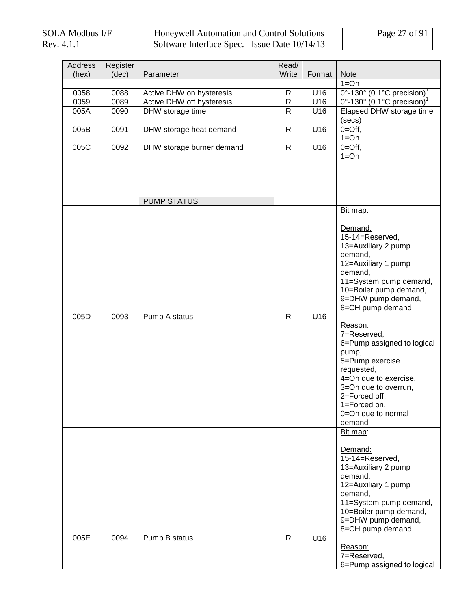| <b>SOLA Modbus I/F</b> | Honeywell Automation and Control Solutions   | Page 27 of 91 |
|------------------------|----------------------------------------------|---------------|
| Rev. 4.1.1             | Software Interface Spec. Issue Date 10/14/13 |               |

| Address | Register     |                           | Read/          |        |                                                                                                                                                                                                                                                                                                                                                                                                                              |
|---------|--------------|---------------------------|----------------|--------|------------------------------------------------------------------------------------------------------------------------------------------------------------------------------------------------------------------------------------------------------------------------------------------------------------------------------------------------------------------------------------------------------------------------------|
| (hex)   | (dec)        | Parameter                 | Write          | Format | <b>Note</b>                                                                                                                                                                                                                                                                                                                                                                                                                  |
|         |              |                           |                |        | $1 = On$                                                                                                                                                                                                                                                                                                                                                                                                                     |
| 0058    | 0088         | Active DHW on hysteresis  | R              | U16    | 0°-130° (0.1°C precision)                                                                                                                                                                                                                                                                                                                                                                                                    |
| 0059    | 0089<br>0090 | Active DHW off hysteresis | R              | U16    | $0^{\circ}$ -130 $^{\circ}$ (0.1 $^{\circ}$ C precision) <sup>1</sup>                                                                                                                                                                                                                                                                                                                                                        |
| 005A    |              | DHW storage time          | R              | U16    | Elapsed DHW storage time<br>(secs)                                                                                                                                                                                                                                                                                                                                                                                           |
| 005B    | 0091         | DHW storage heat demand   | R              | U16    | $0 = \text{Off}$ ,<br>$1=On$                                                                                                                                                                                                                                                                                                                                                                                                 |
| 005C    | 0092         | DHW storage burner demand | $\overline{R}$ | U16    | $0 = \text{Off}$ ,<br>$1=On$                                                                                                                                                                                                                                                                                                                                                                                                 |
|         |              |                           |                |        |                                                                                                                                                                                                                                                                                                                                                                                                                              |
|         |              | <b>PUMP STATUS</b>        |                |        |                                                                                                                                                                                                                                                                                                                                                                                                                              |
| 005D    | 0093         | Pump A status             | $\mathsf{R}$   | U16    | Bit map:<br>Demand:<br>15-14=Reserved,<br>13=Auxiliary 2 pump<br>demand,<br>12=Auxiliary 1 pump<br>demand,<br>11=System pump demand,<br>10=Boiler pump demand,<br>9=DHW pump demand,<br>8=CH pump demand<br>Reason:<br>7=Reserved,<br>6=Pump assigned to logical<br>pump,<br>5=Pump exercise<br>requested,<br>4=On due to exercise,<br>3=On due to overrun,<br>2=Forced off,<br>1=Forced on,<br>0=On due to normal<br>demand |
| 005E    | 0094         | Pump B status             | $\mathsf{R}$   | U16    | Bit map:<br>Demand:<br>15-14=Reserved,<br>13=Auxiliary 2 pump<br>demand,<br>12=Auxiliary 1 pump<br>demand,<br>11=System pump demand,<br>10=Boiler pump demand,<br>9=DHW pump demand,<br>8=CH pump demand<br>Reason:<br>7=Reserved,<br>6=Pump assigned to logical                                                                                                                                                             |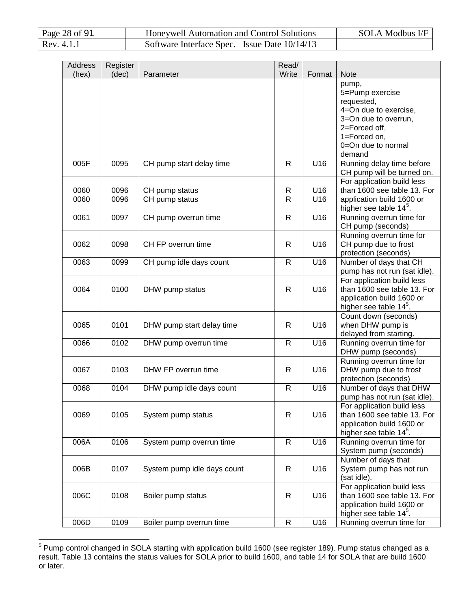| Page 28 of 91 | Honeywell Automation and Control Solutions   | SOLA Modbus $I/F$ |
|---------------|----------------------------------------------|-------------------|
| Rev. 4.1.1    | Software Interface Spec. Issue Date 10/14/13 |                   |

| Address | Register |                             | Read/        |        |                                    |
|---------|----------|-----------------------------|--------------|--------|------------------------------------|
| (hex)   | (dec)    | Parameter                   | Write        | Format | <b>Note</b>                        |
|         |          |                             |              |        | pump,                              |
|         |          |                             |              |        | 5=Pump exercise                    |
|         |          |                             |              |        | requested,                         |
|         |          |                             |              |        | 4=On due to exercise,              |
|         |          |                             |              |        | 3=On due to overrun,               |
|         |          |                             |              |        | 2=Forced off,                      |
|         |          |                             |              |        | 1=Forced on,                       |
|         |          |                             |              |        | 0=On due to normal                 |
|         |          |                             |              |        | demand                             |
| 005F    | 0095     | CH pump start delay time    | $\mathsf{R}$ | U16    | Running delay time before          |
|         |          |                             |              |        | CH pump will be turned on.         |
|         |          |                             |              |        | For application build less         |
| 0060    | 0096     | CH pump status              | R            | U16    | than 1600 see table 13. For        |
| 0060    | 0096     | CH pump status              | $\mathsf{R}$ | U16    | application build 1600 or          |
|         |          |                             |              |        | higher see table 14 <sup>5</sup> . |
| 0061    | 0097     | CH pump overrun time        | $\mathsf{R}$ | U16    | Running overrun time for           |
|         |          |                             |              |        | CH pump (seconds)                  |
|         |          |                             |              |        | Running overrun time for           |
| 0062    | 0098     | CH FP overrun time          | R            | U16    | CH pump due to frost               |
|         |          |                             |              |        | protection (seconds)               |
| 0063    | 0099     | CH pump idle days count     | $\mathsf{R}$ | U16    | Number of days that CH             |
|         |          |                             |              |        | pump has not run (sat idle).       |
|         |          |                             |              |        | For application build less         |
| 0064    | 0100     | DHW pump status             | $\mathsf{R}$ | U16    | than 1600 see table 13. For        |
|         |          |                             |              |        | application build 1600 or          |
|         |          |                             |              |        | higher see table 14 <sup>5</sup> . |
|         |          |                             |              |        | Count down (seconds)               |
| 0065    | 0101     | DHW pump start delay time   | R            | U16    | when DHW pump is                   |
|         |          |                             |              |        | delayed from starting.             |
| 0066    | 0102     | DHW pump overrun time       | R            | U16    | Running overrun time for           |
|         |          |                             |              |        | DHW pump (seconds)                 |
|         |          |                             |              |        | Running overrun time for           |
| 0067    | 0103     | DHW FP overrun time         | R            | U16    | DHW pump due to frost              |
|         |          |                             |              |        | protection (seconds)               |
| 0068    | 0104     | DHW pump idle days count    | $\mathsf{R}$ | U16    | Number of days that DHW            |
|         |          |                             |              |        | pump has not run (sat idle).       |
|         |          |                             |              |        | For application build less         |
| 0069    | 0105     | System pump status          | R            | U16    | than 1600 see table 13. For        |
|         |          |                             |              |        | application build 1600 or          |
|         |          |                             |              |        | higher see table 14 <sup>5</sup> . |
| 006A    | 0106     | System pump overrun time    | $\mathsf{R}$ | U16    | Running overrun time for           |
|         |          |                             |              |        | System pump (seconds)              |
|         |          |                             |              |        | Number of days that                |
| 006B    | 0107     | System pump idle days count | R            | U16    | System pump has not run            |
|         |          |                             |              |        | (sat idle).                        |
|         |          |                             |              |        | For application build less         |
| 006C    | 0108     | Boiler pump status          | R            | U16    | than 1600 see table 13. For        |
|         |          |                             |              |        | application build 1600 or          |
|         |          |                             |              |        | higher see table 14 <sup>5</sup> . |
| 006D    | 0109     | Boiler pump overrun time    | R            | U16    | Running overrun time for           |

<span id="page-27-0"></span> <sup>5</sup> Pump control changed in SOLA starting with application build 1600 (see register 189). Pump status changed as a result. Table 13 contains the status values for SOLA prior to build 1600, and table 14 for SOLA that are build 1600 or later.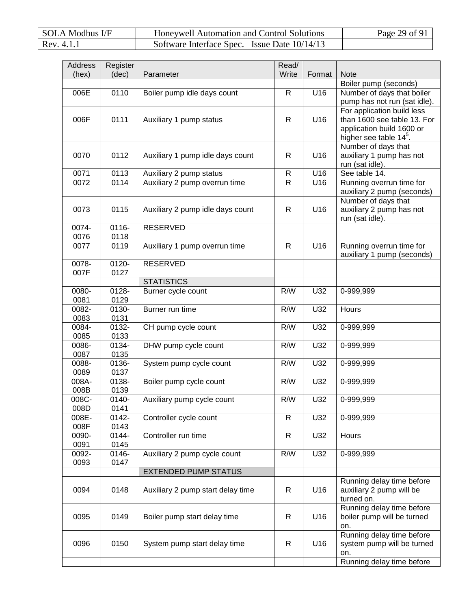| <b>SOLA Modbus I/F</b> | Honeywell Automation and Control Solutions   | Page 29 of 91 |
|------------------------|----------------------------------------------|---------------|
| Rev. 4.1.1             | Software Interface Spec. Issue Date 10/14/13 |               |

| (dec)<br>Write<br>Format<br><b>Note</b><br>(hex)<br>Parameter<br>Boiler pump (seconds)<br>0110<br>$\mathsf{R}$<br>U16<br>Number of days that boiler<br>006E<br>Boiler pump idle days count<br>pump has not run (sat idle).<br>For application build less<br>0111<br>U16<br>006F<br>$\mathsf{R}$<br>than 1600 see table 13. For<br>Auxiliary 1 pump status<br>application build 1600 or<br>higher see table 14 <sup>5</sup> .<br>Number of days that<br>auxiliary 1 pump has not<br>0070<br>0112<br>$\mathsf{R}$<br>U16<br>Auxiliary 1 pump idle days count<br>run (sat idle). |
|-------------------------------------------------------------------------------------------------------------------------------------------------------------------------------------------------------------------------------------------------------------------------------------------------------------------------------------------------------------------------------------------------------------------------------------------------------------------------------------------------------------------------------------------------------------------------------|
|                                                                                                                                                                                                                                                                                                                                                                                                                                                                                                                                                                               |
|                                                                                                                                                                                                                                                                                                                                                                                                                                                                                                                                                                               |
|                                                                                                                                                                                                                                                                                                                                                                                                                                                                                                                                                                               |
|                                                                                                                                                                                                                                                                                                                                                                                                                                                                                                                                                                               |
|                                                                                                                                                                                                                                                                                                                                                                                                                                                                                                                                                                               |
|                                                                                                                                                                                                                                                                                                                                                                                                                                                                                                                                                                               |
|                                                                                                                                                                                                                                                                                                                                                                                                                                                                                                                                                                               |
|                                                                                                                                                                                                                                                                                                                                                                                                                                                                                                                                                                               |
|                                                                                                                                                                                                                                                                                                                                                                                                                                                                                                                                                                               |
|                                                                                                                                                                                                                                                                                                                                                                                                                                                                                                                                                                               |
|                                                                                                                                                                                                                                                                                                                                                                                                                                                                                                                                                                               |
| 0113<br>R<br>U16<br>See table 14.<br>0071<br>Auxiliary 2 pump status                                                                                                                                                                                                                                                                                                                                                                                                                                                                                                          |
| $\overline{R}$<br>0072<br>0114<br>Auxiliary 2 pump overrun time<br>$\overline{U}$ 16<br>Running overrun time for                                                                                                                                                                                                                                                                                                                                                                                                                                                              |
| auxiliary 2 pump (seconds)                                                                                                                                                                                                                                                                                                                                                                                                                                                                                                                                                    |
| Number of days that                                                                                                                                                                                                                                                                                                                                                                                                                                                                                                                                                           |
| 0073<br>0115<br>Auxiliary 2 pump idle days count<br>$\mathsf{R}$<br>U16<br>auxiliary 2 pump has not                                                                                                                                                                                                                                                                                                                                                                                                                                                                           |
| run (sat idle).                                                                                                                                                                                                                                                                                                                                                                                                                                                                                                                                                               |
| 0074-<br>0116-<br><b>RESERVED</b>                                                                                                                                                                                                                                                                                                                                                                                                                                                                                                                                             |
| 0076<br>0118                                                                                                                                                                                                                                                                                                                                                                                                                                                                                                                                                                  |
| 0077<br>0119<br>U16<br>Running overrun time for<br>Auxiliary 1 pump overrun time<br>R                                                                                                                                                                                                                                                                                                                                                                                                                                                                                         |
| auxiliary 1 pump (seconds)                                                                                                                                                                                                                                                                                                                                                                                                                                                                                                                                                    |
| 0078-<br>0120-<br>RESERVED                                                                                                                                                                                                                                                                                                                                                                                                                                                                                                                                                    |
| 007F<br>0127                                                                                                                                                                                                                                                                                                                                                                                                                                                                                                                                                                  |
| <b>STATISTICS</b>                                                                                                                                                                                                                                                                                                                                                                                                                                                                                                                                                             |
| 0080-<br>0128-<br>Burner cycle count<br>R/W<br>U32<br>0-999,999                                                                                                                                                                                                                                                                                                                                                                                                                                                                                                               |
| 0081<br>0129                                                                                                                                                                                                                                                                                                                                                                                                                                                                                                                                                                  |
| 0130-<br>Burner run time<br>Hours<br>0082-<br>R/W<br>U32                                                                                                                                                                                                                                                                                                                                                                                                                                                                                                                      |
| 0083<br>0131                                                                                                                                                                                                                                                                                                                                                                                                                                                                                                                                                                  |
| 0084-<br>0132-<br>CH pump cycle count<br>R/W<br>U32<br>0-999,999                                                                                                                                                                                                                                                                                                                                                                                                                                                                                                              |
| 0085<br>0133                                                                                                                                                                                                                                                                                                                                                                                                                                                                                                                                                                  |
| 0134-<br>DHW pump cycle count<br>R/W<br>U32<br>0086-<br>0-999,999                                                                                                                                                                                                                                                                                                                                                                                                                                                                                                             |
| 0135<br>0087                                                                                                                                                                                                                                                                                                                                                                                                                                                                                                                                                                  |
| 0136-<br>System pump cycle count<br>U32<br>0088-<br>R/W<br>0-999,999                                                                                                                                                                                                                                                                                                                                                                                                                                                                                                          |
| 0089<br>0137                                                                                                                                                                                                                                                                                                                                                                                                                                                                                                                                                                  |
| 0138-<br>R/W<br>U32<br>008A-<br>Boiler pump cycle count<br>0-999,999                                                                                                                                                                                                                                                                                                                                                                                                                                                                                                          |
| 008B<br>0139                                                                                                                                                                                                                                                                                                                                                                                                                                                                                                                                                                  |
| 008C-<br>R/W<br>U32<br>0140-<br>Auxiliary pump cycle count<br>0-999,999                                                                                                                                                                                                                                                                                                                                                                                                                                                                                                       |
| 008D<br>0141                                                                                                                                                                                                                                                                                                                                                                                                                                                                                                                                                                  |
| 008E-<br>0142-<br>Controller cycle count<br>$\mathsf{R}$<br>U32<br>0-999,999                                                                                                                                                                                                                                                                                                                                                                                                                                                                                                  |
| 008F<br>0143                                                                                                                                                                                                                                                                                                                                                                                                                                                                                                                                                                  |
| Controller run time<br>0090-<br>0144-<br>$\mathsf{R}$<br>U32<br>Hours                                                                                                                                                                                                                                                                                                                                                                                                                                                                                                         |
| 0091<br>0145                                                                                                                                                                                                                                                                                                                                                                                                                                                                                                                                                                  |
| 0092-<br>0146-<br>Auxiliary 2 pump cycle count<br>R/W<br>U32<br>0-999,999                                                                                                                                                                                                                                                                                                                                                                                                                                                                                                     |
| 0093<br>0147                                                                                                                                                                                                                                                                                                                                                                                                                                                                                                                                                                  |
| <b>EXTENDED PUMP STATUS</b>                                                                                                                                                                                                                                                                                                                                                                                                                                                                                                                                                   |
| Running delay time before                                                                                                                                                                                                                                                                                                                                                                                                                                                                                                                                                     |
| U16<br>0094<br>0148<br>Auxiliary 2 pump start delay time<br>R<br>auxiliary 2 pump will be                                                                                                                                                                                                                                                                                                                                                                                                                                                                                     |
| turned on.                                                                                                                                                                                                                                                                                                                                                                                                                                                                                                                                                                    |
| Running delay time before                                                                                                                                                                                                                                                                                                                                                                                                                                                                                                                                                     |
| 0095<br>0149<br>Boiler pump start delay time<br>R<br>U16<br>boiler pump will be turned                                                                                                                                                                                                                                                                                                                                                                                                                                                                                        |
| on.                                                                                                                                                                                                                                                                                                                                                                                                                                                                                                                                                                           |
| Running delay time before                                                                                                                                                                                                                                                                                                                                                                                                                                                                                                                                                     |
| 0096<br>0150<br>System pump start delay time<br>R<br>U16<br>system pump will be turned                                                                                                                                                                                                                                                                                                                                                                                                                                                                                        |
| on.                                                                                                                                                                                                                                                                                                                                                                                                                                                                                                                                                                           |
| Running delay time before                                                                                                                                                                                                                                                                                                                                                                                                                                                                                                                                                     |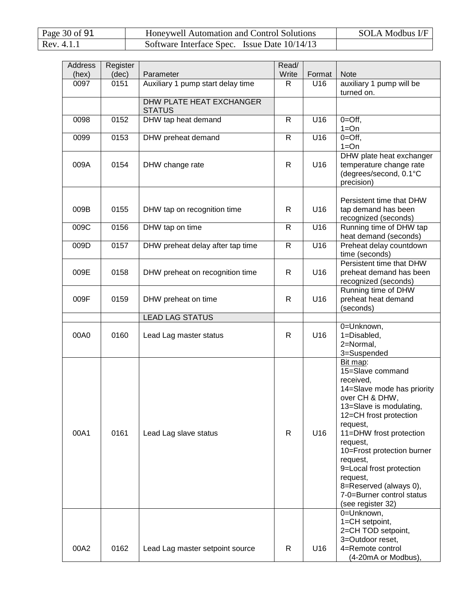| Page 30 of 91 | Honeywell Automation and Control Solutions   | <b>SOLA Modbus I/F</b> |
|---------------|----------------------------------------------|------------------------|
| Rev. 4.1.1    | Software Interface Spec. Issue Date 10/14/13 |                        |

| <b>Address</b> | Register |                                           | Read/        |        |                                                                                                                                                                                                                                                                                                                                                                 |
|----------------|----------|-------------------------------------------|--------------|--------|-----------------------------------------------------------------------------------------------------------------------------------------------------------------------------------------------------------------------------------------------------------------------------------------------------------------------------------------------------------------|
| (hex)          | (dec)    | Parameter                                 | Write        | Format | <b>Note</b>                                                                                                                                                                                                                                                                                                                                                     |
| 0097           | 0151     | Auxiliary 1 pump start delay time         | R            | U16    | auxiliary 1 pump will be<br>turned on.                                                                                                                                                                                                                                                                                                                          |
|                |          | DHW PLATE HEAT EXCHANGER<br><b>STATUS</b> |              |        |                                                                                                                                                                                                                                                                                                                                                                 |
| 0098           | 0152     | DHW tap heat demand                       | $\mathsf{R}$ | U16    | $0 = \text{Off}$ ,<br>$1=On$                                                                                                                                                                                                                                                                                                                                    |
| 0099           | 0153     | DHW preheat demand                        | $\mathsf{R}$ | U16    | $0=Off$ ,<br>$1 = On$                                                                                                                                                                                                                                                                                                                                           |
| 009A           | 0154     | DHW change rate                           | $\mathsf{R}$ | U16    | DHW plate heat exchanger<br>temperature change rate<br>(degrees/second, 0.1°C<br>precision)                                                                                                                                                                                                                                                                     |
| 009B           | 0155     | DHW tap on recognition time               | R            | U16    | Persistent time that DHW<br>tap demand has been<br>recognized (seconds)                                                                                                                                                                                                                                                                                         |
| 009C           | 0156     | DHW tap on time                           | R            | U16    | Running time of DHW tap<br>heat demand (seconds)                                                                                                                                                                                                                                                                                                                |
| 009D           | 0157     | DHW preheat delay after tap time          | $\mathsf{R}$ | U16    | Preheat delay countdown<br>time (seconds)                                                                                                                                                                                                                                                                                                                       |
| 009E           | 0158     | DHW preheat on recognition time           | R            | U16    | Persistent time that DHW<br>preheat demand has been<br>recognized (seconds)                                                                                                                                                                                                                                                                                     |
| 009F           | 0159     | DHW preheat on time                       | R            | U16    | Running time of DHW<br>preheat heat demand<br>(seconds)                                                                                                                                                                                                                                                                                                         |
|                |          | <b>LEAD LAG STATUS</b>                    |              |        |                                                                                                                                                                                                                                                                                                                                                                 |
| 00A0           | 0160     | Lead Lag master status                    | R            | U16    | 0=Unknown,<br>1=Disabled,<br>2=Normal,<br>3=Suspended                                                                                                                                                                                                                                                                                                           |
| 00A1           | 0161     | Lead Lag slave status                     | R.           | U16    | Bit map:<br>15=Slave command<br>received,<br>14=Slave mode has priority<br>over CH & DHW,<br>13=Slave is modulating,<br>12=CH frost protection<br>request,<br>11=DHW frost protection<br>request,<br>10=Frost protection burner<br>request,<br>9=Local frost protection<br>request,<br>8=Reserved (always 0),<br>7-0=Burner control status<br>(see register 32) |
| 00A2           | 0162     | Lead Lag master setpoint source           | R            | U16    | 0=Unknown,<br>1=CH setpoint,<br>2=CH TOD setpoint,<br>3=Outdoor reset,<br>4=Remote control<br>(4-20mA or Modbus),                                                                                                                                                                                                                                               |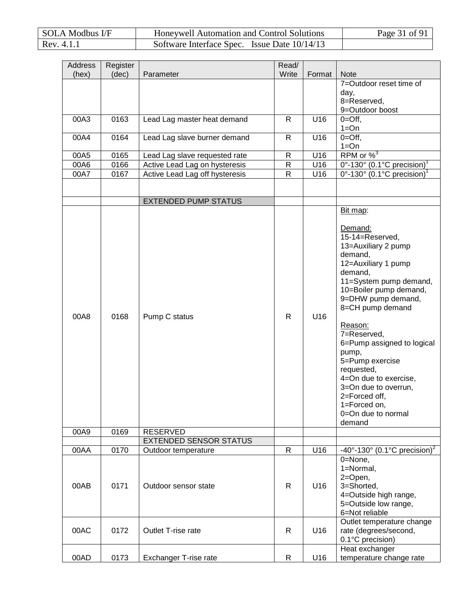| <b>SOLA Modbus I/F</b> | Honeywell Automation and Control Solutions   | Page 31 of 91 |
|------------------------|----------------------------------------------|---------------|
| Rev. 4.1.1             | Software Interface Spec. Issue Date 10/14/13 |               |

| Address      | Register     |                                | Read/                       |            |                                                                                                    |                            |
|--------------|--------------|--------------------------------|-----------------------------|------------|----------------------------------------------------------------------------------------------------|----------------------------|
| (hex)        | (dec)        | Parameter                      | Write                       | Format     | <b>Note</b><br>7=Outdoor reset time of                                                             |                            |
|              |              |                                |                             |            | day,                                                                                               |                            |
|              |              |                                |                             |            | 8=Reserved,                                                                                        |                            |
|              |              |                                |                             |            | 9=Outdoor boost                                                                                    |                            |
| 00A3         | 0163         | Lead Lag master heat demand    | $\mathsf{R}$                | U16        | $0 = \text{Off}$ ,                                                                                 |                            |
|              |              |                                |                             |            | $1=On$                                                                                             |                            |
| 00A4         | 0164         | Lead Lag slave burner demand   | $\mathsf{R}$                | U16        | $0 = \text{Off}$ ,                                                                                 |                            |
|              |              |                                |                             |            | $1 = On$                                                                                           |                            |
| 00A5         | 0165         | Lead Lag slave requested rate  | ${\sf R}$                   | U16        | RPM or $\%$ <sup>3</sup>                                                                           |                            |
| 00A6<br>00A7 | 0166<br>0167 | Active Lead Lag on hysteresis  | $\mathsf R$<br>$\mathsf{R}$ | U16<br>U16 | 0°-130° (0.1°C precision)<br>$0^{\circ}$ -130 $^{\circ}$ (0.1 $^{\circ}$ C precision) <sup>1</sup> |                            |
|              |              | Active Lead Lag off hysteresis |                             |            |                                                                                                    |                            |
|              |              |                                |                             |            |                                                                                                    |                            |
|              |              | <b>EXTENDED PUMP STATUS</b>    |                             |            |                                                                                                    |                            |
|              |              |                                |                             |            | Bit map:                                                                                           |                            |
|              |              |                                |                             |            |                                                                                                    |                            |
|              |              |                                |                             |            | Demand:                                                                                            |                            |
|              |              |                                |                             |            | 15-14=Reserved,                                                                                    |                            |
|              |              |                                |                             |            | 13=Auxiliary 2 pump<br>demand,                                                                     |                            |
|              |              |                                |                             |            | 12=Auxiliary 1 pump                                                                                |                            |
|              |              |                                |                             |            | demand,                                                                                            |                            |
|              |              |                                |                             |            | 11=System pump demand,                                                                             |                            |
|              | 0168         |                                |                             |            |                                                                                                    | 10=Boiler pump demand,     |
|              |              |                                |                             |            |                                                                                                    | 9=DHW pump demand,         |
| 00A8         |              | Pump C status                  |                             | U16        | 8=CH pump demand                                                                                   |                            |
|              |              |                                | R                           |            | Reason:                                                                                            |                            |
|              |              |                                |                             |            | 7=Reserved,                                                                                        |                            |
|              |              |                                |                             |            |                                                                                                    | 6=Pump assigned to logical |
|              |              |                                |                             |            | pump,                                                                                              |                            |
|              |              |                                |                             |            | 5=Pump exercise                                                                                    |                            |
|              |              |                                |                             |            | requested,                                                                                         |                            |
|              |              |                                |                             |            | 4=On due to exercise,                                                                              |                            |
|              |              |                                |                             |            | 3=On due to overrun,<br>2=Forced off,                                                              |                            |
|              |              |                                |                             |            | 1=Forced on,                                                                                       |                            |
|              |              |                                |                             |            | 0=On due to normal                                                                                 |                            |
|              |              |                                |                             |            | demand                                                                                             |                            |
| 00A9         | 0169         | <b>RESERVED</b>                |                             |            |                                                                                                    |                            |
|              |              | <b>EXTENDED SENSOR STATUS</b>  |                             |            |                                                                                                    |                            |
| 00AA         | 0170         | Outdoor temperature            | $\mathsf{R}$                | U16        | $-40^{\circ}$ -130 $^{\circ}$ (0.1 $^{\circ}$ C precision) <sup>2</sup><br>0=None,                 |                            |
|              |              |                                |                             |            | 1=Normal,                                                                                          |                            |
|              |              |                                |                             |            | 2=Open,                                                                                            |                            |
| 00AB         | 0171         | Outdoor sensor state           | R                           | U16        | 3=Shorted,                                                                                         |                            |
|              |              |                                |                             |            | 4=Outside high range,                                                                              |                            |
|              |              |                                |                             |            | 5=Outside low range,                                                                               |                            |
|              |              |                                |                             |            | 6=Not reliable                                                                                     |                            |
|              |              |                                |                             | U16        | Outlet temperature change                                                                          |                            |
| 00AC         | 0172         | Outlet T-rise rate             | R                           |            | rate (degrees/second,<br>0.1°C precision)                                                          |                            |
|              |              |                                |                             |            | Heat exchanger                                                                                     |                            |
| 00AD         | 0173         | Exchanger T-rise rate          | R                           | U16        | temperature change rate                                                                            |                            |
|              |              |                                |                             |            |                                                                                                    |                            |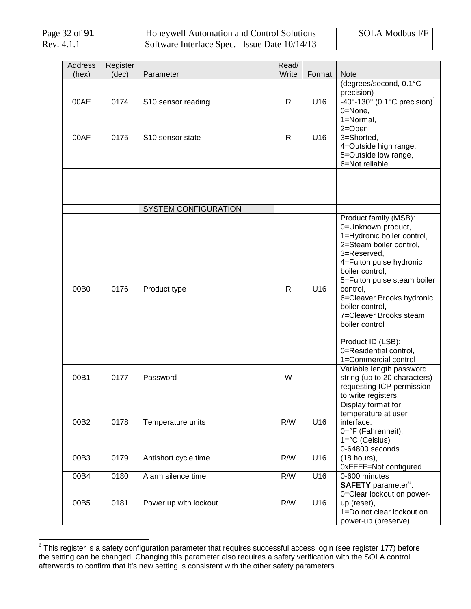| Page 32 of 91 | Honeywell Automation and Control Solutions   | <b>SOLA Modbus I/F</b> |
|---------------|----------------------------------------------|------------------------|
| Rev. 4.1.1    | Software Interface Spec. Issue Date 10/14/13 |                        |

| Address | Register |                              | Read/          |        |                                                                                                                                                                                                                                                                                                                                                                                 |
|---------|----------|------------------------------|----------------|--------|---------------------------------------------------------------------------------------------------------------------------------------------------------------------------------------------------------------------------------------------------------------------------------------------------------------------------------------------------------------------------------|
| (hex)   | (dec)    | Parameter                    | Write          | Format | <b>Note</b>                                                                                                                                                                                                                                                                                                                                                                     |
|         |          |                              |                |        | (degrees/second, 0.1°C                                                                                                                                                                                                                                                                                                                                                          |
|         |          |                              |                |        | precision)                                                                                                                                                                                                                                                                                                                                                                      |
| 00AE    | 0174     | S10 sensor reading           | $\overline{R}$ | U16    | $-40^\circ$ -130 $\circ$ (0.1 $\circ$ C precision) <sup>1</sup>                                                                                                                                                                                                                                                                                                                 |
| 00AF    | 0175     | S <sub>10</sub> sensor state | $\mathsf{R}$   | U16    | 0=None,<br>1=Normal,<br>2=Open,<br>3=Shorted,<br>4=Outside high range,<br>5=Outside low range,<br>6=Not reliable                                                                                                                                                                                                                                                                |
|         |          |                              |                |        |                                                                                                                                                                                                                                                                                                                                                                                 |
|         |          | <b>SYSTEM CONFIGURATION</b>  |                |        |                                                                                                                                                                                                                                                                                                                                                                                 |
| 00B0    | 0176     | Product type                 | $\mathsf{R}$   | U16    | Product family (MSB):<br>0=Unknown product,<br>1=Hydronic boiler control,<br>2=Steam boiler control,<br>3=Reserved,<br>4=Fulton pulse hydronic<br>boiler control,<br>5=Fulton pulse steam boiler<br>control,<br>6=Cleaver Brooks hydronic<br>boiler control,<br>7=Cleaver Brooks steam<br>boiler control<br>Product ID (LSB):<br>0=Residential control,<br>1=Commercial control |
| 00B1    | 0177     | Password                     | W              |        | Variable length password<br>string (up to 20 characters)<br>requesting ICP permission<br>to write registers.                                                                                                                                                                                                                                                                    |
| 00B2    | 0178     | Temperature units            | R/W            | U16    | Display format for<br>temperature at user<br>interface:<br>0=°F (Fahrenheit),<br>$1 = C$ (Celsius)                                                                                                                                                                                                                                                                              |
| 00B3    | 0179     | Antishort cycle time         | R/W            | U16    | 0-64800 seconds<br>(18 hours),<br>0xFFFF=Not configured                                                                                                                                                                                                                                                                                                                         |
| 00B4    | 0180     | Alarm silence time           | R/W            | U16    | 0-600 minutes                                                                                                                                                                                                                                                                                                                                                                   |
| 00B5    | 0181     | Power up with lockout        | R/W            | U16    | <b>SAFETY</b> parameter <sup>6</sup> :<br>0=Clear lockout on power-<br>up (reset),<br>1=Do not clear lockout on<br>power-up (preserve)                                                                                                                                                                                                                                          |

<span id="page-31-0"></span> <sup>6</sup> This register is a safety configuration parameter that requires successful access login (see register 177) before the setting can be changed. Changing this parameter also requires a safety verification with the SOLA control afterwards to confirm that it's new setting is consistent with the other safety parameters.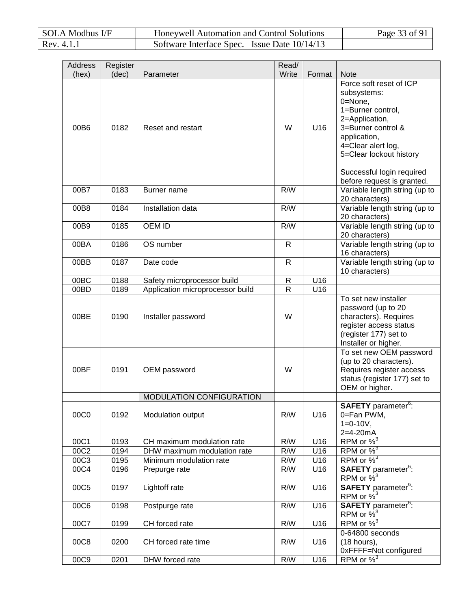| <b>SOLA Modbus I/F</b> | Honeywell Automation and Control Solutions   | Page 33 of 91 |
|------------------------|----------------------------------------------|---------------|
| Rev. 4.1.1             | Software Interface Spec. Issue Date 10/14/13 |               |

| <b>Address</b> | Register |                                  | Read/          |        |                                                                                                                                                                                                              |
|----------------|----------|----------------------------------|----------------|--------|--------------------------------------------------------------------------------------------------------------------------------------------------------------------------------------------------------------|
| (hex)          | (dec)    | Parameter                        | Write          | Format | <b>Note</b>                                                                                                                                                                                                  |
| 00B6           | 0182     | Reset and restart                | W              | U16    | Force soft reset of ICP<br>subsystems:<br>0=None,<br>1=Burner control,<br>2=Application,<br>3=Burner control &<br>application,<br>4=Clear alert log,<br>5=Clear lockout history<br>Successful login required |
| 00B7           | 0183     | Burner name                      | R/W            |        | before request is granted.<br>Variable length string (up to                                                                                                                                                  |
| 00B8           | 0184     | Installation data                | R/W            |        | 20 characters)<br>Variable length string (up to<br>20 characters)                                                                                                                                            |
| 00B9           | 0185     | OEM ID                           | R/W            |        | Variable length string (up to<br>20 characters)                                                                                                                                                              |
| 00BA           | 0186     | OS number                        | $\overline{R}$ |        | Variable length string (up to<br>16 characters)                                                                                                                                                              |
| 00BB           | 0187     | Date code                        | $\overline{R}$ |        | Variable length string (up to<br>10 characters)                                                                                                                                                              |
| 00BC           | 0188     | Safety microprocessor build      | ${\sf R}$      | U16    |                                                                                                                                                                                                              |
| 00BD           | 0189     | Application microprocessor build | R              | U16    |                                                                                                                                                                                                              |
| 00BE           | 0190     | Installer password               | W              |        | To set new installer<br>password (up to 20<br>characters). Requires<br>register access status<br>(register 177) set to<br>Installer or higher.                                                               |
| 00BF           | 0191     | OEM password                     | W              |        | To set new OEM password<br>(up to 20 characters).<br>Requires register access<br>status (register 177) set to<br>OEM or higher.                                                                              |
|                |          | MODULATION CONFIGURATION         |                |        |                                                                                                                                                                                                              |
| 00C0           | 0192     | Modulation output                | R/W            | U16    | <b>SAFETY</b> parameter <sup>6</sup> :<br>0=Fan PWM,<br>$1=0-10V$ ,<br>2=4-20mA                                                                                                                              |
| 00C1           | 0193     | CH maximum modulation rate       | R/W            | U16    | RPM or $\%$ <sup>3</sup>                                                                                                                                                                                     |
| 00C2           | 0194     | DHW maximum modulation rate      | R/W            | U16    | RPM or $\%$ <sup>3</sup>                                                                                                                                                                                     |
| 00C3           | 0195     | Minimum modulation rate          | R/W            | U16    | RPM or $\%$ <sup>3</sup>                                                                                                                                                                                     |
| 00C4           | 0196     | Prepurge rate                    | R/W            | U16    | <b>SAFETY</b> parameter <sup>6</sup> :<br>RPM or $\%^3$                                                                                                                                                      |
| 00C5           | 0197     | Lightoff rate                    | R/W            | U16    | <b>SAFETY</b> parameter <sup>6</sup> :<br>RPM or $\%$ <sup>3</sup>                                                                                                                                           |
| 00C6           | 0198     | Postpurge rate                   | R/W            | U16    | <b>SAFETY</b> parameter <sup>6</sup> :<br>RPM or $\%$ <sup>3</sup>                                                                                                                                           |
| 00C7           | 0199     | CH forced rate                   | R/W            | U16    | RPM or $\frac{2}{3}$                                                                                                                                                                                         |
| 00C8           | 0200     | CH forced rate time              | R/W            | U16    | 0-64800 seconds<br>$(18$ hours),<br>0xFFFF=Not configured                                                                                                                                                    |
| 00C9           | 0201     | DHW forced rate                  | R/W            | U16    | RPM or $\%^3$                                                                                                                                                                                                |
|                |          |                                  |                |        |                                                                                                                                                                                                              |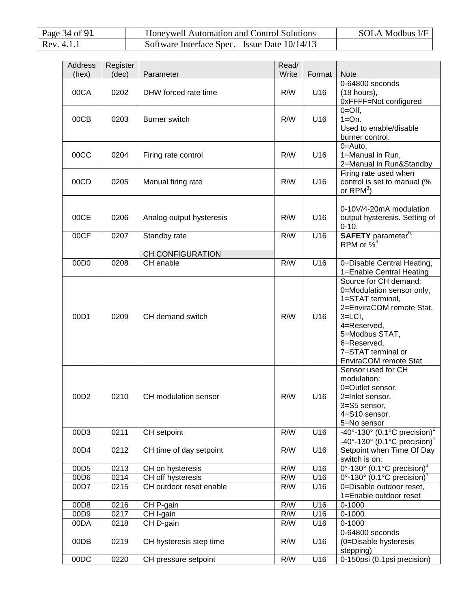| Page 34 of 91 | Honeywell Automation and Control Solutions   | <b>SOLA Modbus I/F</b> |
|---------------|----------------------------------------------|------------------------|
| Rev. 4.1.1    | Software Interface Spec. Issue Date 10/14/13 |                        |

| <b>Address</b>   | Register |                          | Read/ |        |                                                                                                                                                                                                                |
|------------------|----------|--------------------------|-------|--------|----------------------------------------------------------------------------------------------------------------------------------------------------------------------------------------------------------------|
| (hex)            | (dec)    | Parameter                | Write | Format | <b>Note</b>                                                                                                                                                                                                    |
| 00CA             | 0202     | DHW forced rate time     | R/W   | U16    | 0-64800 seconds<br>$(18$ hours),<br>0xFFFF=Not configured                                                                                                                                                      |
| 00CB             | 0203     | <b>Burner</b> switch     | R/W   | U16    | $0 = \text{Off}$ ,<br>$1=On.$<br>Used to enable/disable<br>burner control.                                                                                                                                     |
| 00CC             | 0204     | Firing rate control      | R/W   | U16    | $0 =$ Auto,<br>1=Manual in Run,<br>2=Manual in Run&Standby                                                                                                                                                     |
| 00CD             | 0205     | Manual firing rate       | R/W   | U16    | Firing rate used when<br>control is set to manual (%<br>or $RPM^3$ )                                                                                                                                           |
| 00CE             | 0206     | Analog output hysteresis | R/W   | U16    | 0-10V/4-20mA modulation<br>output hysteresis. Setting of<br>$0 - 10.$                                                                                                                                          |
| 00CF             | 0207     | Standby rate             | R/W   | U16    | <b>SAFETY</b> parameter <sup>6</sup> :<br>RPM or % <sup>3</sup>                                                                                                                                                |
|                  |          | <b>CH CONFIGURATION</b>  |       |        |                                                                                                                                                                                                                |
| 00D0             | 0208     | CH enable                | R/W   | U16    | 0=Disable Central Heating,<br>1=Enable Central Heating                                                                                                                                                         |
| 00D1             | 0209     | CH demand switch         | R/W   | U16    | Source for CH demand:<br>0=Modulation sensor only,<br>1=STAT terminal,<br>2=EnviraCOM remote Stat,<br>$3=$ LCI,<br>4=Reserved,<br>5=Modbus STAT,<br>6=Reserved,<br>7=STAT terminal or<br>EnviraCOM remote Stat |
| 00D <sub>2</sub> | 0210     | CH modulation sensor     | R/W   | U16    | Sensor used for CH<br>modulation:<br>0=Outlet sensor,<br>2=Inlet sensor,<br>3=S5 sensor,<br>4=S10 sensor,<br>5=No sensor                                                                                       |
| 00D3             | 0211     | CH setpoint              | R/W   | U16    | $-40^{\circ}$ -130 $^{\circ}$ (0.1 $^{\circ}$ C precision) <sup>1</sup>                                                                                                                                        |
| 00D4             | 0212     | CH time of day setpoint  | R/W   | U16    | $-40^\circ$ -130 $^\circ$ (0.1 $^\circ$ C precision) <sup>1</sup><br>Setpoint when Time Of Day<br>switch is on.                                                                                                |
| 00D <sub>5</sub> | 0213     | CH on hysteresis         | R/W   | U16    | $0^\circ$ -130 $^\circ$ (0.1 $^\circ$ C precision) <sup>1</sup>                                                                                                                                                |
| 00D6             | 0214     | CH off hysteresis        | R/W   | U16    | $0^{\circ}$ -130 $^{\circ}$ (0.1 $^{\circ}$ C precision) <sup>1</sup>                                                                                                                                          |
| 00D7             | 0215     | CH outdoor reset enable  | R/W   | U16    | 0=Disable outdoor reset,<br>1=Enable outdoor reset                                                                                                                                                             |
| 00D8             | 0216     | CH P-gain                | R/W   | U16    | $0 - 1000$                                                                                                                                                                                                     |
| 00D9             | 0217     | CH I-gain                | R/W   | U16    | $0 - 1000$                                                                                                                                                                                                     |
| 00DA             | 0218     | CH D-gain                | R/W   | U16    | $0 - 1000$                                                                                                                                                                                                     |
| 00DB             | 0219     | CH hysteresis step time  | R/W   | U16    | 0-64800 seconds<br>(0=Disable hysteresis<br>stepping)                                                                                                                                                          |
| 00DC             | 0220     | CH pressure setpoint     | R/W   | U16    | 0-150psi (0.1psi precision)                                                                                                                                                                                    |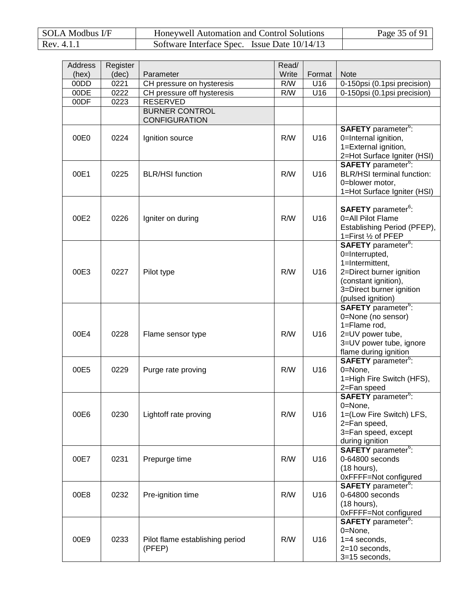| <b>SOLA Modbus I/F</b> | Honeywell Automation and Control Solutions   | Page 35 of 91 |
|------------------------|----------------------------------------------|---------------|
| Rev. 4.1.1             | Software Interface Spec. Issue Date 10/14/13 |               |

| <b>Address</b> | Register |                                               | Read/ |        |                                                                                                                                                                                  |
|----------------|----------|-----------------------------------------------|-------|--------|----------------------------------------------------------------------------------------------------------------------------------------------------------------------------------|
| (hex)          | (dec)    | Parameter                                     | Write | Format | <b>Note</b>                                                                                                                                                                      |
| 00DD           | 0221     | CH pressure on hysteresis                     | R/W   | U16    | 0-150psi (0.1psi precision)                                                                                                                                                      |
| 00DE           | 0222     | CH pressure off hysteresis                    | R/W   | U16    | 0-150psi (0.1psi precision)                                                                                                                                                      |
| 00DF           | 0223     | <b>RESERVED</b>                               |       |        |                                                                                                                                                                                  |
|                |          | <b>BURNER CONTROL</b><br><b>CONFIGURATION</b> |       |        |                                                                                                                                                                                  |
| 00E0           | 0224     | Ignition source                               | R/W   | U16    | <b>SAFETY</b> parameter <sup>6</sup> :<br>0=Internal ignition,<br>1=External ignition,<br>2=Hot Surface Igniter (HSI)                                                            |
| 00E1           | 0225     | <b>BLR/HSI</b> function                       | R/W   | U16    | <b>SAFETY</b> parameter <sup>6</sup> :<br><b>BLR/HSI</b> terminal function:<br>0=blower motor,<br>1=Hot Surface Igniter (HSI)                                                    |
| 00E2           | 0226     | Igniter on during                             | R/W   | U16    | <b>SAFETY</b> parameter <sup>6</sup> :<br>0=All Pilot Flame<br>Establishing Period (PFEP),<br>1=First 1/2 of PFEP                                                                |
| 00E3           | 0227     | Pilot type                                    | R/W   | U16    | <b>SAFETY</b> parameter <sup>6</sup> :<br>0=Interrupted,<br>1=Intermittent,<br>2=Direct burner ignition<br>(constant ignition),<br>3=Direct burner ignition<br>(pulsed ignition) |
| 00E4           | 0228     | Flame sensor type                             | R/W   | U16    | <b>SAFETY</b> parameter <sup>6</sup> :<br>0=None (no sensor)<br>1=Flame rod,<br>2=UV power tube,<br>3=UV power tube, ignore<br>flame during ignition                             |
| 00E5           | 0229     | Purge rate proving                            | R/W   | U16    | <b>SAFETY</b> parameter <sup>6</sup> :<br>0=None,<br>1=High Fire Switch (HFS),<br>2=Fan speed                                                                                    |
| 00E6           | 0230     | Lightoff rate proving                         | R/W   | U16    | <b>SAFETY</b> parameter <sup>6</sup> :<br>0=None,<br>1=(Low Fire Switch) LFS,<br>2=Fan speed,<br>3=Fan speed, except<br>during ignition                                          |
| 00E7           | 0231     | Prepurge time                                 | R/W   | U16    | <b>SAFETY</b> parameter <sup>6</sup> :<br>0-64800 seconds<br>(18 hours),<br>0xFFFF=Not configured                                                                                |
| 00E8           | 0232     | Pre-ignition time                             | R/W   | U16    | <b>SAFETY</b> parameter <sup>6</sup> :<br>0-64800 seconds<br>(18 hours),<br>0xFFFF=Not configured                                                                                |
| 00E9           | 0233     | Pilot flame establishing period<br>(PFEP)     | R/W   | U16    | <b>SAFETY</b> parameter <sup>6</sup> :<br>0=None,<br>$1=4$ seconds,<br>2=10 seconds,<br>3=15 seconds,                                                                            |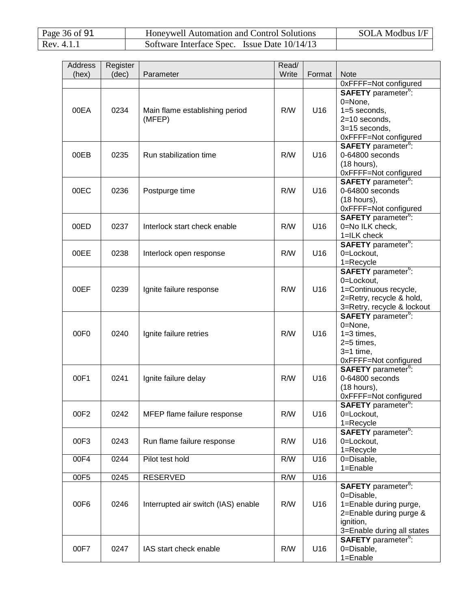| Page 36 of 91 | Honeywell Automation and Control Solutions   | SOLA Modbus $I/F$ |
|---------------|----------------------------------------------|-------------------|
| Rev. 4.1.1    | Software Interface Spec. Issue Date 10/14/13 |                   |

| (dec)<br>Write<br><b>Note</b><br>(hex)<br>Parameter<br>Format<br>0xFFFF=Not configured<br><b>SAFETY</b> parameter <sup>6</sup> :<br>0=None,<br>0234<br>R/W<br>U16<br>$1=5$ seconds,<br>00EA<br>Main flame establishing period<br>(MFEP)<br>2=10 seconds,<br>3=15 seconds,<br>0xFFFF=Not configured<br><b>SAFETY</b> parameter <sup>6</sup> :<br>0-64800 seconds<br>Run stabilization time<br>U16<br>00EB<br>0235<br>R/W<br>(18 hours),<br>0xFFFF=Not configured<br><b>SAFETY</b> parameter <sup>6</sup> :<br>00EC<br>R/W<br>U16<br>0-64800 seconds<br>0236<br>Postpurge time<br>(18 hours),<br>0xFFFF=Not configured<br><b>SAFETY</b> parameter <sup>6</sup> :<br>U16<br>0=No ILK check,<br>00ED<br>0237<br>Interlock start check enable<br>R/W<br>1=ILK check<br><b>SAFETY</b> parameter <sup>6</sup> :<br>R/W<br>U16<br>00EE<br>0238<br>0=Lockout,<br>Interlock open response<br>1=Recycle<br><b>SAFETY</b> parameter <sup>6</sup> :<br>0=Lockout,<br>00EF<br>0239<br>Ignite failure response<br>R/W<br>U16<br>1=Continuous recycle,<br>2=Retry, recycle & hold,<br>3=Retry, recycle & lockout<br><b>SAFETY</b> parameter <sup>6</sup> :<br>0=None,<br>U16<br>00F0<br>0240<br>Ignite failure retries<br>R/W<br>$1=3$ times,<br>$2=5$ times,<br>$3=1$ time,<br>0xFFFF=Not configured<br><b>SAFETY</b> parameter <sup>6</sup> :<br>0-64800 seconds<br>R/W<br>U16<br>00F1<br>0241<br>Ignite failure delay<br>$(18$ hours),<br>0xFFFF=Not configured<br><b>SAFETY</b> parameter <sup>6</sup> :<br>00F2<br>U16<br>0242<br>MFEP flame failure response<br>R/W<br>0=Lockout,<br>1=Recycle<br><b>SAFETY</b> parameter <sup>6</sup> :<br>U16<br>00F3<br>0243<br>Run flame failure response<br>R/W<br>0=Lockout,<br>1=Recycle<br>Pilot test hold<br>U16<br>00F4<br>0244<br>R/W<br>0=Disable,<br>1=Enable<br>00F5<br>R/W<br>U16<br>0245<br><b>RESERVED</b><br><b>SAFETY</b> parameter <sup>6</sup> :<br>0=Disable,<br>0246<br>U16<br>1=Enable during purge,<br>00F6<br>Interrupted air switch (IAS) enable<br>R/W<br>2=Enable during purge &<br>ignition,<br>3=Enable during all states<br><b>SAFETY</b> parameter <sup>6</sup> :<br>R/W<br>U16<br>0=Disable,<br>00F7<br>0247<br>IAS start check enable | <b>Address</b> | Register | Read/ |          |
|------------------------------------------------------------------------------------------------------------------------------------------------------------------------------------------------------------------------------------------------------------------------------------------------------------------------------------------------------------------------------------------------------------------------------------------------------------------------------------------------------------------------------------------------------------------------------------------------------------------------------------------------------------------------------------------------------------------------------------------------------------------------------------------------------------------------------------------------------------------------------------------------------------------------------------------------------------------------------------------------------------------------------------------------------------------------------------------------------------------------------------------------------------------------------------------------------------------------------------------------------------------------------------------------------------------------------------------------------------------------------------------------------------------------------------------------------------------------------------------------------------------------------------------------------------------------------------------------------------------------------------------------------------------------------------------------------------------------------------------------------------------------------------------------------------------------------------------------------------------------------------------------------------------------------------------------------------------------------------------------------------------------------------------------------------------------------------------------------------------------------------------------------------------------------------------------|----------------|----------|-------|----------|
|                                                                                                                                                                                                                                                                                                                                                                                                                                                                                                                                                                                                                                                                                                                                                                                                                                                                                                                                                                                                                                                                                                                                                                                                                                                                                                                                                                                                                                                                                                                                                                                                                                                                                                                                                                                                                                                                                                                                                                                                                                                                                                                                                                                                |                |          |       |          |
|                                                                                                                                                                                                                                                                                                                                                                                                                                                                                                                                                                                                                                                                                                                                                                                                                                                                                                                                                                                                                                                                                                                                                                                                                                                                                                                                                                                                                                                                                                                                                                                                                                                                                                                                                                                                                                                                                                                                                                                                                                                                                                                                                                                                |                |          |       |          |
|                                                                                                                                                                                                                                                                                                                                                                                                                                                                                                                                                                                                                                                                                                                                                                                                                                                                                                                                                                                                                                                                                                                                                                                                                                                                                                                                                                                                                                                                                                                                                                                                                                                                                                                                                                                                                                                                                                                                                                                                                                                                                                                                                                                                |                |          |       |          |
|                                                                                                                                                                                                                                                                                                                                                                                                                                                                                                                                                                                                                                                                                                                                                                                                                                                                                                                                                                                                                                                                                                                                                                                                                                                                                                                                                                                                                                                                                                                                                                                                                                                                                                                                                                                                                                                                                                                                                                                                                                                                                                                                                                                                |                |          |       |          |
|                                                                                                                                                                                                                                                                                                                                                                                                                                                                                                                                                                                                                                                                                                                                                                                                                                                                                                                                                                                                                                                                                                                                                                                                                                                                                                                                                                                                                                                                                                                                                                                                                                                                                                                                                                                                                                                                                                                                                                                                                                                                                                                                                                                                |                |          |       |          |
|                                                                                                                                                                                                                                                                                                                                                                                                                                                                                                                                                                                                                                                                                                                                                                                                                                                                                                                                                                                                                                                                                                                                                                                                                                                                                                                                                                                                                                                                                                                                                                                                                                                                                                                                                                                                                                                                                                                                                                                                                                                                                                                                                                                                |                |          |       |          |
|                                                                                                                                                                                                                                                                                                                                                                                                                                                                                                                                                                                                                                                                                                                                                                                                                                                                                                                                                                                                                                                                                                                                                                                                                                                                                                                                                                                                                                                                                                                                                                                                                                                                                                                                                                                                                                                                                                                                                                                                                                                                                                                                                                                                |                |          |       |          |
|                                                                                                                                                                                                                                                                                                                                                                                                                                                                                                                                                                                                                                                                                                                                                                                                                                                                                                                                                                                                                                                                                                                                                                                                                                                                                                                                                                                                                                                                                                                                                                                                                                                                                                                                                                                                                                                                                                                                                                                                                                                                                                                                                                                                |                |          |       |          |
|                                                                                                                                                                                                                                                                                                                                                                                                                                                                                                                                                                                                                                                                                                                                                                                                                                                                                                                                                                                                                                                                                                                                                                                                                                                                                                                                                                                                                                                                                                                                                                                                                                                                                                                                                                                                                                                                                                                                                                                                                                                                                                                                                                                                |                |          |       |          |
|                                                                                                                                                                                                                                                                                                                                                                                                                                                                                                                                                                                                                                                                                                                                                                                                                                                                                                                                                                                                                                                                                                                                                                                                                                                                                                                                                                                                                                                                                                                                                                                                                                                                                                                                                                                                                                                                                                                                                                                                                                                                                                                                                                                                |                |          |       |          |
|                                                                                                                                                                                                                                                                                                                                                                                                                                                                                                                                                                                                                                                                                                                                                                                                                                                                                                                                                                                                                                                                                                                                                                                                                                                                                                                                                                                                                                                                                                                                                                                                                                                                                                                                                                                                                                                                                                                                                                                                                                                                                                                                                                                                |                |          |       |          |
|                                                                                                                                                                                                                                                                                                                                                                                                                                                                                                                                                                                                                                                                                                                                                                                                                                                                                                                                                                                                                                                                                                                                                                                                                                                                                                                                                                                                                                                                                                                                                                                                                                                                                                                                                                                                                                                                                                                                                                                                                                                                                                                                                                                                |                |          |       |          |
|                                                                                                                                                                                                                                                                                                                                                                                                                                                                                                                                                                                                                                                                                                                                                                                                                                                                                                                                                                                                                                                                                                                                                                                                                                                                                                                                                                                                                                                                                                                                                                                                                                                                                                                                                                                                                                                                                                                                                                                                                                                                                                                                                                                                |                |          |       |          |
|                                                                                                                                                                                                                                                                                                                                                                                                                                                                                                                                                                                                                                                                                                                                                                                                                                                                                                                                                                                                                                                                                                                                                                                                                                                                                                                                                                                                                                                                                                                                                                                                                                                                                                                                                                                                                                                                                                                                                                                                                                                                                                                                                                                                |                |          |       |          |
|                                                                                                                                                                                                                                                                                                                                                                                                                                                                                                                                                                                                                                                                                                                                                                                                                                                                                                                                                                                                                                                                                                                                                                                                                                                                                                                                                                                                                                                                                                                                                                                                                                                                                                                                                                                                                                                                                                                                                                                                                                                                                                                                                                                                |                |          |       |          |
|                                                                                                                                                                                                                                                                                                                                                                                                                                                                                                                                                                                                                                                                                                                                                                                                                                                                                                                                                                                                                                                                                                                                                                                                                                                                                                                                                                                                                                                                                                                                                                                                                                                                                                                                                                                                                                                                                                                                                                                                                                                                                                                                                                                                |                |          |       |          |
|                                                                                                                                                                                                                                                                                                                                                                                                                                                                                                                                                                                                                                                                                                                                                                                                                                                                                                                                                                                                                                                                                                                                                                                                                                                                                                                                                                                                                                                                                                                                                                                                                                                                                                                                                                                                                                                                                                                                                                                                                                                                                                                                                                                                |                |          |       |          |
|                                                                                                                                                                                                                                                                                                                                                                                                                                                                                                                                                                                                                                                                                                                                                                                                                                                                                                                                                                                                                                                                                                                                                                                                                                                                                                                                                                                                                                                                                                                                                                                                                                                                                                                                                                                                                                                                                                                                                                                                                                                                                                                                                                                                |                |          |       |          |
|                                                                                                                                                                                                                                                                                                                                                                                                                                                                                                                                                                                                                                                                                                                                                                                                                                                                                                                                                                                                                                                                                                                                                                                                                                                                                                                                                                                                                                                                                                                                                                                                                                                                                                                                                                                                                                                                                                                                                                                                                                                                                                                                                                                                |                |          |       |          |
|                                                                                                                                                                                                                                                                                                                                                                                                                                                                                                                                                                                                                                                                                                                                                                                                                                                                                                                                                                                                                                                                                                                                                                                                                                                                                                                                                                                                                                                                                                                                                                                                                                                                                                                                                                                                                                                                                                                                                                                                                                                                                                                                                                                                |                |          |       |          |
|                                                                                                                                                                                                                                                                                                                                                                                                                                                                                                                                                                                                                                                                                                                                                                                                                                                                                                                                                                                                                                                                                                                                                                                                                                                                                                                                                                                                                                                                                                                                                                                                                                                                                                                                                                                                                                                                                                                                                                                                                                                                                                                                                                                                |                |          |       |          |
|                                                                                                                                                                                                                                                                                                                                                                                                                                                                                                                                                                                                                                                                                                                                                                                                                                                                                                                                                                                                                                                                                                                                                                                                                                                                                                                                                                                                                                                                                                                                                                                                                                                                                                                                                                                                                                                                                                                                                                                                                                                                                                                                                                                                |                |          |       |          |
|                                                                                                                                                                                                                                                                                                                                                                                                                                                                                                                                                                                                                                                                                                                                                                                                                                                                                                                                                                                                                                                                                                                                                                                                                                                                                                                                                                                                                                                                                                                                                                                                                                                                                                                                                                                                                                                                                                                                                                                                                                                                                                                                                                                                |                |          |       |          |
|                                                                                                                                                                                                                                                                                                                                                                                                                                                                                                                                                                                                                                                                                                                                                                                                                                                                                                                                                                                                                                                                                                                                                                                                                                                                                                                                                                                                                                                                                                                                                                                                                                                                                                                                                                                                                                                                                                                                                                                                                                                                                                                                                                                                |                |          |       |          |
|                                                                                                                                                                                                                                                                                                                                                                                                                                                                                                                                                                                                                                                                                                                                                                                                                                                                                                                                                                                                                                                                                                                                                                                                                                                                                                                                                                                                                                                                                                                                                                                                                                                                                                                                                                                                                                                                                                                                                                                                                                                                                                                                                                                                |                |          |       |          |
|                                                                                                                                                                                                                                                                                                                                                                                                                                                                                                                                                                                                                                                                                                                                                                                                                                                                                                                                                                                                                                                                                                                                                                                                                                                                                                                                                                                                                                                                                                                                                                                                                                                                                                                                                                                                                                                                                                                                                                                                                                                                                                                                                                                                |                |          |       |          |
|                                                                                                                                                                                                                                                                                                                                                                                                                                                                                                                                                                                                                                                                                                                                                                                                                                                                                                                                                                                                                                                                                                                                                                                                                                                                                                                                                                                                                                                                                                                                                                                                                                                                                                                                                                                                                                                                                                                                                                                                                                                                                                                                                                                                |                |          |       |          |
|                                                                                                                                                                                                                                                                                                                                                                                                                                                                                                                                                                                                                                                                                                                                                                                                                                                                                                                                                                                                                                                                                                                                                                                                                                                                                                                                                                                                                                                                                                                                                                                                                                                                                                                                                                                                                                                                                                                                                                                                                                                                                                                                                                                                |                |          |       |          |
|                                                                                                                                                                                                                                                                                                                                                                                                                                                                                                                                                                                                                                                                                                                                                                                                                                                                                                                                                                                                                                                                                                                                                                                                                                                                                                                                                                                                                                                                                                                                                                                                                                                                                                                                                                                                                                                                                                                                                                                                                                                                                                                                                                                                |                |          |       |          |
|                                                                                                                                                                                                                                                                                                                                                                                                                                                                                                                                                                                                                                                                                                                                                                                                                                                                                                                                                                                                                                                                                                                                                                                                                                                                                                                                                                                                                                                                                                                                                                                                                                                                                                                                                                                                                                                                                                                                                                                                                                                                                                                                                                                                |                |          |       |          |
|                                                                                                                                                                                                                                                                                                                                                                                                                                                                                                                                                                                                                                                                                                                                                                                                                                                                                                                                                                                                                                                                                                                                                                                                                                                                                                                                                                                                                                                                                                                                                                                                                                                                                                                                                                                                                                                                                                                                                                                                                                                                                                                                                                                                |                |          |       |          |
|                                                                                                                                                                                                                                                                                                                                                                                                                                                                                                                                                                                                                                                                                                                                                                                                                                                                                                                                                                                                                                                                                                                                                                                                                                                                                                                                                                                                                                                                                                                                                                                                                                                                                                                                                                                                                                                                                                                                                                                                                                                                                                                                                                                                |                |          |       |          |
|                                                                                                                                                                                                                                                                                                                                                                                                                                                                                                                                                                                                                                                                                                                                                                                                                                                                                                                                                                                                                                                                                                                                                                                                                                                                                                                                                                                                                                                                                                                                                                                                                                                                                                                                                                                                                                                                                                                                                                                                                                                                                                                                                                                                |                |          |       |          |
|                                                                                                                                                                                                                                                                                                                                                                                                                                                                                                                                                                                                                                                                                                                                                                                                                                                                                                                                                                                                                                                                                                                                                                                                                                                                                                                                                                                                                                                                                                                                                                                                                                                                                                                                                                                                                                                                                                                                                                                                                                                                                                                                                                                                |                |          |       |          |
|                                                                                                                                                                                                                                                                                                                                                                                                                                                                                                                                                                                                                                                                                                                                                                                                                                                                                                                                                                                                                                                                                                                                                                                                                                                                                                                                                                                                                                                                                                                                                                                                                                                                                                                                                                                                                                                                                                                                                                                                                                                                                                                                                                                                |                |          |       |          |
|                                                                                                                                                                                                                                                                                                                                                                                                                                                                                                                                                                                                                                                                                                                                                                                                                                                                                                                                                                                                                                                                                                                                                                                                                                                                                                                                                                                                                                                                                                                                                                                                                                                                                                                                                                                                                                                                                                                                                                                                                                                                                                                                                                                                |                |          |       |          |
|                                                                                                                                                                                                                                                                                                                                                                                                                                                                                                                                                                                                                                                                                                                                                                                                                                                                                                                                                                                                                                                                                                                                                                                                                                                                                                                                                                                                                                                                                                                                                                                                                                                                                                                                                                                                                                                                                                                                                                                                                                                                                                                                                                                                |                |          |       |          |
|                                                                                                                                                                                                                                                                                                                                                                                                                                                                                                                                                                                                                                                                                                                                                                                                                                                                                                                                                                                                                                                                                                                                                                                                                                                                                                                                                                                                                                                                                                                                                                                                                                                                                                                                                                                                                                                                                                                                                                                                                                                                                                                                                                                                |                |          |       |          |
|                                                                                                                                                                                                                                                                                                                                                                                                                                                                                                                                                                                                                                                                                                                                                                                                                                                                                                                                                                                                                                                                                                                                                                                                                                                                                                                                                                                                                                                                                                                                                                                                                                                                                                                                                                                                                                                                                                                                                                                                                                                                                                                                                                                                |                |          |       |          |
|                                                                                                                                                                                                                                                                                                                                                                                                                                                                                                                                                                                                                                                                                                                                                                                                                                                                                                                                                                                                                                                                                                                                                                                                                                                                                                                                                                                                                                                                                                                                                                                                                                                                                                                                                                                                                                                                                                                                                                                                                                                                                                                                                                                                |                |          |       |          |
|                                                                                                                                                                                                                                                                                                                                                                                                                                                                                                                                                                                                                                                                                                                                                                                                                                                                                                                                                                                                                                                                                                                                                                                                                                                                                                                                                                                                                                                                                                                                                                                                                                                                                                                                                                                                                                                                                                                                                                                                                                                                                                                                                                                                |                |          |       |          |
|                                                                                                                                                                                                                                                                                                                                                                                                                                                                                                                                                                                                                                                                                                                                                                                                                                                                                                                                                                                                                                                                                                                                                                                                                                                                                                                                                                                                                                                                                                                                                                                                                                                                                                                                                                                                                                                                                                                                                                                                                                                                                                                                                                                                |                |          |       |          |
|                                                                                                                                                                                                                                                                                                                                                                                                                                                                                                                                                                                                                                                                                                                                                                                                                                                                                                                                                                                                                                                                                                                                                                                                                                                                                                                                                                                                                                                                                                                                                                                                                                                                                                                                                                                                                                                                                                                                                                                                                                                                                                                                                                                                |                |          |       |          |
|                                                                                                                                                                                                                                                                                                                                                                                                                                                                                                                                                                                                                                                                                                                                                                                                                                                                                                                                                                                                                                                                                                                                                                                                                                                                                                                                                                                                                                                                                                                                                                                                                                                                                                                                                                                                                                                                                                                                                                                                                                                                                                                                                                                                |                |          |       |          |
|                                                                                                                                                                                                                                                                                                                                                                                                                                                                                                                                                                                                                                                                                                                                                                                                                                                                                                                                                                                                                                                                                                                                                                                                                                                                                                                                                                                                                                                                                                                                                                                                                                                                                                                                                                                                                                                                                                                                                                                                                                                                                                                                                                                                |                |          |       |          |
|                                                                                                                                                                                                                                                                                                                                                                                                                                                                                                                                                                                                                                                                                                                                                                                                                                                                                                                                                                                                                                                                                                                                                                                                                                                                                                                                                                                                                                                                                                                                                                                                                                                                                                                                                                                                                                                                                                                                                                                                                                                                                                                                                                                                |                |          |       |          |
|                                                                                                                                                                                                                                                                                                                                                                                                                                                                                                                                                                                                                                                                                                                                                                                                                                                                                                                                                                                                                                                                                                                                                                                                                                                                                                                                                                                                                                                                                                                                                                                                                                                                                                                                                                                                                                                                                                                                                                                                                                                                                                                                                                                                |                |          |       |          |
|                                                                                                                                                                                                                                                                                                                                                                                                                                                                                                                                                                                                                                                                                                                                                                                                                                                                                                                                                                                                                                                                                                                                                                                                                                                                                                                                                                                                                                                                                                                                                                                                                                                                                                                                                                                                                                                                                                                                                                                                                                                                                                                                                                                                |                |          |       |          |
|                                                                                                                                                                                                                                                                                                                                                                                                                                                                                                                                                                                                                                                                                                                                                                                                                                                                                                                                                                                                                                                                                                                                                                                                                                                                                                                                                                                                                                                                                                                                                                                                                                                                                                                                                                                                                                                                                                                                                                                                                                                                                                                                                                                                |                |          |       |          |
|                                                                                                                                                                                                                                                                                                                                                                                                                                                                                                                                                                                                                                                                                                                                                                                                                                                                                                                                                                                                                                                                                                                                                                                                                                                                                                                                                                                                                                                                                                                                                                                                                                                                                                                                                                                                                                                                                                                                                                                                                                                                                                                                                                                                |                |          |       |          |
|                                                                                                                                                                                                                                                                                                                                                                                                                                                                                                                                                                                                                                                                                                                                                                                                                                                                                                                                                                                                                                                                                                                                                                                                                                                                                                                                                                                                                                                                                                                                                                                                                                                                                                                                                                                                                                                                                                                                                                                                                                                                                                                                                                                                |                |          |       |          |
|                                                                                                                                                                                                                                                                                                                                                                                                                                                                                                                                                                                                                                                                                                                                                                                                                                                                                                                                                                                                                                                                                                                                                                                                                                                                                                                                                                                                                                                                                                                                                                                                                                                                                                                                                                                                                                                                                                                                                                                                                                                                                                                                                                                                |                |          |       |          |
|                                                                                                                                                                                                                                                                                                                                                                                                                                                                                                                                                                                                                                                                                                                                                                                                                                                                                                                                                                                                                                                                                                                                                                                                                                                                                                                                                                                                                                                                                                                                                                                                                                                                                                                                                                                                                                                                                                                                                                                                                                                                                                                                                                                                |                |          |       |          |
|                                                                                                                                                                                                                                                                                                                                                                                                                                                                                                                                                                                                                                                                                                                                                                                                                                                                                                                                                                                                                                                                                                                                                                                                                                                                                                                                                                                                                                                                                                                                                                                                                                                                                                                                                                                                                                                                                                                                                                                                                                                                                                                                                                                                |                |          |       | 1=Enable |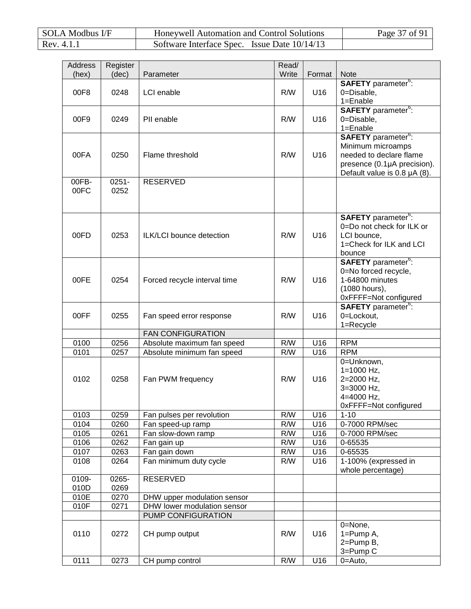| <b>SOLA Modbus I/F</b> | Honeywell Automation and Control Solutions   | Page 37 of 91 |
|------------------------|----------------------------------------------|---------------|
| Rev. 4.1.1             | Software Interface Spec. Issue Date 10/14/13 |               |

| Address | Register          |                              | Read/ |                   |                                                  |
|---------|-------------------|------------------------------|-------|-------------------|--------------------------------------------------|
| (hex)   | (dec)             | Parameter                    | Write | Format            | <b>Note</b>                                      |
|         |                   |                              |       |                   | <b>SAFETY</b> parameter <sup>6</sup> :           |
| 00F8    | 0248              | LCI enable                   | R/W   | U16               | 0=Disable,                                       |
|         |                   |                              |       |                   | $1 =$ Enable                                     |
|         |                   |                              |       |                   | <b>SAFETY</b> parameter <sup>6</sup> :           |
| 00F9    | 0249              | PII enable                   | R/W   | U16               | 0=Disable,                                       |
|         |                   |                              |       |                   | $1 =$ Enable                                     |
|         |                   |                              |       |                   | <b>SAFETY</b> parameter <sup>6</sup> :           |
| 00FA    |                   | Flame threshold              | R/W   | U16               | Minimum microamps<br>needed to declare flame     |
|         | 0250              |                              |       |                   | presence (0.1µA precision).                      |
|         |                   |                              |       |                   | Default value is $0.8 \mu A$ (8).                |
| 00FB-   | $0251 -$          | RESERVED                     |       |                   |                                                  |
| 00FC    | 0252              |                              |       |                   |                                                  |
|         |                   |                              |       |                   |                                                  |
|         |                   |                              |       |                   |                                                  |
|         |                   |                              |       |                   | <b>SAFETY</b> parameter <sup>6</sup> :           |
|         |                   |                              |       |                   | 0=Do not check for ILK or                        |
| 00FD    | 0253              | ILK/LCI bounce detection     | R/W   | U16               | LCI bounce,                                      |
|         |                   |                              |       |                   | 1=Check for ILK and LCI                          |
|         |                   |                              |       |                   | bounce<br><b>SAFETY</b> parameter <sup>6</sup> : |
|         |                   |                              |       |                   | 0=No forced recycle,                             |
| 00FE    | 0254              | Forced recycle interval time | R/W   | U16               | 1-64800 minutes                                  |
|         |                   |                              |       |                   | (1080 hours),                                    |
|         |                   |                              |       |                   | 0xFFFF=Not configured                            |
|         |                   |                              |       |                   | SAFETY parameter <sup>6</sup> :                  |
| 00FF    | 0255              | Fan speed error response     | R/W   | U16               | 0=Lockout,                                       |
|         |                   |                              |       |                   | 1=Recycle                                        |
|         |                   | <b>FAN CONFIGURATION</b>     |       |                   |                                                  |
| 0100    | 0256              | Absolute maximum fan speed   | R/N   | U16               | <b>RPM</b>                                       |
| 0101    | 0257              | Absolute minimum fan speed   | R/W   | $U$ <sup>16</sup> | <b>RPM</b>                                       |
|         |                   |                              |       |                   | 0=Unknown,                                       |
|         |                   |                              |       |                   | $1=1000$ Hz,                                     |
| 0102    | 0258              | Fan PWM frequency            | R/W   | U16               | 2=2000 Hz,                                       |
|         |                   |                              |       |                   | 3=3000 Hz,                                       |
|         |                   |                              |       |                   | 4=4000 Hz,<br>0xFFFF=Not configured              |
| 0103    | 0259              | Fan pulses per revolution    | R/W   | U16               | $1 - 10$                                         |
| 0104    | 0260              | Fan speed-up ramp            | R/W   | U16               | 0-7000 RPM/sec                                   |
| 0105    | $\overline{02}61$ | Fan slow-down ramp           | R/W   | U16               | 0-7000 RPM/sec                                   |
| 0106    | 0262              | Fan gain up                  | R/W   | U16               | 0-65535                                          |
| 0107    | 0263              | Fan gain down                | R/W   | U16               | 0-65535                                          |
| 0108    | 0264              | Fan minimum duty cycle       | R/W   | U16               | 1-100% (expressed in                             |
|         |                   |                              |       |                   | whole percentage)                                |
| 0109-   | 0265-             | RESERVED                     |       |                   |                                                  |
| 010D    | 0269              |                              |       |                   |                                                  |
| 010E    | 0270              | DHW upper modulation sensor  |       |                   |                                                  |
| 010F    | 0271              | DHW lower modulation sensor  |       |                   |                                                  |
|         |                   | PUMP CONFIGURATION           |       |                   |                                                  |
|         |                   |                              |       |                   | 0=None,                                          |
| 0110    | 0272              | CH pump output               | R/W   | U16               | 1=Pump A,<br>2=Pump B,                           |
|         |                   |                              |       |                   | 3=Pump C                                         |
| 0111    | 0273              | CH pump control              | R/W   | U16               | $0 =$ Auto,                                      |
|         |                   |                              |       |                   |                                                  |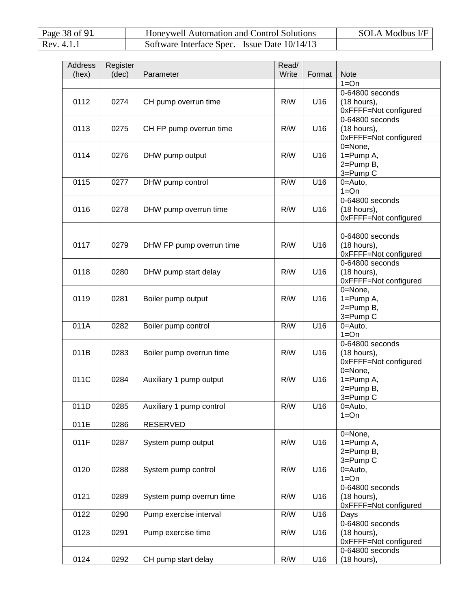| Page 38 of 91 | Honeywell Automation and Control Solutions   | <b>SOLA Modbus I/F</b> |
|---------------|----------------------------------------------|------------------------|
| Rev. 4.1.1    | Software Interface Spec. Issue Date 10/14/13 |                        |

| <b>Address</b> | Register |                          | Read/ |        |                                        |
|----------------|----------|--------------------------|-------|--------|----------------------------------------|
| (hex)          | (dec)    | Parameter                | Write | Format | <b>Note</b>                            |
|                |          |                          |       |        | $1 = On$                               |
|                |          |                          |       |        | 0-64800 seconds                        |
| 0112           | 0274     | CH pump overrun time     | R/W   | U16    | $(18$ hours),                          |
|                |          |                          |       |        | 0xFFFF=Not configured                  |
| 0113           | 0275     |                          | R/W   | U16    | 0-64800 seconds                        |
|                |          | CH FP pump overrun time  |       |        | $(18$ hours),<br>0xFFFF=Not configured |
|                |          |                          |       |        | 0=None,                                |
| 0114           | 0276     | DHW pump output          | R/W   | U16    | 1=Pump A,                              |
|                |          |                          |       |        | 2=Pump B,                              |
|                |          |                          |       |        | 3=Pump C                               |
| 0115           | 0277     | DHW pump control         | R/W   | U16    | $0=$ Auto,                             |
|                |          |                          |       |        | $1 = On$                               |
|                |          |                          |       |        | 0-64800 seconds                        |
| 0116           | 0278     | DHW pump overrun time    | R/W   | U16    | (18 hours),                            |
|                |          |                          |       |        | 0xFFFF=Not configured                  |
|                |          |                          |       |        | 0-64800 seconds                        |
| 0117           | 0279     | DHW FP pump overrun time | R/W   | U16    | $(18$ hours),                          |
|                |          |                          |       |        | 0xFFFF=Not configured                  |
|                |          |                          |       |        | 0-64800 seconds                        |
| 0118           | 0280     | DHW pump start delay     | R/W   | U16    | $(18$ hours),                          |
|                |          |                          |       |        | 0xFFFF=Not configured                  |
|                |          |                          |       |        | 0=None,                                |
| 0119           | 0281     | Boiler pump output       | R/W   | U16    | 1=Pump A,                              |
|                |          |                          |       |        | 2=Pump B,                              |
| 011A           | 0282     | Boiler pump control      | R/W   | U16    | 3=Pump C<br>$0 =$ Auto,                |
|                |          |                          |       |        | $1=On$                                 |
|                |          |                          |       |        | 0-64800 seconds                        |
| 011B           | 0283     | Boiler pump overrun time | R/W   | U16    | $(18$ hours),                          |
|                |          |                          |       |        | 0xFFFF=Not configured                  |
|                |          |                          |       |        | 0=None,                                |
| 011C           | 0284     | Auxiliary 1 pump output  | R/W   | U16    | $1 = Pump A$ ,                         |
|                |          |                          |       |        | 2=Pump B,                              |
| 011D           |          | Auxiliary 1 pump control |       |        | 3=Pump C                               |
|                | 0285     |                          | R/W   | U16    | 0=Auto,<br>$1 = On$                    |
| 011E           | 0286     | RESERVED                 |       |        |                                        |
|                |          |                          |       |        | 0=None,                                |
| 011F           | 0287     | System pump output       | R/W   | U16    | 1=Pump A,                              |
|                |          |                          |       |        | 2=Pump B,                              |
|                |          |                          |       |        | 3=Pump C                               |
| 0120           | 0288     | System pump control      | R/W   | U16    | 0=Auto,                                |
|                |          |                          |       |        | $1 = On$                               |
| 0121           | 0289     | System pump overrun time | R/W   | U16    | 0-64800 seconds<br>$(18$ hours),       |
|                |          |                          |       |        | 0xFFFF=Not configured                  |
| 0122           | 0290     | Pump exercise interval   | R/W   | U16    | Days                                   |
|                |          |                          |       |        | 0-64800 seconds                        |
| 0123           | 0291     | Pump exercise time       | R/W   | U16    | $(18$ hours),                          |
|                |          |                          |       |        | 0xFFFF=Not configured                  |
|                |          |                          |       |        | 0-64800 seconds                        |
| 0124           | 0292     | CH pump start delay      | R/W   | U16    | $(18$ hours),                          |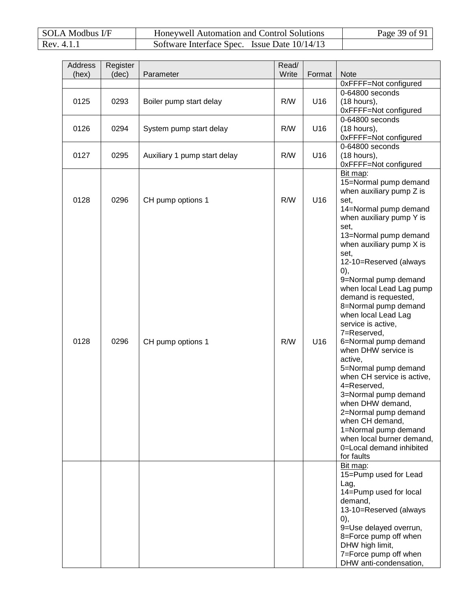| <b>SOLA Modbus I/F</b> | Honeywell Automation and Control Solutions   | Page 39 of 91 |
|------------------------|----------------------------------------------|---------------|
| Rev. 4.1.1             | Software Interface Spec. Issue Date 10/14/13 |               |

| Address | Register |                              | Read/ |        |                                             |
|---------|----------|------------------------------|-------|--------|---------------------------------------------|
| (hex)   | (dec)    | Parameter                    | Write | Format | <b>Note</b><br>0xFFFF=Not configured        |
|         |          |                              |       |        | 0-64800 seconds                             |
| 0125    | 0293     | Boiler pump start delay      | R/W   | U16    | (18 hours),                                 |
|         |          |                              |       |        | 0xFFFF=Not configured                       |
|         |          |                              |       |        | 0-64800 seconds                             |
| 0126    | 0294     | System pump start delay      | R/W   | U16    | $(18$ hours),                               |
|         |          |                              |       |        | 0xFFFF=Not configured                       |
| 0127    | 0295     | Auxiliary 1 pump start delay | R/W   | U16    | 0-64800 seconds<br>$(18$ hours),            |
|         |          |                              |       |        | 0xFFFF=Not configured                       |
|         |          |                              |       |        | Bit map:                                    |
|         |          |                              |       |        | 15=Normal pump demand                       |
|         |          |                              |       |        | when auxiliary pump Z is                    |
| 0128    | 0296     | CH pump options 1            | R/W   | U16    | set,                                        |
|         |          |                              |       |        | 14=Normal pump demand                       |
|         |          |                              |       |        | when auxiliary pump Y is<br>set,            |
|         |          |                              |       |        | 13=Normal pump demand                       |
|         |          |                              |       |        | when auxiliary pump X is                    |
|         |          |                              |       |        | set,                                        |
|         |          |                              |       |        | 12-10=Reserved (always                      |
|         |          |                              |       |        | (0),<br>9=Normal pump demand                |
|         |          |                              |       |        | when local Lead Lag pump                    |
|         |          |                              |       |        | demand is requested,                        |
|         |          |                              |       |        | 8=Normal pump demand                        |
|         |          |                              |       |        | when local Lead Lag                         |
|         |          |                              |       |        | service is active,                          |
| 0128    | 0296     |                              | R/W   |        | 7=Reserved,                                 |
|         |          | CH pump options 1            |       | U16    | 6=Normal pump demand<br>when DHW service is |
|         |          |                              |       |        | active,                                     |
|         |          |                              |       |        | 5=Normal pump demand                        |
|         |          |                              |       |        | when CH service is active,                  |
|         |          |                              |       |        | 4=Reserved,                                 |
|         |          |                              |       |        | 3=Normal pump demand                        |
|         |          |                              |       |        | when DHW demand,<br>2=Normal pump demand    |
|         |          |                              |       |        | when CH demand,                             |
|         |          |                              |       |        | 1=Normal pump demand                        |
|         |          |                              |       |        | when local burner demand,                   |
|         |          |                              |       |        | 0=Local demand inhibited                    |
|         |          |                              |       |        | for faults                                  |
|         |          |                              |       |        | Bit map:<br>15=Pump used for Lead           |
|         |          |                              |       |        | Lag,                                        |
|         |          |                              |       |        | 14=Pump used for local                      |
|         |          |                              |       |        | demand,                                     |
|         |          |                              |       |        | 13-10=Reserved (always                      |
|         |          |                              |       |        | (0),<br>9=Use delayed overrun,              |
|         |          |                              |       |        | 8=Force pump off when                       |
|         |          |                              |       |        | DHW high limit,                             |
|         |          |                              |       |        | 7=Force pump off when                       |
|         |          |                              |       |        | DHW anti-condensation,                      |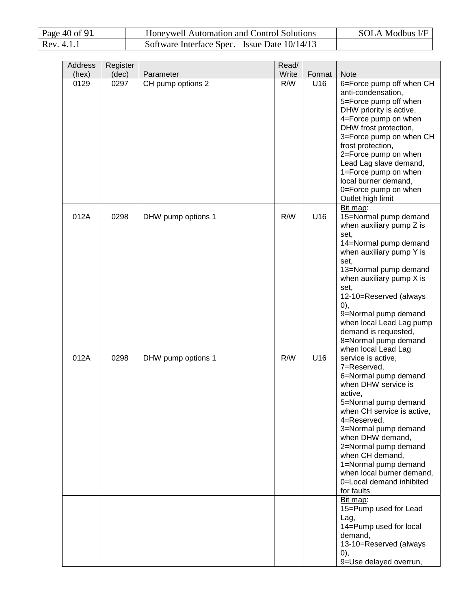| Page 40 of 91 | Honeywell Automation and Control Solutions   | <b>SOLA Modbus I/F</b> |
|---------------|----------------------------------------------|------------------------|
| Rev. 4.1.1    | Software Interface Spec. Issue Date 10/14/13 |                        |

| Address      | Register     |                                          | Read/      |            |                                                                                                                                                                                                                                                                                                                                                                                                                                                                                                                                                                                                                                                                                                                        |
|--------------|--------------|------------------------------------------|------------|------------|------------------------------------------------------------------------------------------------------------------------------------------------------------------------------------------------------------------------------------------------------------------------------------------------------------------------------------------------------------------------------------------------------------------------------------------------------------------------------------------------------------------------------------------------------------------------------------------------------------------------------------------------------------------------------------------------------------------------|
| (hex)        | (dec)        | Parameter                                | Write      | Format     | <b>Note</b>                                                                                                                                                                                                                                                                                                                                                                                                                                                                                                                                                                                                                                                                                                            |
| 0129         | 0297         | CH pump options 2                        | R/W        | U16        | 6=Force pump off when CH<br>anti-condensation,<br>5=Force pump off when<br>DHW priority is active,<br>4=Force pump on when<br>DHW frost protection,<br>3=Force pump on when CH<br>frost protection,<br>2=Force pump on when<br>Lead Lag slave demand,<br>1=Force pump on when<br>local burner demand,<br>0=Force pump on when<br>Outlet high limit                                                                                                                                                                                                                                                                                                                                                                     |
| 012A<br>012A | 0298<br>0298 | DHW pump options 1<br>DHW pump options 1 | R/W<br>R/W | U16<br>U16 | Bit map:<br>15=Normal pump demand<br>when auxiliary pump Z is<br>set,<br>14=Normal pump demand<br>when auxiliary pump Y is<br>set,<br>13=Normal pump demand<br>when auxiliary pump X is<br>set,<br>12-10=Reserved (always<br>(0),<br>9=Normal pump demand<br>when local Lead Lag pump<br>demand is requested,<br>8=Normal pump demand<br>when local Lead Lag<br>service is active,<br>7=Reserved,<br>6=Normal pump demand<br>when DHW service is<br>active,<br>5=Normal pump demand<br>when CH service is active,<br>4=Reserved,<br>3=Normal pump demand<br>when DHW demand,<br>2=Normal pump demand<br>when CH demand,<br>1=Normal pump demand<br>when local burner demand,<br>0=Local demand inhibited<br>for faults |
|              |              |                                          |            |            | Bit map:<br>15=Pump used for Lead<br>Lag,<br>14=Pump used for local<br>demand,<br>13-10=Reserved (always                                                                                                                                                                                                                                                                                                                                                                                                                                                                                                                                                                                                               |
|              |              |                                          |            |            | (0),<br>9=Use delayed overrun,                                                                                                                                                                                                                                                                                                                                                                                                                                                                                                                                                                                                                                                                                         |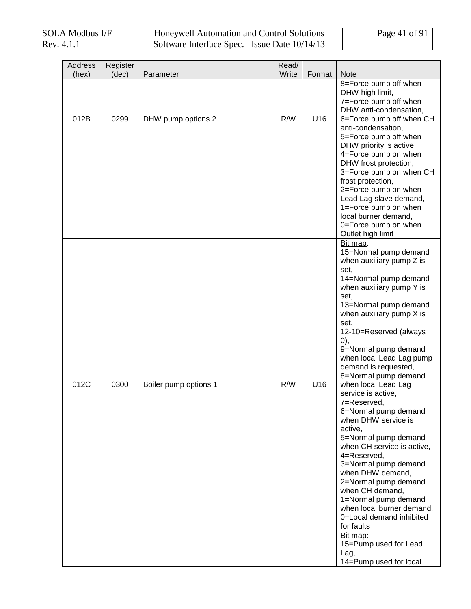| <b>SOLA Modbus I/F</b> | Honeywell Automation and Control Solutions   | Page 41 of 91 |
|------------------------|----------------------------------------------|---------------|
| Rev. 4.1.1             | Software Interface Spec. Issue Date 10/14/13 |               |

| Address | Register |                       | Read/ |        |                                                                                                                                                                                                                                                                                                                                                                                                                                                                                                                                                                                                                                                                                                                                    |
|---------|----------|-----------------------|-------|--------|------------------------------------------------------------------------------------------------------------------------------------------------------------------------------------------------------------------------------------------------------------------------------------------------------------------------------------------------------------------------------------------------------------------------------------------------------------------------------------------------------------------------------------------------------------------------------------------------------------------------------------------------------------------------------------------------------------------------------------|
| (hex)   | (dec)    | Parameter             | Write | Format | <b>Note</b>                                                                                                                                                                                                                                                                                                                                                                                                                                                                                                                                                                                                                                                                                                                        |
| 012B    | 0299     | DHW pump options 2    | R/W   | U16    | 8=Force pump off when<br>DHW high limit,<br>7=Force pump off when<br>DHW anti-condensation,<br>6=Force pump off when CH<br>anti-condensation,<br>5=Force pump off when<br>DHW priority is active,<br>4=Force pump on when<br>DHW frost protection,<br>3=Force pump on when CH<br>frost protection,<br>2=Force pump on when<br>Lead Lag slave demand,<br>1=Force pump on when<br>local burner demand,<br>0=Force pump on when<br>Outlet high limit                                                                                                                                                                                                                                                                                  |
| 012C    | 0300     | Boiler pump options 1 | R/W   | U16    | Bit map:<br>15=Normal pump demand<br>when auxiliary pump Z is<br>set,<br>14=Normal pump demand<br>when auxiliary pump Y is<br>set,<br>13=Normal pump demand<br>when auxiliary pump X is<br>set,<br>12-10=Reserved (always<br>(0),<br>9=Normal pump demand<br>when local Lead Lag pump<br>demand is requested,<br>8=Normal pump demand<br>when local Lead Lag<br>service is active,<br>7=Reserved,<br>6=Normal pump demand<br>when DHW service is<br>active.<br>5=Normal pump demand<br>when CH service is active,<br>4=Reserved,<br>3=Normal pump demand<br>when DHW demand,<br>2=Normal pump demand<br>when CH demand,<br>1=Normal pump demand<br>when local burner demand,<br>0=Local demand inhibited<br>for faults<br>Bit map: |
|         |          |                       |       |        | 15=Pump used for Lead<br>Lag,<br>14=Pump used for local                                                                                                                                                                                                                                                                                                                                                                                                                                                                                                                                                                                                                                                                            |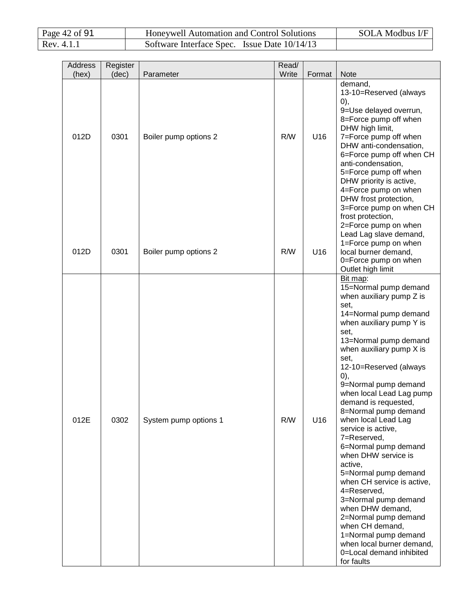| Page 42 of 91 | Honeywell Automation and Control Solutions   | SOLA Modbus I/F |
|---------------|----------------------------------------------|-----------------|
| Rev. 4.1.1    | Software Interface Spec. Issue Date 10/14/13 |                 |

| Address | Register |                       | Read/ |        |                                                                                                                                                                                                                                                                                                                                                                                                                                                                                                                                                                                                                                                                                                                        |
|---------|----------|-----------------------|-------|--------|------------------------------------------------------------------------------------------------------------------------------------------------------------------------------------------------------------------------------------------------------------------------------------------------------------------------------------------------------------------------------------------------------------------------------------------------------------------------------------------------------------------------------------------------------------------------------------------------------------------------------------------------------------------------------------------------------------------------|
| (hex)   | (dec)    | Parameter             | Write | Format | <b>Note</b>                                                                                                                                                                                                                                                                                                                                                                                                                                                                                                                                                                                                                                                                                                            |
| 012D    | 0301     | Boiler pump options 2 | R/W   | U16    | demand,<br>13-10=Reserved (always<br>(0),<br>9=Use delayed overrun,<br>8=Force pump off when<br>DHW high limit,<br>7=Force pump off when<br>DHW anti-condensation,<br>6=Force pump off when CH<br>anti-condensation,<br>5=Force pump off when<br>DHW priority is active,<br>4=Force pump on when<br>DHW frost protection,<br>3=Force pump on when CH                                                                                                                                                                                                                                                                                                                                                                   |
| 012D    | 0301     | Boiler pump options 2 | R/W   | U16    | frost protection,<br>2=Force pump on when<br>Lead Lag slave demand,<br>1=Force pump on when<br>local burner demand,<br>0=Force pump on when<br>Outlet high limit                                                                                                                                                                                                                                                                                                                                                                                                                                                                                                                                                       |
| 012E    | 0302     | System pump options 1 | R/W   | U16    | Bit map:<br>15=Normal pump demand<br>when auxiliary pump Z is<br>set,<br>14=Normal pump demand<br>when auxiliary pump Y is<br>set,<br>13=Normal pump demand<br>when auxiliary pump X is<br>set,<br>12-10=Reserved (always<br>(0),<br>9=Normal pump demand<br>when local Lead Lag pump<br>demand is requested,<br>8=Normal pump demand<br>when local Lead Lag<br>service is active,<br>7=Reserved,<br>6=Normal pump demand<br>when DHW service is<br>active,<br>5=Normal pump demand<br>when CH service is active,<br>4=Reserved,<br>3=Normal pump demand<br>when DHW demand,<br>2=Normal pump demand<br>when CH demand,<br>1=Normal pump demand<br>when local burner demand,<br>0=Local demand inhibited<br>for faults |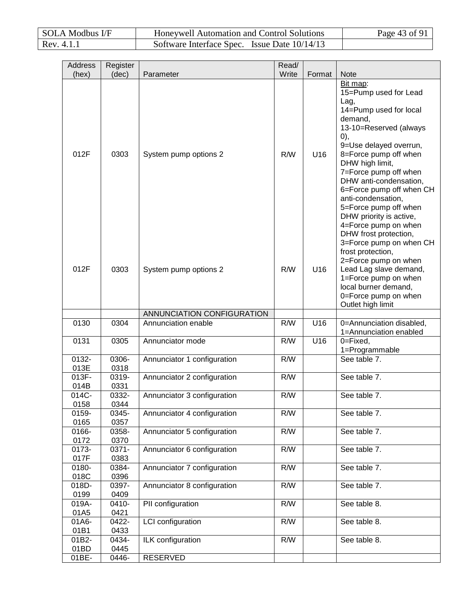| <b>SOLA Modbus I/F</b> | Honeywell Automation and Control Solutions   | Page 43 of 91 |
|------------------------|----------------------------------------------|---------------|
| Rev. 4.1.1             | Software Interface Spec. Issue Date 10/14/13 |               |

| <b>Address</b> | Register      |                             | Read/ |        |                                                                                                                                                                                                                                                                                                                                                 |
|----------------|---------------|-----------------------------|-------|--------|-------------------------------------------------------------------------------------------------------------------------------------------------------------------------------------------------------------------------------------------------------------------------------------------------------------------------------------------------|
| (hex)          | (dec)         | Parameter                   | Write | Format | <b>Note</b>                                                                                                                                                                                                                                                                                                                                     |
| 012F           | 0303          | System pump options 2       | R/W   | U16    | Bit map:<br>15=Pump used for Lead<br>Lag,<br>14=Pump used for local<br>demand,<br>13-10=Reserved (always<br>(0),<br>9=Use delayed overrun,<br>8=Force pump off when<br>DHW high limit,<br>7=Force pump off when<br>DHW anti-condensation,<br>6=Force pump off when CH<br>anti-condensation,<br>5=Force pump off when<br>DHW priority is active, |
| 012F           | 0303          | System pump options 2       | R/W   | U16    | 4=Force pump on when<br>DHW frost protection,<br>3=Force pump on when CH<br>frost protection,<br>2=Force pump on when<br>Lead Lag slave demand,<br>1=Force pump on when<br>local burner demand,<br>0=Force pump on when<br>Outlet high limit                                                                                                    |
|                |               | ANNUNCIATION CONFIGURATION  |       |        |                                                                                                                                                                                                                                                                                                                                                 |
| 0130           | 0304          | Annunciation enable         | R/W   | U16    | 0=Annunciation disabled,<br>1=Annunciation enabled                                                                                                                                                                                                                                                                                              |
| 0131           | 0305          | Annunciator mode            | R/W   | U16    | 0=Fixed,<br>1=Programmable                                                                                                                                                                                                                                                                                                                      |
| 0132-<br>013E  | 0306-<br>0318 | Annunciator 1 configuration | R/W   |        | See table 7.                                                                                                                                                                                                                                                                                                                                    |
| 013F-          | 0319-         | Annunciator 2 configuration | R/W   |        | See table 7.                                                                                                                                                                                                                                                                                                                                    |
| 014B           | 0331          |                             |       |        |                                                                                                                                                                                                                                                                                                                                                 |
| 014C-<br>0158  | 0332-<br>0344 | Annunciator 3 configuration | R/W   |        | See table 7.                                                                                                                                                                                                                                                                                                                                    |
| 0159-          | 0345-         | Annunciator 4 configuration | R/W   |        | See table 7.                                                                                                                                                                                                                                                                                                                                    |
| 0165           | 0357          |                             |       |        |                                                                                                                                                                                                                                                                                                                                                 |
| 0166-<br>0172  | 0358-<br>0370 | Annunciator 5 configuration | R/W   |        | See table 7.                                                                                                                                                                                                                                                                                                                                    |
| 0173-          | 0371-         | Annunciator 6 configuration | R/W   |        | See table 7.                                                                                                                                                                                                                                                                                                                                    |
| 017F           | 0383          |                             |       |        |                                                                                                                                                                                                                                                                                                                                                 |
| 0180-          | 0384-         | Annunciator 7 configuration | R/W   |        | See table 7.                                                                                                                                                                                                                                                                                                                                    |
| 018C           | 0396          |                             |       |        |                                                                                                                                                                                                                                                                                                                                                 |
| 018D-          | 0397-         | Annunciator 8 configuration | R/W   |        | See table 7.                                                                                                                                                                                                                                                                                                                                    |
| 0199           | 0409          |                             |       |        |                                                                                                                                                                                                                                                                                                                                                 |
| 019A-          | 0410-         | PII configuration           | R/W   |        | See table 8.                                                                                                                                                                                                                                                                                                                                    |
| 01A5           | 0421          |                             |       |        |                                                                                                                                                                                                                                                                                                                                                 |
| 01A6-          | 0422-         | LCI configuration           | R/W   |        | See table 8.                                                                                                                                                                                                                                                                                                                                    |
| 01B1           | 0433          |                             |       |        |                                                                                                                                                                                                                                                                                                                                                 |
| 01B2-          | 0434-         | ILK configuration           | R/W   |        | See table 8.                                                                                                                                                                                                                                                                                                                                    |
| 01BD           | 0445          |                             |       |        |                                                                                                                                                                                                                                                                                                                                                 |
| 01BE-          | 0446-         | RESERVED                    |       |        |                                                                                                                                                                                                                                                                                                                                                 |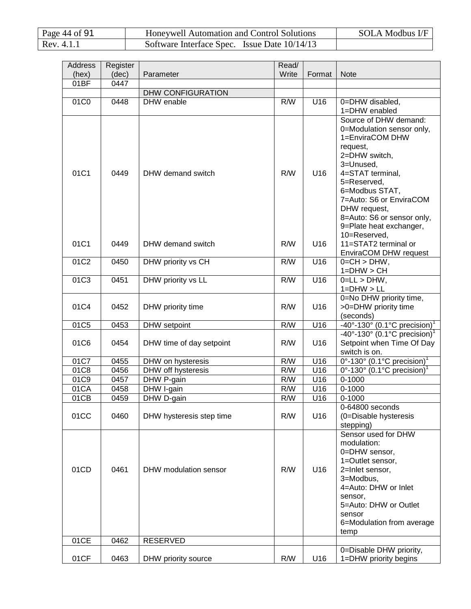| Page 44 of 91 | Honeywell Automation and Control Solutions   | <b>SOLA Modbus I/F</b> |
|---------------|----------------------------------------------|------------------------|
| Rev. 4.1.1    | Software Interface Spec. Issue Date 10/14/13 |                        |

| <b>Address</b> | Register |                          | Read/ |                  |                                                                         |
|----------------|----------|--------------------------|-------|------------------|-------------------------------------------------------------------------|
| (hex)          | (dec)    | Parameter                | Write | Format           | <b>Note</b>                                                             |
| 01BF           | 0447     |                          |       |                  |                                                                         |
|                |          | <b>DHW CONFIGURATION</b> |       |                  |                                                                         |
| 01C0           | 0448     | DHW enable               | R/W   | U16              | 0=DHW disabled,                                                         |
|                |          |                          |       |                  | 1=DHW enabled                                                           |
|                |          |                          |       |                  | Source of DHW demand:                                                   |
|                |          |                          |       |                  | 0=Modulation sensor only,                                               |
|                |          |                          |       |                  | 1=EnviraCOM DHW                                                         |
|                |          |                          |       |                  | request,                                                                |
|                |          |                          |       |                  | 2=DHW switch,                                                           |
|                |          |                          |       |                  | 3=Unused,                                                               |
| 01C1           | 0449     | DHW demand switch        | R/W   | U16              | 4=STAT terminal,                                                        |
|                |          |                          |       |                  | 5=Reserved,                                                             |
|                |          |                          |       |                  | 6=Modbus STAT,                                                          |
|                |          |                          |       |                  | 7=Auto: S6 or EnviraCOM                                                 |
|                |          |                          |       |                  | DHW request,<br>8=Auto: S6 or sensor only,                              |
|                |          |                          |       |                  | 9=Plate heat exchanger,                                                 |
|                |          |                          |       |                  | 10=Reserved,                                                            |
| 01C1           | 0449     | DHW demand switch        | R/W   | U16              | 11=STAT2 terminal or                                                    |
|                |          |                          |       |                  | EnviraCOM DHW request                                                   |
| 01C2           | 0450     | DHW priority vs CH       | R/W   | U16              | $0=CH$ > DHW,                                                           |
|                |          |                          |       |                  | $1 = DHW > CH$                                                          |
| 01C3           | 0451     | DHW priority vs LL       | R/W   | $\overline{U16}$ | $0=LL > DHW,$                                                           |
|                |          |                          |       |                  | $1 = DHW > LL$                                                          |
|                |          |                          |       |                  | 0=No DHW priority time,                                                 |
| 01C4           | 0452     | DHW priority time        | R/W   | U16              | >0=DHW priority time                                                    |
|                |          |                          |       |                  | (seconds)                                                               |
| 01C5           | 0453     | DHW setpoint             | R/W   | U16              | $-40^{\circ}$ -130 $^{\circ}$ (0.1 $^{\circ}$ C precision) <sup>1</sup> |
|                |          |                          |       |                  | $-40^{\circ}$ -130 $^{\circ}$ (0.1 $^{\circ}$ C precision) <sup>1</sup> |
| 01C6           | 0454     | DHW time of day setpoint | R/W   | U16              | Setpoint when Time Of Day                                               |
|                |          |                          |       |                  | switch is on.                                                           |
| 01C7           | 0455     | DHW on hysteresis        | R/W   | U16              | $0^{\circ}$ -130 $^{\circ}$ (0.1 $^{\circ}$ C precision)                |
| 01C8           | 0456     | DHW off hysteresis       | R/W   | U16              | $0^{\circ}$ -130 $^{\circ}$ (0.1 $^{\circ}$ C precision)                |
| 01C9           | 0457     | DHW P-gain               | R/W   | U16              | $0 - 1000$                                                              |
| 01CA           | 0458     | DHW I-gain               | R/W   | U16              | $0 - 1000$                                                              |
| 01CB           | 0459     | DHW D-gain               | R/W   | U16              | $0 - 1000$                                                              |
|                |          |                          |       |                  | 0-64800 seconds                                                         |
| 01CC           | 0460     | DHW hysteresis step time | R/W   | U16              | (0=Disable hysteresis                                                   |
|                |          |                          |       |                  | stepping)                                                               |
|                |          |                          |       |                  | Sensor used for DHW                                                     |
|                |          |                          |       |                  | modulation:                                                             |
|                |          |                          |       |                  | 0=DHW sensor,                                                           |
|                |          |                          |       |                  | 1=Outlet sensor,                                                        |
| 01CD           | 0461     | DHW modulation sensor    | R/W   | U16              | 2=Inlet sensor,                                                         |
|                |          |                          |       |                  | 3=Modbus,                                                               |
|                |          |                          |       |                  | 4=Auto: DHW or Inlet                                                    |
|                |          |                          |       |                  | sensor,                                                                 |
|                |          |                          |       |                  | 5=Auto: DHW or Outlet                                                   |
|                |          |                          |       |                  | sensor                                                                  |
|                |          |                          |       |                  | 6=Modulation from average                                               |
| 01CE           | 0462     |                          |       |                  | temp                                                                    |
|                |          | <b>RESERVED</b>          |       |                  |                                                                         |
|                |          |                          |       |                  | 0=Disable DHW priority,                                                 |
| 01CF           | 0463     | DHW priority source      | R/W   | U16              | 1=DHW priority begins                                                   |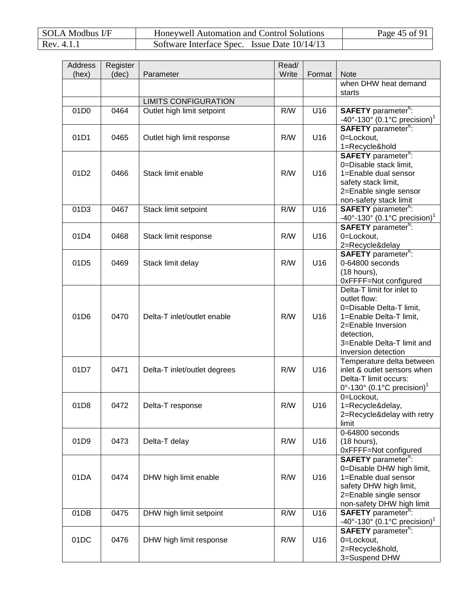| <b>SOLA Modbus I/F</b> | Honeywell Automation and Control Solutions   | Page 45 of 91 |
|------------------------|----------------------------------------------|---------------|
| Rev. 4.1.1             | Software Interface Spec. Issue Date 10/14/13 |               |

| <b>Address</b>   | Register |                              | Read/ |        |                                                                   |
|------------------|----------|------------------------------|-------|--------|-------------------------------------------------------------------|
| (hex)            | (dec)    | Parameter                    | Write | Format | <b>Note</b>                                                       |
|                  |          |                              |       |        | when DHW heat demand                                              |
|                  |          |                              |       |        | starts                                                            |
|                  |          | <b>LIMITS CONFIGURATION</b>  |       |        |                                                                   |
| 01D <sub>0</sub> | 0464     | Outlet high limit setpoint   | R/W   | U16    | <b>SAFETY</b> parameter <sup>6</sup> :                            |
|                  |          |                              |       |        | $-40^\circ$ -130 $^\circ$ (0.1 $^\circ$ C precision) <sup>1</sup> |
|                  |          |                              |       |        | <b>SAFETY</b> parameter <sup>6</sup> :                            |
| 01D1             | 0465     | Outlet high limit response   | R/W   | U16    | 0=Lockout,                                                        |
|                  |          |                              |       |        | 1=Recycle&hold<br><b>SAFETY</b> parameter <sup>6</sup> :          |
|                  |          |                              |       |        | 0=Disable stack limit,                                            |
| 01D2             | 0466     | Stack limit enable           | R/W   | U16    | 1=Enable dual sensor                                              |
|                  |          |                              |       |        | safety stack limit,                                               |
|                  |          |                              |       |        | 2=Enable single sensor                                            |
|                  |          |                              |       |        | non-safety stack limit                                            |
| 01D3             | 0467     | Stack limit setpoint         | R/W   | U16    | <b>SAFETY</b> parameter <sup>6</sup> :                            |
|                  |          |                              |       |        | $-40^\circ$ -130 $\circ$ (0.1 $\circ$ C precision) <sup>1</sup>   |
|                  |          |                              |       |        | <b>SAFETY</b> parameter <sup>6</sup> :                            |
| 01D4             | 0468     | Stack limit response         | R/W   | U16    | 0=Lockout,                                                        |
|                  |          |                              |       |        | 2=Recycle&delay                                                   |
|                  |          |                              |       |        | <b>SAFETY</b> parameter <sup>6</sup> :                            |
| 01D <sub>5</sub> | 0469     | Stack limit delay            | R/W   | U16    | 0-64800 seconds                                                   |
|                  |          |                              |       |        | $(18$ hours),                                                     |
|                  |          |                              |       |        | 0xFFFF=Not configured                                             |
|                  |          |                              |       |        | Delta-T limit for inlet to                                        |
|                  |          |                              |       |        | outlet flow:                                                      |
|                  |          |                              |       |        | 0=Disable Delta-T limit,                                          |
| 01D6             | 0470     | Delta-T inlet/outlet enable  | R/W   | U16    | 1=Enable Delta-T limit,                                           |
|                  |          |                              |       |        | 2=Enable Inversion                                                |
|                  |          |                              |       |        | detection,                                                        |
|                  |          |                              |       |        | 3=Enable Delta-T limit and<br>Inversion detection                 |
|                  |          |                              |       |        | Temperature delta between                                         |
| 01D7             | 0471     | Delta-T inlet/outlet degrees | R/W   | U16    | inlet & outlet sensors when                                       |
|                  |          |                              |       |        | Delta-T limit occurs:                                             |
|                  |          |                              |       |        | 0°-130° (0.1°C precision) <sup>1</sup>                            |
|                  |          |                              |       |        | 0=Lockout,                                                        |
| 01D8             | 0472     | Delta-T response             | R/W   | U16    | 1=Recycle&delay,                                                  |
|                  |          |                              |       |        | 2=Recycle&delay with retry                                        |
|                  |          |                              |       |        | limit                                                             |
|                  |          |                              |       |        | 0-64800 seconds                                                   |
| 01D9             | 0473     | Delta-T delay                | R/W   | U16    | $(18$ hours),                                                     |
|                  |          |                              |       |        | 0xFFFF=Not configured                                             |
|                  |          |                              |       |        | <b>SAFETY</b> parameter <sup>6</sup> :                            |
|                  |          |                              |       |        | 0=Disable DHW high limit,                                         |
| 01DA             | 0474     | DHW high limit enable        | R/W   | U16    | 1=Enable dual sensor                                              |
|                  |          |                              |       |        | safety DHW high limit,                                            |
|                  |          |                              |       |        | 2=Enable single sensor<br>non-safety DHW high limit               |
| 01DB             | 0475     | DHW high limit setpoint      | R/W   | U16    | <b>SAFETY</b> parameter <sup>6</sup> :                            |
|                  |          |                              |       |        | -40°-130° (0.1°C precision) <sup>1</sup>                          |
|                  |          |                              |       |        | <b>SAFETY</b> parameter <sup>6</sup> :                            |
| 01DC             | 0476     | DHW high limit response      | R/W   | U16    | 0=Lockout,                                                        |
|                  |          |                              |       |        | 2=Recycle&hold,                                                   |
|                  |          |                              |       |        | 3=Suspend DHW                                                     |
|                  |          |                              |       |        |                                                                   |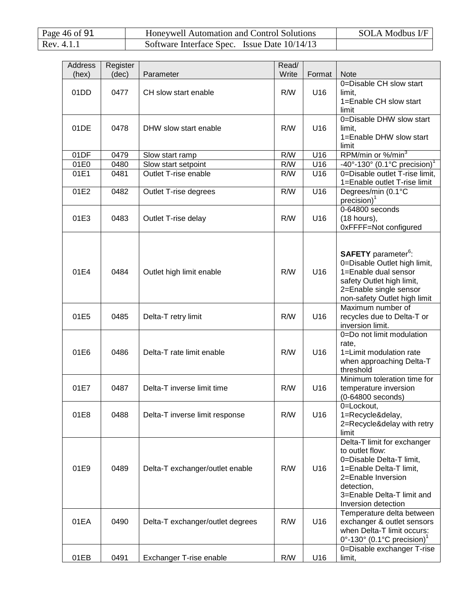| Page 46 of 91 | Honeywell Automation and Control Solutions   | SOLA Modbus I/F |
|---------------|----------------------------------------------|-----------------|
| Rev. 4.1.1    | Software Interface Spec. Issue Date 10/14/13 |                 |

| <b>Address</b> | Register |                                  | Read/ |        |                                                                                                                                                                                                |
|----------------|----------|----------------------------------|-------|--------|------------------------------------------------------------------------------------------------------------------------------------------------------------------------------------------------|
| (hex)          | (dec)    | Parameter                        | Write | Format | <b>Note</b>                                                                                                                                                                                    |
| 01DD           | 0477     | CH slow start enable             | R/W   | U16    | 0=Disable CH slow start<br>limit,<br>1=Enable CH slow start<br>limit                                                                                                                           |
| 01DE           | 0478     | DHW slow start enable            | R/W   | U16    | 0=Disable DHW slow start<br>limit,<br>1=Enable DHW slow start<br>limit                                                                                                                         |
| 01DF           | 0479     | Slow start ramp                  | R/W   | U16    | RPM/min or %/min <sup>3</sup>                                                                                                                                                                  |
| 01E0           | 0480     | Slow start setpoint              | R/W   | U16    | -40°-130° (0.1°C precision) <sup>1</sup>                                                                                                                                                       |
| 01E1           | 0481     | Outlet T-rise enable             | R/W   | U16    | 0=Disable outlet T-rise limit,<br>1=Enable outlet T-rise limit                                                                                                                                 |
| 01E2           | 0482     | Outlet T-rise degrees            | R/W   | U16    | Degrees/min (0.1°C<br>$precision)^1$                                                                                                                                                           |
| 01E3           | 0483     | Outlet T-rise delay              | R/W   | U16    | 0-64800 seconds<br>(18 hours),<br>0xFFFF=Not configured                                                                                                                                        |
| 01E4           | 0484     | Outlet high limit enable         | R/W   | U16    | <b>SAFETY</b> parameter <sup>6</sup> :<br>0=Disable Outlet high limit,<br>1=Enable dual sensor<br>safety Outlet high limit,<br>2=Enable single sensor<br>non-safety Outlet high limit          |
| 01E5           | 0485     | Delta-T retry limit              | R/W   | U16    | Maximum number of<br>recycles due to Delta-T or<br>inversion limit.                                                                                                                            |
| 01E6           | 0486     | Delta-T rate limit enable        | R/W   | U16    | 0=Do not limit modulation<br>rate,<br>1=Limit modulation rate<br>when approaching Delta-T<br>threshold                                                                                         |
| 01E7           | 0487     | Delta-T inverse limit time       | R/W   | U16    | Minimum toleration time for<br>temperature inversion<br>(0-64800 seconds)                                                                                                                      |
| 01E8           | 0488     | Delta-T inverse limit response   | R/W   | U16    | 0=Lockout,<br>1=Recycle&delay,<br>2=Recycle&delay with retry<br>limit                                                                                                                          |
| 01E9           | 0489     | Delta-T exchanger/outlet enable  | R/W   | U16    | Delta-T limit for exchanger<br>to outlet flow:<br>0=Disable Delta-T limit,<br>1=Enable Delta-T limit,<br>2=Enable Inversion<br>detection,<br>3=Enable Delta-T limit and<br>Inversion detection |
| 01EA           | 0490     | Delta-T exchanger/outlet degrees | R/W   | U16    | Temperature delta between<br>exchanger & outlet sensors<br>when Delta-T limit occurs:<br>$0^{\circ}$ -130 $^{\circ}$ (0.1 $^{\circ}$ C precision) <sup>1</sup>                                 |
| 01EB           | 0491     | Exchanger T-rise enable          | R/W   | U16    | 0=Disable exchanger T-rise<br>limit,                                                                                                                                                           |
|                |          |                                  |       |        |                                                                                                                                                                                                |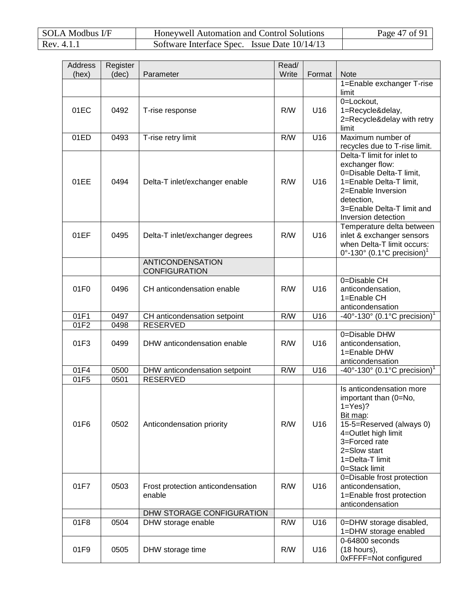| <b>SOLA Modbus I/F</b> | Honeywell Automation and Control Solutions   | Page 47 of 91 |
|------------------------|----------------------------------------------|---------------|
| Rev. 4.1.1             | Software Interface Spec. Issue Date 10/14/13 |               |

| <b>Address</b> | Register |                                   | Read/ |                 |                                                                         |
|----------------|----------|-----------------------------------|-------|-----------------|-------------------------------------------------------------------------|
| (hex)          | (dec)    | Parameter                         | Write | Format          | <b>Note</b>                                                             |
|                |          |                                   |       |                 | 1=Enable exchanger T-rise                                               |
|                |          |                                   |       |                 | limit<br>0=Lockout,                                                     |
| 01EC           | 0492     | T-rise response                   | R/W   | U16             | 1=Recycle&delay,                                                        |
|                |          |                                   |       |                 | 2=Recycle&delay with retry                                              |
|                |          |                                   |       |                 | limit                                                                   |
| 01ED           | 0493     | T-rise retry limit                | R/W   | U16             | Maximum number of                                                       |
|                |          |                                   |       |                 | recycles due to T-rise limit.                                           |
|                |          |                                   |       |                 | Delta-T limit for inlet to                                              |
|                |          |                                   |       |                 | exchanger flow:                                                         |
|                |          |                                   |       |                 | 0=Disable Delta-T limit,                                                |
| 01EE           | 0494     | Delta-T inlet/exchanger enable    | R/W   | U16             | 1=Enable Delta-T limit,                                                 |
|                |          |                                   |       |                 | 2=Enable Inversion<br>detection,                                        |
|                |          |                                   |       |                 | 3=Enable Delta-T limit and                                              |
|                |          |                                   |       |                 | Inversion detection                                                     |
|                |          |                                   |       |                 | Temperature delta between                                               |
| 01EF           | 0495     | Delta-T inlet/exchanger degrees   | R/W   | U16             | inlet & exchanger sensors                                               |
|                |          |                                   |       |                 | when Delta-T limit occurs:                                              |
|                |          |                                   |       |                 | $0^{\circ}$ -130 $^{\circ}$ (0.1 $^{\circ}$ C precision) <sup>1</sup>   |
|                |          | <b>ANTICONDENSATION</b>           |       |                 |                                                                         |
|                |          | <b>CONFIGURATION</b>              |       |                 | 0=Disable CH                                                            |
| 01F0           | 0496     | CH anticondensation enable        | R/W   | U16             | anticondensation,                                                       |
|                |          |                                   |       |                 | 1=Enable CH                                                             |
|                |          |                                   |       |                 | anticondensation                                                        |
| 01F1           | 0497     | CH anticondensation setpoint      | R/W   | U16             | -40°-130° (0.1°C precision) <sup>1</sup>                                |
| 01F2           | 0498     | <b>RESERVED</b>                   |       |                 |                                                                         |
|                |          |                                   |       |                 | 0=Disable DHW                                                           |
| 01F3           | 0499     | DHW anticondensation enable       | R/W   | U <sub>16</sub> | anticondensation,<br>1=Enable DHW                                       |
|                |          |                                   |       |                 | anticondensation                                                        |
| 01F4           | 0500     | DHW anticondensation setpoint     | R/W   | U16             | $-40^{\circ}$ -130 $^{\circ}$ (0.1 $^{\circ}$ C precision) <sup>1</sup> |
| 01F5           | 0501     | <b>RESERVED</b>                   |       |                 |                                                                         |
|                |          |                                   |       |                 | Is anticondensation more                                                |
|                |          |                                   |       |                 | important than (0=No,                                                   |
|                |          |                                   |       |                 | $1 = Yes$ )?                                                            |
|                |          |                                   |       |                 | Bit map:                                                                |
| 01F6           | 0502     | Anticondensation priority         | R/W   | U16             | 15-5=Reserved (always 0)                                                |
|                |          |                                   |       |                 | 4=Outlet high limit<br>3=Forced rate                                    |
|                |          |                                   |       |                 | 2=Slow start                                                            |
|                |          |                                   |       |                 | 1=Delta-T limit                                                         |
|                |          |                                   |       |                 | 0=Stack limit                                                           |
|                |          |                                   |       |                 | 0=Disable frost protection                                              |
| 01F7           | 0503     | Frost protection anticondensation | R/W   | U16             | anticondensation,                                                       |
|                |          | enable                            |       |                 | 1=Enable frost protection                                               |
|                |          |                                   |       |                 | anticondensation                                                        |
|                |          | DHW STORAGE CONFIGURATION         |       |                 |                                                                         |
| 01F8           | 0504     | DHW storage enable                | R/W   | U16             | 0=DHW storage disabled,<br>1=DHW storage enabled                        |
|                |          |                                   |       |                 | 0-64800 seconds                                                         |
| 01F9           | 0505     | DHW storage time                  | R/W   | U16             | $(18$ hours),                                                           |
|                |          |                                   |       |                 | 0xFFFF=Not configured                                                   |
|                |          |                                   |       |                 |                                                                         |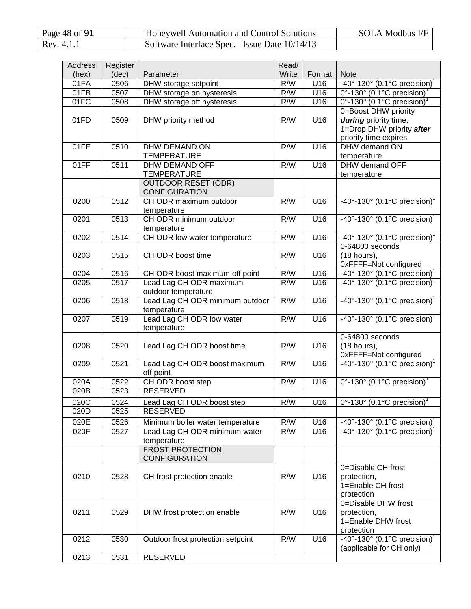| Page 48 of 91 | Honeywell Automation and Control Solutions   | <b>SOLA Modbus I/F</b> |
|---------------|----------------------------------------------|------------------------|
| Rev. 4.1.1    | Software Interface Spec. Issue Date 10/14/13 |                        |

| <b>Address</b> | Register |                                                    | Read/             |        |                                                                                                     |
|----------------|----------|----------------------------------------------------|-------------------|--------|-----------------------------------------------------------------------------------------------------|
| (hex)          | (dec)    | Parameter                                          | Write             | Format | <b>Note</b>                                                                                         |
| 01FA           | 0506     | DHW storage setpoint                               | R/W               | U16    | $-40^{\circ}$ -130 $^{\circ}$ (0.1 $^{\circ}$ C precision) <sup>1</sup>                             |
| 01FB           | 0507     | DHW storage on hysteresis                          | R/W               | U16    | $0^{\circ}$ -130 $^{\circ}$ (0.1 $^{\circ}$ C precision) <sup>2</sup>                               |
| 01FC           | 0508     | DHW storage off hysteresis                         | R/W               | U16    | $0^{\circ}$ -130 $^{\circ}$ (0.1 $^{\circ}$ C precision) <sup>1</sup>                               |
| 01FD           | 0509     | DHW priority method                                | R/W               | U16    | 0=Boost DHW priority<br>during priority time,<br>1=Drop DHW priority after<br>priority time expires |
| 01FE           | 0510     | DHW DEMAND ON<br><b>TEMPERATURE</b>                | R/W               | U16    | DHW demand ON<br>temperature                                                                        |
| 01FF           | 0511     | DHW DEMAND OFF<br><b>TEMPERATURE</b>               | R/W               | U16    | DHW demand OFF<br>temperature                                                                       |
|                |          | <b>OUTDOOR RESET (ODR)</b><br><b>CONFIGURATION</b> |                   |        |                                                                                                     |
| 0200           | 0512     | CH ODR maximum outdoor<br>temperature              | R/W               | U16    | $-40^{\circ}$ -130 $^{\circ}$ (0.1 $^{\circ}$ C precision) <sup>1</sup>                             |
| 0201           | 0513     | CH ODR minimum outdoor<br>temperature              | R/W               | U16    | $-40^{\circ}$ -130 $^{\circ}$ (0.1 $^{\circ}$ C precision) <sup>1</sup>                             |
| 0202           | 0514     | CH ODR low water temperature                       | R/W               | U16    | $-40^{\circ}$ -130 $^{\circ}$ (0.1 $^{\circ}$ C precision) <sup>1</sup>                             |
| 0203           | 0515     | CH ODR boost time                                  | R/W               | U16    | 0-64800 seconds<br>(18 hours),<br>0xFFFF=Not configured                                             |
| 0204           | 0516     | CH ODR boost maximum off point                     | R/W               | U16    | $-40^{\circ}$ -130 $^{\circ}$ (0.1 $^{\circ}$ C precision) <sup>1</sup>                             |
| 0205           | 0517     | Lead Lag CH ODR maximum<br>outdoor temperature     | R/W               | U16    | $-40^{\circ}$ -130 $^{\circ}$ (0.1 $^{\circ}$ C precision) <sup>1</sup>                             |
| 0206           | 0518     | Lead Lag CH ODR minimum outdoor<br>temperature     | R/W               | U16    | $-40^{\circ}$ -130 $^{\circ}$ (0.1 $^{\circ}$ C precision) <sup>1</sup>                             |
| 0207           | 0519     | Lead Lag CH ODR low water<br>temperature           | R/W               | U16    | $-40^{\circ}$ -130 $^{\circ}$ (0.1 $^{\circ}$ C precision) <sup>1</sup>                             |
| 0208           | 0520     | Lead Lag CH ODR boost time                         | R/W               | U16    | $0-64800$ seconds<br>$(18$ hours),<br>0xFFFF=Not configured                                         |
| 0209           | 0521     | Lead Lag CH ODR boost maximum<br>off point         | R/W               | U16    | $-40^{\circ}$ -130 $^{\circ}$ (0.1 $^{\circ}$ C precision) <sup>1</sup>                             |
| 020A           | 0522     | CH ODR boost step                                  | R/W               | U16    | $0^{\circ}$ -130 $^{\circ}$ (0.1 $^{\circ}$ C precision) <sup>1</sup>                               |
| 020B           | 0523     | <b>RESERVED</b>                                    |                   |        |                                                                                                     |
| 020C           | 0524     | Lead Lag CH ODR boost step                         | R/W               | U16    | $0^{\circ}$ -130 $^{\circ}$ (0.1 $^{\circ}$ C precision) <sup>1</sup>                               |
| 020D           | 0525     | RESERVED                                           |                   |        |                                                                                                     |
| 020E           | 0526     | Minimum boiler water temperature                   | $\overline{R}$ /W | U16    | $-40^{\circ}$ -130 $^{\circ}$ (0.1 $^{\circ}$ C precision) <sup>1</sup>                             |
| 020F           | 0527     | Lead Lag CH ODR minimum water<br>temperature       | R/W               | U16    | $-40^{\circ}$ -130 $^{\circ}$ (0.1 $^{\circ}$ C precision) <sup>1</sup>                             |
|                |          | <b>FROST PROTECTION</b><br><b>CONFIGURATION</b>    |                   |        |                                                                                                     |
| 0210           | 0528     | CH frost protection enable                         | R/W               | U16    | 0=Disable CH frost<br>protection,<br>1=Enable CH frost<br>protection                                |
| 0211           | 0529     | DHW frost protection enable                        | R/W               | U16    | 0=Disable DHW frost<br>protection,<br>1=Enable DHW frost<br>protection                              |
| 0212           | 0530     | Outdoor frost protection setpoint                  | R/W               | U16    | $-40^\circ$ -130 $\circ$ (0.1 $\circ$ C precision) <sup>1</sup><br>(applicable for CH only)         |
| 0213           | 0531     | RESERVED                                           |                   |        |                                                                                                     |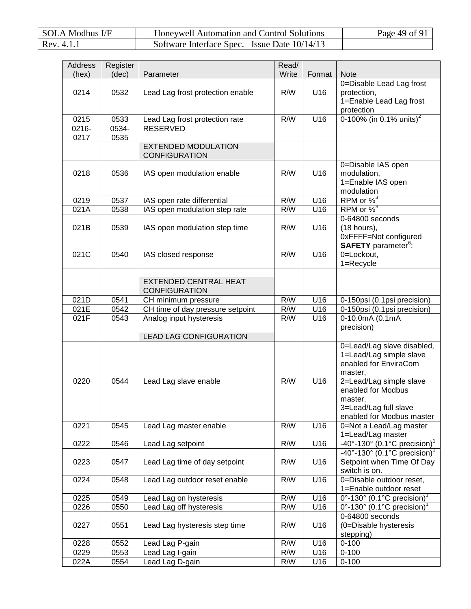| <b>SOLA Modbus I/F</b> | Honeywell Automation and Control Solutions   | Page 49 of 91 |
|------------------------|----------------------------------------------|---------------|
| Rev. 4.1.1             | Software Interface Spec. Issue Date 10/14/13 |               |

| <b>Address</b> | Register      |                                                      | Read/ |        |                                                                                                                                                                                                             |
|----------------|---------------|------------------------------------------------------|-------|--------|-------------------------------------------------------------------------------------------------------------------------------------------------------------------------------------------------------------|
| (hex)          | (dec)         | Parameter                                            | Write | Format | <b>Note</b>                                                                                                                                                                                                 |
| 0214           | 0532          | Lead Lag frost protection enable                     | R/W   | U16    | 0=Disable Lead Lag frost<br>protection,<br>1=Enable Lead Lag frost<br>protection                                                                                                                            |
| 0215           | 0533          | Lead Lag frost protection rate                       | R/W   | U16    | 0-100% (in 0.1% units) <sup>2</sup>                                                                                                                                                                         |
| 0216-<br>0217  | 0534-<br>0535 | <b>RESERVED</b>                                      |       |        |                                                                                                                                                                                                             |
|                |               | <b>EXTENDED MODULATION</b><br><b>CONFIGURATION</b>   |       |        |                                                                                                                                                                                                             |
| 0218           | 0536          | IAS open modulation enable                           | R/W   | U16    | 0=Disable IAS open<br>modulation,<br>1=Enable IAS open<br>modulation                                                                                                                                        |
| 0219           | 0537          | IAS open rate differential                           | R/W   | U16    | RPM or $\frac{9}{6}$ <sup>3</sup>                                                                                                                                                                           |
| 021A           | 0538          | IAS open modulation step rate                        | R/W   | U16    | RPM or $\%$ <sup>3</sup>                                                                                                                                                                                    |
| 021B           | 0539          | IAS open modulation step time                        | R/W   | U16    | 0-64800 seconds<br>(18 hours),<br>0xFFFF=Not configured                                                                                                                                                     |
| 021C           | 0540          | IAS closed response                                  | R/W   | U16    | <b>SAFETY</b> parameter <sup>6</sup> :<br>0=Lockout,<br>1=Recycle                                                                                                                                           |
|                |               |                                                      |       |        |                                                                                                                                                                                                             |
|                |               | <b>EXTENDED CENTRAL HEAT</b><br><b>CONFIGURATION</b> |       |        |                                                                                                                                                                                                             |
| 021D           | 0541          | CH minimum pressure                                  | R/W   | U16    | 0-150psi (0.1psi precision)                                                                                                                                                                                 |
| 021E           | 0542          | CH time of day pressure setpoint                     | R/W   | U16    | 0-150psi (0.1psi precision)                                                                                                                                                                                 |
| 021F           | 0543          | Analog input hysteresis                              | R/W   | U16    | 0-10.0mA (0.1mA<br>precision)                                                                                                                                                                               |
|                |               | <b>LEAD LAG CONFIGURATION</b>                        |       |        |                                                                                                                                                                                                             |
| 0220           | 0544          | Lead Lag slave enable                                | R/W   | U16    | 0=Lead/Lag slave disabled,<br>1=Lead/Lag simple slave<br>enabled for EnviraCom<br>master,<br>2=Lead/Lag simple slave<br>enabled for Modbus<br>master,<br>3=Lead/Lag full slave<br>enabled for Modbus master |
| 0221           | 0545          | Lead Lag master enable                               | R/W   | U16    | 0=Not a Lead/Lag master<br>1=Lead/Lag master                                                                                                                                                                |
| 0222           | 0546          | Lead Lag setpoint                                    | R/W   | U16    | $-40^\circ - 130^\circ$ (0.1°C precision) <sup>1</sup>                                                                                                                                                      |
| 0223           | 0547          | Lead Lag time of day setpoint                        | R/W   | U16    | $-40^\circ$ -130 $\circ$ (0.1 $\circ$ C precision) <sup>1</sup><br>Setpoint when Time Of Day<br>switch is on.                                                                                               |
| 0224           | 0548          | Lead Lag outdoor reset enable                        | R/W   | U16    | 0=Disable outdoor reset,<br>1=Enable outdoor reset                                                                                                                                                          |
| 0225           | 0549          | Lead Lag on hysteresis                               | R/W   | U16    | $0^{\circ}$ -130 $^{\circ}$ (0.1 $^{\circ}$ C precision) <sup>2</sup>                                                                                                                                       |
| 0226           | 0550          | Lead Lag off hysteresis                              | R/W   | U16    | $0^{\circ}$ -130 $^{\circ}$ (0.1 $^{\circ}$ C precision) <sup>1</sup>                                                                                                                                       |
| 0227           | 0551          | Lead Lag hysteresis step time                        | R/W   | U16    | 0-64800 seconds<br>(0=Disable hysteresis<br>stepping)                                                                                                                                                       |
| 0228           | 0552          | Lead Lag P-gain                                      | R/W   | U16    | $0 - 100$                                                                                                                                                                                                   |
| 0229           | 0553          | Lead Lag I-gain                                      | R/W   | U16    | $0 - 100$                                                                                                                                                                                                   |
| 022A           | 0554          | Lead Lag D-gain                                      | R/W   | U16    | $0 - 100$                                                                                                                                                                                                   |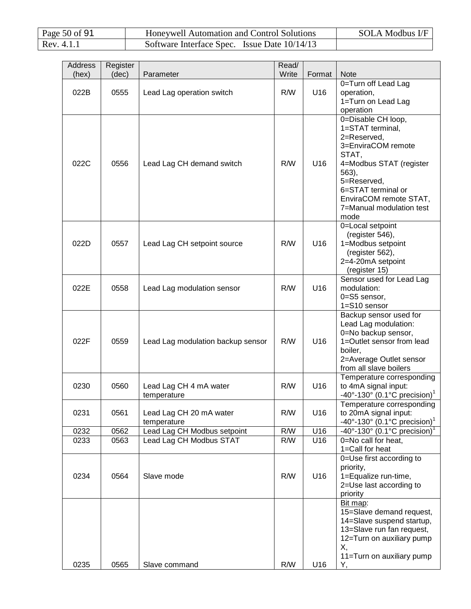| Page 50 of 91 | Honeywell Automation and Control Solutions   | SOLA Modbus $I/F$ |
|---------------|----------------------------------------------|-------------------|
| Rev. 4.1.1    | Software Interface Spec. Issue Date 10/14/13 |                   |

| <b>Address</b> | Register |                                        | Read/ |        |                                                                                                                                                                                                                             |
|----------------|----------|----------------------------------------|-------|--------|-----------------------------------------------------------------------------------------------------------------------------------------------------------------------------------------------------------------------------|
| (hex)          | (dec)    | Parameter                              | Write | Format | <b>Note</b>                                                                                                                                                                                                                 |
| 022B           | 0555     | Lead Lag operation switch              | R/W   | U16    | 0=Turn off Lead Lag<br>operation,<br>1=Turn on Lead Lag<br>operation                                                                                                                                                        |
| 022C           | 0556     | Lead Lag CH demand switch              | R/W   | U16    | 0=Disable CH loop,<br>1=STAT terminal,<br>2=Reserved,<br>3=EnviraCOM remote<br>STAT,<br>4=Modbus STAT (register<br>563),<br>5=Reserved,<br>6=STAT terminal or<br>EnviraCOM remote STAT,<br>7=Manual modulation test<br>mode |
| 022D           | 0557     | Lead Lag CH setpoint source            | R/W   | U16    | 0=Local setpoint<br>(register 546),<br>1=Modbus setpoint<br>(register 562),<br>2=4-20mA setpoint<br>(register 15)                                                                                                           |
| 022E           | 0558     | Lead Lag modulation sensor             | R/W   | U16    | Sensor used for Lead Lag<br>modulation:<br>0=S5 sensor,<br>1=S10 sensor                                                                                                                                                     |
| 022F           | 0559     | Lead Lag modulation backup sensor      | R/W   | U16    | Backup sensor used for<br>Lead Lag modulation:<br>0=No backup sensor,<br>1=Outlet sensor from lead<br>boiler,<br>2=Average Outlet sensor<br>from all slave boilers                                                          |
| 0230           | 0560     | Lead Lag CH 4 mA water<br>temperature  | R/W   | U16    | Temperature corresponding<br>to 4mA signal input:<br>$-40^{\circ}$ -130 $^{\circ}$ (0.1 $^{\circ}$ C precision) <sup>1</sup>                                                                                                |
| 0231           | 0561     | Lead Lag CH 20 mA water<br>temperature | R/W   | U16    | Temperature corresponding<br>to 20mA signal input:<br>$-40^{\circ}$ -130° (0.1°C precision) <sup>1</sup>                                                                                                                    |
| 0232           | 0562     | Lead Lag CH Modbus setpoint            | R/W   | U16    | $-40^{\circ}$ -130° (0.1 $\overline{C}$ precision) <sup>1</sup>                                                                                                                                                             |
| 0233           | 0563     | Lead Lag CH Modbus STAT                | R/W   | U16    | 0=No call for heat,<br>1=Call for heat                                                                                                                                                                                      |
| 0234           | 0564     | Slave mode                             | R/W   | U16    | $\overline{0}$ =Use first according to<br>priority,<br>1=Equalize run-time,<br>2=Use last according to<br>priority                                                                                                          |
| 0235           | 0565     | Slave command                          | R/W   | U16    | Bit map:<br>15=Slave demand request,<br>14=Slave suspend startup,<br>13=Slave run fan request,<br>12=Turn on auxiliary pump<br>Χ,<br>11=Turn on auxiliary pump<br>Y,                                                        |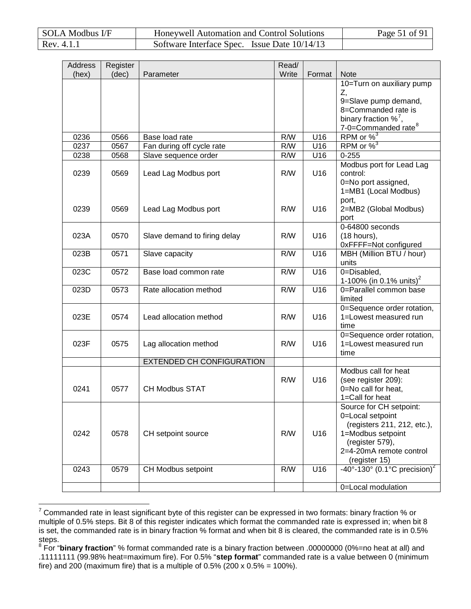| <b>SOLA Modbus I/F</b> | Honeywell Automation and Control Solutions   | Page 51 of 91 |
|------------------------|----------------------------------------------|---------------|
| Rev. 4.1.1             | Software Interface Spec. Issue Date 10/14/13 |               |

| <b>Address</b> | Register |                                  | Read/ |        |                                                     |
|----------------|----------|----------------------------------|-------|--------|-----------------------------------------------------|
| (hex)          | (dec)    | Parameter                        | Write | Format | <b>Note</b>                                         |
|                |          |                                  |       |        | 10=Turn on auxiliary pump                           |
|                |          |                                  |       |        | Z,                                                  |
|                |          |                                  |       |        | 9=Slave pump demand,                                |
|                |          |                                  |       |        | 8=Commanded rate is                                 |
|                |          |                                  |       |        | binary fraction $\%^7$ ,                            |
|                |          |                                  |       |        | 7-0=Commanded rate <sup>8</sup>                     |
| 0236           | 0566     | Base load rate                   | R/W   | U16    | RPM or $\%^3$                                       |
| 0237           | 0567     | Fan during off cycle rate        | R/W   | U16    | RPM or $\%$ <sup>3</sup>                            |
| 0238           | 0568     | Slave sequence order             | R/W   | U16    | $0 - 255$                                           |
|                |          |                                  |       |        | Modbus port for Lead Lag                            |
| 0239           | 0569     | Lead Lag Modbus port             | R/W   | U16    | control:                                            |
|                |          |                                  |       |        | 0=No port assigned,                                 |
|                |          |                                  |       |        | 1=MB1 (Local Modbus)                                |
|                |          |                                  |       |        | port,                                               |
| 0239           | 0569     | Lead Lag Modbus port             | R/W   | U16    | 2=MB2 (Global Modbus)                               |
|                |          |                                  |       |        | port                                                |
|                |          |                                  |       |        | 0-64800 seconds                                     |
| 023A           | 0570     | Slave demand to firing delay     | R/W   | U16    | $(18$ hours),                                       |
|                |          |                                  |       |        | 0xFFFF=Not configured                               |
| 023B           | 0571     | Slave capacity                   | R/W   | U16    | MBH (Million BTU / hour)                            |
|                |          |                                  |       |        | units                                               |
| 023C           | 0572     | Base load common rate            | R/W   | U16    | 0=Disabled,                                         |
|                |          |                                  |       |        | 1-100% (in 0.1% units) <sup>2</sup>                 |
| 023D           | 0573     | Rate allocation method           | R/W   | U16    | 0=Parallel common base                              |
|                |          |                                  |       |        | limited                                             |
| 023E           | 0574     | Lead allocation method           | R/W   | U16    | 0=Sequence order rotation,<br>1=Lowest measured run |
|                |          |                                  |       |        | time                                                |
|                |          |                                  |       |        | 0=Sequence order rotation,                          |
| 023F           | 0575     | Lag allocation method            | R/W   | U16    | 1=Lowest measured run                               |
|                |          |                                  |       |        | time                                                |
|                |          | <b>EXTENDED CH CONFIGURATION</b> |       |        |                                                     |
|                |          |                                  |       |        | Modbus call for heat                                |
|                |          |                                  | R/W   | U16    | (see register 209):                                 |
| 0241           | 0577     | <b>CH Modbus STAT</b>            |       |        | 0=No call for heat,                                 |
|                |          |                                  |       |        | 1=Call for heat                                     |
|                |          |                                  |       |        | Source for CH setpoint:                             |
|                |          |                                  |       |        | 0=Local setpoint                                    |
|                |          |                                  |       |        | (registers 211, 212, etc.),                         |
| 0242           | 0578     | CH setpoint source               | R/W   | U16    | 1=Modbus setpoint                                   |
|                |          |                                  |       |        | (register 579),                                     |
|                |          |                                  |       |        | 2=4-20mA remote control                             |
|                |          |                                  |       |        | (register 15)                                       |
| 0243           | 0579     | CH Modbus setpoint               | R/W   | U16    | -40°-130° $(0.1^{\circ}C \text{ precision})^2$      |
|                |          |                                  |       |        |                                                     |
|                |          |                                  |       |        | 0=Local modulation                                  |

<span id="page-50-0"></span> $7$  Commanded rate in least significant byte of this register can be expressed in two formats: binary fraction % or multiple of 0.5% steps. Bit 8 of this register indicates which format the commanded rate is expressed in; when bit 8 is set, the commanded rate is in binary fraction % format and when bit 8 is cleared, the commanded rate is in 0.5% steps.

<span id="page-50-1"></span><sup>8</sup> For "**binary fraction**" % format commanded rate is a binary fraction between .00000000 (0%=no heat at all) and .11111111 (99.98% heat=maximum fire). For 0.5% "**step format**" commanded rate is a value between 0 (minimum fire) and 200 (maximum fire) that is a multiple of 0.5% (200 x 0.5% = 100%).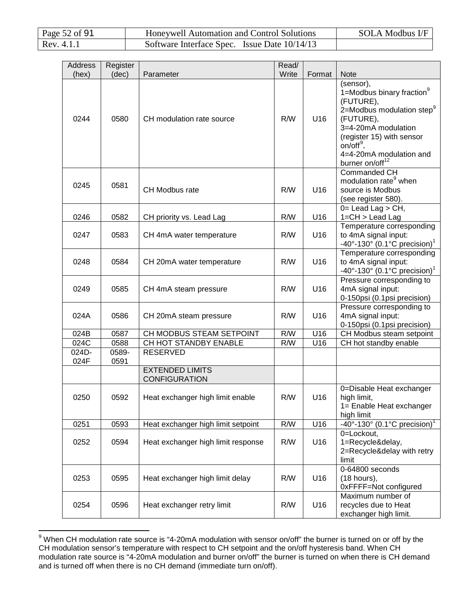| Page 52 of 91 | Honeywell Automation and Control Solutions   | SOLA Modbus $\text{IF}$ |
|---------------|----------------------------------------------|-------------------------|
| Rev. 4.1.1    | Software Interface Spec. Issue Date 10/14/13 |                         |

| <b>Address</b> | Register      |                                                | Read/ |        |                                                                                                                                                                                                                                                    |
|----------------|---------------|------------------------------------------------|-------|--------|----------------------------------------------------------------------------------------------------------------------------------------------------------------------------------------------------------------------------------------------------|
| (hex)          | (dec)         | Parameter                                      | Write | Format | <b>Note</b>                                                                                                                                                                                                                                        |
| 0244           | 0580          | CH modulation rate source                      | R/W   | U16    | (sensor),<br>1=Modbus binary fraction <sup>9</sup><br>(FUTURE),<br>2=Modbus modulation step <sup>9</sup><br>(FUTURE),<br>3=4-20mA modulation<br>(register 15) with sensor<br>$on/off9$ ,<br>4=4-20mA modulation and<br>burner on/off <sup>12</sup> |
| 0245           | 0581          | <b>CH Modbus rate</b>                          | R/W   | U16    | <b>Commanded CH</b><br>modulation rate <sup>9</sup> when<br>source is Modbus<br>(see register 580).                                                                                                                                                |
| 0246           | 0582          | CH priority vs. Lead Lag                       | R/W   | U16    | 0= Lead Lag > CH,<br>$1 = CH$ > Lead Lag                                                                                                                                                                                                           |
| 0247           | 0583          | CH 4mA water temperature                       | R/W   | U16    | Temperature corresponding<br>to 4mA signal input:<br>-40°-130° (0.1°C precision) <sup>1</sup>                                                                                                                                                      |
| 0248           | 0584          | CH 20mA water temperature                      | R/W   | U16    | Temperature corresponding<br>to 4mA signal input:<br>-40°-130° (0.1°C precision) <sup>1</sup>                                                                                                                                                      |
| 0249           | 0585          | CH 4mA steam pressure                          | R/W   | U16    | Pressure corresponding to<br>4mA signal input:<br>0-150psi (0.1psi precision)                                                                                                                                                                      |
| 024A           | 0586          | CH 20mA steam pressure                         | R/W   | U16    | Pressure corresponding to<br>4mA signal input:<br>0-150psi (0.1psi precision)                                                                                                                                                                      |
| 024B           | 0587          | CH MODBUS STEAM SETPOINT                       | R/W   | U16    | CH Modbus steam setpoint                                                                                                                                                                                                                           |
| 024C           | 0588          | CH HOT STANDBY ENABLE                          | R/W   | U16    | CH hot standby enable                                                                                                                                                                                                                              |
| 024D-<br>024F  | 0589-<br>0591 | <b>RESERVED</b>                                |       |        |                                                                                                                                                                                                                                                    |
|                |               | <b>EXTENDED LIMITS</b><br><b>CONFIGURATION</b> |       |        |                                                                                                                                                                                                                                                    |
| 0250           | 0592          | Heat exchanger high limit enable               | R/W   | U16    | 0=Disable Heat exchanger<br>high limit,<br>1= Enable Heat exchanger<br>high limit                                                                                                                                                                  |
| 0251           | 0593          | Heat exchanger high limit setpoint             | R/M   | U16    | $-40^{\circ}$ -130 $^{\circ}$ (0.1 $^{\circ}$ C precision) <sup>1</sup>                                                                                                                                                                            |
| 0252           | 0594          | Heat exchanger high limit response             | R/W   | U16    | 0=Lockout,<br>1=Recycle&delay,<br>2=Recycle&delay with retry<br>limit                                                                                                                                                                              |
| 0253           | 0595          | Heat exchanger high limit delay                | R/W   | U16    | 0-64800 seconds<br>(18 hours),<br>0xFFFF=Not configured                                                                                                                                                                                            |
| 0254           | 0596          | Heat exchanger retry limit                     | R/W   | U16    | Maximum number of<br>recycles due to Heat<br>exchanger high limit.                                                                                                                                                                                 |

<span id="page-51-0"></span><sup>9&</sup>lt;br>9 When CH modulation rate source is "4-20mA modulation with sensor on/off" the burner is turned on or off by the CH modulation sensor's temperature with respect to CH setpoint and the on/off hysteresis band. When CH modulation rate source is "4-20mA modulation and burner on/off" the burner is turned on when there is CH demand and is turned off when there is no CH demand (immediate turn on/off).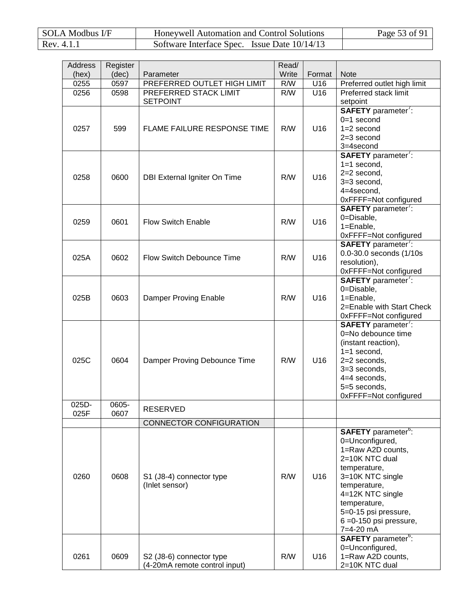| <b>SOLA Modbus I/F</b> | Honeywell Automation and Control Solutions   | Page 53 of 91 |
|------------------------|----------------------------------------------|---------------|
| Rev. 4.1.1             | Software Interface Spec. Issue Date 10/14/13 |               |

| <b>Address</b> | Register |                                    | Read/ |        |                                                      |
|----------------|----------|------------------------------------|-------|--------|------------------------------------------------------|
| (hex)          | (dec)    | Parameter                          | Write | Format | <b>Note</b>                                          |
| 0255           | 0597     | PREFERRED OUTLET HIGH LIMIT        | R/W   | U16    | Preferred outlet high limit                          |
| 0256           | 0598     | PREFERRED STACK LIMIT              | R/W   | U16    | Preferred stack limit                                |
|                |          | <b>SETPOINT</b>                    |       |        | setpoint<br><b>SAFETY</b> parameter <sup>7</sup> :   |
|                |          |                                    |       |        | $0=1$ second                                         |
| 0257           | 599      | <b>FLAME FAILURE RESPONSE TIME</b> | R/W   | U16    | $1=2$ second                                         |
|                |          |                                    |       |        | $2=3$ second                                         |
|                |          |                                    |       |        | 3=4second                                            |
|                |          |                                    |       |        | <b>SAFETY</b> parameter <sup>7</sup> :               |
|                |          |                                    |       |        | $1=1$ second,                                        |
| 0258           | 0600     | DBI External Igniter On Time       | R/W   | U16    | 2=2 second,                                          |
|                |          |                                    |       |        | 3=3 second,                                          |
|                |          |                                    |       |        | 4=4second,                                           |
|                |          |                                    |       |        | 0xFFFF=Not configured                                |
|                |          |                                    |       |        | <b>SAFETY</b> parameter <sup>7</sup> :<br>0=Disable, |
| 0259           | 0601     | <b>Flow Switch Enable</b>          | R/W   | U16    | 1=Enable,                                            |
|                |          |                                    |       |        | 0xFFFF=Not configured                                |
|                |          |                                    |       |        | <b>SAFETY</b> parameter <sup>7</sup> :               |
|                |          |                                    |       |        | 0.0-30.0 seconds (1/10s                              |
| 025A           | 0602     | <b>Flow Switch Debounce Time</b>   | R/W   | U16    | resolution),                                         |
|                |          |                                    |       |        | 0xFFFF=Not configured                                |
|                |          |                                    |       |        | <b>SAFETY</b> parameter <sup>7</sup> :               |
|                |          |                                    |       |        | 0=Disable,                                           |
| 025B           | 0603     | Damper Proving Enable              | R/W   | U16    | $1 =$ Enable,                                        |
|                |          |                                    |       |        | 2=Enable with Start Check                            |
|                |          |                                    |       |        | 0xFFFF=Not configured                                |
|                |          |                                    |       |        | <b>SAFETY</b> parameter <sup>7</sup> :               |
|                |          |                                    |       |        | 0=No debounce time                                   |
|                |          |                                    |       |        | (instant reaction),                                  |
|                |          |                                    |       |        | $1=1$ second,                                        |
| 025C           | 0604     | Damper Proving Debounce Time       | R/W   | U16    | 2=2 seconds,                                         |
|                |          |                                    |       |        | 3=3 seconds,                                         |
|                |          |                                    |       |        | 4=4 seconds,<br>5=5 seconds,                         |
|                |          |                                    |       |        | 0xFFFF=Not configured                                |
| 025D-          | 0605-    |                                    |       |        |                                                      |
| 025F           | 0607     | <b>RESERVED</b>                    |       |        |                                                      |
|                |          | <b>CONNECTOR CONFIGURATION</b>     |       |        |                                                      |
|                |          |                                    |       |        | <b>SAFETY</b> parameter <sup>6</sup> :               |
|                |          |                                    |       |        | 0=Unconfigured,                                      |
|                |          |                                    |       |        | 1=Raw A2D counts,                                    |
|                |          |                                    |       |        | 2=10K NTC dual                                       |
|                |          |                                    |       |        | temperature,                                         |
| 0260           | 0608     | S1 (J8-4) connector type           | R/W   | U16    | 3=10K NTC single                                     |
|                |          | (Inlet sensor)                     |       |        | temperature,                                         |
|                |          |                                    |       |        | 4=12K NTC single<br>temperature,                     |
|                |          |                                    |       |        | 5=0-15 psi pressure,                                 |
|                |          |                                    |       |        | $6 = 0.150$ psi pressure,                            |
|                |          |                                    |       |        | 7=4-20 mA                                            |
|                |          |                                    |       |        | <b>SAFETY</b> parameter <sup>6</sup> :               |
|                |          |                                    |       |        | 0=Unconfigured,                                      |
| 0261           | 0609     | S2 (J8-6) connector type           | R/W   | U16    | 1=Raw A2D counts,                                    |
|                |          | (4-20mA remote control input)      |       |        | 2=10K NTC dual                                       |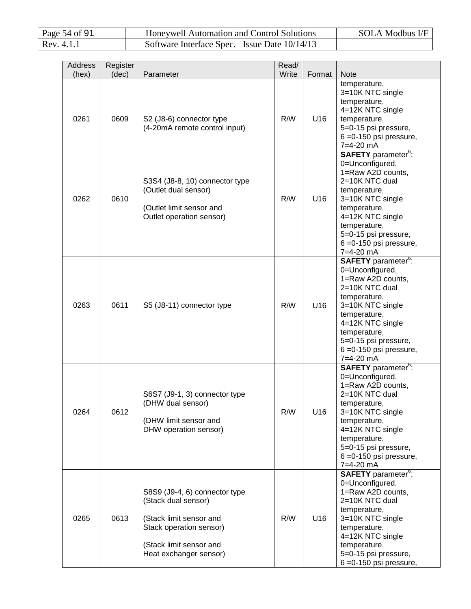| Page 54 of 91 | Honeywell Automation and Control Solutions   | <b>SOLA Modbus I/F</b> |
|---------------|----------------------------------------------|------------------------|
| Rev. 4.1.1    | Software Interface Spec. Issue Date 10/14/13 |                        |

| Address | Register |                                                                                                                                                                 | Read/ |        |                                                                                                                                                                                                                                                            |
|---------|----------|-----------------------------------------------------------------------------------------------------------------------------------------------------------------|-------|--------|------------------------------------------------------------------------------------------------------------------------------------------------------------------------------------------------------------------------------------------------------------|
| (hex)   | (dec)    | Parameter                                                                                                                                                       | Write | Format | <b>Note</b>                                                                                                                                                                                                                                                |
| 0261    | 0609     | S2 (J8-6) connector type<br>(4-20mA remote control input)                                                                                                       | R/W   | U16    | temperature,<br>3=10K NTC single<br>temperature,<br>4=12K NTC single<br>temperature,<br>5=0-15 psi pressure,<br>$6 = 0.150$ psi pressure,<br>7=4-20 mA                                                                                                     |
| 0262    | 0610     | S3S4 (J8-8, 10) connector type<br>(Outlet dual sensor)<br>(Outlet limit sensor and<br>Outlet operation sensor)                                                  | R/W   | U16    | <b>SAFETY</b> parameter <sup>6</sup> :<br>0=Unconfigured,<br>1=Raw A2D counts,<br>2=10K NTC dual<br>temperature,<br>3=10K NTC single<br>temperature,<br>4=12K NTC single<br>temperature,<br>5=0-15 psi pressure,<br>6 = 0-150 psi pressure,<br>7=4-20 mA   |
| 0263    | 0611     | S5 (J8-11) connector type                                                                                                                                       | R/W   | U16    | <b>SAFETY</b> parameter <sup>6</sup> :<br>0=Unconfigured,<br>1=Raw A2D counts,<br>2=10K NTC dual<br>temperature,<br>3=10K NTC single<br>temperature,<br>4=12K NTC single<br>temperature,<br>5=0-15 psi pressure,<br>$6 = 0.150$ psi pressure,<br>7=4-20 mA |
| 0264    | 0612     | S6S7 (J9-1, 3) connector type<br>(DHW dual sensor)<br>(DHW limit sensor and<br>DHW operation sensor)                                                            | R/W   | U16    | <b>SAFETY</b> parameter <sup>6</sup> :<br>0=Unconfigured,<br>1=Raw A2D counts,<br>2=10K NTC dual<br>temperature,<br>3=10K NTC single<br>temperature,<br>4=12K NTC single<br>temperature,<br>5=0-15 psi pressure,<br>$6 = 0.150$ psi pressure,<br>7=4-20 mA |
| 0265    | 0613     | S8S9 (J9-4, 6) connector type<br>(Stack dual sensor)<br>(Stack limit sensor and<br>Stack operation sensor)<br>(Stack limit sensor and<br>Heat exchanger sensor) | R/W   | U16    | <b>SAFETY</b> parameter <sup>6</sup> :<br>0=Unconfigured,<br>1=Raw A2D counts,<br>2=10K NTC dual<br>temperature,<br>3=10K NTC single<br>temperature,<br>4=12K NTC single<br>temperature,<br>5=0-15 psi pressure,<br>$6 = 0.150$ psi pressure,              |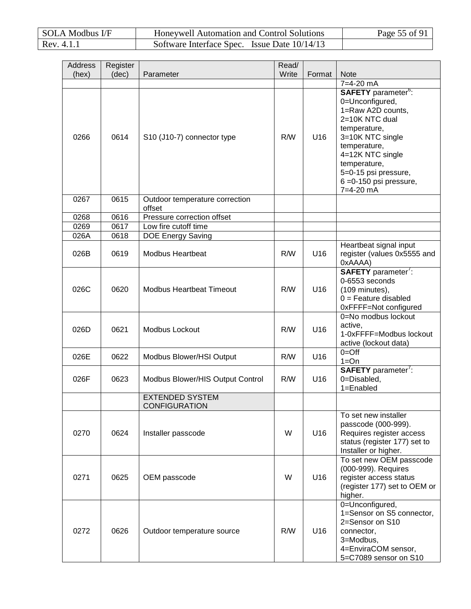| <b>SOLA Modbus I/F</b> | Honeywell Automation and Control Solutions   | Page 55 of 91 |
|------------------------|----------------------------------------------|---------------|
| Rev. 4.1.1             | Software Interface Spec. Issue Date 10/14/13 |               |

| <b>Address</b> | Register |                                                | Read/ |        |                                                                                                                                                                                                                                                            |
|----------------|----------|------------------------------------------------|-------|--------|------------------------------------------------------------------------------------------------------------------------------------------------------------------------------------------------------------------------------------------------------------|
| (hex)          | (dec)    | Parameter                                      | Write | Format | <b>Note</b>                                                                                                                                                                                                                                                |
|                |          |                                                |       |        | $7 = 4 - 20$ mA                                                                                                                                                                                                                                            |
| 0266           | 0614     | S10 (J10-7) connector type                     | R/W   | U16    | <b>SAFETY</b> parameter <sup>6</sup> :<br>0=Unconfigured,<br>1=Raw A2D counts,<br>2=10K NTC dual<br>temperature,<br>3=10K NTC single<br>temperature,<br>4=12K NTC single<br>temperature,<br>5=0-15 psi pressure,<br>$6 = 0.150$ psi pressure,<br>7=4-20 mA |
| 0267           | 0615     | Outdoor temperature correction<br>offset       |       |        |                                                                                                                                                                                                                                                            |
| 0268           | 0616     | Pressure correction offset                     |       |        |                                                                                                                                                                                                                                                            |
| 0269           | 0617     | Low fire cutoff time                           |       |        |                                                                                                                                                                                                                                                            |
| 026A           | 0618     | <b>DOE Energy Saving</b>                       |       |        |                                                                                                                                                                                                                                                            |
| 026B           | 0619     | <b>Modbus Heartbeat</b>                        | R/W   | U16    | Heartbeat signal input<br>register (values 0x5555 and<br>(OXAAAA                                                                                                                                                                                           |
| 026C           | 0620     | <b>Modbus Heartbeat Timeout</b>                | R/W   | U16    | <b>SAFETY</b> parameter <sup>7</sup> :<br>0-6553 seconds<br>(109 minutes),<br>$0 =$ Feature disabled<br>0xFFFF=Not configured                                                                                                                              |
| 026D           | 0621     | Modbus Lockout                                 | R/W   | U16    | 0=No modbus lockout<br>active,<br>1-0xFFFF=Modbus lockout<br>active (lockout data)                                                                                                                                                                         |
| 026E           | 0622     | Modbus Blower/HSI Output                       | R/W   | U16    | $0 =$ Off<br>$1=On$                                                                                                                                                                                                                                        |
| 026F           | 0623     | Modbus Blower/HIS Output Control               | R/W   | U16    | <b>SAFETY</b> parameter <sup>7</sup> :<br>0=Disabled,<br>1=Enabled                                                                                                                                                                                         |
|                |          | <b>EXTENDED SYSTEM</b><br><b>CONFIGURATION</b> |       |        |                                                                                                                                                                                                                                                            |
| 0270           | 0624     | Installer passcode                             | W     | U16    | To set new installer<br>passcode (000-999).<br>Requires register access<br>status (register 177) set to<br>Installer or higher.                                                                                                                            |
| 0271           | 0625     | OEM passcode                                   | W     | U16    | To set new OEM passcode<br>(000-999). Requires<br>register access status<br>(register 177) set to OEM or<br>higher.                                                                                                                                        |
| 0272           | 0626     | Outdoor temperature source                     | R/W   | U16    | 0=Unconfigured,<br>1=Sensor on S5 connector,<br>2=Sensor on S10<br>connector,<br>3=Modbus,<br>4=EnviraCOM sensor,<br>5=C7089 sensor on S10                                                                                                                 |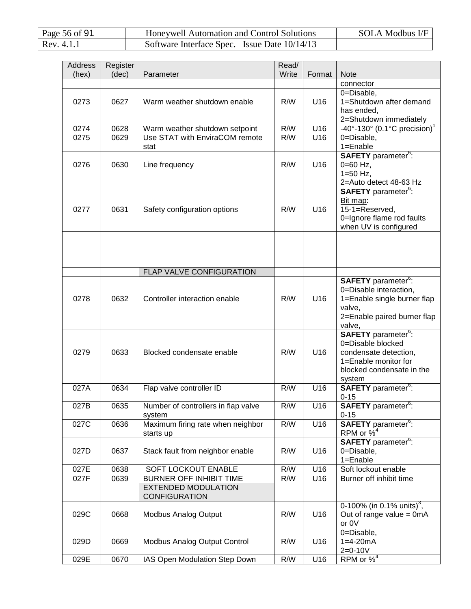| Page 56 of 91 | Honeywell Automation and Control Solutions   | <b>SOLA Modbus I/F</b> |
|---------------|----------------------------------------------|------------------------|
| Rev. 4.1.1    | Software Interface Spec. Issue Date 10/14/13 |                        |

| <b>Address</b> | Register |                                                    | Read/ |                  |                                                                                                                                                     |
|----------------|----------|----------------------------------------------------|-------|------------------|-----------------------------------------------------------------------------------------------------------------------------------------------------|
| (hex)          | (dec)    | Parameter                                          | Write | Format           | <b>Note</b>                                                                                                                                         |
|                |          |                                                    |       |                  | connector                                                                                                                                           |
| 0273           | 0627     | Warm weather shutdown enable                       | R/W   | U16              | 0=Disable,<br>1=Shutdown after demand<br>has ended,<br>2=Shutdown immediately                                                                       |
| 0274           | 0628     | Warm weather shutdown setpoint                     | R/W   | U16              | $-40^{\circ}$ -130 $^{\circ}$ (0.1 $^{\circ}$ C precision) <sup>1</sup>                                                                             |
| 0275           | 0629     | Use STAT with EnviraCOM remote<br>stat             | R/W   | $\overline{U16}$ | 0=Disable,<br>$1 =$ Enable                                                                                                                          |
| 0276           | 0630     | Line frequency                                     | R/W   | U16              | <b>SAFETY</b> parameter <sup>6</sup> :<br>$0=60$ Hz,<br>$1=50$ Hz,<br>2=Auto detect 48-63 Hz                                                        |
| 0277           | 0631     | Safety configuration options                       | R/W   | U16              | <b>SAFETY</b> parameter <sup>6</sup> :<br>Bit map:<br>15-1=Reserved,<br>0=Ignore flame rod faults<br>when UV is configured                          |
|                |          |                                                    |       |                  |                                                                                                                                                     |
|                |          | FLAP VALVE CONFIGURATION                           |       |                  |                                                                                                                                                     |
| 0278           | 0632     | Controller interaction enable                      | R/W   | U16              | <b>SAFETY</b> parameter <sup>6</sup> :<br>0=Disable interaction,<br>1=Enable single burner flap<br>valve,<br>2=Enable paired burner flap<br>valve,  |
| 0279           | 0633     | Blocked condensate enable                          | R/W   | U16              | <b>SAFETY</b> parameter <sup>6</sup> :<br>0=Disable blocked<br>condensate detection,<br>1=Enable monitor for<br>blocked condensate in the<br>system |
| 027A           | 0634     | Flap valve controller ID                           | R/W   | U16              | <b>SAFETY</b> parameter <sup>6</sup> :<br>$0 - 15$                                                                                                  |
| 027B           | 0635     | Number of controllers in flap valve<br>system      | R/W   | $\overline{U16}$ | <b>SAFETY</b> parameter <sup>6</sup> :<br>$0 - 15$                                                                                                  |
| 027C           | 0636     | Maximum firing rate when neighbor<br>starts up     | R/W   | U16              | <b>SAFETY</b> parameter <sup>6</sup> :<br>RPM or % <sup>4</sup>                                                                                     |
| 027D           | 0637     | Stack fault from neighbor enable                   | R/W   | U16              | <b>SAFETY</b> parameter <sup>6</sup> :<br>0=Disable,<br>1=Enable                                                                                    |
| 027E           | 0638     | <b>SOFT LOCKOUT ENABLE</b>                         | R/W   | U16              | Soft lockout enable                                                                                                                                 |
| 027F           | 0639     | <b>BURNER OFF INHIBIT TIME</b>                     | R/W   | U16              | Burner off inhibit time                                                                                                                             |
|                |          | <b>EXTENDED MODULATION</b><br><b>CONFIGURATION</b> |       |                  |                                                                                                                                                     |
| 029C           | 0668     | <b>Modbus Analog Output</b>                        | R/W   | U16              | 0-100% (in 0.1% units) <sup>3</sup> ,<br>Out of range value = $0mA$<br>or 0V                                                                        |
| 029D           | 0669     | <b>Modbus Analog Output Control</b>                | R/W   | U16              | 0=Disable,<br>$1 = 4 - 20mA$<br>$2=0-10V$                                                                                                           |
| 029E           | 0670     | IAS Open Modulation Step Down                      | R/W   | U16              | RPM or $%^4$                                                                                                                                        |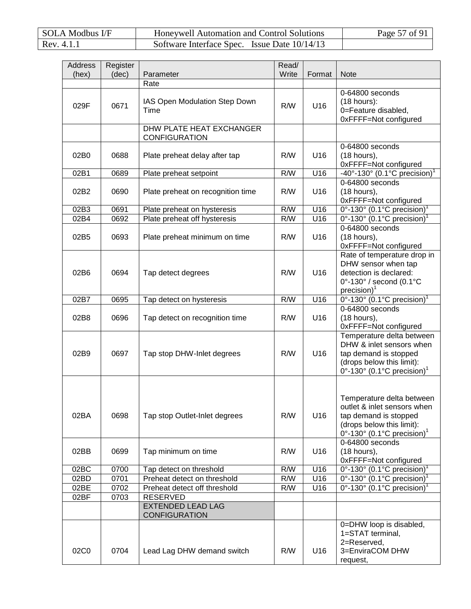| <b>SOLA Modbus I/F</b> | Honeywell Automation and Control Solutions   | Page 57 of 91 |
|------------------------|----------------------------------------------|---------------|
| Rev. 4.1.1             | Software Interface Spec. Issue Date 10/14/13 |               |

| <b>Address</b> | Register |                                                              | Read/ |        |                                                                                                                                                                                                            |
|----------------|----------|--------------------------------------------------------------|-------|--------|------------------------------------------------------------------------------------------------------------------------------------------------------------------------------------------------------------|
| (hex)          | (dec)    | Parameter                                                    | Write | Format | <b>Note</b>                                                                                                                                                                                                |
|                |          | Rate                                                         |       |        |                                                                                                                                                                                                            |
| 029F           | 0671     | IAS Open Modulation Step Down<br>Time                        | R/W   | U16    | 0-64800 seconds<br>$(18$ hours):<br>0=Feature disabled,<br>0xFFFF=Not configured                                                                                                                           |
|                |          | <b>DHW PLATE HEAT EXCHANGER</b><br><b>CONFIGURATION</b>      |       |        |                                                                                                                                                                                                            |
| 02B0           | 0688     | Plate preheat delay after tap                                | R/W   | U16    | 0-64800 seconds<br>$(18$ hours),<br>0xFFFF=Not configured                                                                                                                                                  |
| 02B1           | 0689     | Plate preheat setpoint                                       | R/W   | U16    | $-40^\circ$ -130 $\textdegree$ (0.1 $\textdegree$ C precision) <sup>1</sup>                                                                                                                                |
| 02B2           | 0690     | Plate preheat on recognition time                            | R/W   | U16    | 0-64800 seconds<br>(18 hours),<br>0xFFFF=Not configured                                                                                                                                                    |
| 02B3           | 0691     | Plate preheat on hysteresis                                  | R/W   | U16    | $0^{\circ}$ -130 $^{\circ}$ (0.1 $^{\circ}$ C precision) <sup>2</sup>                                                                                                                                      |
| 02B4           | 0692     | Plate preheat off hysteresis                                 | R/W   | U16    | $0^{\circ}$ -130 $^{\circ}$ (0.1 $^{\circ}$ C precision) <sup>1</sup>                                                                                                                                      |
| 02B5           | 0693     | Plate preheat minimum on time                                | R/W   | U16    | 0-64800 seconds<br>(18 hours),<br>0xFFFF=Not configured                                                                                                                                                    |
| 02B6           | 0694     | Tap detect degrees                                           | R/W   | U16    | Rate of temperature drop in<br>DHW sensor when tap<br>detection is declared:<br>0°-130° / second (0.1°C<br>$precision)^1$                                                                                  |
| 02B7           | 0695     | Tap detect on hysteresis                                     | R/W   | U16    | $0^{\circ}$ -130 $^{\circ}$ (0.1 $^{\circ}$ C precision) <sup>1</sup>                                                                                                                                      |
| 02B8           | 0696     | Tap detect on recognition time                               | R/W   | U16    | 0-64800 seconds<br>(18 hours),<br>0xFFFF=Not configured                                                                                                                                                    |
| 02B9           | 0697     | Tap stop DHW-Inlet degrees                                   | R/W   | U16    | Temperature delta between<br>DHW & inlet sensors when<br>tap demand is stopped<br>(drops below this limit):<br>$0^{\circ}$ -130° (0.1°C precision) <sup>1</sup>                                            |
| 02BA           | 0698     | Tap stop Outlet-Inlet degrees                                | R/W   | U16    | Temperature delta between<br>outlet & inlet sensors when<br>tap demand is stopped<br>(drops below this limit):<br>$0^{\circ}$ -130 $^{\circ}$ (0.1 $^{\circ}$ C precision) <sup>1</sup><br>0-64800 seconds |
| 02BB           | 0699     | Tap minimum on time                                          | R/W   | U16    | $(18$ hours),<br>0xFFFF=Not configured                                                                                                                                                                     |
| 02BC           | 0700     | Tap detect on threshold                                      | R/W   | U16    | 0°-130° (0.1°C precision)                                                                                                                                                                                  |
| 02BD           | 0701     | Preheat detect on threshold                                  | R/W   | U16    | 0°-130° (0.1°C precision)                                                                                                                                                                                  |
| 02BE           | 0702     | Preheat detect off threshold                                 | R/W   | U16    | $0^{\circ}$ -130 $^{\circ}$ (0.1 $^{\circ}$ C precision)                                                                                                                                                   |
| 02BF           | 0703     | RESERVED<br><b>EXTENDED LEAD LAG</b><br><b>CONFIGURATION</b> |       |        |                                                                                                                                                                                                            |
| 02C0           | 0704     | Lead Lag DHW demand switch                                   | R/W   | U16    | 0=DHW loop is disabled,<br>1=STAT terminal,<br>2=Reserved,<br>3=EnviraCOM DHW<br>request,                                                                                                                  |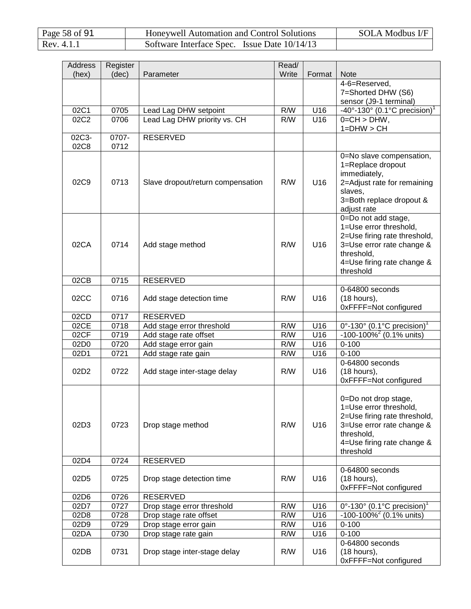| Page 58 of 91 | Honeywell Automation and Control Solutions   | SOLA Modbus I/F |
|---------------|----------------------------------------------|-----------------|
| Rev. 4.1.1    | Software Interface Spec. Issue Date 10/14/13 |                 |

| <b>Address</b>   | Register     |                                             | Read/      |            |                                                                                                                                                                      |
|------------------|--------------|---------------------------------------------|------------|------------|----------------------------------------------------------------------------------------------------------------------------------------------------------------------|
| (hex)            | (dec)        | Parameter                                   | Write      | Format     | <b>Note</b>                                                                                                                                                          |
|                  |              |                                             |            |            | 4-6=Reserved,<br>7=Shorted DHW (S6)                                                                                                                                  |
|                  |              |                                             |            |            | sensor (J9-1 terminal)                                                                                                                                               |
| 02C1             | 0705         | Lead Lag DHW setpoint                       | R/W        | U16        | $-40^\circ$ -130 $^\circ$ (0.1 $\overline{^{\circ}C}$ precision) <sup>1</sup>                                                                                        |
| 02C2             | 0706         | Lead Lag DHW priority vs. CH                | R/W        | U16        | $0=CH$ > DHW,                                                                                                                                                        |
|                  |              |                                             |            |            | $1 = DHW > CH$                                                                                                                                                       |
| 02C3-            | 0707-        | <b>RESERVED</b>                             |            |            |                                                                                                                                                                      |
| 02C8             | 0712         |                                             |            |            |                                                                                                                                                                      |
| 02C9             | 0713         | Slave dropout/return compensation           | R/W        | U16        | 0=No slave compensation,<br>1=Replace dropout<br>immediately,<br>2=Adjust rate for remaining<br>slaves,<br>3=Both replace dropout &<br>adjust rate                   |
| 02CA             | 0714         | Add stage method                            | R/W        | U16        | 0=Do not add stage,<br>1=Use error threshold,<br>2=Use firing rate threshold,<br>3=Use error rate change &<br>threshold,<br>4=Use firing rate change &<br>threshold  |
| 02CB             | 0715         | <b>RESERVED</b>                             |            |            |                                                                                                                                                                      |
| 02CC             | 0716         | Add stage detection time                    | R/W        | U16        | 0-64800 seconds<br>$(18$ hours),<br>0xFFFF=Not configured                                                                                                            |
| 02CD             | 0717         | <b>RESERVED</b>                             |            |            |                                                                                                                                                                      |
| 02CE             | 0718         | Add stage error threshold                   | R/W        | U16        | $0^{\circ}$ -130 $^{\circ}$ (0.1 $^{\circ}$ C precision) <sup>1</sup>                                                                                                |
| 02CF             | 0719         | Add stage rate offset                       | R/W        | U16        | $-100-100\%^{2}$ (0.1% units)                                                                                                                                        |
| 02D0<br>02D1     | 0720<br>0721 | Add stage error gain<br>Add stage rate gain | R/W<br>R/W | U16<br>U16 | $0 - 100$<br>$0 - 100$                                                                                                                                               |
|                  |              |                                             |            |            | 0-64800 seconds                                                                                                                                                      |
| 02D2             | 0722         | Add stage inter-stage delay                 | R/W        | U16        | $(18$ hours),<br>0xFFFF=Not configured                                                                                                                               |
| 02D3             | 0723         | Drop stage method                           | R/W        | U16        | 0=Do not drop stage,<br>1=Use error threshold,<br>2=Use firing rate threshold,<br>3=Use error rate change &<br>threshold,<br>4=Use firing rate change &<br>threshold |
| 02D4             | 0724         | RESERVED                                    |            |            |                                                                                                                                                                      |
| 02D <sub>5</sub> | 0725         | Drop stage detection time                   | R/W        | U16        | $0-64800$ seconds<br>$(18$ hours),<br>0xFFFF=Not configured                                                                                                          |
| 02D6             | 0726         | <b>RESERVED</b>                             |            |            |                                                                                                                                                                      |
| 02D7             | 0727         | Drop stage error threshold                  | R/W        | U16        | $0^{\circ}$ -130° (0.1°C precision) <sup>1</sup>                                                                                                                     |
| 02D8             | 0728         | Drop stage rate offset                      | R/W        | U16        | $-100-100\%^{2}$ (0.1% units)                                                                                                                                        |
| 02D9             | 0729         | Drop stage error gain                       | R/W        | U16        | $0 - 100$<br>$0 - 100$                                                                                                                                               |
| 02DA             | 0730         | Drop stage rate gain                        | R/W        | U16        | 0-64800 seconds                                                                                                                                                      |
| 02DB             | 0731         | Drop stage inter-stage delay                | R/W        | U16        | $(18$ hours),<br>0xFFFF=Not configured                                                                                                                               |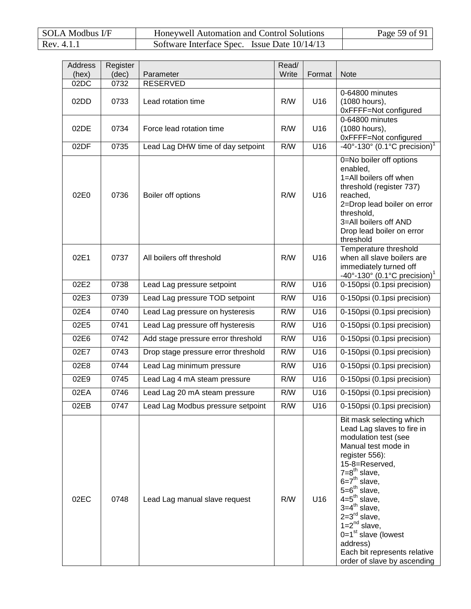| <b>SOLA Modbus I/F</b> | Honeywell Automation and Control Solutions   | Page 59 of 91 |
|------------------------|----------------------------------------------|---------------|
| Rev. 4.1.1             | Software Interface Spec. Issue Date 10/14/13 |               |

| <b>Address</b> | Register      |                                     | Read/ |        |                                                                                                                                                                                                                                                                                                                                                                                                                                  |
|----------------|---------------|-------------------------------------|-------|--------|----------------------------------------------------------------------------------------------------------------------------------------------------------------------------------------------------------------------------------------------------------------------------------------------------------------------------------------------------------------------------------------------------------------------------------|
| (hex)<br>02DC  | (dec)<br>0732 | Parameter<br>RESERVED               | Write | Format | <b>Note</b>                                                                                                                                                                                                                                                                                                                                                                                                                      |
| 02DD           | 0733          | Lead rotation time                  | R/W   | U16    | 0-64800 minutes<br>(1080 hours),<br>0xFFFF=Not configured                                                                                                                                                                                                                                                                                                                                                                        |
| 02DE           | 0734          | Force lead rotation time            | R/W   | U16    | 0-64800 minutes<br>(1080 hours),<br>0xFFFF=Not configured                                                                                                                                                                                                                                                                                                                                                                        |
| 02DF           | 0735          | Lead Lag DHW time of day setpoint   | R/W   | U16    | $-40^{\circ}$ -130 $^{\circ}$ (0.1 $^{\circ}$ C precision) <sup>1</sup>                                                                                                                                                                                                                                                                                                                                                          |
| 02E0           | 0736          | Boiler off options                  | R/W   | U16    | 0=No boiler off options<br>enabled,<br>1=All boilers off when<br>threshold (register 737)<br>reached,<br>2=Drop lead boiler on error<br>threshold,<br>3=All boilers off AND<br>Drop lead boiler on error<br>threshold                                                                                                                                                                                                            |
| 02E1           | 0737          | All boilers off threshold           | R/W   | U16    | Temperature threshold<br>when all slave boilers are<br>immediately turned off<br>-40°-130° (0.1°C precision) <sup>1</sup>                                                                                                                                                                                                                                                                                                        |
| 02E2           | 0738          | Lead Lag pressure setpoint          | R/W   | U16    | 0-150psi (0.1psi precision)                                                                                                                                                                                                                                                                                                                                                                                                      |
| 02E3           | 0739          | Lead Lag pressure TOD setpoint      | R/W   | U16    | 0-150psi (0.1psi precision)                                                                                                                                                                                                                                                                                                                                                                                                      |
| 02E4           | 0740          | Lead Lag pressure on hysteresis     | R/W   | U16    | 0-150psi (0.1psi precision)                                                                                                                                                                                                                                                                                                                                                                                                      |
| 02E5           | 0741          | Lead Lag pressure off hysteresis    | R/W   | U16    | 0-150psi (0.1psi precision)                                                                                                                                                                                                                                                                                                                                                                                                      |
| 02E6           | 0742          | Add stage pressure error threshold  | R/W   | U16    | 0-150psi (0.1psi precision)                                                                                                                                                                                                                                                                                                                                                                                                      |
| 02E7           | 0743          | Drop stage pressure error threshold | R/W   | U16    | 0-150psi (0.1psi precision)                                                                                                                                                                                                                                                                                                                                                                                                      |
| 02E8           | 0744          | Lead Lag minimum pressure           | R/W   | U16    | 0-150psi (0.1psi precision)                                                                                                                                                                                                                                                                                                                                                                                                      |
| 02E9           | 0745          | Lead Lag 4 mA steam pressure        | R/W   | U16    | 0-150psi (0.1psi precision)                                                                                                                                                                                                                                                                                                                                                                                                      |
| 02EA           | 0746          | Lead Lag 20 mA steam pressure       | R/W   | U16    | 0-150psi (0.1psi precision)                                                                                                                                                                                                                                                                                                                                                                                                      |
| 02EB           | 0747          | Lead Lag Modbus pressure setpoint   | R/W   | U16    | 0-150psi (0.1psi precision)                                                                                                                                                                                                                                                                                                                                                                                                      |
| 02EC           | 0748          | Lead Lag manual slave request       | R/W   | U16    | Bit mask selecting which<br>Lead Lag slaves to fire in<br>modulation test (see<br>Manual test mode in<br>register 556):<br>15-8=Reserved,<br>$7=8^{th}$ slave,<br>$6 = 7$ <sup>th</sup> slave,<br>$5=6^{th}$ slave,<br>$4=5^{th}$ slave,<br>$3=4^{\text{th}}$ slave,<br>$2=3^{\text{rd}}$ slave,<br>1=2 <sup>nd</sup> slave,<br>$0=1st$ slave (lowest<br>address)<br>Each bit represents relative<br>order of slave by ascending |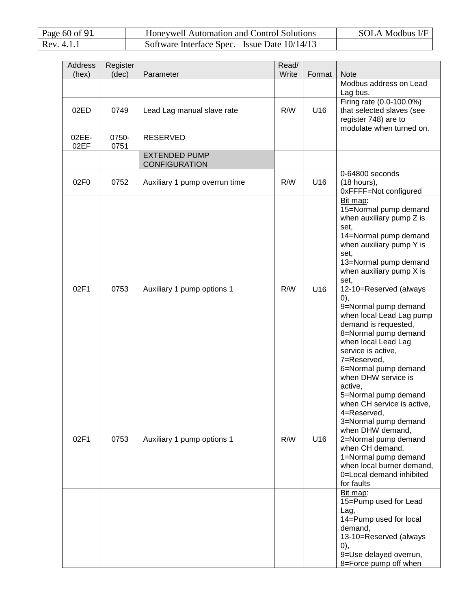| Page 60 of 91 | Honeywell Automation and Control Solutions   | <b>SOLA Modbus I/F</b> |
|---------------|----------------------------------------------|------------------------|
| Rev. 4.1.1    | Software Interface Spec. Issue Date 10/14/13 |                        |

| Address<br>(hex) | Register<br>(dec) | Parameter                                    | Read/<br>Write | Format | <b>Note</b>                                                                                                                                                                                                                                                                                                                                                                                                                                                                         |
|------------------|-------------------|----------------------------------------------|----------------|--------|-------------------------------------------------------------------------------------------------------------------------------------------------------------------------------------------------------------------------------------------------------------------------------------------------------------------------------------------------------------------------------------------------------------------------------------------------------------------------------------|
|                  |                   |                                              |                |        | Modbus address on Lead                                                                                                                                                                                                                                                                                                                                                                                                                                                              |
|                  |                   |                                              |                |        | Lag bus.                                                                                                                                                                                                                                                                                                                                                                                                                                                                            |
| 02ED             | 0749              | Lead Lag manual slave rate                   | R/W            | U16    | Firing rate (0.0-100.0%)<br>that selected slaves (see<br>register 748) are to<br>modulate when turned on.                                                                                                                                                                                                                                                                                                                                                                           |
| 02EE-<br>02EF    | 0750-<br>0751     | RESERVED                                     |                |        |                                                                                                                                                                                                                                                                                                                                                                                                                                                                                     |
|                  |                   | <b>EXTENDED PUMP</b><br><b>CONFIGURATION</b> |                |        |                                                                                                                                                                                                                                                                                                                                                                                                                                                                                     |
| 02F0             | 0752              | Auxiliary 1 pump overrun time                | R/W            | U16    | 0-64800 seconds<br>$(18$ hours),<br>0xFFFF=Not configured                                                                                                                                                                                                                                                                                                                                                                                                                           |
| 02F1             | 0753              | Auxiliary 1 pump options 1                   | R/W            | U16    | Bit map:<br>15=Normal pump demand<br>when auxiliary pump Z is<br>set,<br>14=Normal pump demand<br>when auxiliary pump Y is<br>set,<br>13=Normal pump demand<br>when auxiliary pump X is<br>set,<br>12-10=Reserved (always<br>(0),<br>9=Normal pump demand<br>when local Lead Lag pump<br>demand is requested,<br>8=Normal pump demand<br>when local Lead Lag<br>service is active,<br>7=Reserved,<br>6=Normal pump demand<br>when DHW service is<br>active,<br>5=Normal pump demand |
| 02F1             | 0753              | Auxiliary 1 pump options 1                   | R/W            | U16    | when CH service is active,<br>4=Reserved,<br>3=Normal pump demand<br>when DHW demand,<br>2=Normal pump demand<br>when CH demand,<br>1=Normal pump demand<br>when local burner demand,<br>0=Local demand inhibited<br>for faults                                                                                                                                                                                                                                                     |
|                  |                   |                                              |                |        | Bit map:<br>15=Pump used for Lead<br>Lag,<br>14=Pump used for local<br>demand,<br>13-10=Reserved (always<br>(0),<br>9=Use delayed overrun,<br>8=Force pump off when                                                                                                                                                                                                                                                                                                                 |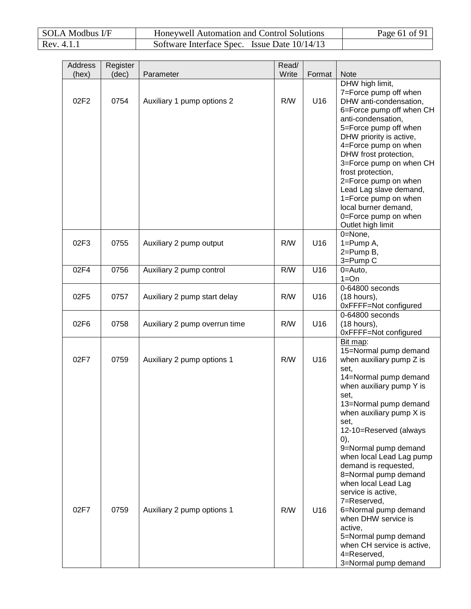| <b>SOLA Modbus I/F</b> | Honeywell Automation and Control Solutions   | Page 61 of 91 |
|------------------------|----------------------------------------------|---------------|
| Rev. 4.1.1             | Software Interface Spec. Issue Date 10/14/13 |               |

| Address | Register |                               | Read/ |        |                                                                                                                                                                                                                                                                                                                                                                                                                          |
|---------|----------|-------------------------------|-------|--------|--------------------------------------------------------------------------------------------------------------------------------------------------------------------------------------------------------------------------------------------------------------------------------------------------------------------------------------------------------------------------------------------------------------------------|
| (hex)   | (dec)    | Parameter                     | Write | Format | <b>Note</b>                                                                                                                                                                                                                                                                                                                                                                                                              |
| 02F2    | 0754     | Auxiliary 1 pump options 2    | R/W   | U16    | DHW high limit,<br>7=Force pump off when<br>DHW anti-condensation,<br>6=Force pump off when CH<br>anti-condensation,<br>5=Force pump off when<br>DHW priority is active,<br>4=Force pump on when<br>DHW frost protection,<br>3=Force pump on when CH<br>frost protection,<br>2=Force pump on when<br>Lead Lag slave demand,<br>1=Force pump on when<br>local burner demand,<br>0=Force pump on when<br>Outlet high limit |
| 02F3    | 0755     | Auxiliary 2 pump output       | R/W   | U16    | 0=None,<br>1=Pump A,<br>2=Pump B,<br>3=Pump C                                                                                                                                                                                                                                                                                                                                                                            |
| 02F4    | 0756     | Auxiliary 2 pump control      | R/W   | U16    | $0 =$ Auto,<br>$1 = On$                                                                                                                                                                                                                                                                                                                                                                                                  |
| 02F5    | 0757     | Auxiliary 2 pump start delay  | R/W   | U16    | 0-64800 seconds<br>$(18$ hours),<br>0xFFFF=Not configured                                                                                                                                                                                                                                                                                                                                                                |
| 02F6    | 0758     | Auxiliary 2 pump overrun time | R/W   | U16    | 0-64800 seconds<br>$(18$ hours),<br>0xFFFF=Not configured                                                                                                                                                                                                                                                                                                                                                                |
| 02F7    | 0759     | Auxiliary 2 pump options 1    | R/W   | U16    | Bit map:<br>15=Normal pump demand<br>when auxiliary pump Z is<br>set,<br>14=Normal pump demand<br>when auxiliary pump Y is<br>set,<br>13=Normal pump demand<br>when auxiliary pump X is<br>set,<br>12-10=Reserved (always<br>(0),<br>9=Normal pump demand<br>when local Lead Lag pump<br>demand is requested,<br>8=Normal pump demand<br>when local Lead Lag<br>service is active,<br>7=Reserved,                        |
| 02F7    | 0759     | Auxiliary 2 pump options 1    | R/W   | U16    | 6=Normal pump demand<br>when DHW service is<br>active,<br>5=Normal pump demand<br>when CH service is active,<br>4=Reserved,<br>3=Normal pump demand                                                                                                                                                                                                                                                                      |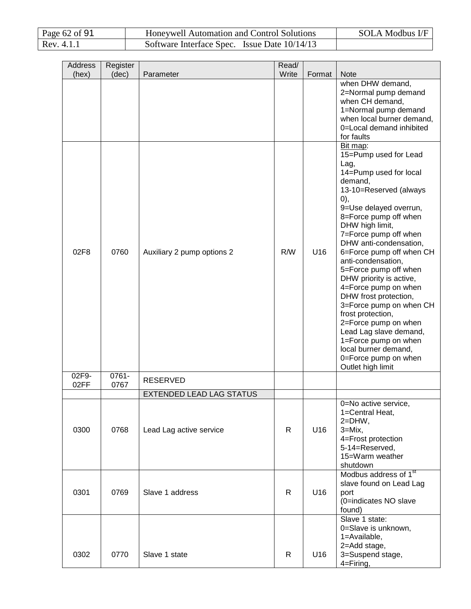| Page 62 of 91 | Honeywell Automation and Control Solutions   | <b>SOLA Modbus I/F</b> |
|---------------|----------------------------------------------|------------------------|
| Rev. 4.1.1    | Software Interface Spec. Issue Date 10/14/13 |                        |

| Address       | Register      |                                 | Read/ |        |                                                                                                                                                                                                                                                                                                                                                                                                                                                                                                                                                                                                 |
|---------------|---------------|---------------------------------|-------|--------|-------------------------------------------------------------------------------------------------------------------------------------------------------------------------------------------------------------------------------------------------------------------------------------------------------------------------------------------------------------------------------------------------------------------------------------------------------------------------------------------------------------------------------------------------------------------------------------------------|
| (hex)         | (dec)         | Parameter                       | Write | Format | <b>Note</b>                                                                                                                                                                                                                                                                                                                                                                                                                                                                                                                                                                                     |
|               |               |                                 |       |        | when DHW demand,<br>2=Normal pump demand<br>when CH demand,<br>1=Normal pump demand<br>when local burner demand,<br>0=Local demand inhibited<br>for faults                                                                                                                                                                                                                                                                                                                                                                                                                                      |
| 02F8          | 0760          | Auxiliary 2 pump options 2      | R/W   | U16    | Bit map:<br>15=Pump used for Lead<br>Lag,<br>14=Pump used for local<br>demand,<br>13-10=Reserved (always<br>(0),<br>9=Use delayed overrun,<br>8=Force pump off when<br>DHW high limit,<br>7=Force pump off when<br>DHW anti-condensation,<br>6=Force pump off when CH<br>anti-condensation,<br>5=Force pump off when<br>DHW priority is active,<br>4=Force pump on when<br>DHW frost protection,<br>3=Force pump on when CH<br>frost protection,<br>2=Force pump on when<br>Lead Lag slave demand,<br>1=Force pump on when<br>local burner demand,<br>0=Force pump on when<br>Outlet high limit |
| 02F9-<br>02FF | 0761-<br>0767 | <b>RESERVED</b>                 |       |        |                                                                                                                                                                                                                                                                                                                                                                                                                                                                                                                                                                                                 |
|               |               | <b>EXTENDED LEAD LAG STATUS</b> |       |        |                                                                                                                                                                                                                                                                                                                                                                                                                                                                                                                                                                                                 |
| 0300          | 0768          | Lead Lag active service         | R     | U16    | 0=No active service,<br>1=Central Heat,<br>$2=DHW,$<br>3=Mix,<br>4=Frost protection<br>5-14=Reserved,<br>15=Warm weather<br>shutdown                                                                                                                                                                                                                                                                                                                                                                                                                                                            |
| 0301          | 0769          | Slave 1 address                 | R     | U16    | Modbus address of 1 <sup>st</sup><br>slave found on Lead Lag<br>port<br>(0=indicates NO slave<br>found)                                                                                                                                                                                                                                                                                                                                                                                                                                                                                         |
| 0302          | 0770          | Slave 1 state                   | R     | U16    | Slave 1 state:<br>0=Slave is unknown,<br>1=Available,<br>2=Add stage,<br>3=Suspend stage,<br>4=Firing,                                                                                                                                                                                                                                                                                                                                                                                                                                                                                          |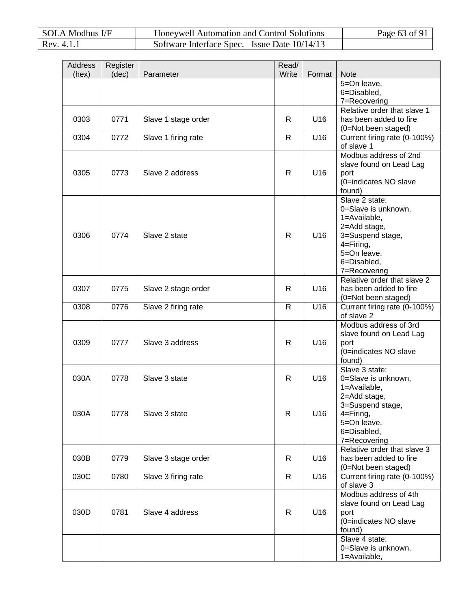| <b>SOLA Modbus I/F</b> | Honeywell Automation and Control Solutions   | Page 63 of 91 |
|------------------------|----------------------------------------------|---------------|
| Rev. 4.1.1             | Software Interface Spec. Issue Date 10/14/13 |               |

| <b>Address</b> | Register |                     | Read/                 |                 |                                             |
|----------------|----------|---------------------|-----------------------|-----------------|---------------------------------------------|
| (hex)          | (dec)    | Parameter           | Write                 | Format          | <b>Note</b>                                 |
|                |          |                     |                       |                 | 5=On leave,                                 |
|                |          |                     |                       |                 | 6=Disabled,                                 |
|                |          |                     |                       |                 | 7=Recovering<br>Relative order that slave 1 |
|                |          |                     |                       |                 |                                             |
| 0303           | 0771     | Slave 1 stage order | R                     | U <sub>16</sub> | has been added to fire                      |
|                |          |                     |                       |                 | (0=Not been staged)                         |
| 0304           | 0772     | Slave 1 firing rate | $\mathsf{R}$          | U16             | Current firing rate (0-100%)<br>of slave 1  |
|                |          |                     |                       |                 | Modbus address of 2nd                       |
|                |          |                     |                       |                 | slave found on Lead Lag                     |
| 0305           | 0773     | Slave 2 address     | R                     | U16             | port                                        |
|                |          |                     | (0=indicates NO slave |                 |                                             |
|                |          |                     |                       |                 | found)                                      |
|                |          |                     |                       |                 | Slave 2 state:                              |
|                |          |                     |                       |                 | 0=Slave is unknown,                         |
|                |          |                     |                       |                 | 1=Available,                                |
|                |          |                     |                       |                 | 2=Add stage,                                |
| 0306           | 0774     | Slave 2 state       | R                     | U16             | 3=Suspend stage,                            |
|                |          |                     |                       |                 | $4 =$ Firing,                               |
|                |          |                     |                       |                 | 5=On leave,                                 |
|                |          |                     |                       |                 | 6=Disabled,                                 |
|                |          |                     |                       |                 | 7=Recovering                                |
|                |          |                     |                       |                 | Relative order that slave 2                 |
| 0307           | 0775     | Slave 2 stage order | R                     | U <sub>16</sub> | has been added to fire                      |
|                |          |                     |                       |                 | (0=Not been staged)                         |
| 0308           | 0776     | Slave 2 firing rate | $\mathsf{R}$          | U16             | Current firing rate (0-100%)                |
|                |          |                     |                       |                 | of slave 2                                  |
|                |          |                     |                       |                 | Modbus address of 3rd                       |
| 0309           | 0777     | Slave 3 address     | R                     | U16             | slave found on Lead Lag                     |
|                |          |                     |                       |                 | port<br>(0=indicates NO slave               |
|                |          |                     |                       |                 | found)                                      |
|                |          |                     |                       |                 | Slave 3 state:                              |
| 030A           | 0778     | Slave 3 state       | R.                    | U16             | 0=Slave is unknown,                         |
|                |          |                     |                       |                 | 1=Available,                                |
|                |          |                     |                       |                 | 2=Add stage,                                |
|                |          |                     |                       |                 | 3=Suspend stage,                            |
| 030A           | 0778     | Slave 3 state       | $\mathsf{R}$          | U16             | $4 =$ Firing,                               |
|                |          |                     |                       |                 | 5=On leave,                                 |
|                |          |                     |                       |                 | 6=Disabled,                                 |
|                |          |                     |                       |                 | 7=Recovering                                |
|                |          |                     |                       |                 | Relative order that slave 3                 |
| 030B           | 0779     | Slave 3 stage order | R.                    | U16             | has been added to fire                      |
|                |          |                     |                       |                 | (0=Not been staged)                         |
| 030C           | 0780     | Slave 3 firing rate | R                     | U16             | Current firing rate (0-100%)                |
|                |          |                     |                       |                 | of slave 3                                  |
|                |          |                     |                       |                 | Modbus address of 4th                       |
|                |          |                     |                       |                 | slave found on Lead Lag                     |
| 030D           | 0781     | Slave 4 address     | R                     | U16             | port                                        |
|                |          |                     |                       |                 | (0=indicates NO slave<br>found)             |
|                |          |                     |                       |                 | Slave 4 state:                              |
|                |          |                     |                       |                 | 0=Slave is unknown,                         |
|                |          |                     |                       |                 | 1=Available,                                |
|                |          |                     |                       |                 |                                             |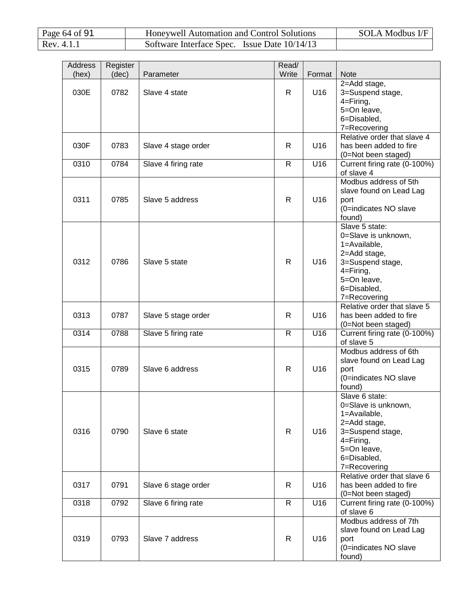| Page 64 of 91 | Honeywell Automation and Control Solutions   | <b>SOLA Modbus I/F</b> |
|---------------|----------------------------------------------|------------------------|
| Rev. 4.1.1    | Software Interface Spec. Issue Date 10/14/13 |                        |

| <b>Address</b> | Register |                     | Read/        |                   |                                                                                                                                                          |
|----------------|----------|---------------------|--------------|-------------------|----------------------------------------------------------------------------------------------------------------------------------------------------------|
| (hex)          | (dec)    | Parameter           | Write        | Format            | <b>Note</b>                                                                                                                                              |
| 030E           | 0782     | Slave 4 state       | $\mathsf{R}$ | U16               | $2 =$ Add stage,<br>3=Suspend stage,<br>$4 =$ Firing,<br>5=On leave,<br>6=Disabled,<br>7=Recovering                                                      |
| 030F           | 0783     | Slave 4 stage order | R            | U <sub>16</sub>   | Relative order that slave 4<br>has been added to fire<br>(0=Not been staged)                                                                             |
| 0310           | 0784     | Slave 4 firing rate | R            | $\overline{U}$ 16 | Current firing rate (0-100%)<br>of slave 4                                                                                                               |
| 0311           | 0785     | Slave 5 address     | R            | U16               | Modbus address of 5th<br>slave found on Lead Lag<br>port<br>(0=indicates NO slave<br>found)                                                              |
| 0312           | 0786     | Slave 5 state       | R.           | U16               | Slave 5 state:<br>0=Slave is unknown,<br>1=Available,<br>2=Add stage,<br>3=Suspend stage,<br>$4 =$ Firing,<br>5=On leave,<br>6=Disabled,<br>7=Recovering |
| 0313           | 0787     | Slave 5 stage order | R            | U <sub>16</sub>   | Relative order that slave 5<br>has been added to fire<br>(0=Not been staged)                                                                             |
| 0314           | 0788     | Slave 5 firing rate | R            | U16               | Current firing rate (0-100%)<br>of slave 5                                                                                                               |
| 0315           | 0789     | Slave 6 address     | R            | U16               | Modbus address of 6th<br>slave found on Lead Lag<br>port<br>(0=indicates NO slave<br>found)                                                              |
| 0316           | 0790     | Slave 6 state       | R            | U16               | Slave 6 state:<br>0=Slave is unknown,<br>1=Available,<br>2=Add stage,<br>3=Suspend stage,<br>$4 =$ Firing,<br>5=On leave,<br>6=Disabled,<br>7=Recovering |
| 0317           | 0791     | Slave 6 stage order | R            | U16               | Relative order that slave 6<br>has been added to fire<br>(0=Not been staged)                                                                             |
| 0318           | 0792     | Slave 6 firing rate | R            | U16               | Current firing rate (0-100%)<br>of slave 6                                                                                                               |
| 0319           | 0793     | Slave 7 address     | R            | U16               | Modbus address of 7th<br>slave found on Lead Lag<br>port<br>(0=indicates NO slave<br>found)                                                              |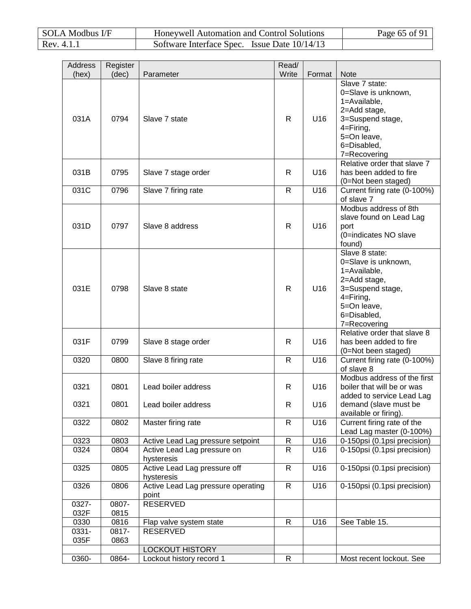| <b>SOLA Modbus I/F</b> | Honeywell Automation and Control Solutions   | Page 65 of 91 |
|------------------------|----------------------------------------------|---------------|
| Rev. 4.1.1             | Software Interface Spec. Issue Date 10/14/13 |               |

| Address       | Register      |                                             | Read/        |                 |                                                                                                                                                      |
|---------------|---------------|---------------------------------------------|--------------|-----------------|------------------------------------------------------------------------------------------------------------------------------------------------------|
| (hex)         | (dec)         | Parameter                                   | Write        | Format          | <b>Note</b>                                                                                                                                          |
| 031A          | 0794          | Slave 7 state                               | $\mathsf{R}$ | U16             | Slave 7 state:<br>0=Slave is unknown,<br>1=Available,<br>2=Add stage,<br>3=Suspend stage,<br>4=Firing,<br>5=On leave,<br>6=Disabled,<br>7=Recovering |
| 031B          | 0795          | Slave 7 stage order                         | $\mathsf{R}$ | U <sub>16</sub> | Relative order that slave 7<br>has been added to fire<br>(0=Not been staged)                                                                         |
| 031C          | 0796          | Slave 7 firing rate                         | $\mathsf{R}$ | U16             | Current firing rate (0-100%)<br>of slave 7                                                                                                           |
| 031D          | 0797          | Slave 8 address                             | R            | U16             | Modbus address of 8th<br>slave found on Lead Lag<br>port<br>(0=indicates NO slave<br>found)                                                          |
| 031E          | 0798          | Slave 8 state                               | R            | U16             | Slave 8 state:<br>0=Slave is unknown,<br>1=Available,<br>2=Add stage,<br>3=Suspend stage,<br>4=Firing,<br>5=On leave,<br>6=Disabled,<br>7=Recovering |
| 031F          | 0799          | Slave 8 stage order                         | R            | U <sub>16</sub> | Relative order that slave 8<br>has been added to fire<br>(0=Not been staged)                                                                         |
| 0320          | 0800          | Slave 8 firing rate                         | $\mathsf{R}$ | U16             | Current firing rate (0-100%)<br>of slave 8                                                                                                           |
| 0321          | 0801          | Lead boiler address                         | R.           | U16             | Modbus address of the first<br>boiler that will be or was<br>added to service Lead Lag                                                               |
| 0321          | 0801          | Lead boiler address                         | R            | U16             | demand (slave must be<br>available or firing).                                                                                                       |
| 0322          | 0802          | Master firing rate                          | R            | U16             | Current firing rate of the<br>Lead Lag master (0-100%)                                                                                               |
| 0323          | 0803          | Active Lead Lag pressure setpoint           | R            | U16             | 0-150psi (0.1psi precision)                                                                                                                          |
| 0324          | 0804          | Active Lead Lag pressure on<br>hysteresis   | R            | U16             | 0-150psi (0.1psi precision)                                                                                                                          |
| 0325          | 0805          | Active Lead Lag pressure off<br>hysteresis  | $\mathsf R$  | U16             | 0-150psi (0.1psi precision)                                                                                                                          |
| 0326          | 0806          | Active Lead Lag pressure operating<br>point | $\mathsf{R}$ | U16             | 0-150psi (0.1psi precision)                                                                                                                          |
| 0327-<br>032F | 0807-<br>0815 | RESERVED                                    |              |                 |                                                                                                                                                      |
| 0330          | 0816          | Flap valve system state                     | $\mathsf{R}$ | U16             | See Table 15.                                                                                                                                        |
| 0331-         | 0817-         | <b>RESERVED</b>                             |              |                 |                                                                                                                                                      |
| 035F          | 0863          |                                             |              |                 |                                                                                                                                                      |
|               |               | <b>LOCKOUT HISTORY</b>                      |              |                 |                                                                                                                                                      |
| 0360-         | 0864-         | Lockout history record 1                    | R            |                 | Most recent lockout. See                                                                                                                             |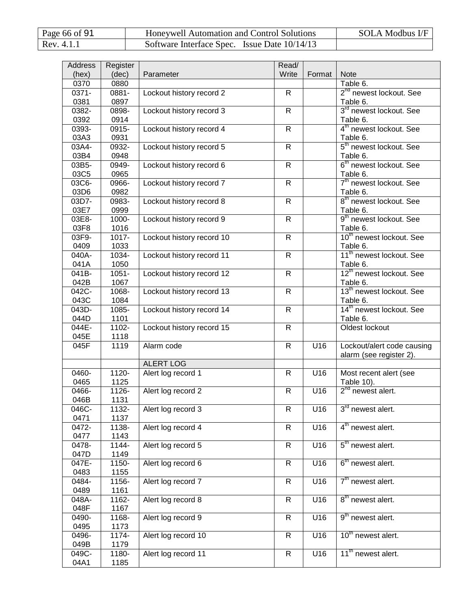| Page 66 of 91 | Honeywell Automation and Control Solutions   | SOLA Modbus $I/F$ |
|---------------|----------------------------------------------|-------------------|
| Rev. 4.1.1    | Software Interface Spec. Issue Date 10/14/13 |                   |

| <b>Address</b> | Register |                           | Read/          |        |                                      |
|----------------|----------|---------------------------|----------------|--------|--------------------------------------|
| (hex)          | (dec)    | Parameter                 | Write          | Format | <b>Note</b>                          |
| 0370           | 0880     |                           |                |        | Table 6.                             |
| 0371-          | 0881-    | Lockout history record 2  | $\overline{R}$ |        | 2 <sup>nd</sup> newest lockout. See  |
| 0381           | 0897     |                           |                |        | Table 6.                             |
| 0382-          | 0898-    | Lockout history record 3  | $\overline{R}$ |        | 3 <sup>rd</sup> newest lockout. See  |
| 0392           | 0914     |                           |                |        | Table 6.                             |
| 0393-          | 0915-    | Lockout history record 4  | $\overline{R}$ |        | 4 <sup>th</sup> newest lockout. See  |
| 03A3           | 0931     |                           |                |        | Table 6.                             |
| 03A4-          | 0932-    | Lockout history record 5  | $\overline{R}$ |        | 5 <sup>th</sup> newest lockout. See  |
| 03B4           | 0948     |                           |                |        | Table 6.                             |
| 03B5-          | 0949-    | Lockout history record 6  | $\overline{R}$ |        | 6 <sup>th</sup> newest lockout. See  |
| 03C5           | 0965     |                           |                |        | Table 6.                             |
| 03C6-          | 0966-    | Lockout history record 7  | $\overline{R}$ |        | 7 <sup>th</sup> newest lockout. See  |
| 03D6           | 0982     |                           |                |        | Table 6.                             |
| 03D7-          | 0983-    | Lockout history record 8  | $\overline{R}$ |        | 8 <sup>th</sup> newest lockout. See  |
| 03E7           | 0999     |                           |                |        | Table 6.                             |
| 03E8-          | 1000-    | Lockout history record 9  | $\mathsf{R}$   |        | 9 <sup>th</sup> newest lockout. See  |
| 03F8           | 1016     |                           |                |        | Table 6.                             |
|                |          |                           | $\overline{R}$ |        | 10 <sup>th</sup> newest lockout. See |
| 03F9-          | $1017 -$ | Lockout history record 10 |                |        |                                      |
| 0409           | 1033     |                           |                |        | Table 6.                             |
| 040A-          | 1034-    | Lockout history record 11 | $\overline{R}$ |        | 11 <sup>th</sup> newest lockout. See |
| 041A           | 1050     |                           |                |        | Table 6.                             |
| 041B-          | $1051 -$ | Lockout history record 12 | $\mathsf{R}$   |        | 12 <sup>th</sup> newest lockout. See |
| 042B           | 1067     |                           |                |        | Table 6.                             |
| 042C-          | 1068-    | Lockout history record 13 | $\overline{R}$ |        | 13 <sup>th</sup> newest lockout. See |
| 043C           | 1084     |                           |                |        | Table 6.                             |
| 043D-          | 1085-    | Lockout history record 14 | $\overline{R}$ |        | 14 <sup>th</sup> newest lockout. See |
| 044D           | 1101     |                           |                |        | Table 6.                             |
| 044E-          | 1102-    | Lockout history record 15 | $\mathsf{R}$   |        | Oldest lockout                       |
| 045E           | 1118     |                           |                |        |                                      |
| 045F           | 1119     | Alarm code                | $\overline{R}$ | U16    | Lockout/alert code causing           |
|                |          |                           |                |        | alarm (see register 2).              |
|                |          | <b>ALERT LOG</b>          |                |        |                                      |
| 0460-          | $1120 -$ | Alert log record 1        | $\overline{R}$ | U16    | Most recent alert (see               |
| 0465           | 1125     |                           |                |        | Table 10).                           |
| 0466-          | 1126-    | Alert log record 2        | $\mathsf{R}$   | U16    | $2nd$ newest alert.                  |
| 046B           | 1131     |                           |                |        |                                      |
| 046C-          | 1132-    | Alert log record 3        | R              | U16    | 3 <sup>rd</sup> newest alert.        |
| 0471           | 1137     |                           |                |        |                                      |
| $0472 -$       | 1138-    | Alert log record 4        | $\mathsf{R}$   | U16    | 4 <sup>th</sup> newest alert.        |
| 0477           | 1143     |                           |                |        |                                      |
| 0478-          | 1144-    | Alert log record 5        | $\mathsf{R}$   | U16    | 5 <sup>th</sup> newest alert.        |
| 047D           | 1149     |                           |                |        |                                      |
| 047E-          | 1150-    | Alert log record 6        | $\mathsf{R}$   | U16    | 6 <sup>th</sup> newest alert.        |
| 0483           | 1155     |                           |                |        |                                      |
| 0484-          | 1156-    | Alert log record 7        | $\mathsf{R}$   | U16    | 7 <sup>th</sup> newest alert.        |
| 0489           | 1161     |                           |                |        |                                      |
| 048A-          | 1162-    | Alert log record 8        | $\mathsf{R}$   | U16    | 8 <sup>th</sup> newest alert.        |
| 048F           | 1167     |                           |                |        |                                      |
| 0490-          | 1168-    | Alert log record 9        | $\mathsf{R}$   | U16    | 9 <sup>th</sup> newest alert.        |
| 0495           | 1173     |                           |                |        |                                      |
| 0496-          | 1174-    | Alert log record 10       | $\mathsf{R}$   | U16    | 10 <sup>th</sup> newest alert.       |
| 049B           | 1179     |                           |                |        |                                      |
| 049C-          | 1180-    | Alert log record 11       | $\mathsf{R}$   | U16    | 11 <sup>th</sup> newest alert.       |
|                |          |                           |                |        |                                      |
| 04A1           | 1185     |                           |                |        |                                      |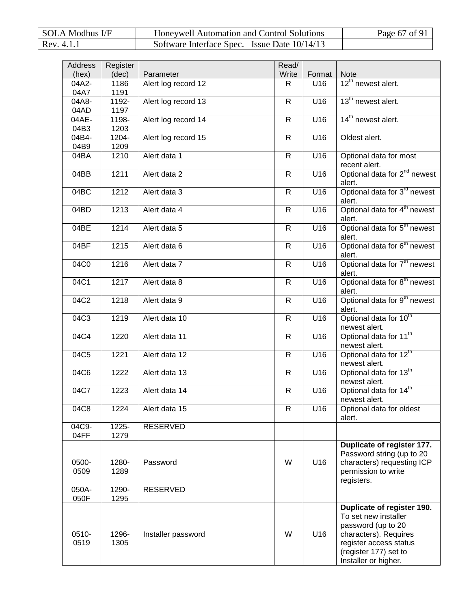| <b>SOLA Modbus I/F</b> | Honeywell Automation and Control Solutions   | Page 67 of 91 |
|------------------------|----------------------------------------------|---------------|
| Rev. 4.1.1             | Software Interface Spec. Issue Date 10/14/13 |               |

| <b>Address</b> | Register      |                     | Read/          |                  |                                                                                                                                                                              |
|----------------|---------------|---------------------|----------------|------------------|------------------------------------------------------------------------------------------------------------------------------------------------------------------------------|
| (hex)          | (dec)         | Parameter           | Write          | Format           | <b>Note</b>                                                                                                                                                                  |
| 04A2-          | 1186          | Alert log record 12 | R              | U16              | $12^{\text{th}}$ newest alert.                                                                                                                                               |
| 04A7           | 1191          |                     |                |                  |                                                                                                                                                                              |
| 04A8-          | 1192-         | Alert log record 13 | $\overline{R}$ | U16              | 13 <sup>th</sup> newest alert.                                                                                                                                               |
| 04AD           | 1197          |                     |                |                  |                                                                                                                                                                              |
| 04AE-          | 1198-         | Alert log record 14 | $\mathsf{R}$   | $\overline{U16}$ | 14 <sup>th</sup> newest alert.                                                                                                                                               |
| 04B3           | 1203          |                     |                |                  |                                                                                                                                                                              |
| 04B4-          | 1204-         | Alert log record 15 | $\mathsf{R}$   | U16              | Oldest alert.                                                                                                                                                                |
| 04B9           | 1209          |                     |                |                  |                                                                                                                                                                              |
| 04BA           | 1210          | Alert data 1        | $\mathsf{R}$   | U16              | Optional data for most<br>recent alert.                                                                                                                                      |
| 04BB           | 1211          | Alert data 2        | $\overline{R}$ | $\overline{U16}$ | Optional data for 2 <sup>nd</sup> newest<br>alert.                                                                                                                           |
| 04BC           | 1212          | Alert data 3        | $\overline{R}$ | U16              | Optional data for 3 <sup>rd</sup> newest<br>alert.                                                                                                                           |
| 04BD           | 1213          | Alert data 4        | $\mathsf{R}$   | U16              | Optional data for 4 <sup>th</sup> newest<br>alert.                                                                                                                           |
| 04BE           | 1214          | Alert data 5        | $\mathsf{R}$   | U16              | Optional data for 5 <sup>th</sup> newest<br>alert.                                                                                                                           |
| 04BF           | 1215          | Alert data 6        | $\mathsf{R}$   | U16              | Optional data for 6 <sup>th</sup> newest<br>alert.                                                                                                                           |
| 04C0           | 1216          | Alert data 7        | R              | U16              | Optional data for 7 <sup>th</sup> newest                                                                                                                                     |
| 04C1           | 1217          | Alert data 8        | $\mathsf{R}$   | U16              | alert.<br>Optional data for 8 <sup>th</sup> newest                                                                                                                           |
| 04C2           | 1218          | Alert data 9        | $\mathsf{R}$   | $\overline{U16}$ | alert.<br>Optional data for 9 <sup>th</sup> newest                                                                                                                           |
| 04C3           | 1219          | Alert data 10       | $\mathsf{R}$   | U16              | alert.<br>Optional data for 10 <sup>th</sup>                                                                                                                                 |
|                |               |                     |                |                  | newest alert.                                                                                                                                                                |
| 04C4           | 1220          | Alert data 11       | $\mathsf{R}$   | $\overline{U16}$ | Optional data for 11 <sup>th</sup><br>newest alert.                                                                                                                          |
| 04C5           | 1221          | Alert data 12       | $\overline{R}$ | U16              | Optional data for 12 <sup>th</sup><br>newest alert.                                                                                                                          |
| 04C6           | 1222          | Alert data 13       | $\mathsf{R}$   | U16              | Optional data for 13 <sup>th</sup><br>newest alert.                                                                                                                          |
| 04C7           | 1223          | Alert data 14       | R              | U16              | Optional data for 14 <sup>th</sup><br>newest alert.                                                                                                                          |
| 04C8           | 1224          | Alert data 15       | R              | U16              | Optional data for oldest                                                                                                                                                     |
| 04C9-          | 1225-         | <b>RESERVED</b>     |                |                  | alert.                                                                                                                                                                       |
| 04FF           | 1279          |                     |                |                  |                                                                                                                                                                              |
| 0500-<br>0509  | 1280-<br>1289 | Password            | W              | U16              | Duplicate of register 177.<br>Password string (up to 20<br>characters) requesting ICP<br>permission to write<br>registers.                                                   |
| 050A-<br>050F  | 1290-<br>1295 | <b>RESERVED</b>     |                |                  |                                                                                                                                                                              |
| 0510-<br>0519  | 1296-<br>1305 | Installer password  | W              | U16              | Duplicate of register 190.<br>To set new installer<br>password (up to 20<br>characters). Requires<br>register access status<br>(register 177) set to<br>Installer or higher. |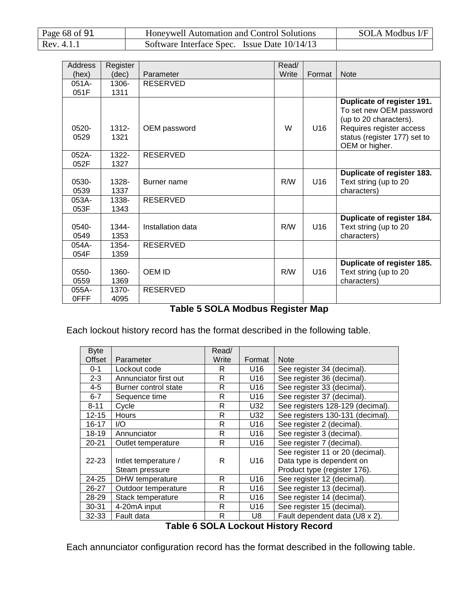| Page 68 of 91 | Honeywell Automation and Control Solutions   | $SOLA$ Modbus $I/F$ |
|---------------|----------------------------------------------|---------------------|
| Rev. 4.1.1    | Software Interface Spec. Issue Date 10/14/13 |                     |

| <b>Address</b>        | Register              |                      | Read/ |        |                                                                                                                                                               |
|-----------------------|-----------------------|----------------------|-------|--------|---------------------------------------------------------------------------------------------------------------------------------------------------------------|
| (hex)                 | (dec)                 | Parameter            | Write | Format | <b>Note</b>                                                                                                                                                   |
| $051A -$              | 1306-                 | <b>RESERVED</b>      |       |        |                                                                                                                                                               |
| 051F                  | 1311                  |                      |       |        |                                                                                                                                                               |
| 0520-<br>0529         | $1312 -$<br>1321      | OEM password         | W     | U16    | Duplicate of register 191.<br>To set new OEM password<br>(up to 20 characters).<br>Requires register access<br>status (register 177) set to<br>OEM or higher. |
| 052A-                 | 1322-                 | <b>RESERVED</b>      |       |        |                                                                                                                                                               |
| 052F                  | 1327                  |                      |       |        |                                                                                                                                                               |
| 0530-<br>0539         | 1328-<br>1337         | Burner name          | R/W   | U16    | Duplicate of register 183.<br>Text string (up to 20<br>characters)                                                                                            |
| 053A-                 | 1338-                 | <b>RESERVED</b>      |       |        |                                                                                                                                                               |
| 053F<br>0540-<br>0549 | 1343<br>1344-<br>1353 | Installation data    | R/W   | U16    | Duplicate of register 184.<br>Text string (up to 20<br>characters)                                                                                            |
| 054A-<br>054F         | 1354-<br>1359         | <b>RESERVED</b>      |       |        |                                                                                                                                                               |
| $0550 -$<br>0559      | 1360-<br>1369         | <b>OEM ID</b>        | R/W   | U16    | Duplicate of register 185.<br>Text string (up to 20<br>characters)                                                                                            |
| 055A-<br>0FFF         | 1370-<br>4095         | <b>RESERVED</b><br>. |       |        |                                                                                                                                                               |

## **Table 5 SOLA Modbus Register Map**

Each lockout history record has the format described in the following table.

| <b>Byte</b> |                                   | Read/ |                 |                                                               |
|-------------|-----------------------------------|-------|-----------------|---------------------------------------------------------------|
| Offset      | Parameter                         | Write | Format          | <b>Note</b>                                                   |
| $0 - 1$     | Lockout code                      | R     | U16             | See register 34 (decimal).                                    |
| $2 - 3$     | Annunciator first out             | R     | U16             | See register 36 (decimal).                                    |
| $4 - 5$     | Burner control state              | R     | U <sub>16</sub> | See register 33 (decimal).                                    |
| $6 - 7$     | Sequence time                     | R     | U16             | See register 37 (decimal).                                    |
| $8 - 11$    | Cycle                             | R     | U32             | See registers 128-129 (decimal).                              |
| $12 - 15$   | <b>Hours</b>                      | R     | U32             | See registers 130-131 (decimal).                              |
| 16-17       | 1/O                               | R     | U <sub>16</sub> | See register 2 (decimal).                                     |
| 18-19       | Annunciator                       | R     | U16             | See register 3 (decimal).                                     |
| $20 - 21$   | Outlet temperature                | R     | U16             | See register 7 (decimal).                                     |
| $22 - 23$   | Intlet temperature /              | R.    | U16             | See register 11 or 20 (decimal).<br>Data type is dependent on |
| 24-25       | Steam pressure<br>DHW temperature | R     | U16             | Product type (register 176).<br>See register 12 (decimal).    |
|             |                                   |       |                 |                                                               |
| 26-27       | Outdoor temperature               | R     | U16             | See register 13 (decimal).                                    |
| 28-29       | Stack temperature                 | R     | U16             | See register 14 (decimal).                                    |
| 30-31       | 4-20mA input                      | R     | U16             | See register 15 (decimal).                                    |
| $32 - 33$   | Fault data                        | R     | U8              | Fault dependent data (U8 x 2).                                |

**Table 6 SOLA Lockout History Record**

Each annunciator configuration record has the format described in the following table.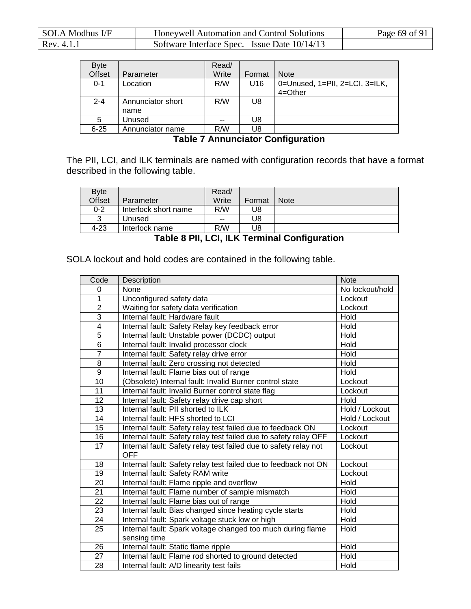| <b>SOLA Modbus I/F</b> | Honeywell Automation and Control Solutions   | Page 69 of 91 |
|------------------------|----------------------------------------------|---------------|
| Rev. 4.1.1             | Software Interface Spec. Issue Date 10/14/13 |               |

| <b>Byte</b>   |                   | Read/ |                 |                                |
|---------------|-------------------|-------|-----------------|--------------------------------|
| <b>Offset</b> | Parameter         | Write | Format          | <b>Note</b>                    |
| $0 - 1$       | _ocation          | R/W   | U <sub>16</sub> | 0=Unused, 1=PII, 2=LCI, 3=ILK, |
|               |                   |       |                 | $4 =$ Other                    |
| $2 - 4$       | Annunciator short | R/W   | U8              |                                |
|               | name              |       |                 |                                |
| 5             | Unused            | --    | U8              |                                |
| $6 - 25$      | Annunciator name  | R/W   | U8              |                                |

## **Table 7 Annunciator Configuration**

The PII, LCI, and ILK terminals are named with configuration records that have a format described in the following table.

| <b>Byte</b><br>Offset | Parameter            | Read/<br>Write | Format | <b>Note</b> |
|-----------------------|----------------------|----------------|--------|-------------|
| $0 - 2$               | Interlock short name | R/W            | J8     |             |
| 3                     | Unused               | --             | U8     |             |
| 4-23                  | Interlock name       | R/W            | U8     |             |

## **Table 8 PII, LCI, ILK Terminal Configuration**

SOLA lockout and hold codes are contained in the following table.

| Code            | Description                                                                    | <b>Note</b>     |
|-----------------|--------------------------------------------------------------------------------|-----------------|
| 0               | None                                                                           | No lockout/hold |
| 1               | Unconfigured safety data                                                       | Lockout         |
| $\overline{2}$  | Waiting for safety data verification                                           | Lockout         |
| 3               | Internal fault: Hardware fault                                                 | Hold            |
| $\overline{4}$  | Internal fault: Safety Relay key feedback error                                | Hold            |
| 5               | Internal fault: Unstable power (DCDC) output                                   | Hold            |
| 6               | Internal fault: Invalid processor clock                                        | Hold            |
| $\overline{7}$  | Internal fault: Safety relay drive error                                       | Hold            |
| 8               | Internal fault: Zero crossing not detected                                     | Hold            |
| 9               | Internal fault: Flame bias out of range                                        | Hold            |
| $\overline{10}$ | (Obsolete) Internal fault: Invalid Burner control state                        | Lockout         |
| 11              | Internal fault: Invalid Burner control state flag                              | Lockout         |
| 12              | Internal fault: Safety relay drive cap short                                   | Hold            |
| 13              | Internal fault: PII shorted to ILK                                             | Hold / Lockout  |
| 14              | Internal fault: HFS shorted to LCI                                             | Hold / Lockout  |
| 15              | Internal fault: Safety relay test failed due to feedback ON                    | Lockout         |
| $\overline{16}$ | Internal fault: Safety relay test failed due to safety relay OFF               | Lockout         |
| 17              | Internal fault: Safety relay test failed due to safety relay not<br><b>OFF</b> | Lockout         |
| 18              | Internal fault: Safety relay test failed due to feedback not ON                | Lockout         |
| 19              | Internal fault: Safety RAM write                                               | Lockout         |
| 20              | Internal fault: Flame ripple and overflow                                      | Hold            |
| 21              | Internal fault: Flame number of sample mismatch                                | Hold            |
| 22              | Internal fault: Flame bias out of range                                        | Hold            |
| 23              | Internal fault: Bias changed since heating cycle starts                        | Hold            |
| 24              | Internal fault: Spark voltage stuck low or high                                | Hold            |
| 25              | Internal fault: Spark voltage changed too much during flame                    | Hold            |
|                 | sensing time                                                                   |                 |
| 26              | Internal fault: Static flame ripple                                            | Hold            |
| 27              | Internal fault: Flame rod shorted to ground detected                           | Hold            |
| 28              | Internal fault: A/D linearity test fails                                       | Hold            |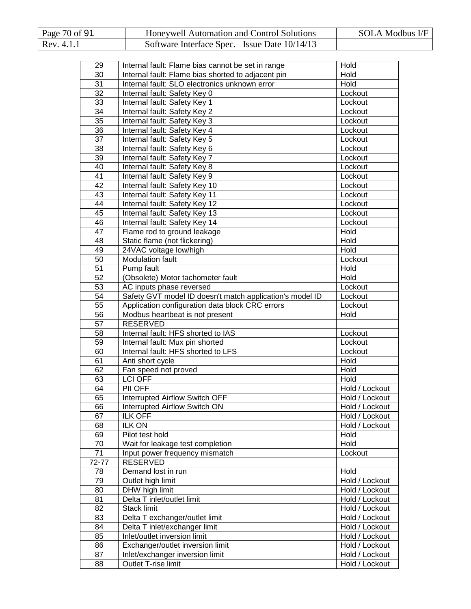| Page 70 of 91 | <b>Honeywell Automation and Control Solutions</b> | <b>SOLA Modbus I/F</b> |
|---------------|---------------------------------------------------|------------------------|
| Rev. 4.1.1    | Software Interface Spec. Issue Date 10/14/13      |                        |

| 29    | Internal fault: Flame bias cannot be set in range        | Hold           |
|-------|----------------------------------------------------------|----------------|
| 30    | Internal fault: Flame bias shorted to adjacent pin       | Hold           |
| 31    | Internal fault: SLO electronics unknown error            | Hold           |
| 32    | Internal fault: Safety Key 0                             | Lockout        |
| 33    | Internal fault: Safety Key 1                             | Lockout        |
| 34    | Internal fault: Safety Key 2                             | Lockout        |
| 35    | Internal fault: Safety Key 3                             | Lockout        |
| 36    | Internal fault: Safety Key 4                             | Lockout        |
| 37    | Internal fault: Safety Key 5                             | Lockout        |
| 38    | Internal fault: Safety Key 6                             | Lockout        |
| 39    | Internal fault: Safety Key 7                             | Lockout        |
| 40    | Internal fault: Safety Key 8                             | Lockout        |
| 41    | Internal fault: Safety Key 9                             | Lockout        |
| 42    | Internal fault: Safety Key 10                            | Lockout        |
| 43    | Internal fault: Safety Key 11                            | Lockout        |
| 44    | Internal fault: Safety Key 12                            | Lockout        |
| 45    | Internal fault: Safety Key 13                            | Lockout        |
| 46    | Internal fault: Safety Key 14                            | Lockout        |
| 47    | Flame rod to ground leakage                              | Hold           |
| 48    | Static flame (not flickering)                            | Hold           |
| 49    | 24VAC voltage low/high                                   | Hold           |
| 50    | Modulation fault                                         | Lockout        |
| 51    | Pump fault                                               | Hold           |
| 52    | (Obsolete) Motor tachometer fault                        | Hold           |
|       |                                                          |                |
| 53    | AC inputs phase reversed                                 | Lockout        |
| 54    | Safety GVT model ID doesn't match application's model ID | Lockout        |
| 55    | Application configuration data block CRC errors          | Lockout        |
| 56    | Modbus heartbeat is not present                          | Hold           |
| 57    | <b>RESERVED</b>                                          |                |
| 58    | Internal fault: HFS shorted to IAS                       | Lockout        |
| 59    | Internal fault: Mux pin shorted                          | Lockout        |
| 60    | Internal fault: HFS shorted to LFS                       | Lockout        |
| 61    | Anti short cycle                                         | Hold           |
| 62    | Fan speed not proved                                     | Hold           |
| 63    | <b>LCI OFF</b>                                           | Hold           |
| 64    | PII OFF                                                  | Hold / Lockout |
| 65    | <b>Interrupted Airflow Switch OFF</b>                    | Hold / Lockout |
| 66    | Interrupted Airflow Switch ON                            | Hold / Lockout |
| 67    | ILK OFF                                                  | Hold / Lockout |
| 68    | ILK ON                                                   | Hold / Lockout |
| 69    | Pilot test hold                                          | Hold           |
| 70    | Wait for leakage test completion                         | Hold           |
| 71    | Input power frequency mismatch                           | Lockout        |
| 72-77 | RESERVED                                                 |                |
| 78    | Demand lost in run                                       | Hold           |
| 79    | Outlet high limit                                        | Hold / Lockout |
| 80    | DHW high limit                                           | Hold / Lockout |
| 81    | Delta T inlet/outlet limit                               | Hold / Lockout |
| 82    | Stack limit                                              | Hold / Lockout |
| 83    | Delta T exchanger/outlet limit                           | Hold / Lockout |
| 84    | Delta T inlet/exchanger limit                            | Hold / Lockout |
| 85    | Inlet/outlet inversion limit                             | Hold / Lockout |
| 86    | Exchanger/outlet inversion limit                         | Hold / Lockout |
| 87    | Inlet/exchanger inversion limit                          | Hold / Lockout |
| 88    | Outlet T-rise limit                                      | Hold / Lockout |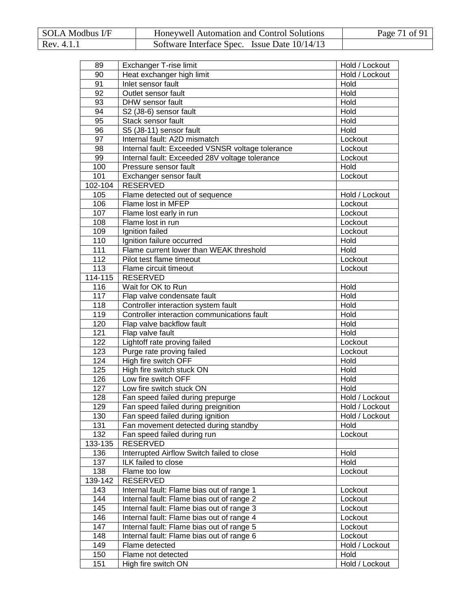| <b>SOLA Modbus I/F</b> | Honeywell Automation and Control Solutions   | Page 71 of 91 |
|------------------------|----------------------------------------------|---------------|
| Rev. 4.1.1             | Software Interface Spec. Issue Date 10/14/13 |               |

| 89              | Exchanger T-rise limit                           | Hold / Lockout |
|-----------------|--------------------------------------------------|----------------|
| 90              | Heat exchanger high limit                        | Hold / Lockout |
| 91              | Inlet sensor fault                               | Hold           |
| 92              | Outlet sensor fault                              | Hold           |
| 93              | DHW sensor fault                                 | Hold           |
| 94              | S2 (J8-6) sensor fault                           | Hold           |
| 95              | Stack sensor fault                               | Hold           |
| 96              | S5 (J8-11) sensor fault                          | Hold           |
| 97              | Internal fault: A2D mismatch                     | Lockout        |
| 98              | Internal fault: Exceeded VSNSR voltage tolerance | Lockout        |
| 99              | Internal fault: Exceeded 28V voltage tolerance   | Lockout        |
| 100             | Pressure sensor fault                            | Hold           |
| 101             | Exchanger sensor fault                           | Lockout        |
| 102-104         | <b>RESERVED</b>                                  |                |
| 10 <sub>5</sub> | Flame detected out of sequence                   | Hold / Lockout |
| 106             | Flame lost in MFEP                               | Lockout        |
| 107             | Flame lost early in run                          | Lockout        |
| 108             | Flame lost in run                                | Lockout        |
| 109             | Ignition failed                                  | Lockout        |
| 110             | Ignition failure occurred                        | Hold           |
| 111             | Flame current lower than WEAK threshold          | Hold           |
| 112             | Pilot test flame timeout                         | Lockout        |
| 113             | Flame circuit timeout                            | Lockout        |
| 114-115         | <b>RESERVED</b>                                  |                |
| 116             |                                                  |                |
|                 | Wait for OK to Run                               | Hold           |
| 117             | Flap valve condensate fault                      | <b>Hold</b>    |
| 118             | Controller interaction system fault              | Hold           |
| 119             | Controller interaction communications fault      | <b>Hold</b>    |
| 120             | Flap valve backflow fault                        | Hold           |
| 121             | Flap valve fault                                 | Hold           |
| 122             | Lightoff rate proving failed                     | Lockout        |
| 123             | Purge rate proving failed                        | Lockout        |
| 124             | High fire switch OFF                             | Hold           |
| 125             | High fire switch stuck ON                        | Hold           |
| 126             | Low fire switch OFF                              | Hold           |
| 127             | Low fire switch stuck ON                         | <b>Hold</b>    |
| 128             | Fan speed failed during prepurge                 | Hold / Lockout |
| 129             | Fan speed failed during preignition              | Hold / Lockout |
| 130             | Fan speed failed during ignition                 | Hold / Lockout |
| 131             | Fan movement detected during standby             | Hold           |
| 132             | Fan speed failed during run                      | Lockout        |
| 133-135         | RESERVED                                         |                |
| 136             | Interrupted Airflow Switch failed to close       | Hold           |
| 137             | ILK failed to close                              | Hold           |
| 138             | Flame too low                                    | Lockout        |
| 139-142         | <b>RESERVED</b>                                  |                |
| 143             | Internal fault: Flame bias out of range 1        | Lockout        |
| 144             | Internal fault: Flame bias out of range 2        | Lockout        |
| 145             | Internal fault: Flame bias out of range 3        | Lockout        |
| 146             | Internal fault: Flame bias out of range 4        | Lockout        |
| 147             | Internal fault: Flame bias out of range 5        | Lockout        |
| 148             | Internal fault: Flame bias out of range 6        | Lockout        |
| 149             | Flame detected                                   | Hold / Lockout |
| 150             | Flame not detected                               | Hold           |
| 151             | High fire switch ON                              | Hold / Lockout |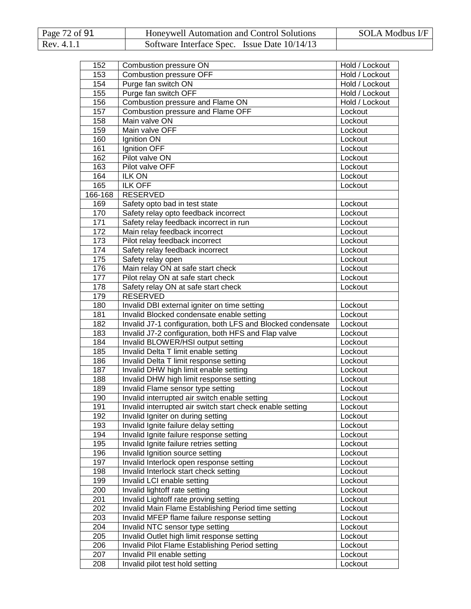| Page 72 of 91 | Honeywell Automation and Control Solutions   | SOLA Modbus I/F |
|---------------|----------------------------------------------|-----------------|
| Rev. 4.1.1    | Software Interface Spec. Issue Date 10/14/13 |                 |

| 152     | Combustion pressure ON                                      | Hold / Lockout |
|---------|-------------------------------------------------------------|----------------|
| 153     | Combustion pressure OFF                                     | Hold / Lockout |
| 154     | Purge fan switch ON                                         | Hold / Lockout |
| 155     | Purge fan switch OFF                                        | Hold / Lockout |
| 156     | Combustion pressure and Flame ON                            | Hold / Lockout |
| 157     | Combustion pressure and Flame OFF                           | Lockout        |
| 158     | Main valve ON                                               | Lockout        |
| 159     | Main valve OFF                                              | Lockout        |
| 160     | Ignition ON                                                 | Lockout        |
| 161     | Ignition OFF                                                | Lockout        |
| 162     | Pilot valve ON                                              | Lockout        |
| 163     | Pilot valve OFF                                             | Lockout        |
| 164     | <b>ILK ON</b>                                               | Lockout        |
| 165     | <b>ILK OFF</b>                                              | Lockout        |
| 166-168 | <b>RESERVED</b>                                             |                |
| 169     | Safety opto bad in test state                               | Lockout        |
| 170     | Safety relay opto feedback incorrect                        | Lockout        |
| 171     | Safety relay feedback incorrect in run                      | Lockout        |
| 172     | Main relay feedback incorrect                               | Lockout        |
| 173     | Pilot relay feedback incorrect                              | Lockout        |
| 174     | Safety relay feedback incorrect                             | Lockout        |
| 175     | Safety relay open                                           | Lockout        |
| 176     | Main relay ON at safe start check                           | Lockout        |
| 177     | Pilot relay ON at safe start check                          | Lockout        |
| 178     | Safety relay ON at safe start check                         | Lockout        |
| 179     | <b>RESERVED</b>                                             |                |
| 180     | Invalid DBI external igniter on time setting                | Lockout        |
| 181     | Invalid Blocked condensate enable setting                   | Lockout        |
| 182     | Invalid J7-1 configuration, both LFS and Blocked condensate | Lockout        |
| 183     | Invalid J7-2 configuration, both HFS and Flap valve         | Lockout        |
| 184     | Invalid BLOWER/HSI output setting                           | Lockout        |
| 185     | Invalid Delta T limit enable setting                        | Lockout        |
| 186     | Invalid Delta T limit response setting                      |                |
| 187     | Invalid DHW high limit enable setting                       | Lockout        |
| 188     | Invalid DHW high limit response setting                     | Lockout        |
| 189     |                                                             | Lockout        |
|         | Invalid Flame sensor type setting                           | Lockout        |
| 190     | Invalid interrupted air switch enable setting               | Lockout        |
| 191     | Invalid interrupted air switch start check enable setting   | Lockout        |
| 192     | Invalid Igniter on during setting                           | Lockout        |
| 193     | Invalid Ignite failure delay setting                        | Lockout        |
| 194     | Invalid Ignite failure response setting                     | Lockout        |
| 195     | Invalid Ignite failure retries setting                      | Lockout        |
| 196     | Invalid Ignition source setting                             | Lockout        |
| 197     | Invalid Interlock open response setting                     | Lockout        |
| 198     | Invalid Interlock start check setting                       | Lockout        |
| 199     | Invalid LCI enable setting                                  | Lockout        |
| 200     | Invalid lightoff rate setting                               | Lockout        |
| 201     | Invalid Lightoff rate proving setting                       | Lockout        |
| 202     | Invalid Main Flame Establishing Period time setting         | Lockout        |
| 203     | Invalid MFEP flame failure response setting                 | Lockout        |
| 204     | Invalid NTC sensor type setting                             | Lockout        |
| 205     | Invalid Outlet high limit response setting                  | Lockout        |
| 206     | Invalid Pilot Flame Establishing Period setting             | Lockout        |
| 207     | Invalid PII enable setting                                  | Lockout        |
| 208     | Invalid pilot test hold setting                             | Lockout        |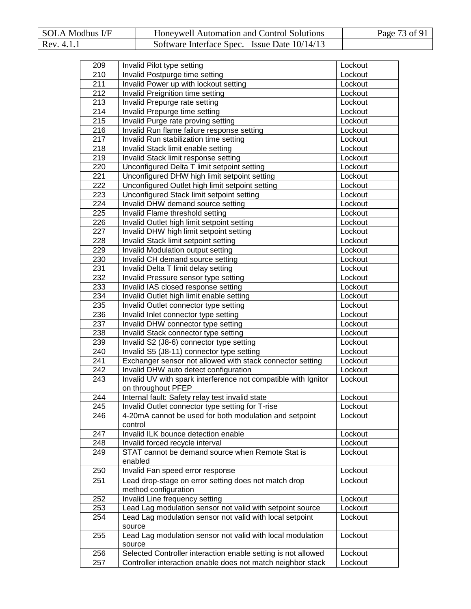| SOLA Modbus I/F | Honeywell Automation and Control Solutions   | Page 73 of 91 |
|-----------------|----------------------------------------------|---------------|
| Rev. 4.1.1      | Software Interface Spec. Issue Date 10/14/13 |               |

| 209          | Invalid Pilot type setting                                                   | Lockout |
|--------------|------------------------------------------------------------------------------|---------|
| 210          | <b>Invalid Postpurge time setting</b>                                        | Lockout |
| 211          | Invalid Power up with lockout setting                                        | Lockout |
| 212          | Invalid Preignition time setting                                             | Lockout |
| 213          | Invalid Prepurge rate setting                                                | Lockout |
| 214          | Invalid Prepurge time setting                                                | Lockout |
| 215          | Invalid Purge rate proving setting                                           | Lockout |
| 216          | Invalid Run flame failure response setting                                   | Lockout |
| 217          | Invalid Run stabilization time setting                                       | Lockout |
| 218          | Invalid Stack limit enable setting                                           | Lockout |
| 219          | Invalid Stack limit response setting                                         | Lockout |
| 220          | Unconfigured Delta T limit setpoint setting                                  | Lockout |
| 221          | Unconfigured DHW high limit setpoint setting                                 | Lockout |
| 222          | Unconfigured Outlet high limit setpoint setting                              | Lockout |
| 223          | Unconfigured Stack limit setpoint setting                                    | Lockout |
| 224          | Invalid DHW demand source setting                                            | Lockout |
| 225          | Invalid Flame threshold setting                                              | Lockout |
| 226          | Invalid Outlet high limit setpoint setting                                   | Lockout |
| 227          | Invalid DHW high limit setpoint setting                                      | Lockout |
| 228          | Invalid Stack limit setpoint setting                                         | Lockout |
| 229          | Invalid Modulation output setting                                            | Lockout |
| 230          | Invalid CH demand source setting                                             | Lockout |
| 231          | Invalid Delta T limit delay setting                                          | Lockout |
| 232          | Invalid Pressure sensor type setting                                         | Lockout |
| 233          | Invalid IAS closed response setting                                          | Lockout |
| 234          | Invalid Outlet high limit enable setting                                     | Lockout |
| 235          | Invalid Outlet connector type setting                                        | Lockout |
| 236          | Invalid Inlet connector type setting                                         | Lockout |
| 237          | Invalid DHW connector type setting                                           | Lockout |
| 238          | Invalid Stack connector type setting                                         | Lockout |
| 239          | Invalid S2 (J8-6) connector type setting                                     | Lockout |
| 240          | Invalid S5 (J8-11) connector type setting                                    | Lockout |
| 241          | Exchanger sensor not allowed with stack connector setting                    | Lockout |
| 242          | Invalid DHW auto detect configuration                                        | Lockout |
| 243          | Invalid UV with spark interference not compatible with Ignitor               | Lockout |
|              | on throughout PFEP                                                           |         |
| 244          | Internal fault: Safety relay test invalid state                              | Lockout |
| $\sqrt{245}$ | Invalid Outlet connector type setting for T-rise                             | Lockout |
| 246          | 4-20mA cannot be used for both modulation and setpoint                       | Lockout |
|              | control                                                                      |         |
| 247          | Invalid ILK bounce detection enable                                          | Lockout |
| 248          | Invalid forced recycle interval                                              | Lockout |
| 249          | STAT cannot be demand source when Remote Stat is                             | Lockout |
|              | enabled                                                                      |         |
| 250          | Invalid Fan speed error response                                             | Lockout |
|              |                                                                              |         |
| 251          | Lead drop-stage on error setting does not match drop<br>method configuration | Lockout |
| 252          |                                                                              |         |
|              | Invalid Line frequency setting                                               | Lockout |
| 253          | Lead Lag modulation sensor not valid with setpoint source                    | Lockout |
| 254          | Lead Lag modulation sensor not valid with local setpoint                     | Lockout |
|              | source                                                                       |         |
| 255          | Lead Lag modulation sensor not valid with local modulation<br>source         | Lockout |
| 256          | Selected Controller interaction enable setting is not allowed                | Lockout |
| 257          | Controller interaction enable does not match neighbor stack                  | Lockout |
|              |                                                                              |         |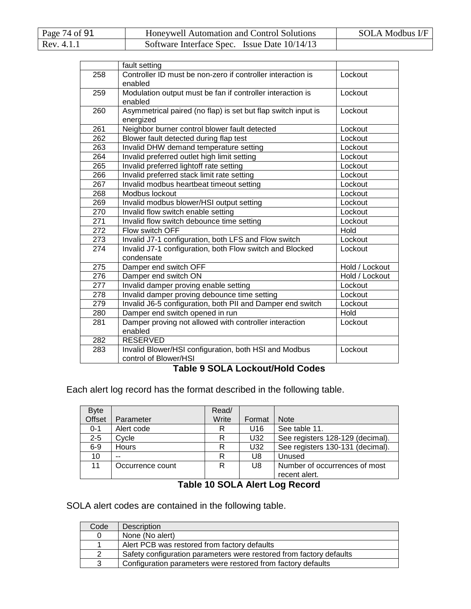| Page 74 of 91 | Honeywell Automation and Control Solutions   | $SOLA$ Modbus $I/F$ |
|---------------|----------------------------------------------|---------------------|
| Rev. 4.1.1    | Software Interface Spec. Issue Date 10/14/13 |                     |

|     | fault setting                                                 |                |
|-----|---------------------------------------------------------------|----------------|
| 258 | Controller ID must be non-zero if controller interaction is   | Lockout        |
|     | enabled                                                       |                |
| 259 | Modulation output must be fan if controller interaction is    | Lockout        |
|     | enabled                                                       |                |
| 260 | Asymmetrical paired (no flap) is set but flap switch input is | Lockout        |
|     | energized                                                     |                |
| 261 | Neighbor burner control blower fault detected                 | Lockout        |
| 262 | Blower fault detected during flap test                        | Lockout        |
| 263 | Invalid DHW demand temperature setting                        | Lockout        |
| 264 | Invalid preferred outlet high limit setting                   | Lockout        |
| 265 | Invalid preferred lightoff rate setting                       | Lockout        |
| 266 | Invalid preferred stack limit rate setting                    | Lockout        |
| 267 | Invalid modbus heartbeat timeout setting                      | Lockout        |
| 268 | Modbus lockout                                                | Lockout        |
| 269 | Invalid modbus blower/HSI output setting                      | Lockout        |
| 270 | Invalid flow switch enable setting                            | Lockout        |
| 271 | Invalid flow switch debounce time setting                     | Lockout        |
| 272 | Flow switch OFF                                               | Hold           |
| 273 | Invalid J7-1 configuration, both LFS and Flow switch          | Lockout        |
| 274 | Invalid J7-1 configuration, both Flow switch and Blocked      | Lockout        |
|     | condensate                                                    |                |
| 275 | Damper end switch OFF                                         | Hold / Lockout |
| 276 | Damper end switch ON                                          | Hold / Lockout |
| 277 | Invalid damper proving enable setting                         | Lockout        |
| 278 | Invalid damper proving debounce time setting                  | Lockout        |
| 279 | Invalid J6-5 configuration, both PII and Damper end switch    | Lockout        |
| 280 | Damper end switch opened in run                               | <b>Hold</b>    |
| 281 | Damper proving not allowed with controller interaction        | Lockout        |
|     | enabled                                                       |                |
| 282 | <b>RESERVED</b>                                               |                |
| 283 | Invalid Blower/HSI configuration, both HSI and Modbus         | Lockout        |
|     | control of Blower/HSI                                         |                |

### **Table 9 SOLA Lockout/Hold Codes**

Each alert log record has the format described in the following table.

| <b>Byte</b>   |                  | Read/ |        |                                  |
|---------------|------------------|-------|--------|----------------------------------|
| <b>Offset</b> | Parameter        | Write | Format | <b>Note</b>                      |
| $0 - 1$       | Alert code       | R     | U16    | See table 11.                    |
| $2 - 5$       | Cycle            | R     | U32    | See registers 128-129 (decimal). |
| $6-9$         | <b>Hours</b>     | R     | U32    | See registers 130-131 (decimal). |
| 10            | $- -$            |       | U8     | Unused                           |
| 11            | Occurrence count | R     | U8     | Number of occurrences of most    |
|               |                  |       |        | recent alert.                    |

# **Table 10 SOLA Alert Log Record**

SOLA alert codes are contained in the following table.

| Code | <b>Description</b>                                                  |
|------|---------------------------------------------------------------------|
| 0    | None (No alert)                                                     |
|      | Alert PCB was restored from factory defaults                        |
| 2    | Safety configuration parameters were restored from factory defaults |
| 3    | Configuration parameters were restored from factory defaults        |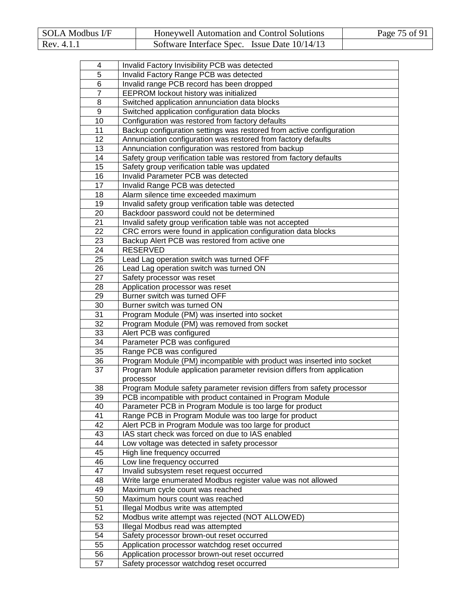| <b>SOLA Modbus I/F</b> | Honeywell Automation and Control Solutions   | Page 75 of 91 |
|------------------------|----------------------------------------------|---------------|
| Rev. 4.1.1             | Software Interface Spec. Issue Date 10/14/13 |               |

| 4              | Invalid Factory Invisibility PCB was detected                          |
|----------------|------------------------------------------------------------------------|
| $\overline{5}$ | Invalid Factory Range PCB was detected                                 |
| $\overline{6}$ | Invalid range PCB record has been dropped                              |
| $\overline{7}$ | EEPROM lockout history was initialized                                 |
| $\overline{8}$ | Switched application annunciation data blocks                          |
| $\overline{9}$ | Switched application configuration data blocks                         |
| 10             | Configuration was restored from factory defaults                       |
| 11             | Backup configuration settings was restored from active configuration   |
| 12             | Annunciation configuration was restored from factory defaults          |
| 13             | Annunciation configuration was restored from backup                    |
| 14             | Safety group verification table was restored from factory defaults     |
| 15             | Safety group verification table was updated                            |
| 16             | Invalid Parameter PCB was detected                                     |
| 17             | Invalid Range PCB was detected                                         |
| 18             | Alarm silence time exceeded maximum                                    |
| 19             | Invalid safety group verification table was detected                   |
| 20             | Backdoor password could not be determined                              |
| 21             | Invalid safety group verification table was not accepted               |
| 22             | CRC errors were found in application configuration data blocks         |
| 23             | Backup Alert PCB was restored from active one                          |
| 24             | <b>RESERVED</b>                                                        |
| 25             | Lead Lag operation switch was turned OFF                               |
| 26             | Lead Lag operation switch was turned ON                                |
| 27             | Safety processor was reset                                             |
| 28             | Application processor was reset                                        |
| 29             | Burner switch was turned OFF                                           |
| 30             | Burner switch was turned ON                                            |
| 31             | Program Module (PM) was inserted into socket                           |
| 32             | Program Module (PM) was removed from socket                            |
| 33             | Alert PCB was configured                                               |
| 34             | Parameter PCB was configured                                           |
| 35             | Range PCB was configured                                               |
| 36             | Program Module (PM) incompatible with product was inserted into socket |
| 37             | Program Module application parameter revision differs from application |
|                | processor                                                              |
| 38             | Program Module safety parameter revision differs from safety processor |
| 39             | PCB incompatible with product contained in Program Module              |
| 40             | Parameter PCB in Program Module is too large for product               |
| 41             | Range PCB in Program Module was too large for product                  |
| 42             | Alert PCB in Program Module was too large for product                  |
| 43             | IAS start check was forced on due to IAS enabled                       |
| 44             | Low voltage was detected in safety processor                           |
| 45             | High line frequency occurred                                           |
| 46             | Low line frequency occurred                                            |
| 47             | Invalid subsystem reset request occurred                               |
| 48             | Write large enumerated Modbus register value was not allowed           |
| 49             | Maximum cycle count was reached                                        |
| 50             | Maximum hours count was reached                                        |
| 51             | Illegal Modbus write was attempted                                     |
| 52             | Modbus write attempt was rejected (NOT ALLOWED)                        |
| 53             | Illegal Modbus read was attempted                                      |
| 54             | Safety processor brown-out reset occurred                              |
| 55             | Application processor watchdog reset occurred                          |
| 56             | Application processor brown-out reset occurred                         |
| 57             | Safety processor watchdog reset occurred                               |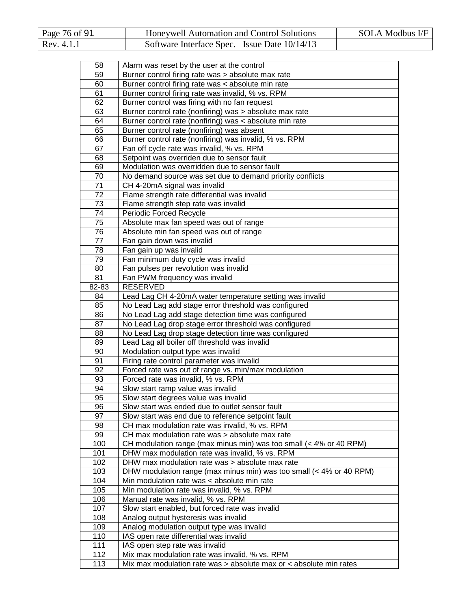| Page 76 of 91 | Honeywell Automation and Control Solutions   | $SOLA$ Modbus $I/F$ |
|---------------|----------------------------------------------|---------------------|
| Rev. 4.1.1    | Software Interface Spec. Issue Date 10/14/13 |                     |

| 58         | Alarm was reset by the user at the control                                       |
|------------|----------------------------------------------------------------------------------|
| 59         | Burner control firing rate was > absolute max rate                               |
| 60         | Burner control firing rate was < absolute min rate                               |
| 61         | Burner control firing rate was invalid, % vs. RPM                                |
| 62         | Burner control was firing with no fan request                                    |
| 63         | Burner control rate (nonfiring) was > absolute max rate                          |
| 64         | Burner control rate (nonfiring) was < absolute min rate                          |
| 65         | Burner control rate (nonfiring) was absent                                       |
| 66         | Burner control rate (nonfiring) was invalid, % vs. RPM                           |
| 67         | Fan off cycle rate was invalid, % vs. RPM                                        |
| 68         | Setpoint was overriden due to sensor fault                                       |
| 69         | Modulation was overridden due to sensor fault                                    |
| 70         | No demand source was set due to demand priority conflicts                        |
| 71         | CH 4-20mA signal was invalid                                                     |
| 72         | Flame strength rate differential was invalid                                     |
| 73         | Flame strength step rate was invalid                                             |
| 74         | Periodic Forced Recycle                                                          |
| 75         | Absolute max fan speed was out of range                                          |
| 76         | Absolute min fan speed was out of range                                          |
| 77         | Fan gain down was invalid                                                        |
| 78         | Fan gain up was invalid                                                          |
| 79         | Fan minimum duty cycle was invalid                                               |
| 80         | Fan pulses per revolution was invalid                                            |
| 81         | Fan PWM frequency was invalid                                                    |
| 82-83      | <b>RESERVED</b>                                                                  |
| 84         | Lead Lag CH 4-20mA water temperature setting was invalid                         |
| 85         | No Lead Lag add stage error threshold was configured                             |
| 86         | No Lead Lag add stage detection time was configured                              |
| 87         | No Lead Lag drop stage error threshold was configured                            |
| 88         | No Lead Lag drop stage detection time was configured                             |
| 89         | Lead Lag all boiler off threshold was invalid                                    |
| 90         | Modulation output type was invalid                                               |
| 91         | Firing rate control parameter was invalid                                        |
| 92         | Forced rate was out of range vs. min/max modulation                              |
| 93         | Forced rate was invalid, % vs. RPM                                               |
| 94         | Slow start ramp value was invalid                                                |
| 95         | Slow start degrees value was invalid                                             |
| 96         | Slow start was ended due to outlet sensor fault                                  |
| 97         | Slow start was end due to reference setpoint fault                               |
| 98         | CH max modulation rate was invalid, % vs. RPM                                    |
| 99         | CH max modulation rate was > absolute max rate                                   |
| 100        | CH modulation range (max minus min) was too small (< 4% or 40 RPM)               |
| 101        | DHW max modulation rate was invalid, % vs. RPM                                   |
| 102        | DHW max modulation rate was > absolute max rate                                  |
| 103        | DHW modulation range (max minus min) was too small (< 4% or 40 RPM)              |
| 104        | Min modulation rate was < absolute min rate                                      |
| 105<br>106 | Min modulation rate was invalid, % vs. RPM<br>Manual rate was invalid, % vs. RPM |
|            |                                                                                  |
| 107        | Slow start enabled, but forced rate was invalid                                  |
| 108        | Analog output hysteresis was invalid                                             |
| 109<br>110 | Analog modulation output type was invalid                                        |
| 111        | IAS open rate differential was invalid                                           |
| 112        | IAS open step rate was invalid<br>Mix max modulation rate was invalid, % vs. RPM |
|            | Mix max modulation rate was > absolute max or < absolute min rates               |
| 113        |                                                                                  |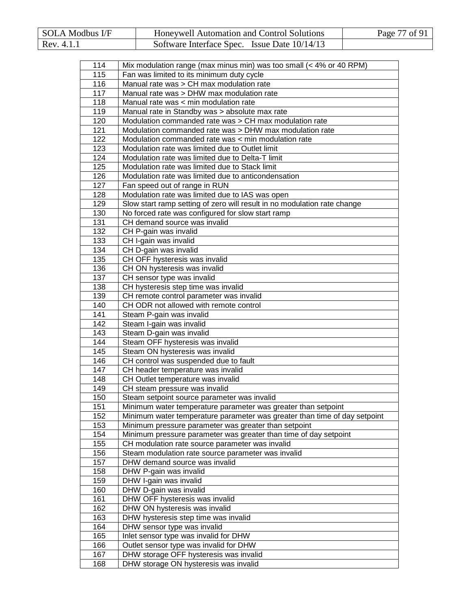| <b>SOLA Modbus I/F</b> | Honeywell Automation and Control Solutions   | Page 77 of 91 |
|------------------------|----------------------------------------------|---------------|
| Rev. 4.1.1             | Software Interface Spec. Issue Date 10/14/13 |               |

| 114 | Mix modulation range (max minus min) was too small $(< 4\%$ or 40 RPM)    |
|-----|---------------------------------------------------------------------------|
| 115 | Fan was limited to its minimum duty cycle                                 |
| 116 | Manual rate was > CH max modulation rate                                  |
| 117 | Manual rate was > DHW max modulation rate                                 |
| 118 | Manual rate was < min modulation rate                                     |
| 119 | Manual rate in Standby was > absolute max rate                            |
| 120 | Modulation commanded rate was > CH max modulation rate                    |
| 121 | Modulation commanded rate was > DHW max modulation rate                   |
| 122 | Modulation commanded rate was < min modulation rate                       |
| 123 | Modulation rate was limited due to Outlet limit                           |
| 124 | Modulation rate was limited due to Delta-T limit                          |
| 125 | Modulation rate was limited due to Stack limit                            |
| 126 | Modulation rate was limited due to anticondensation                       |
| 127 | Fan speed out of range in RUN                                             |
| 128 | Modulation rate was limited due to IAS was open                           |
| 129 | Slow start ramp setting of zero will result in no modulation rate change  |
| 130 | No forced rate was configured for slow start ramp                         |
| 131 | CH demand source was invalid                                              |
| 132 | CH P-gain was invalid                                                     |
| 133 | CH I-gain was invalid                                                     |
| 134 | CH D-gain was invalid                                                     |
| 135 | CH OFF hysteresis was invalid                                             |
| 136 | CH ON hysteresis was invalid                                              |
| 137 | CH sensor type was invalid                                                |
| 138 | CH hysteresis step time was invalid                                       |
| 139 | CH remote control parameter was invalid                                   |
| 140 | CH ODR not allowed with remote control                                    |
| 141 | Steam P-gain was invalid                                                  |
| 142 | Steam I-gain was invalid                                                  |
| 143 | Steam D-gain was invalid                                                  |
| 144 | Steam OFF hysteresis was invalid                                          |
| 145 | Steam ON hysteresis was invalid                                           |
| 146 | CH control was suspended due to fault                                     |
| 147 | CH header temperature was invalid                                         |
| 148 | CH Outlet temperature was invalid                                         |
| 149 | CH steam pressure was invalid                                             |
| 150 | Steam setpoint source parameter was invalid                               |
| 151 | Minimum water temperature parameter was greater than setpoint             |
| 152 | Minimum water temperature parameter was greater than time of day setpoint |
| 153 | Minimum pressure parameter was greater than setpoint                      |
| 154 | Minimum pressure parameter was greater than time of day setpoint          |
| 155 | CH modulation rate source parameter was invalid                           |
| 156 | Steam modulation rate source parameter was invalid                        |
| 157 | DHW demand source was invalid                                             |
| 158 | DHW P-gain was invalid                                                    |
| 159 | DHW I-gain was invalid                                                    |
| 160 | DHW D-gain was invalid                                                    |
| 161 | DHW OFF hysteresis was invalid                                            |
| 162 | DHW ON hysteresis was invalid                                             |
| 163 | DHW hysteresis step time was invalid                                      |
| 164 | DHW sensor type was invalid                                               |
| 165 | Inlet sensor type was invalid for DHW                                     |
| 166 | Outlet sensor type was invalid for DHW                                    |
| 167 | DHW storage OFF hysteresis was invalid                                    |
| 168 | DHW storage ON hysteresis was invalid                                     |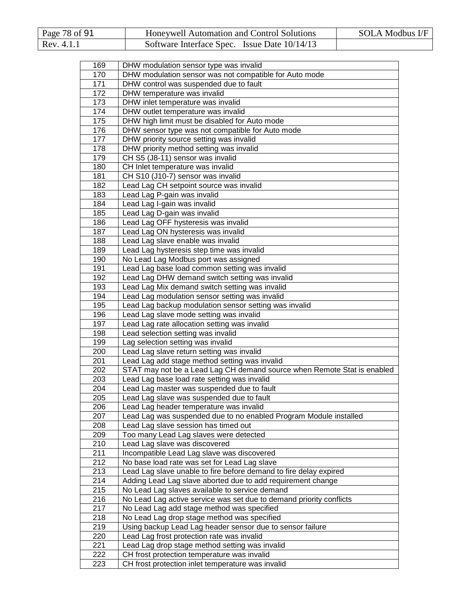| Page 78 of 91 | Honeywell Automation and Control Solutions   | $SOLA$ Modbus $I/F$ |
|---------------|----------------------------------------------|---------------------|
| Rev. 4.1.1    | Software Interface Spec. Issue Date 10/14/13 |                     |

| 169 | DHW modulation sensor type was invalid                                  |
|-----|-------------------------------------------------------------------------|
| 170 | DHW modulation sensor was not compatible for Auto mode                  |
| 171 | DHW control was suspended due to fault                                  |
| 172 | DHW temperature was invalid                                             |
| 173 | DHW inlet temperature was invalid                                       |
|     |                                                                         |
| 174 | DHW outlet temperature was invalid                                      |
| 175 | DHW high limit must be disabled for Auto mode                           |
| 176 | DHW sensor type was not compatible for Auto mode                        |
| 177 | DHW priority source setting was invalid                                 |
| 178 | DHW priority method setting was invalid                                 |
| 179 | CH S5 (J8-11) sensor was invalid                                        |
| 180 | CH Inlet temperature was invalid                                        |
| 181 | CH S10 (J10-7) sensor was invalid                                       |
| 182 | Lead Lag CH setpoint source was invalid                                 |
| 183 | Lead Lag P-gain was invalid                                             |
| 184 | Lead Lag I-gain was invalid                                             |
| 185 | Lead Lag D-gain was invalid                                             |
| 186 | Lead Lag OFF hysteresis was invalid                                     |
| 187 | Lead Lag ON hysteresis was invalid                                      |
| 188 | Lead Lag slave enable was invalid                                       |
| 189 | Lead Lag hysteresis step time was invalid                               |
| 190 | No Lead Lag Modbus port was assigned                                    |
| 191 | Lead Lag base load common setting was invalid                           |
| 192 | Lead Lag DHW demand switch setting was invalid                          |
| 193 | Lead Lag Mix demand switch setting was invalid                          |
| 194 | Lead Lag modulation sensor setting was invalid                          |
| 195 | Lead Lag backup modulation sensor setting was invalid                   |
| 196 | Lead Lag slave mode setting was invalid                                 |
| 197 | Lead Lag rate allocation setting was invalid                            |
| 198 | Lead selection setting was invalid                                      |
| 199 | Lag selection setting was invalid                                       |
| 200 | Lead Lag slave return setting was invalid                               |
| 201 | Lead Lag add stage method setting was invalid                           |
| 202 | STAT may not be a Lead Lag CH demand source when Remote Stat is enabled |
| 203 | Lead Lag base load rate setting was invalid                             |
| 204 | Lead Lag master was suspended due to fault                              |
| 205 | Lead Lag slave was suspended due to fault                               |
| 206 | Lead Lag header temperature was invalid                                 |
| 207 | Lead Lag was suspended due to no enabled Program Module installed       |
| 208 | Lead Lag slave session has timed out                                    |
| 209 | Too many Lead Lag slaves were detected                                  |
| 210 | Lead Lag slave was discovered                                           |
| 211 | Incompatible Lead Lag slave was discovered                              |
| 212 | No base load rate was set for Lead Lag slave                            |
| 213 | Lead Lag slave unable to fire before demand to fire delay expired       |
| 214 | Adding Lead Lag slave aborted due to add requirement change             |
| 215 | No Lead Lag slaves available to service demand                          |
| 216 | No Lead Lag active service was set due to demand priority conflicts     |
| 217 | No Lead Lag add stage method was specified                              |
| 218 | No Lead Lag drop stage method was specified                             |
| 219 | Using backup Lead Lag header sensor due to sensor failure               |
| 220 | Lead Lag frost protection rate was invalid                              |
| 221 | Lead Lag drop stage method setting was invalid                          |
| 222 | CH frost protection temperature was invalid                             |
| 223 | CH frost protection inlet temperature was invalid                       |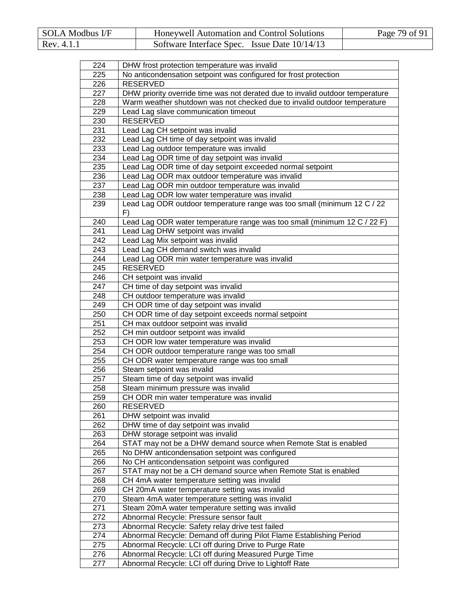| <b>SOLA Modbus I/F</b> | Honeywell Automation and Control Solutions   | Page 79 of 91 |
|------------------------|----------------------------------------------|---------------|
| Rev. 4.1.1             | Software Interface Spec. Issue Date 10/14/13 |               |

| 224              | DHW frost protection temperature was invalid                                                                                |
|------------------|-----------------------------------------------------------------------------------------------------------------------------|
| 225              | No anticondensation setpoint was configured for frost protection                                                            |
| 226              | <b>RESERVED</b>                                                                                                             |
| 227              | DHW priority override time was not derated due to invalid outdoor temperature                                               |
| 228              | Warm weather shutdown was not checked due to invalid outdoor temperature                                                    |
| 229              | Lead Lag slave communication timeout                                                                                        |
| 230              | <b>RESERVED</b>                                                                                                             |
| 231              | Lead Lag CH setpoint was invalid                                                                                            |
| 232              | Lead Lag CH time of day setpoint was invalid                                                                                |
| 233              | Lead Lag outdoor temperature was invalid                                                                                    |
| 234              | Lead Lag ODR time of day setpoint was invalid                                                                               |
| 235              | Lead Lag ODR time of day setpoint exceeded normal setpoint                                                                  |
| 236              | Lead Lag ODR max outdoor temperature was invalid                                                                            |
| 237              | Lead Lag ODR min outdoor temperature was invalid                                                                            |
| 238              | Lead Lag ODR low water temperature was invalid                                                                              |
| 239              | Lead Lag ODR outdoor temperature range was too small (minimum 12 C / 22                                                     |
|                  | F)                                                                                                                          |
| 240              | Lead Lag ODR water temperature range was too small (minimum 12 C / 22 F)                                                    |
| $\overline{2}41$ | Lead Lag DHW setpoint was invalid                                                                                           |
| 242              | Lead Lag Mix setpoint was invalid                                                                                           |
| 243              | Lead Lag CH demand switch was invalid                                                                                       |
| 244              | Lead Lag ODR min water temperature was invalid                                                                              |
| 245              | <b>RESERVED</b>                                                                                                             |
| 246              | CH setpoint was invalid                                                                                                     |
| 247              | CH time of day setpoint was invalid                                                                                         |
| 248              | CH outdoor temperature was invalid                                                                                          |
| 249              | CH ODR time of day setpoint was invalid                                                                                     |
| 250              | CH ODR time of day setpoint exceeds normal setpoint                                                                         |
| 251              | CH max outdoor setpoint was invalid                                                                                         |
| 252              | CH min outdoor setpoint was invalid                                                                                         |
| 253              | CH ODR low water temperature was invalid                                                                                    |
| 254              | CH ODR outdoor temperature range was too small                                                                              |
| 255              | CH ODR water temperature range was too small                                                                                |
| 256              | Steam setpoint was invalid                                                                                                  |
| 257              | Steam time of day setpoint was invalid                                                                                      |
| 258              | Steam minimum pressure was invalid                                                                                          |
| 259              | CH ODR min water temperature was invalid                                                                                    |
| 260              | RESERVED                                                                                                                    |
| 261              | DHW setpoint was invalid                                                                                                    |
| 262              | DHW time of day setpoint was invalid                                                                                        |
| 263              | DHW storage setpoint was invalid                                                                                            |
| 264              | STAT may not be a DHW demand source when Remote Stat is enabled                                                             |
| 265              | No DHW anticondensation setpoint was configured                                                                             |
| 266              | No CH anticondensation setpoint was configured                                                                              |
| 267              | STAT may not be a CH demand source when Remote Stat is enabled                                                              |
| 268              | CH 4mA water temperature setting was invalid                                                                                |
| 269              | CH 20mA water temperature setting was invalid                                                                               |
| 270              | Steam 4mA water temperature setting was invalid                                                                             |
| 271              | Steam 20mA water temperature setting was invalid                                                                            |
| 272              | Abnormal Recycle: Pressure sensor fault                                                                                     |
| 273<br>274       | Abnormal Recycle: Safety relay drive test failed                                                                            |
| 275              | Abnormal Recycle: Demand off during Pilot Flame Establishing Period<br>Abnormal Recycle: LCI off during Drive to Purge Rate |
| 276              | Abnormal Recycle: LCI off during Measured Purge Time                                                                        |
| 277              | Abnormal Recycle: LCI off during Drive to Lightoff Rate                                                                     |
|                  |                                                                                                                             |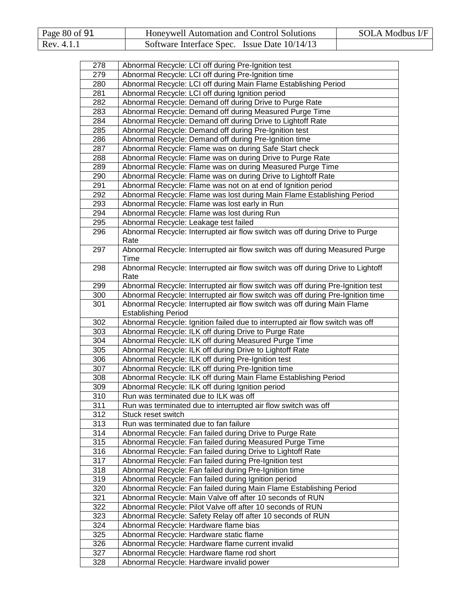| Page 80 of 91 | Honeywell Automation and Control Solutions   | SOLA Modbus $I/F$ |
|---------------|----------------------------------------------|-------------------|
| Rev. 4.1.1    | Software Interface Spec. Issue Date 10/14/13 |                   |

| 278        | Abnormal Recycle: LCI off during Pre-Ignition test                                  |
|------------|-------------------------------------------------------------------------------------|
| 279        | Abnormal Recycle: LCI off during Pre-Ignition time                                  |
| 280        | Abnormal Recycle: LCI off during Main Flame Establishing Period                     |
| 281        | Abnormal Recycle: LCI off during Ignition period                                    |
| 282        | Abnormal Recycle: Demand off during Drive to Purge Rate                             |
| 283        | Abnormal Recycle: Demand off during Measured Purge Time                             |
| 284        | Abnormal Recycle: Demand off during Drive to Lightoff Rate                          |
| 285        | Abnormal Recycle: Demand off during Pre-Ignition test                               |
| 286        | Abnormal Recycle: Demand off during Pre-Ignition time                               |
| 287        | Abnormal Recycle: Flame was on during Safe Start check                              |
| 288        | Abnormal Recycle: Flame was on during Drive to Purge Rate                           |
| 289        | Abnormal Recycle: Flame was on during Measured Purge Time                           |
| 290        | Abnormal Recycle: Flame was on during Drive to Lightoff Rate                        |
| 291        | Abnormal Recycle: Flame was not on at end of Ignition period                        |
| 292        | Abnormal Recycle: Flame was lost during Main Flame Establishing Period              |
| 293        | Abnormal Recycle: Flame was lost early in Run                                       |
| 294        | Abnormal Recycle: Flame was lost during Run                                         |
| 295        | Abnormal Recycle: Leakage test failed                                               |
| 296        | Abnormal Recycle: Interrupted air flow switch was off during Drive to Purge         |
|            | Rate                                                                                |
| 297        | Abnormal Recycle: Interrupted air flow switch was off during Measured Purge         |
|            | Time                                                                                |
| 298        | Abnormal Recycle: Interrupted air flow switch was off during Drive to Lightoff      |
|            | Rate                                                                                |
| 299        | Abnormal Recycle: Interrupted air flow switch was off during Pre-Ignition test      |
| 300        | Abnormal Recycle: Interrupted air flow switch was off during Pre-Ignition time      |
| 301        | Abnormal Recycle: Interrupted air flow switch was off during Main Flame             |
|            | <b>Establishing Period</b>                                                          |
| 302        | Abnormal Recycle: Ignition failed due to interrupted air flow switch was off        |
| 303        | Abnormal Recycle: ILK off during Drive to Purge Rate                                |
| 304        | Abnormal Recycle: ILK off during Measured Purge Time                                |
| 305        | Abnormal Recycle: ILK off during Drive to Lightoff Rate                             |
| 306        | Abnormal Recycle: ILK off during Pre-Ignition test                                  |
| 307        | Abnormal Recycle: ILK off during Pre-Ignition time                                  |
| 308        | Abnormal Recycle: ILK off during Main Flame Establishing Period                     |
| 309        | Abnormal Recycle: ILK off during Ignition period                                    |
| 310<br>311 | Run was terminated due to ILK was off                                               |
| 312        | Run was terminated due to interrupted air flow switch was off<br>Stuck reset switch |
| 313        | Run was terminated due to fan failure                                               |
| 314        | Abnormal Recycle: Fan failed during Drive to Purge Rate                             |
| 315        | Abnormal Recycle: Fan failed during Measured Purge Time                             |
| 316        | Abnormal Recycle: Fan failed during Drive to Lightoff Rate                          |
| 317        | Abnormal Recycle: Fan failed during Pre-Ignition test                               |
| 318        | Abnormal Recycle: Fan failed during Pre-Ignition time                               |
| 319        | Abnormal Recycle: Fan failed during Ignition period                                 |
| 320        | Abnormal Recycle: Fan failed during Main Flame Establishing Period                  |
| 321        | Abnormal Recycle: Main Valve off after 10 seconds of RUN                            |
| 322        | Abnormal Recycle: Pilot Valve off after 10 seconds of RUN                           |
| 323        | Abnormal Recycle: Safety Relay off after 10 seconds of RUN                          |
| 324        | Abnormal Recycle: Hardware flame bias                                               |
| 325        | Abnormal Recycle: Hardware static flame                                             |
| 326        | Abnormal Recycle: Hardware flame current invalid                                    |
| 327        | Abnormal Recycle: Hardware flame rod short                                          |
| 328        | Abnormal Recycle: Hardware invalid power                                            |
|            |                                                                                     |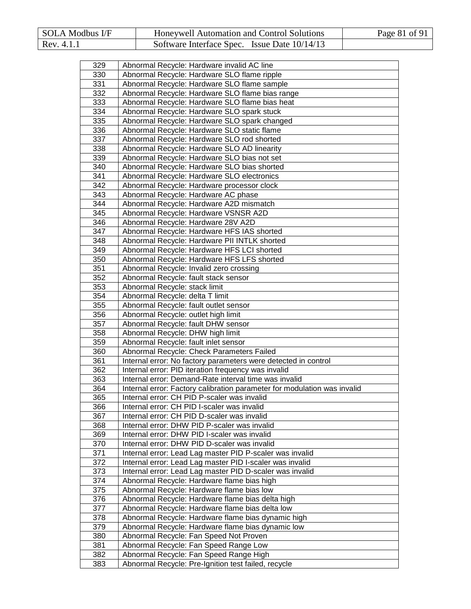| <b>SOLA Modbus I/F</b> | Honeywell Automation and Control Solutions   | Page 81 of 91 |
|------------------------|----------------------------------------------|---------------|
| Rev. 4.1.1             | Software Interface Spec. Issue Date 10/14/13 |               |

| 329        | Abnormal Recycle: Hardware invalid AC line                                                   |
|------------|----------------------------------------------------------------------------------------------|
| 330        | Abnormal Recycle: Hardware SLO flame ripple                                                  |
| 331        | Abnormal Recycle: Hardware SLO flame sample                                                  |
| 332        | Abnormal Recycle: Hardware SLO flame bias range                                              |
| 333        | Abnormal Recycle: Hardware SLO flame bias heat                                               |
| 334        | Abnormal Recycle: Hardware SLO spark stuck                                                   |
| 335        | Abnormal Recycle: Hardware SLO spark changed                                                 |
| 336        | Abnormal Recycle: Hardware SLO static flame                                                  |
| 337        | Abnormal Recycle: Hardware SLO rod shorted                                                   |
| 338        | Abnormal Recycle: Hardware SLO AD linearity                                                  |
| 339        | Abnormal Recycle: Hardware SLO bias not set                                                  |
| 340        | Abnormal Recycle: Hardware SLO bias shorted                                                  |
| 341        | Abnormal Recycle: Hardware SLO electronics                                                   |
| 342        | Abnormal Recycle: Hardware processor clock                                                   |
| 343        | Abnormal Recycle: Hardware AC phase                                                          |
| 344        | Abnormal Recycle: Hardware A2D mismatch                                                      |
| 345        | Abnormal Recycle: Hardware VSNSR A2D                                                         |
| 346        | Abnormal Recycle: Hardware 28V A2D                                                           |
| 347        | Abnormal Recycle: Hardware HFS IAS shorted                                                   |
| 348        | Abnormal Recycle: Hardware PII INTLK shorted                                                 |
| 349        | Abnormal Recycle: Hardware HFS LCI shorted                                                   |
| 350        | Abnormal Recycle: Hardware HFS LFS shorted                                                   |
| 351        | Abnormal Recycle: Invalid zero crossing                                                      |
| 352        | Abnormal Recycle: fault stack sensor                                                         |
| 353        | Abnormal Recycle: stack limit                                                                |
| 354        | Abnormal Recycle: delta T limit                                                              |
| 355        | Abnormal Recycle: fault outlet sensor                                                        |
| 356        | Abnormal Recycle: outlet high limit                                                          |
| 357        | Abnormal Recycle: fault DHW sensor                                                           |
| 358        | Abnormal Recycle: DHW high limit                                                             |
| 359        | Abnormal Recycle: fault inlet sensor                                                         |
| 360        | Abnormal Recycle: Check Parameters Failed                                                    |
| 361        | Internal error: No factory parameters were detected in control                               |
| 362        | Internal error: PID iteration frequency was invalid                                          |
| 363        | Internal error: Demand-Rate interval time was invalid                                        |
| 364        | Internal error: Factory calibration parameter for modulation was invalid                     |
| 365        | Internal error: CH PID P-scaler was invalid                                                  |
| 366        | Internal error: CH PID I-scaler was invalid                                                  |
| 367        | Internal error: CH PID D-scaler was invalid                                                  |
| 368        | Internal error: DHW PID P-scaler was invalid                                                 |
| 369<br>370 | Internal error: DHW PID I-scaler was invalid<br>Internal error: DHW PID D-scaler was invalid |
| 371        | Internal error: Lead Lag master PID P-scaler was invalid                                     |
| 372        | Internal error: Lead Lag master PID I-scaler was invalid                                     |
| 373        | Internal error: Lead Lag master PID D-scaler was invalid                                     |
| 374        | Abnormal Recycle: Hardware flame bias high                                                   |
| 375        | Abnormal Recycle: Hardware flame bias low                                                    |
| 376        | Abnormal Recycle: Hardware flame bias delta high                                             |
| 377        | Abnormal Recycle: Hardware flame bias delta low                                              |
| 378        | Abnormal Recycle: Hardware flame bias dynamic high                                           |
| 379        | Abnormal Recycle: Hardware flame bias dynamic low                                            |
| 380        | Abnormal Recycle: Fan Speed Not Proven                                                       |
| 381        | Abnormal Recycle: Fan Speed Range Low                                                        |
| 382        | Abnormal Recycle: Fan Speed Range High                                                       |
| 383        | Abnormal Recycle: Pre-Ignition test failed, recycle                                          |
|            |                                                                                              |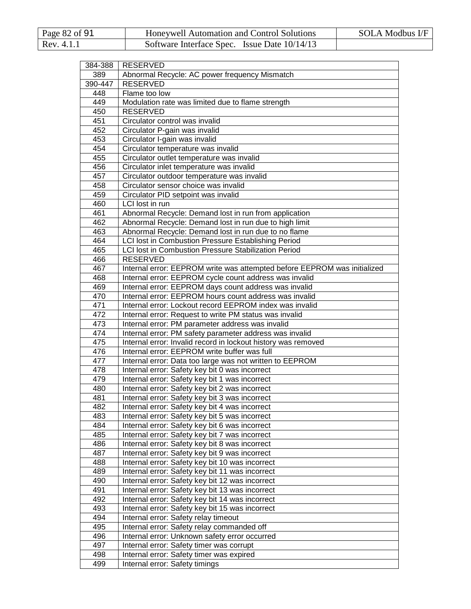| Page 82 of 91 | Honeywell Automation and Control Solutions   | <b>SOLA Modbus I/F</b> |
|---------------|----------------------------------------------|------------------------|
| Rev. 4.1.1    | Software Interface Spec. Issue Date 10/14/13 |                        |

| 384-388 | <b>RESERVED</b>                                                          |
|---------|--------------------------------------------------------------------------|
| 389     | Abnormal Recycle: AC power frequency Mismatch                            |
| 390-447 | <b>RESERVED</b>                                                          |
| 448     | Flame too low                                                            |
| 449     | Modulation rate was limited due to flame strength                        |
| 450     | <b>RESERVED</b>                                                          |
| 451     | Circulator control was invalid                                           |
| 452     | Circulator P-gain was invalid                                            |
| 453     | Circulator I-gain was invalid                                            |
| 454     | Circulator temperature was invalid                                       |
| 455     | Circulator outlet temperature was invalid                                |
| 456     | Circulator inlet temperature was invalid                                 |
| 457     | Circulator outdoor temperature was invalid                               |
| 458     | Circulator sensor choice was invalid                                     |
| 459     | Circulator PID setpoint was invalid                                      |
| 460     | LCI lost in run                                                          |
| 461     | Abnormal Recycle: Demand lost in run from application                    |
| 462     | Abnormal Recycle: Demand lost in run due to high limit                   |
| 463     | Abnormal Recycle: Demand lost in run due to no flame                     |
| 464     | LCI lost in Combustion Pressure Establishing Period                      |
| 465     | <b>LCI lost in Combustion Pressure Stabilization Period</b>              |
| 466     | <b>RESERVED</b>                                                          |
| 467     | Internal error: EEPROM write was attempted before EEPROM was initialized |
| 468     | Internal error: EEPROM cycle count address was invalid                   |
| 469     | Internal error: EEPROM days count address was invalid                    |
| 470     | Internal error: EEPROM hours count address was invalid                   |
| 471     | Internal error: Lockout record EEPROM index was invalid                  |
| 472     | Internal error: Request to write PM status was invalid                   |
| 473     | Internal error: PM parameter address was invalid                         |
| 474     | Internal error: PM safety parameter address was invalid                  |
| 475     | Internal error: Invalid record in lockout history was removed            |
| 476     | Internal error: EEPROM write buffer was full                             |
| 477     | Internal error: Data too large was not written to EEPROM                 |
| 478     | Internal error: Safety key bit 0 was incorrect                           |
| 479     | Internal error: Safety key bit 1 was incorrect                           |
| 480     | Internal error: Safety key bit 2 was incorrect                           |
| 481     | Internal error: Safety key bit 3 was incorrect                           |
| 482     | Internal error: Safety key bit 4 was incorrect                           |
| 483     | Internal error: Safety key bit 5 was incorrect                           |
| 484     | Internal error: Safety key bit 6 was incorrect                           |
| 485     | Internal error: Safety key bit 7 was incorrect                           |
| 486     | Internal error: Safety key bit 8 was incorrect                           |
| 487     | Internal error: Safety key bit 9 was incorrect                           |
| 488     | Internal error: Safety key bit 10 was incorrect                          |
| 489     | Internal error: Safety key bit 11 was incorrect                          |
| 490     | Internal error: Safety key bit 12 was incorrect                          |
| 491     | Internal error: Safety key bit 13 was incorrect                          |
| 492     | Internal error: Safety key bit 14 was incorrect                          |
| 493     | Internal error: Safety key bit 15 was incorrect                          |
| 494     | Internal error: Safety relay timeout                                     |
| 495     | Internal error: Safety relay commanded off                               |
| 496     | Internal error: Unknown safety error occurred                            |
| 497     | Internal error: Safety timer was corrupt                                 |
| 498     | Internal error: Safety timer was expired                                 |
| 499     | Internal error: Safety timings                                           |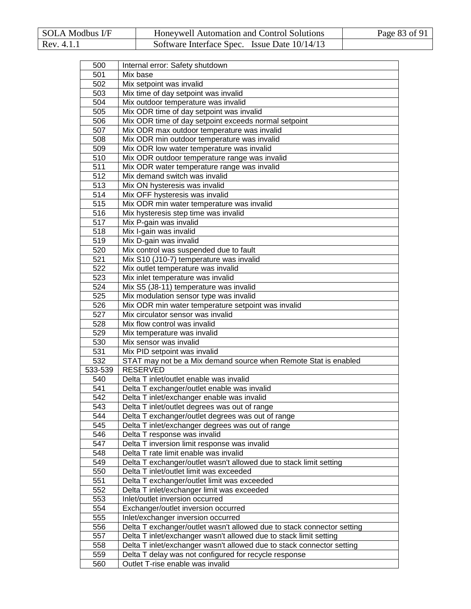| <b>SOLA Modbus I/F</b> | Honeywell Automation and Control Solutions   | Page 83 of 91 |
|------------------------|----------------------------------------------|---------------|
| Rev. 4.1.1             | Software Interface Spec. Issue Date 10/14/13 |               |

| 500     | Internal error: Safety shutdown                                        |
|---------|------------------------------------------------------------------------|
| 501     | Mix base                                                               |
| 502     | Mix setpoint was invalid                                               |
| 503     | Mix time of day setpoint was invalid                                   |
| 504     | Mix outdoor temperature was invalid                                    |
| 505     | Mix ODR time of day setpoint was invalid                               |
| 506     | Mix ODR time of day setpoint exceeds normal setpoint                   |
| 507     | Mix ODR max outdoor temperature was invalid                            |
| 508     | Mix ODR min outdoor temperature was invalid                            |
| 509     | Mix ODR low water temperature was invalid                              |
| 510     | Mix ODR outdoor temperature range was invalid                          |
| 511     | Mix ODR water temperature range was invalid                            |
| 512     | Mix demand switch was invalid                                          |
| 513     | Mix ON hysteresis was invalid                                          |
| 514     | Mix OFF hysteresis was invalid                                         |
| 515     | Mix ODR min water temperature was invalid                              |
| 516     | Mix hysteresis step time was invalid                                   |
| 517     | Mix P-gain was invalid                                                 |
| 518     | Mix I-gain was invalid                                                 |
| 519     | Mix D-gain was invalid                                                 |
| 520     | Mix control was suspended due to fault                                 |
| 521     | Mix S10 (J10-7) temperature was invalid                                |
| 522     | Mix outlet temperature was invalid                                     |
| 523     | Mix inlet temperature was invalid                                      |
| 524     | Mix S5 (J8-11) temperature was invalid                                 |
| 525     | Mix modulation sensor type was invalid                                 |
| 526     | Mix ODR min water temperature setpoint was invalid                     |
| 527     | Mix circulator sensor was invalid                                      |
| 528     | Mix flow control was invalid                                           |
| 529     | Mix temperature was invalid                                            |
| 530     | Mix sensor was invalid                                                 |
| 531     | Mix PID setpoint was invalid                                           |
| 532     | STAT may not be a Mix demand source when Remote Stat is enabled        |
| 533-539 | <b>RESERVED</b>                                                        |
| 540     | Delta T inlet/outlet enable was invalid                                |
| 541     | Delta T exchanger/outlet enable was invalid                            |
| 542     | Delta T inlet/exchanger enable was invalid                             |
| 543     | Delta T inlet/outlet degrees was out of range                          |
| 544     | Delta T exchanger/outlet degrees was out of range                      |
| 545     | Delta T inlet/exchanger degrees was out of range                       |
| 546     | Delta T response was invalid                                           |
| 547     | Delta T inversion limit response was invalid                           |
| 548     | Delta T rate limit enable was invalid                                  |
| 549     | Delta T exchanger/outlet wasn't allowed due to stack limit setting     |
| 550     | Delta T inlet/outlet limit was exceeded                                |
| 551     | Delta T exchanger/outlet limit was exceeded                            |
| 552     | Delta T inlet/exchanger limit was exceeded                             |
| 553     | Inlet/outlet inversion occurred                                        |
| 554     | Exchanger/outlet inversion occurred                                    |
| 555     | Inlet/exchanger inversion occurred                                     |
| 556     | Delta T exchanger/outlet wasn't allowed due to stack connector setting |
| 557     | Delta T inlet/exchanger wasn't allowed due to stack limit setting      |
| 558     | Delta T inlet/exchanger wasn't allowed due to stack connector setting  |
| 559     | Delta T delay was not configured for recycle response                  |
| 560     | Outlet T-rise enable was invalid                                       |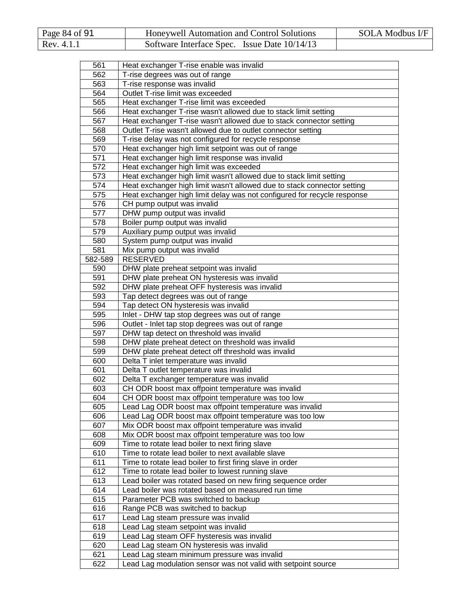| Page $84$ of $91$ | Honeywell Automation and Control Solutions   | <b>SOLA Modbus I/F</b> |
|-------------------|----------------------------------------------|------------------------|
| Rev. 4.1.1        | Software Interface Spec. Issue Date 10/14/13 |                        |

| 561     | Heat exchanger T-rise enable was invalid                                |
|---------|-------------------------------------------------------------------------|
| 562     | T-rise degrees was out of range                                         |
| 563     | T-rise response was invalid                                             |
| 564     | Outlet T-rise limit was exceeded                                        |
| 565     | Heat exchanger T-rise limit was exceeded                                |
| 566     | Heat exchanger T-rise wasn't allowed due to stack limit setting         |
| 567     | Heat exchanger T-rise wasn't allowed due to stack connector setting     |
| 568     | Outlet T-rise wasn't allowed due to outlet connector setting            |
| 569     | T-rise delay was not configured for recycle response                    |
| 570     | Heat exchanger high limit setpoint was out of range                     |
| 571     | Heat exchanger high limit response was invalid                          |
| 572     | Heat exchanger high limit was exceeded                                  |
| 573     | Heat exchanger high limit wasn't allowed due to stack limit setting     |
| 574     | Heat exchanger high limit wasn't allowed due to stack connector setting |
| 575     | Heat exchanger high limit delay was not configured for recycle response |
| 576     | CH pump output was invalid                                              |
| 577     | DHW pump output was invalid                                             |
| 578     | Boiler pump output was invalid                                          |
| 579     | Auxiliary pump output was invalid                                       |
| 580     | System pump output was invalid                                          |
| 581     | Mix pump output was invalid                                             |
| 582-589 | <b>RESERVED</b>                                                         |
| 590     | DHW plate preheat setpoint was invalid                                  |
| 591     | DHW plate preheat ON hysteresis was invalid                             |
| 592     | DHW plate preheat OFF hysteresis was invalid                            |
| 593     | Tap detect degrees was out of range                                     |
| 594     | Tap detect ON hysteresis was invalid                                    |
| 595     | Inlet - DHW tap stop degrees was out of range                           |
| 596     | Outlet - Inlet tap stop degrees was out of range                        |
| 597     | DHW tap detect on threshold was invalid                                 |
| 598     | DHW plate preheat detect on threshold was invalid                       |
| 599     | DHW plate preheat detect off threshold was invalid                      |
| 600     | Delta T inlet temperature was invalid                                   |
| 601     | Delta T outlet temperature was invalid                                  |
| 602     | Delta T exchanger temperature was invalid                               |
| 603     | CH ODR boost max offpoint temperature was invalid                       |
| 604     | CH ODR boost max offpoint temperature was too low                       |
| 605     | Lead Lag ODR boost max offpoint temperature was invalid                 |
| 606     | Lead Lag ODR boost max offpoint temperature was too low                 |
| 607     | Mix ODR boost max offpoint temperature was invalid                      |
| 608     | Mix ODR boost max offpoint temperature was too low                      |
| 609     | Time to rotate lead boiler to next firing slave                         |
| 610     | Time to rotate lead boiler to next available slave                      |
| 611     | Time to rotate lead boiler to first firing slave in order               |
| 612     | Time to rotate lead boiler to lowest running slave                      |
| 613     | Lead boiler was rotated based on new firing sequence order              |
| 614     | Lead boiler was rotated based on measured run time                      |
| 615     | Parameter PCB was switched to backup                                    |
| 616     | Range PCB was switched to backup                                        |
| 617     | Lead Lag steam pressure was invalid                                     |
| 618     | Lead Lag steam setpoint was invalid                                     |
| 619     | Lead Lag steam OFF hysteresis was invalid                               |
| 620     | Lead Lag steam ON hysteresis was invalid                                |
| 621     | Lead Lag steam minimum pressure was invalid                             |
| 622     | Lead Lag modulation sensor was not valid with setpoint source           |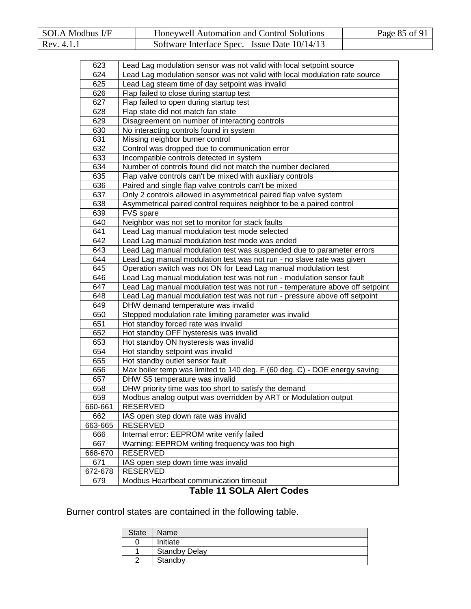| <b>SOLA Modbus I/F</b> | Honeywell Automation and Control Solutions   | Page 85 of 91 |
|------------------------|----------------------------------------------|---------------|
| Rev. 4.1.1             | Software Interface Spec. Issue Date 10/14/13 |               |

| 623     | Lead Lag modulation sensor was not valid with local setpoint source          |
|---------|------------------------------------------------------------------------------|
| 624     | Lead Lag modulation sensor was not valid with local modulation rate source   |
| 625     | Lead Lag steam time of day setpoint was invalid                              |
| 626     | Flap failed to close during startup test                                     |
| 627     | Flap failed to open during startup test                                      |
| 628     | Flap state did not match fan state                                           |
| 629     | Disagreement on number of interacting controls                               |
| 630     | No interacting controls found in system                                      |
| 631     | Missing neighbor burner control                                              |
| 632     | Control was dropped due to communication error                               |
| 633     | Incompatible controls detected in system                                     |
| 634     | Number of controls found did not match the number declared                   |
| 635     | Flap valve controls can't be mixed with auxiliary controls                   |
| 636     | Paired and single flap valve controls can't be mixed                         |
| 637     | Only 2 controls allowed in asymmetrical paired flap valve system             |
| 638     | Asymmetrical paired control requires neighbor to be a paired control         |
| 639     | FVS spare                                                                    |
| 640     | Neighbor was not set to monitor for stack faults                             |
| 641     | Lead Lag manual modulation test mode selected                                |
| 642     | Lead Lag manual modulation test mode was ended                               |
| 643     | Lead Lag manual modulation test was suspended due to parameter errors        |
| 644     | Lead Lag manual modulation test was not run - no slave rate was given        |
| 645     | Operation switch was not ON for Lead Lag manual modulation test              |
| 646     | Lead Lag manual modulation test was not run - modulation sensor fault        |
| 647     | Lead Lag manual modulation test was not run - temperature above off setpoint |
| 648     | Lead Lag manual modulation test was not run - pressure above off setpoint    |
| 649     | DHW demand temperature was invalid                                           |
| 650     | Stepped modulation rate limiting parameter was invalid                       |
| 651     | Hot standby forced rate was invalid                                          |
| 652     | Hot standby OFF hysteresis was invalid                                       |
| 653     | Hot standby ON hysteresis was invalid                                        |
| 654     | Hot standby setpoint was invalid                                             |
| 655     | Hot standby outlet sensor fault                                              |
| 656     | Max boiler temp was limited to 140 deg. F (60 deg. C) - DOE energy saving    |
| 657     | DHW S5 temperature was invalid                                               |
| 658     | DHW priority time was too short to satisfy the demand                        |
| 659     | Modbus analog output was overridden by ART or Modulation output              |
| 660-661 | <b>RESERVED</b>                                                              |
| 662     | IAS open step down rate was invalid                                          |
| 663-665 | <b>RESERVED</b>                                                              |
| 666     | Internal error: EEPROM write verify failed                                   |
| 667     | Warning: EEPROM writing frequency was too high                               |
| 668-670 | <b>RESERVED</b>                                                              |
| 671     | IAS open step down time was invalid                                          |
| 672-678 | <b>RESERVED</b>                                                              |
| 679     | Modbus Heartbeat communication timeout                                       |

#### **Table 11 SOLA Alert Codes**

Burner control states are contained in the following table.

| <b>State</b> | Name                 |
|--------------|----------------------|
|              | Initiate             |
|              | <b>Standby Delay</b> |
|              | Standby              |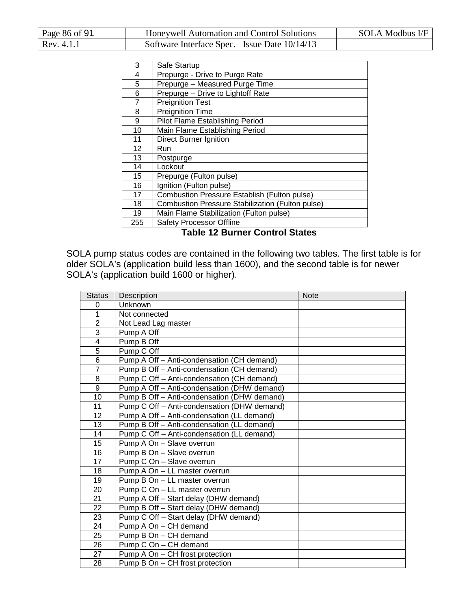| Page 86 of 91 | Honeywell Automation and Control Solutions   | SOLA Modbus $I/F$ |
|---------------|----------------------------------------------|-------------------|
| Rev. 4.1.1    | Software Interface Spec. Issue Date 10/14/13 |                   |

| 3   | Safe Startup                                            |
|-----|---------------------------------------------------------|
| 4   | Prepurge - Drive to Purge Rate                          |
| 5   | Prepurge - Measured Purge Time                          |
| 6   | Prepurge - Drive to Lightoff Rate                       |
| 7   | <b>Preignition Test</b>                                 |
| 8   | <b>Preignition Time</b>                                 |
| 9   | <b>Pilot Flame Establishing Period</b>                  |
| 10  | Main Flame Establishing Period                          |
| 11  | <b>Direct Burner Ignition</b>                           |
| 12  | Run                                                     |
| 13  | Postpurge                                               |
| 14  | Lockout                                                 |
| 15  | Prepurge (Fulton pulse)                                 |
| 16  | Ignition (Fulton pulse)                                 |
| 17  | Combustion Pressure Establish (Fulton pulse)            |
| 18  | <b>Combustion Pressure Stabilization (Fulton pulse)</b> |
| 19  | Main Flame Stabilization (Fulton pulse)                 |
| 255 | <b>Safety Processor Offline</b>                         |
|     |                                                         |

**Table 12 Burner Control States**

SOLA pump status codes are contained in the following two tables. The first table is for older SOLA's (application build less than 1600), and the second table is for newer SOLA's (application build 1600 or higher).

| <b>Status</b>           | <b>Description</b>                          | <b>Note</b> |
|-------------------------|---------------------------------------------|-------------|
| 0                       | Unknown                                     |             |
| 1                       | Not connected                               |             |
| $\overline{2}$          | Not Lead Lag master                         |             |
| 3                       | Pump A Off                                  |             |
| $\overline{\mathbf{4}}$ | Pump B Off                                  |             |
| $\overline{5}$          | Pump C Off                                  |             |
| $\overline{6}$          | Pump A Off - Anti-condensation (CH demand)  |             |
| $\overline{7}$          | Pump B Off - Anti-condensation (CH demand)  |             |
| 8                       | Pump C Off - Anti-condensation (CH demand)  |             |
| 9                       | Pump A Off - Anti-condensation (DHW demand) |             |
| 10                      | Pump B Off - Anti-condensation (DHW demand) |             |
| 11                      | Pump C Off - Anti-condensation (DHW demand) |             |
| 12                      | Pump A Off - Anti-condensation (LL demand)  |             |
| 13                      | Pump B Off - Anti-condensation (LL demand)  |             |
| 14                      | Pump C Off - Anti-condensation (LL demand)  |             |
| 15                      | Pump A On - Slave overrun                   |             |
| 16                      | Pump B On - Slave overrun                   |             |
| 17                      | Pump C On - Slave overrun                   |             |
| 18                      | Pump A On - LL master overrun               |             |
| 19                      | Pump B On - LL master overrun               |             |
| 20                      | Pump C On - LL master overrun               |             |
| 21                      | Pump A Off - Start delay (DHW demand)       |             |
| 22                      | Pump B Off - Start delay (DHW demand)       |             |
| 23                      | Pump C Off - Start delay (DHW demand)       |             |
| 24                      | Pump A On - CH demand                       |             |
| 25                      | Pump B On - CH demand                       |             |
| 26                      | Pump C On - CH demand                       |             |
| 27                      | Pump A On - CH frost protection             |             |
| 28                      | Pump B On - CH frost protection             |             |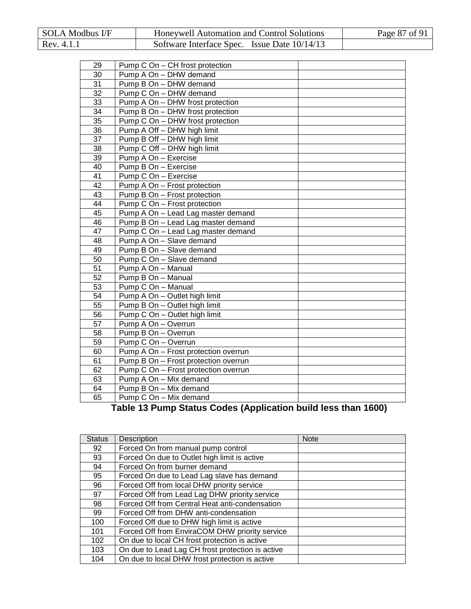| <b>SOLA Modbus I/F</b> | <b>Honeywell Automation and Control Solutions</b> | Page 87 of 91 |
|------------------------|---------------------------------------------------|---------------|
| Rev. 4.1.1             | Software Interface Spec. Issue Date 10/14/13      |               |

| 29              | Pump C On - CH frost protection      |
|-----------------|--------------------------------------|
| 30              | Pump A On - DHW demand               |
| $\overline{31}$ | Pump B On - DHW demand               |
| $\overline{32}$ | Pump C On - DHW demand               |
| 33              | Pump A On - DHW frost protection     |
| $\overline{34}$ | Pump B On - DHW frost protection     |
| 35              | Pump C On - DHW frost protection     |
| 36              | Pump A Off - DHW high limit          |
| 37              | Pump B Off - DHW high limit          |
| 38              | Pump C Off - DHW high limit          |
| 39              | Pump A On - Exercise                 |
| 40              | Pump B On - Exercise                 |
| 41              | Pump C On - Exercise                 |
| 42              | Pump A On - Frost protection         |
| 43              | Pump B On - Frost protection         |
| 44              | Pump C On - Frost protection         |
| 45              | Pump A On - Lead Lag master demand   |
| 46              | Pump B On - Lead Lag master demand   |
| 47              | Pump C On - Lead Lag master demand   |
| 48              | Pump A On - Slave demand             |
| 49              | Pump B On - Slave demand             |
| 50              | Pump C On - Slave demand             |
| 51              | Pump A On - Manual                   |
| 52              | Pump B On - Manual                   |
| 53              | Pump C On - Manual                   |
| 54              | Pump A On - Outlet high limit        |
| 55              | Pump B On - Outlet high limit        |
| 56              | Pump C On - Outlet high limit        |
| 57              | Pump A On - Overrun                  |
| 58              | Pump B On - Overrun                  |
| 59              | Pump C On - Overrun                  |
| 60              | Pump A On - Frost protection overrun |
| 61              | Pump B On - Frost protection overrun |
| 62              | Pump C On - Frost protection overrun |
| 63              | Pump A On - Mix demand               |
| 64              | Pump B On - Mix demand               |
| 65              | Pump C On - Mix demand               |

**Table 13 Pump Status Codes (Application build less than 1600)**

| <b>Status</b> | Description                                      | <b>Note</b> |
|---------------|--------------------------------------------------|-------------|
| 92            | Forced On from manual pump control               |             |
| 93            | Forced On due to Outlet high limit is active     |             |
| 94            | Forced On from burner demand                     |             |
| 95            | Forced On due to Lead Lag slave has demand       |             |
| 96            | Forced Off from local DHW priority service       |             |
| 97            | Forced Off from Lead Lag DHW priority service    |             |
| 98            | Forced Off from Central Heat anti-condensation   |             |
| 99            | Forced Off from DHW anti-condensation            |             |
| 100           | Forced Off due to DHW high limit is active       |             |
| 101           | Forced Off from EnviraCOM DHW priority service   |             |
| 102           | On due to local CH frost protection is active    |             |
| 103           | On due to Lead Lag CH frost protection is active |             |
| 104           | On due to local DHW frost protection is active   |             |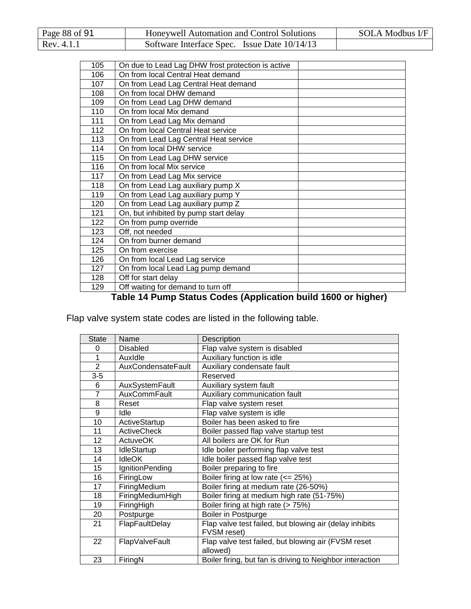| Page 88 of 91 | Honeywell Automation and Control Solutions   | $SOLA$ Modbus $\text{IF}$ |
|---------------|----------------------------------------------|---------------------------|
| Rev. 4.1.1    | Software Interface Spec. Issue Date 10/14/13 |                           |

| 105 | On due to Lead Lag DHW frost protection is active |  |
|-----|---------------------------------------------------|--|
| 106 | On from local Central Heat demand                 |  |
| 107 | On from Lead Lag Central Heat demand              |  |
| 108 | On from local DHW demand                          |  |
| 109 | On from Lead Lag DHW demand                       |  |
| 110 | On from local Mix demand                          |  |
| 111 | On from Lead Lag Mix demand                       |  |
| 112 | On from local Central Heat service                |  |
| 113 | On from Lead Lag Central Heat service             |  |
| 114 | On from local DHW service                         |  |
| 115 | On from Lead Lag DHW service                      |  |
| 116 | On from local Mix service                         |  |
| 117 | On from Lead Lag Mix service                      |  |
| 118 | On from Lead Lag auxiliary pump X                 |  |
| 119 | On from Lead Lag auxiliary pump Y                 |  |
| 120 | On from Lead Lag auxiliary pump Z                 |  |
| 121 | On, but inhibited by pump start delay             |  |
| 122 | On from pump override                             |  |
| 123 | Off, not needed                                   |  |
| 124 | On from burner demand                             |  |
| 125 | On from exercise                                  |  |
| 126 | On from local Lead Lag service                    |  |
| 127 | On from local Lead Lag pump demand                |  |
| 128 | Off for start delay                               |  |
| 129 | Off waiting for demand to turn off                |  |

# **Table 14 Pump Status Codes (Application build 1600 or higher)**

Flap valve system state codes are listed in the following table.

| <b>State</b>   | Name                   | Description                                               |
|----------------|------------------------|-----------------------------------------------------------|
| 0              | <b>Disabled</b>        | Flap valve system is disabled                             |
| 1              | Auxidle                | Auxiliary function is idle                                |
| $\overline{2}$ | AuxCondensateFault     | Auxiliary condensate fault                                |
| $3-5$          |                        | Reserved                                                  |
| 6              | AuxSystemFault         | Auxiliary system fault                                    |
| $\overline{7}$ | AuxCommFault           | Auxiliary communication fault                             |
| 8              | Reset                  | Flap valve system reset                                   |
| 9              | Idle                   | Flap valve system is idle                                 |
| 10             | ActiveStartup          | Boiler has been asked to fire                             |
| 11             | <b>ActiveCheck</b>     | Boiler passed flap valve startup test                     |
| 12             | <b>ActuveOK</b>        | All boilers are OK for Run                                |
| 13             | IdleStartup            | Idle boiler performing flap valve test                    |
| 14             | <b>IdleOK</b>          | Idle boiler passed flap valve test                        |
| 15             | <b>IgnitionPending</b> | Boiler preparing to fire                                  |
| 16             | FiringLow              | Boiler firing at low rate $(<= 25%)$                      |
| 17             | FiringMedium           | Boiler firing at medium rate (26-50%)                     |
| 18             | FiringMediumHigh       | Boiler firing at medium high rate (51-75%)                |
| 19             | FiringHigh             | Boiler firing at high rate (> 75%)                        |
| 20             | Postpurge              | Boiler in Postpurge                                       |
| 21             | FlapFaultDelay         | Flap valve test failed, but blowing air (delay inhibits   |
|                |                        | FVSM reset)                                               |
| 22             | FlapValveFault         | Flap valve test failed, but blowing air (FVSM reset       |
|                |                        | allowed)                                                  |
| 23             | FiringN                | Boiler firing, but fan is driving to Neighbor interaction |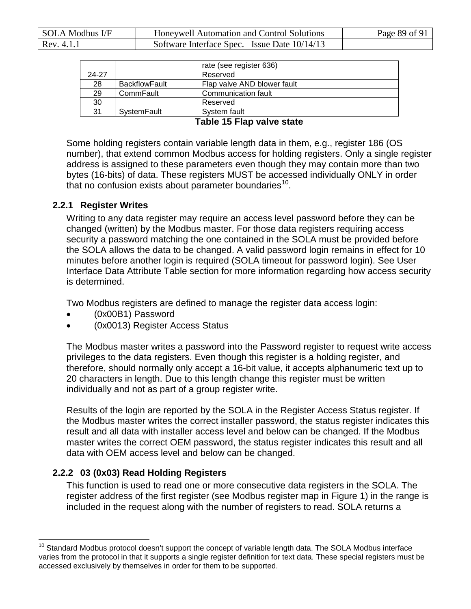| <b>SOLA Modbus I/F</b> | Honeywell Automation and Control Solutions   | Page 89 of 91 |
|------------------------|----------------------------------------------|---------------|
| Rev. 4.1.1             | Software Interface Spec. Issue Date 10/14/13 |               |

|       |                      | rate (see register 636)     |
|-------|----------------------|-----------------------------|
| 24-27 |                      | Reserved                    |
| 28    | <b>BackflowFault</b> | Flap valve AND blower fault |
| 29    | CommFault            | Communication fault         |
| 30    |                      | Reserved                    |
| 31    | SystemFault          | System fault                |

#### **Table 15 Flap valve state**

Some holding registers contain variable length data in them, e.g., register 186 (OS number), that extend common Modbus access for holding registers. Only a single register address is assigned to these parameters even though they may contain more than two bytes (16-bits) of data. These registers MUST be accessed individually ONLY in order that no confusion exists about parameter boundaries<sup>[10](#page-88-0)</sup>.

### **2.2.1 Register Writes**

Writing to any data register may require an access level password before they can be changed (written) by the Modbus master. For those data registers requiring access security a password matching the one contained in the SOLA must be provided before the SOLA allows the data to be changed. A valid password login remains in effect for 10 minutes before another login is required (SOLA timeout for password login). See User Interface Data Attribute Table section for more information regarding how access security is determined.

Two Modbus registers are defined to manage the register data access login:

- (0x00B1) Password
- (0x0013) Register Access Status

The Modbus master writes a password into the Password register to request write access privileges to the data registers. Even though this register is a holding register, and therefore, should normally only accept a 16-bit value, it accepts alphanumeric text up to 20 characters in length. Due to this length change this register must be written individually and not as part of a group register write.

Results of the login are reported by the SOLA in the Register Access Status register. If the Modbus master writes the correct installer password, the status register indicates this result and all data with installer access level and below can be changed. If the Modbus master writes the correct OEM password, the status register indicates this result and all data with OEM access level and below can be changed.

# **2.2.2 03 (0x03) Read Holding Registers**

This function is used to read one or more consecutive data registers in the SOLA. The register address of the first register (see Modbus register map in Figure 1) in the range is included in the request along with the number of registers to read. SOLA returns a

<span id="page-88-0"></span> $10$  Standard Modbus protocol doesn't support the concept of variable length data. The SOLA Modbus interface varies from the protocol in that it supports a single register definition for text data. These special registers must be accessed exclusively by themselves in order for them to be supported.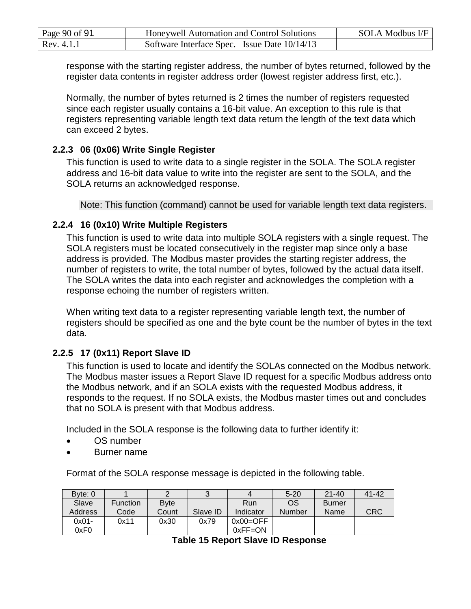| Page 90 of 91 | Honeywell Automation and Control Solutions   | <b>SOLA Modbus I/F</b> |
|---------------|----------------------------------------------|------------------------|
| Rev. 4.1.1    | Software Interface Spec. Issue Date 10/14/13 |                        |

response with the starting register address, the number of bytes returned, followed by the register data contents in register address order (lowest register address first, etc.).

Normally, the number of bytes returned is 2 times the number of registers requested since each register usually contains a 16-bit value. An exception to this rule is that registers representing variable length text data return the length of the text data which can exceed 2 bytes.

### **2.2.3 06 (0x06) Write Single Register**

This function is used to write data to a single register in the SOLA. The SOLA register address and 16-bit data value to write into the register are sent to the SOLA, and the SOLA returns an acknowledged response.

Note: This function (command) cannot be used for variable length text data registers.

### **2.2.4 16 (0x10) Write Multiple Registers**

This function is used to write data into multiple SOLA registers with a single request. The SOLA registers must be located consecutively in the register map since only a base address is provided. The Modbus master provides the starting register address, the number of registers to write, the total number of bytes, followed by the actual data itself. The SOLA writes the data into each register and acknowledges the completion with a response echoing the number of registers written.

When writing text data to a register representing variable length text, the number of registers should be specified as one and the byte count be the number of bytes in the text data.

## **2.2.5 17 (0x11) Report Slave ID**

This function is used to locate and identify the SOLAs connected on the Modbus network. The Modbus master issues a Report Slave ID request for a specific Modbus address onto the Modbus network, and if an SOLA exists with the requested Modbus address, it responds to the request. If no SOLA exists, the Modbus master times out and concludes that no SOLA is present with that Modbus address.

Included in the SOLA response is the following data to further identify it:

- OS number
- Burner name

Format of the SOLA response message is depicted in the following table.

| Byte: 0  |                 |              | າ<br>J   |             | $5 - 20$      | $21 - 40$     | 41-42 |
|----------|-----------------|--------------|----------|-------------|---------------|---------------|-------|
| Slave    | <b>Function</b> | <b>B</b> vte |          | Run         | OS            | <b>Burner</b> |       |
| Address  | Code            | Count        | Slave ID | Indicator   | <b>Number</b> | Name          | CRC   |
| $0x01 -$ | 0x11            | 0x30         | 0x79     | $0x00=$ OFF |               |               |       |
| 0xF0     |                 |              |          | $0xFF=ON$   |               |               |       |

**Table 15 Report Slave ID Response**